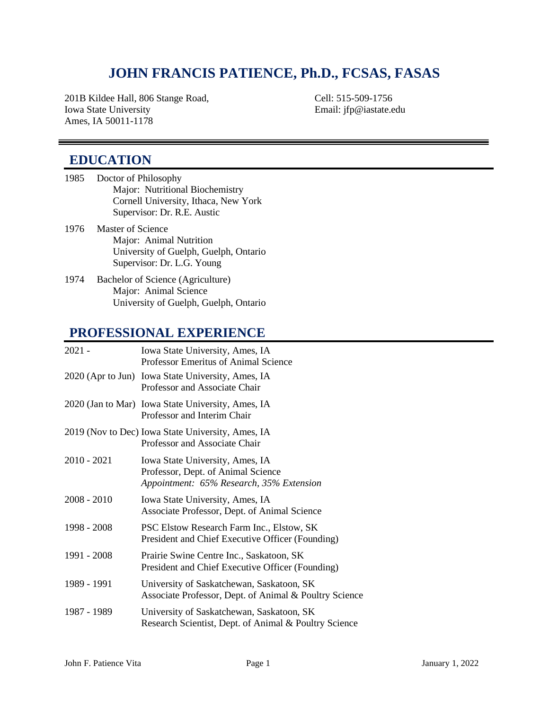## **JOHN FRANCIS PATIENCE, Ph.D., FCSAS, FASAS**

201B Kildee Hall, 806 Stange Road, Cell: 515-509-1756 Iowa State University Email: jfp@iastate.edu Ames, IA 50011-1178

### **EDUCATION**

- 1985 Doctor of Philosophy Major: Nutritional Biochemistry Cornell University, Ithaca, New York Supervisor: Dr. R.E. Austic
- 1976 Master of Science Major: Animal Nutrition University of Guelph, Guelph, Ontario Supervisor: Dr. L.G. Young
- 1974 Bachelor of Science (Agriculture) Major: Animal Science University of Guelph, Guelph, Ontario

### **PROFESSIONAL EXPERIENCE**

| $2021 -$      | Iowa State University, Ames, IA<br>Professor Emeritus of Animal Science                                           |
|---------------|-------------------------------------------------------------------------------------------------------------------|
|               | 2020 (Apr to Jun) Iowa State University, Ames, IA<br>Professor and Associate Chair                                |
|               | 2020 (Jan to Mar) Iowa State University, Ames, IA<br>Professor and Interim Chair                                  |
|               | 2019 (Nov to Dec) Iowa State University, Ames, IA<br>Professor and Associate Chair                                |
| $2010 - 2021$ | Iowa State University, Ames, IA<br>Professor, Dept. of Animal Science<br>Appointment: 65% Research, 35% Extension |
| 2008 - 2010   | Iowa State University, Ames, IA<br>Associate Professor, Dept. of Animal Science                                   |
| 1998 - 2008   | PSC Elstow Research Farm Inc., Elstow, SK<br>President and Chief Executive Officer (Founding)                     |
| 1991 - 2008   | Prairie Swine Centre Inc., Saskatoon, SK<br>President and Chief Executive Officer (Founding)                      |
| 1989 - 1991   | University of Saskatchewan, Saskatoon, SK<br>Associate Professor, Dept. of Animal & Poultry Science               |
| 1987 - 1989   | University of Saskatchewan, Saskatoon, SK<br>Research Scientist, Dept. of Animal & Poultry Science                |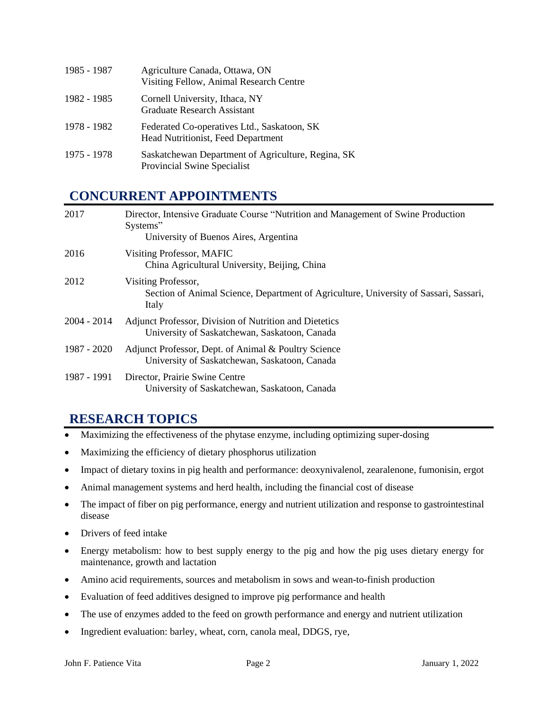| 1985 - 1987 | Agriculture Canada, Ottawa, ON<br>Visiting Fellow, Animal Research Centre         |
|-------------|-----------------------------------------------------------------------------------|
| 1982 - 1985 | Cornell University, Ithaca, NY<br><b>Graduate Research Assistant</b>              |
| 1978 - 1982 | Federated Co-operatives Ltd., Saskatoon, SK<br>Head Nutritionist, Feed Department |
| 1975 - 1978 | Saskatchewan Department of Agriculture, Regina, SK<br>Provincial Swine Specialist |

## **CONCURRENT APPOINTMENTS**

| 2017          | Director, Intensive Graduate Course "Nutrition and Management of Swine Production<br>Systems"<br>University of Buenos Aires, Argentina |
|---------------|----------------------------------------------------------------------------------------------------------------------------------------|
| 2016          | Visiting Professor, MAFIC<br>China Agricultural University, Beijing, China                                                             |
| 2012          | Visiting Professor,<br>Section of Animal Science, Department of Agriculture, University of Sassari, Sassari,<br>Italy                  |
| $2004 - 2014$ | Adjunct Professor, Division of Nutrition and Dietetics<br>University of Saskatchewan, Saskatoon, Canada                                |
| 1987 - 2020   | Adjunct Professor, Dept. of Animal & Poultry Science<br>University of Saskatchewan, Saskatoon, Canada                                  |
| 1987 - 1991   | Director, Prairie Swine Centre<br>University of Saskatchewan, Saskatoon, Canada                                                        |

## **RESEARCH TOPICS**

- Maximizing the effectiveness of the phytase enzyme, including optimizing super-dosing
- Maximizing the efficiency of dietary phosphorus utilization
- Impact of dietary toxins in pig health and performance: deoxynivalenol, zearalenone, fumonisin, ergot
- Animal management systems and herd health, including the financial cost of disease
- The impact of fiber on pig performance, energy and nutrient utilization and response to gastrointestinal disease
- Drivers of feed intake
- Energy metabolism: how to best supply energy to the pig and how the pig uses dietary energy for maintenance, growth and lactation
- Amino acid requirements, sources and metabolism in sows and wean-to-finish production
- Evaluation of feed additives designed to improve pig performance and health
- The use of enzymes added to the feed on growth performance and energy and nutrient utilization
- Ingredient evaluation: barley, wheat, corn, canola meal, DDGS, rye,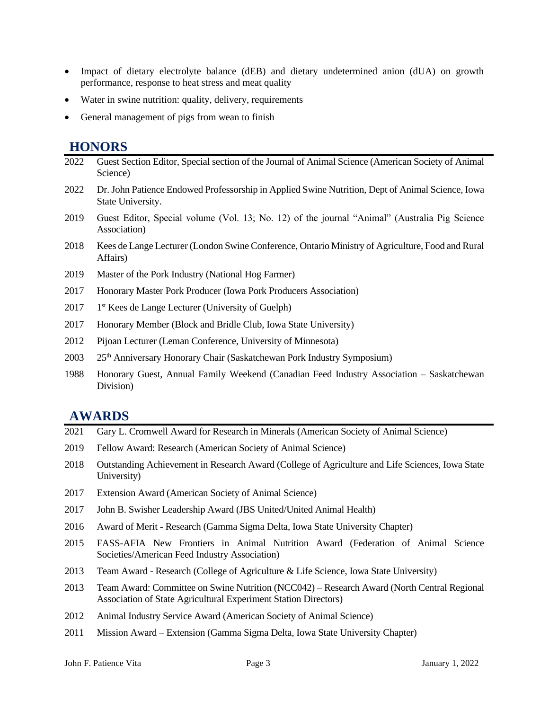- Impact of dietary electrolyte balance (dEB) and dietary undetermined anion (dUA) on growth performance, response to heat stress and meat quality
- Water in swine nutrition: quality, delivery, requirements
- General management of pigs from wean to finish

### **HONORS**

| 2022 | Guest Section Editor, Special section of the Journal of Animal Science (American Society of Animal<br>Science)        |
|------|-----------------------------------------------------------------------------------------------------------------------|
| 2022 | Dr. John Patience Endowed Professorship in Applied Swine Nutrition, Dept of Animal Science, Iowa<br>State University. |
| 2019 | Guest Editor, Special volume (Vol. 13; No. 12) of the journal "Animal" (Australia Pig Science<br>Association)         |
| 2018 | Kees de Lange Lecturer (London Swine Conference, Ontario Ministry of Agriculture, Food and Rural<br>Affairs)          |
| 2019 | Master of the Pork Industry (National Hog Farmer)                                                                     |
| 2017 | Honorary Master Pork Producer (Iowa Pork Producers Association)                                                       |
| 2017 | 1 <sup>st</sup> Kees de Lange Lecturer (University of Guelph)                                                         |
| 2017 | Honorary Member (Block and Bridle Club, Iowa State University)                                                        |
| 2012 | Pijoan Lecturer (Leman Conference, University of Minnesota)                                                           |
| 2003 | 25 <sup>th</sup> Anniversary Honorary Chair (Saskatchewan Pork Industry Symposium)                                    |
| 1988 | Honorary Guest, Annual Family Weekend (Canadian Feed Industry Association – Saskatchewan<br>Division)                 |

### **AWARDS**

- 2021 Gary L. Cromwell Award for Research in Minerals (American Society of Animal Science)
- 2019 Fellow Award: Research (American Society of Animal Science)
- 2018 Outstanding Achievement in Research Award (College of Agriculture and Life Sciences, Iowa State University)
- 2017 Extension Award (American Society of Animal Science)
- 2017 John B. Swisher Leadership Award (JBS United/United Animal Health)
- 2016 Award of Merit Research (Gamma Sigma Delta, Iowa State University Chapter)
- 2015 FASS-AFIA New Frontiers in Animal Nutrition Award (Federation of Animal Science Societies/American Feed Industry Association)
- 2013 Team Award Research (College of Agriculture & Life Science, Iowa State University)
- 2013 Team Award: Committee on Swine Nutrition (NCC042) Research Award (North Central Regional Association of State Agricultural Experiment Station Directors)
- 2012 Animal Industry Service Award (American Society of Animal Science)
- 2011 Mission Award Extension (Gamma Sigma Delta, Iowa State University Chapter)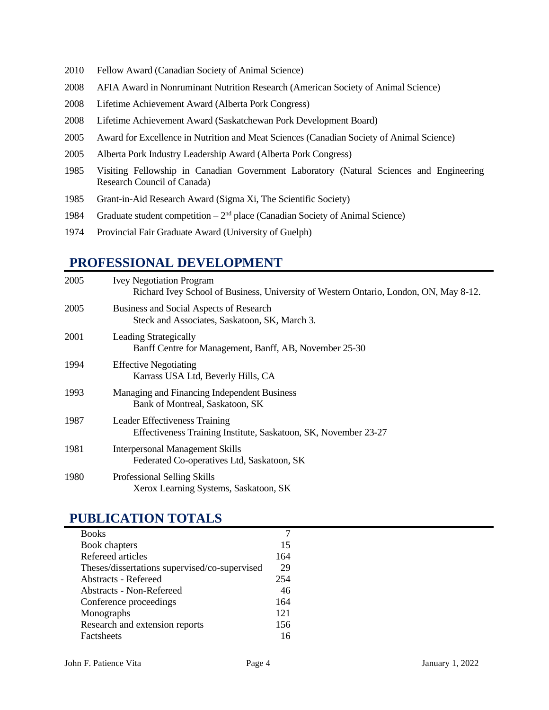- 2010 Fellow Award (Canadian Society of Animal Science)
- 2008 AFIA Award in Nonruminant Nutrition Research (American Society of Animal Science)
- 2008 Lifetime Achievement Award (Alberta Pork Congress)
- 2008 Lifetime Achievement Award (Saskatchewan Pork Development Board)
- 2005 Award for Excellence in Nutrition and Meat Sciences (Canadian Society of Animal Science)
- 2005 Alberta Pork Industry Leadership Award (Alberta Pork Congress)
- 1985 Visiting Fellowship in Canadian Government Laboratory (Natural Sciences and Engineering Research Council of Canada)
- 1985 Grant-in-Aid Research Award (Sigma Xi, The Scientific Society)
- 1984 Graduate student competition  $-2<sup>nd</sup>$  place (Canadian Society of Animal Science)
- 1974 Provincial Fair Graduate Award (University of Guelph)

### **PROFESSIONAL DEVELOPMENT**

| 2005 | <b>Ivey Negotiation Program</b><br>Richard Ivey School of Business, University of Western Ontario, London, ON, May 8-12. |
|------|--------------------------------------------------------------------------------------------------------------------------|
| 2005 | Business and Social Aspects of Research<br>Steck and Associates, Saskatoon, SK, March 3.                                 |
| 2001 | <b>Leading Strategically</b><br>Banff Centre for Management, Banff, AB, November 25-30                                   |
| 1994 | <b>Effective Negotiating</b><br>Karrass USA Ltd, Beverly Hills, CA                                                       |
| 1993 | Managing and Financing Independent Business<br>Bank of Montreal, Saskatoon, SK                                           |
| 1987 | <b>Leader Effectiveness Training</b><br>Effectiveness Training Institute, Saskatoon, SK, November 23-27                  |
| 1981 | <b>Interpersonal Management Skills</b><br>Federated Co-operatives Ltd, Saskatoon, SK                                     |
| 1980 | Professional Selling Skills<br>Xerox Learning Systems, Saskatoon, SK                                                     |

### **PUBLICATION TOTALS**

| <b>Books</b>                                  |     |
|-----------------------------------------------|-----|
| Book chapters                                 | 15  |
| Refereed articles                             | 164 |
| Theses/dissertations supervised/co-supervised | 29  |
| <b>Abstracts - Refereed</b>                   | 254 |
| Abstracts - Non-Refereed                      | 46  |
| Conference proceedings                        | 164 |
| Monographs                                    | 121 |
| Research and extension reports                | 156 |
| Factsheets                                    | 16  |
|                                               |     |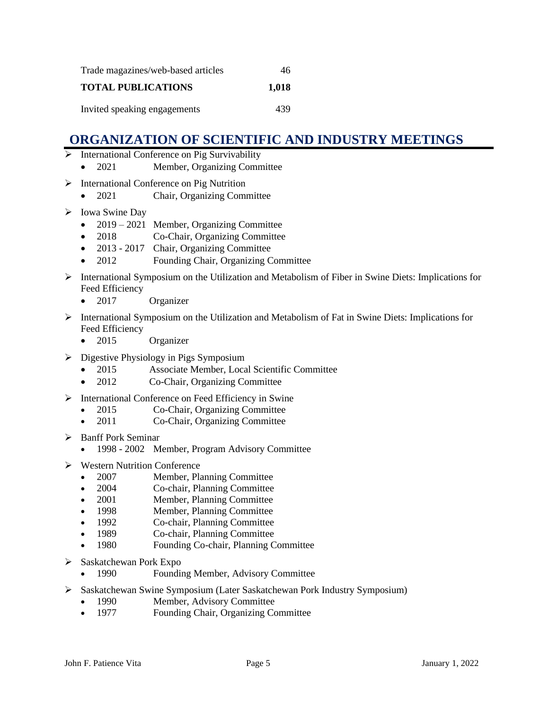| Trade magazines/web-based articles | 46    |
|------------------------------------|-------|
| <b>TOTAL PUBLICATIONS</b>          | 1,018 |
| Invited speaking engagements       | 439   |

## **ORGANIZATION OF SCIENTIFIC AND INDUSTRY MEETINGS**

- ➢ International Conference on Pig Survivability
	- 2021 Member, Organizing Committee
- ➢ International Conference on Pig Nutrition
	- 2021 Chair, Organizing Committee
- ➢ Iowa Swine Day
	- 2019 2021 Member, Organizing Committee
	- 2018 Co-Chair, Organizing Committee
	- 2013 2017 Chair, Organizing Committee
	- 2012 Founding Chair, Organizing Committee
- ➢ International Symposium on the Utilization and Metabolism of Fiber in Swine Diets: Implications for Feed Efficiency
	- 2017 Organizer
- ➢ International Symposium on the Utilization and Metabolism of Fat in Swine Diets: Implications for Feed Efficiency
	- 2015 Organizer
- ➢ Digestive Physiology in Pigs Symposium
	- 2015 Associate Member, Local Scientific Committee
	- 2012 Co-Chair, Organizing Committee
- ➢ International Conference on Feed Efficiency in Swine
	- 2015 Co-Chair, Organizing Committee
	- 2011 Co-Chair, Organizing Committee
- ➢ Banff Pork Seminar
	- 1998 2002 Member, Program Advisory Committee
- ➢ Western Nutrition Conference
	- 2007 Member, Planning Committee
	- 2004 Co-chair, Planning Committee
	- 2001 Member, Planning Committee
	- 1998 Member, Planning Committee
	- 1992 Co-chair, Planning Committee
	- 1989 Co-chair, Planning Committee
	- 1980 Founding Co-chair, Planning Committee
- ➢ Saskatchewan Pork Expo
	- 1990 Founding Member, Advisory Committee
- ➢ Saskatchewan Swine Symposium (Later Saskatchewan Pork Industry Symposium)
	- 1990 Member, Advisory Committee
	- 1977 Founding Chair, Organizing Committee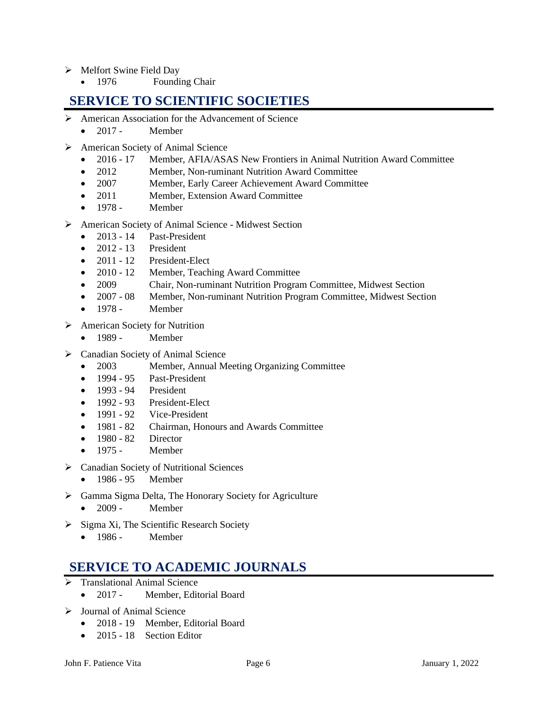- ➢ Melfort Swine Field Day
	- 1976 Founding Chair

### **SERVICE TO SCIENTIFIC SOCIETIES**

- ➢ American Association for the Advancement of Science
	- $\bullet$  2017 Member
- ➢ American Society of Animal Science
	- 2016 17 Member, AFIA/ASAS New Frontiers in Animal Nutrition Award Committee
	- 2012 Member, Non-ruminant Nutrition Award Committee
	- 2007 Member, Early Career Achievement Award Committee
	- 2011 Member, Extension Award Committee
	- $\bullet$  1978 Member
- ➢ American Society of Animal Science Midwest Section
	- 2013 14 Past-President
	- $\bullet$  2012 13 President
	- 2011 12 President-Elect
	- 2010 12 Member, Teaching Award Committee
	- 2009 Chair, Non-ruminant Nutrition Program Committee, Midwest Section
	- 2007 08 Member, Non-ruminant Nutrition Program Committee, Midwest Section
	- 1978 Member
- ➢ American Society for Nutrition
	- 1989 Member
- ➢ Canadian Society of Animal Science
	- 2003 Member, Annual Meeting Organizing Committee
	- 1994 95 Past-President
	- 1993 94 President
	- 1992 93 President-Elect
	- 1991 92 Vice-President
	- 1981 82 Chairman, Honours and Awards Committee
	- 1980 82 Director
	- $\bullet$  1975 Member
- ➢ Canadian Society of Nutritional Sciences
	- 1986 95 Member
- ➢ Gamma Sigma Delta, The Honorary Society for Agriculture
	- 2009 Member
- ➢ Sigma Xi, The Scientific Research Society
	- 1986 Member

### **SERVICE TO ACADEMIC JOURNALS**

- $\triangleright$  Translational Animal Science
	- 2017 Member, Editorial Board
- ➢ Journal of Animal Science
	- 2018 19 Member, Editorial Board
	- 2015 18 Section Editor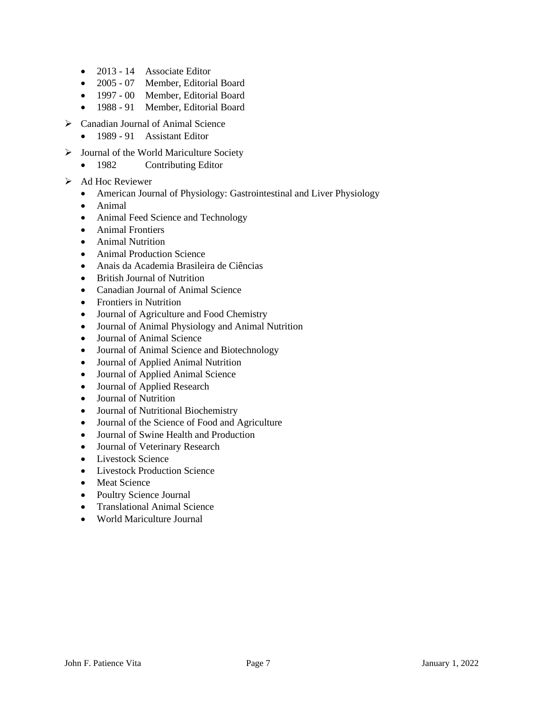- 2013 14 Associate Editor
- 2005 07 Member, Editorial Board
- 1997 00 Member, Editorial Board
- 1988 91 Member, Editorial Board
- ➢ Canadian Journal of Animal Science
	- 1989 91 Assistant Editor
- ➢ Journal of the World Mariculture Society
	- 1982 Contributing Editor
- ➢ Ad Hoc Reviewer
	- American Journal of Physiology: Gastrointestinal and Liver Physiology
	- Animal
	- Animal Feed Science and Technology
	- Animal Frontiers
	- Animal Nutrition
	- Animal Production Science
	- Anais da Academia Brasileira de Ciências
	- British Journal of Nutrition
	- Canadian Journal of Animal Science
	- Frontiers in Nutrition
	- Journal of Agriculture and Food Chemistry
	- Journal of Animal Physiology and Animal Nutrition
	- Journal of Animal Science
	- Journal of Animal Science and Biotechnology
	- Journal of Applied Animal Nutrition
	- Journal of Applied Animal Science
	- Journal of Applied Research
	- Journal of Nutrition
	- Journal of Nutritional Biochemistry
	- Journal of the Science of Food and Agriculture
	- Journal of Swine Health and Production
	- Journal of Veterinary Research
	- Livestock Science
	- Livestock Production Science
	- Meat Science
	- Poultry Science Journal
	- Translational Animal Science
	- World Mariculture Journal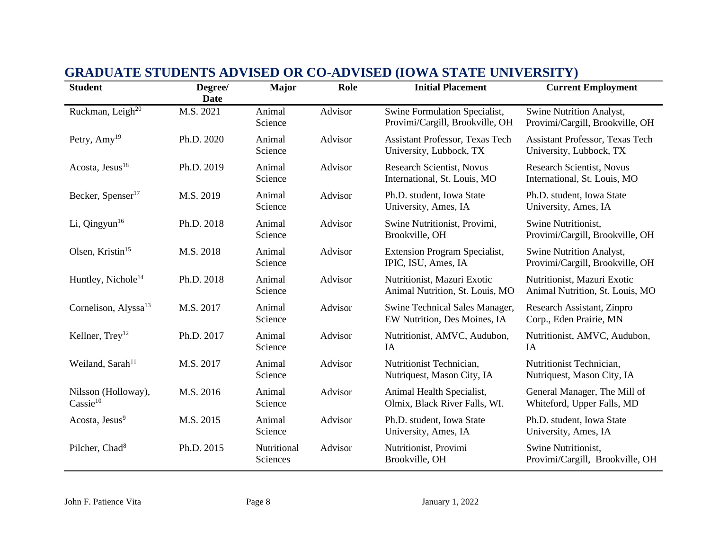| <b>Student</b>                              | Degree/<br>Date | <b>Major</b>            | Role    | <b>Initial Placement</b>                                          | <b>Current Employment</b>                                         |
|---------------------------------------------|-----------------|-------------------------|---------|-------------------------------------------------------------------|-------------------------------------------------------------------|
| Ruckman, Leigh <sup>20</sup>                | M.S. 2021       | Animal<br>Science       | Advisor | Swine Formulation Specialist,<br>Provimi/Cargill, Brookville, OH  | Swine Nutrition Analyst,<br>Provimi/Cargill, Brookville, OH       |
| Petry, $Amy^{19}$                           | Ph.D. 2020      | Animal<br>Science       | Advisor | <b>Assistant Professor, Texas Tech</b><br>University, Lubbock, TX | <b>Assistant Professor, Texas Tech</b><br>University, Lubbock, TX |
| Acosta, Jesus <sup>18</sup>                 | Ph.D. 2019      | Animal<br>Science       | Advisor | <b>Research Scientist, Novus</b><br>International, St. Louis, MO  | <b>Research Scientist, Novus</b><br>International, St. Louis, MO  |
| Becker, Spenser <sup>17</sup>               | M.S. 2019       | Animal<br>Science       | Advisor | Ph.D. student, Iowa State<br>University, Ames, IA                 | Ph.D. student, Iowa State<br>University, Ames, IA                 |
| Li, Qingyun $16$                            | Ph.D. 2018      | Animal<br>Science       | Advisor | Swine Nutritionist, Provimi,<br>Brookville, OH                    | Swine Nutritionist,<br>Provimi/Cargill, Brookville, OH            |
| Olsen, Kristin <sup>15</sup>                | M.S. 2018       | Animal<br>Science       | Advisor | <b>Extension Program Specialist,</b><br>IPIC, ISU, Ames, IA       | Swine Nutrition Analyst,<br>Provimi/Cargill, Brookville, OH       |
| Huntley, Nichole <sup>14</sup>              | Ph.D. 2018      | Animal<br>Science       | Advisor | Nutritionist, Mazuri Exotic<br>Animal Nutrition, St. Louis, MO    | Nutritionist, Mazuri Exotic<br>Animal Nutrition, St. Louis, MO    |
| Cornelison, Alyssa <sup>13</sup>            | M.S. 2017       | Animal<br>Science       | Advisor | Swine Technical Sales Manager,<br>EW Nutrition, Des Moines, IA    | Research Assistant, Zinpro<br>Corp., Eden Prairie, MN             |
| Kellner, $Trey12$                           | Ph.D. 2017      | Animal<br>Science       | Advisor | Nutritionist, AMVC, Audubon,<br>IA                                | Nutritionist, AMVC, Audubon,<br>IA                                |
| Weiland, Sarah <sup>11</sup>                | M.S. 2017       | Animal<br>Science       | Advisor | Nutritionist Technician,<br>Nutriquest, Mason City, IA            | Nutritionist Technician,<br>Nutriquest, Mason City, IA            |
| Nilsson (Holloway),<br>$\text{Cassie}^{10}$ | M.S. 2016       | Animal<br>Science       | Advisor | Animal Health Specialist,<br>Olmix, Black River Falls, WI.        | General Manager, The Mill of<br>Whiteford, Upper Falls, MD        |
| Acosta, Jesus <sup>9</sup>                  | M.S. 2015       | Animal<br>Science       | Advisor | Ph.D. student, Iowa State<br>University, Ames, IA                 | Ph.D. student, Iowa State<br>University, Ames, IA                 |
| Pilcher, Chad <sup>8</sup>                  | Ph.D. 2015      | Nutritional<br>Sciences | Advisor | Nutritionist, Provimi<br>Brookville, OH                           | Swine Nutritionist,<br>Provimi/Cargill, Brookville, OH            |

## **GRADUATE STUDENTS ADVISED OR CO-ADVISED (IOWA STATE UNIVERSITY)**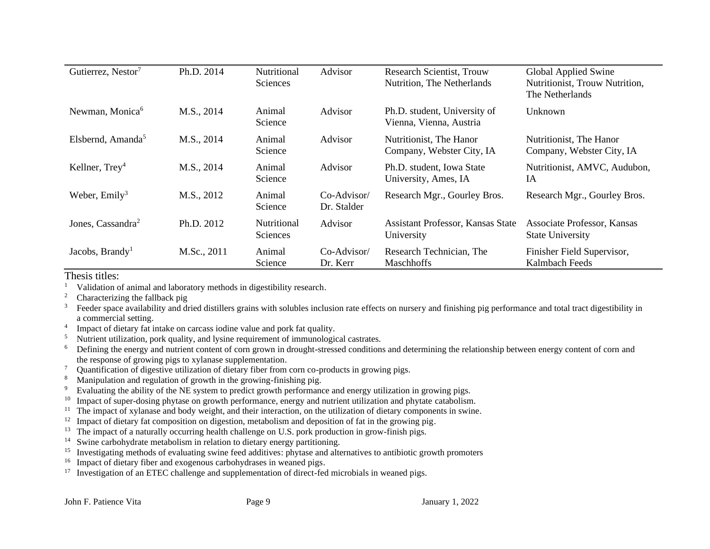| Gutierrez, Nestor <sup>7</sup> | Ph.D. 2014  | Nutritional<br>Sciences        | Advisor                      | <b>Research Scientist, Trouw</b><br>Nutrition, The Netherlands | Global Applied Swine<br>Nutritionist, Trouw Nutrition,<br>The Netherlands |
|--------------------------------|-------------|--------------------------------|------------------------------|----------------------------------------------------------------|---------------------------------------------------------------------------|
| Newman, Monica <sup>6</sup>    | M.S., 2014  | Animal<br>Science              | Advisor                      | Ph.D. student, University of<br>Vienna, Vienna, Austria        | Unknown                                                                   |
| Elsbernd, Amanda <sup>5</sup>  | M.S., 2014  | Animal<br>Science              | Advisor                      | Nutritionist, The Hanor<br>Company, Webster City, IA           | Nutritionist, The Hanor<br>Company, Webster City, IA                      |
| Kellner, $Trey4$               | M.S., 2014  | Animal<br>Science              | Advisor                      | Ph.D. student, Iowa State<br>University, Ames, IA              | Nutritionist, AMVC, Audubon,<br>IA                                        |
| Weber, $Emily3$                | M.S., 2012  | Animal<br>Science              | $Co-Advisor/$<br>Dr. Stalder | Research Mgr., Gourley Bros.                                   | Research Mgr., Gourley Bros.                                              |
| Jones, Cassandra <sup>2</sup>  | Ph.D. 2012  | <b>Nutritional</b><br>Sciences | Advisor                      | <b>Assistant Professor, Kansas State</b><br>University         | Associate Professor, Kansas<br><b>State University</b>                    |
| Jacobs, Brandy <sup>1</sup>    | M.Sc., 2011 | Animal<br>Science              | $Co-Advisor/$<br>Dr. Kerr    | Research Technician, The<br><b>Maschhoffs</b>                  | Finisher Field Supervisor,<br>Kalmbach Feeds                              |

Thesis titles:<br> $\frac{1}{1}$  Validation of

- <sup>1</sup> Validation of animal and laboratory methods in digestibility research.
- <sup>2</sup> Characterizing the fallback pig
- <sup>3</sup> Feeder space availability and dried distillers grains with solubles inclusion rate effects on nursery and finishing pig performance and total tract digestibility in a commercial setting.
- 4 Impact of dietary fat intake on carcass iodine value and pork fat quality.
- $5$  Nutrient utilization, pork quality, and lysine requirement of immunological castrates.
- <sup>6</sup> Defining the energy and nutrient content of corn grown in drought-stressed conditions and determining the relationship between energy content of corn and the response of growing pigs to xylanase supplementation.
- <sup>7</sup> Quantification of digestive utilization of dietary fiber from corn co-products in growing pigs.<br><sup>8</sup> Monipulation or correction of growth in the growing finishing pig
- Manipulation and regulation of growth in the growing-finishing pig.
- <sup>9</sup> Evaluating the ability of the NE system to predict growth performance and energy utilization in growing pigs.
- <sup>10</sup> Impact of super-dosing phytase on growth performance, energy and nutrient utilization and phytate catabolism.
- <sup>11</sup> The impact of xylanase and body weight, and their interaction, on the utilization of dietary components in swine.
- <sup>12</sup> Impact of dietary fat composition on digestion, metabolism and deposition of fat in the growing pig.
- <sup>13</sup> The impact of a naturally occurring health challenge on U.S. pork production in grow-finish pigs.
- <sup>14</sup> Swine carbohydrate metabolism in relation to dietary energy partitioning.
- 15 Investigating methods of evaluating swine feed additives: phytase and alternatives to antibiotic growth promoters
- <sup>16</sup> Impact of dietary fiber and exogenous carbohydrases in weaned pigs.
- <sup>17</sup> Investigation of an ETEC challenge and supplementation of direct-fed microbials in weaned pigs.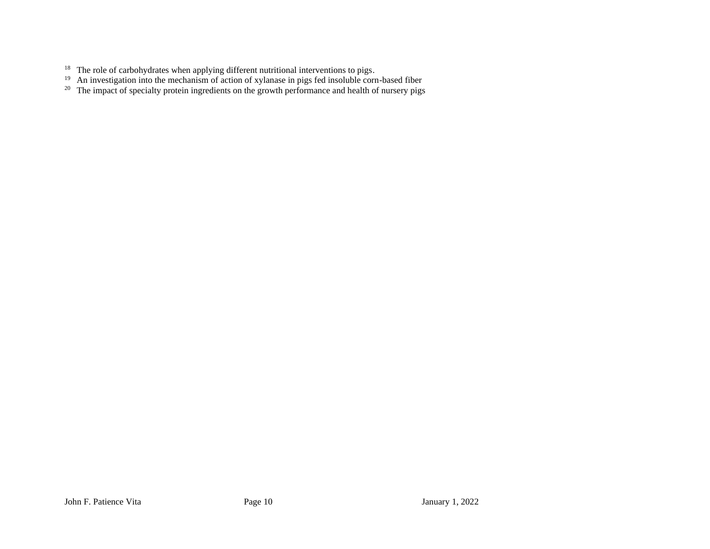- The role of carbohydrates when applying different nutritional interventions to pigs.
- An investigation into the mechanism of action of xylanase in pigs fed insoluble corn-based fiber
- The impact of specialty protein ingredients on the growth performance and health of nursery pigs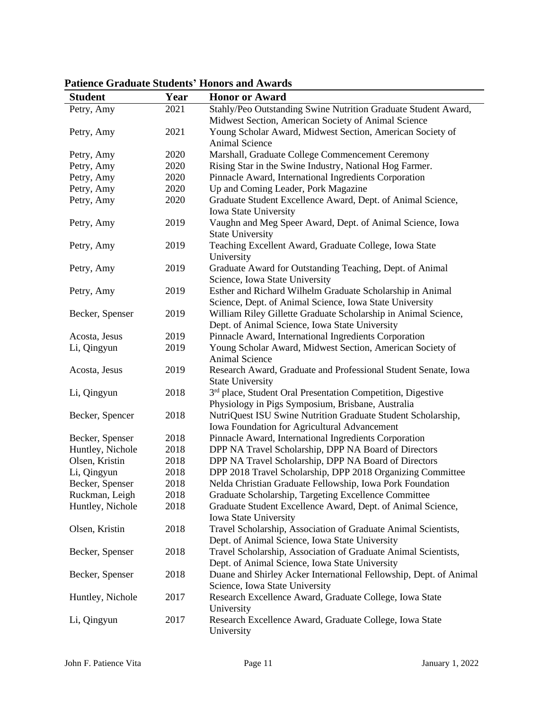### **Student Year Honor or Award** Petry, Amy 2021 Stahly/Peo Outstanding Swine Nutrition Graduate Student Award, Midwest Section, American Society of Animal Science Petry, Amy 2021 Young Scholar Award, Midwest Section, American Society of Animal Science Petry, Amy 2020 Marshall, Graduate College Commencement Ceremony Petry, Amy 2020 Rising Star in the Swine Industry, National Hog Farmer. Petry, Amy 2020 Pinnacle Award, International Ingredients Corporation Petry, Amy 2020 Up and Coming Leader, Pork Magazine Petry, Amy 2020 Graduate Student Excellence Award, Dept. of Animal Science, Iowa State University Petry, Amy 2019 Vaughn and Meg Speer Award, Dept. of Animal Science, Iowa State University Petry, Amy 2019 Teaching Excellent Award, Graduate College, Iowa State University Petry, Amy 2019 Graduate Award for Outstanding Teaching, Dept. of Animal Science, Iowa State University Petry, Amy 2019 Esther and Richard Wilhelm Graduate Scholarship in Animal Science, Dept. of Animal Science, Iowa State University Becker, Spenser 2019 William Riley Gillette Graduate Scholarship in Animal Science, Dept. of Animal Science, Iowa State University Acosta, Jesus 2019 Pinnacle Award, International Ingredients Corporation Li, Qingyun 2019 Young Scholar Award, Midwest Section, American Society of Animal Science Acosta, Jesus 2019 Research Award, Graduate and Professional Student Senate, Iowa State University Li, Qingyun 2018  $3<sup>rd</sup>$  place, Student Oral Presentation Competition, Digestive Physiology in Pigs Symposium, Brisbane, Australia Becker, Spencer 2018 NutriQuest ISU Swine Nutrition Graduate Student Scholarship, Iowa Foundation for Agricultural Advancement Becker, Spenser 2018 Pinnacle Award, International Ingredients Corporation Huntley, Nichole 2018 DPP NA Travel Scholarship, DPP NA Board of Directors Olsen, Kristin 2018 DPP NA Travel Scholarship, DPP NA Board of Directors Li, Qingyun 2018 DPP 2018 Travel Scholarship, DPP 2018 Organizing Committee Becker, Spenser 2018 Nelda Christian Graduate Fellowship, Iowa Pork Foundation Ruckman, Leigh 2018 Graduate Scholarship, Targeting Excellence Committee Huntley, Nichole 2018 Graduate Student Excellence Award, Dept. of Animal Science, Iowa State University Olsen, Kristin 2018 Travel Scholarship, Association of Graduate Animal Scientists, Dept. of Animal Science, Iowa State University Becker, Spenser 2018 Travel Scholarship, Association of Graduate Animal Scientists, Dept. of Animal Science, Iowa State University Becker, Spenser 2018 Duane and Shirley Acker International Fellowship, Dept. of Animal Science, Iowa State University Huntley, Nichole 2017 Research Excellence Award, Graduate College, Iowa State University Li, Qingyun 2017 Research Excellence Award, Graduate College, Iowa State University

### **Patience Graduate Students' Honors and Awards**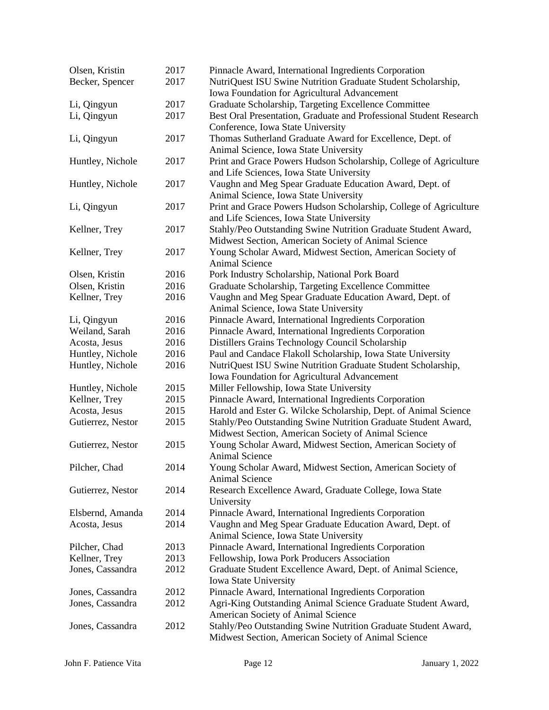| Olsen, Kristin    | 2017 | Pinnacle Award, International Ingredients Corporation              |
|-------------------|------|--------------------------------------------------------------------|
| Becker, Spencer   | 2017 | NutriQuest ISU Swine Nutrition Graduate Student Scholarship,       |
|                   |      | Iowa Foundation for Agricultural Advancement                       |
| Li, Qingyun       | 2017 | Graduate Scholarship, Targeting Excellence Committee               |
| Li, Qingyun       | 2017 | Best Oral Presentation, Graduate and Professional Student Research |
|                   |      | Conference, Iowa State University                                  |
| Li, Qingyun       | 2017 | Thomas Sutherland Graduate Award for Excellence, Dept. of          |
|                   |      | Animal Science, Iowa State University                              |
| Huntley, Nichole  | 2017 | Print and Grace Powers Hudson Scholarship, College of Agriculture  |
|                   |      | and Life Sciences, Iowa State University                           |
| Huntley, Nichole  | 2017 | Vaughn and Meg Spear Graduate Education Award, Dept. of            |
|                   |      | Animal Science, Iowa State University                              |
| Li, Qingyun       | 2017 | Print and Grace Powers Hudson Scholarship, College of Agriculture  |
|                   |      | and Life Sciences, Iowa State University                           |
|                   | 2017 | Stahly/Peo Outstanding Swine Nutrition Graduate Student Award,     |
| Kellner, Trey     |      |                                                                    |
|                   |      | Midwest Section, American Society of Animal Science                |
| Kellner, Trey     | 2017 | Young Scholar Award, Midwest Section, American Society of          |
|                   |      | <b>Animal Science</b>                                              |
| Olsen, Kristin    | 2016 | Pork Industry Scholarship, National Pork Board                     |
| Olsen, Kristin    | 2016 | Graduate Scholarship, Targeting Excellence Committee               |
| Kellner, Trey     | 2016 | Vaughn and Meg Spear Graduate Education Award, Dept. of            |
|                   |      | Animal Science, Iowa State University                              |
| Li, Qingyun       | 2016 | Pinnacle Award, International Ingredients Corporation              |
| Weiland, Sarah    | 2016 | Pinnacle Award, International Ingredients Corporation              |
| Acosta, Jesus     | 2016 | Distillers Grains Technology Council Scholarship                   |
| Huntley, Nichole  | 2016 | Paul and Candace Flakoll Scholarship, Iowa State University        |
| Huntley, Nichole  | 2016 | NutriQuest ISU Swine Nutrition Graduate Student Scholarship,       |
|                   |      | Iowa Foundation for Agricultural Advancement                       |
| Huntley, Nichole  | 2015 | Miller Fellowship, Iowa State University                           |
| Kellner, Trey     | 2015 | Pinnacle Award, International Ingredients Corporation              |
| Acosta, Jesus     | 2015 | Harold and Ester G. Wilcke Scholarship, Dept. of Animal Science    |
| Gutierrez, Nestor | 2015 | Stahly/Peo Outstanding Swine Nutrition Graduate Student Award,     |
|                   |      | Midwest Section, American Society of Animal Science                |
| Gutierrez, Nestor | 2015 | Young Scholar Award, Midwest Section, American Society of          |
|                   |      | Animal Science                                                     |
| Pilcher, Chad     | 2014 | Young Scholar Award, Midwest Section, American Society of          |
|                   |      | <b>Animal Science</b>                                              |
| Gutierrez, Nestor | 2014 | Research Excellence Award, Graduate College, Iowa State            |
|                   |      | University                                                         |
| Elsbernd, Amanda  | 2014 | Pinnacle Award, International Ingredients Corporation              |
| Acosta, Jesus     | 2014 | Vaughn and Meg Spear Graduate Education Award, Dept. of            |
|                   |      | Animal Science, Iowa State University                              |
| Pilcher, Chad     | 2013 | Pinnacle Award, International Ingredients Corporation              |
| Kellner, Trey     | 2013 | Fellowship, Iowa Pork Producers Association                        |
| Jones, Cassandra  | 2012 | Graduate Student Excellence Award, Dept. of Animal Science,        |
|                   |      | Iowa State University                                              |
| Jones, Cassandra  | 2012 | Pinnacle Award, International Ingredients Corporation              |
| Jones, Cassandra  | 2012 | Agri-King Outstanding Animal Science Graduate Student Award,       |
|                   |      | American Society of Animal Science                                 |
| Jones, Cassandra  | 2012 | Stahly/Peo Outstanding Swine Nutrition Graduate Student Award,     |
|                   |      | Midwest Section, American Society of Animal Science                |
|                   |      |                                                                    |

John F. Patience Vita Page 12 January 1, 2022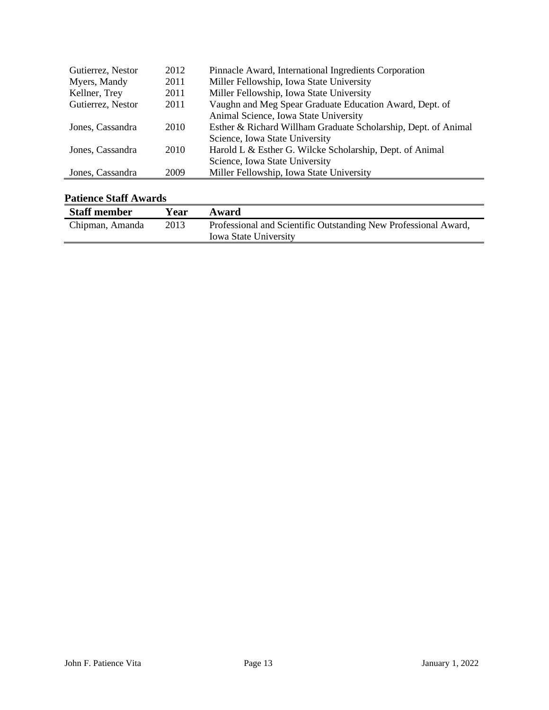| Gutierrez, Nestor | 2012 | Pinnacle Award, International Ingredients Corporation          |
|-------------------|------|----------------------------------------------------------------|
| Myers, Mandy      | 2011 | Miller Fellowship, Iowa State University                       |
| Kellner, Trey     | 2011 | Miller Fellowship, Iowa State University                       |
| Gutierrez, Nestor | 2011 | Vaughn and Meg Spear Graduate Education Award, Dept. of        |
|                   |      | Animal Science, Iowa State University                          |
| Jones, Cassandra  | 2010 | Esther & Richard Willham Graduate Scholarship, Dept. of Animal |
|                   |      | Science, Iowa State University                                 |
| Jones, Cassandra  | 2010 | Harold L & Esther G. Wilcke Scholarship, Dept. of Animal       |
|                   |      | Science, Iowa State University                                 |
| Jones, Cassandra  | 2009 | Miller Fellowship, Iowa State University                       |

### **Patience Staff Awards**

| Tauchee Stan Awarus |      |                                                                 |
|---------------------|------|-----------------------------------------------------------------|
| <b>Staff member</b> | Year | Award                                                           |
| Chipman, Amanda     | 2013 | Professional and Scientific Outstanding New Professional Award, |
|                     |      | <b>Iowa State University</b>                                    |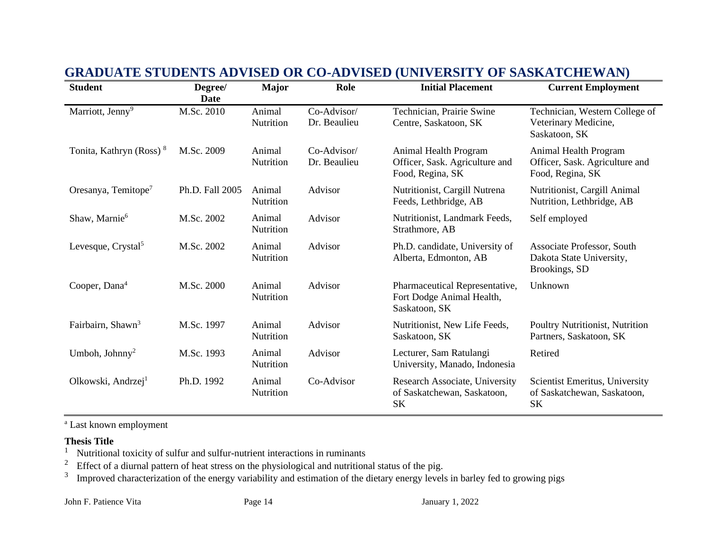| <b>Student</b>                      | Degree/<br>Date | <b>Major</b>               | Role                        | <b>Initial Placement</b>                                                     | <b>Current Employment</b>                                                   |
|-------------------------------------|-----------------|----------------------------|-----------------------------|------------------------------------------------------------------------------|-----------------------------------------------------------------------------|
| Marriott, Jenny <sup>9</sup>        | M.Sc. 2010      | Animal<br>Nutrition        | Co-Advisor/<br>Dr. Beaulieu | Technician, Prairie Swine<br>Centre, Saskatoon, SK                           | Technician, Western College of<br>Veterinary Medicine,<br>Saskatoon, SK     |
| Tonita, Kathryn (Ross) <sup>8</sup> | M.Sc. 2009      | Animal<br>Nutrition        | Co-Advisor/<br>Dr. Beaulieu | Animal Health Program<br>Officer, Sask. Agriculture and<br>Food, Regina, SK  | Animal Health Program<br>Officer, Sask. Agriculture and<br>Food, Regina, SK |
| Oresanya, Temitope <sup>7</sup>     | Ph.D. Fall 2005 | Animal<br><b>Nutrition</b> | Advisor                     | Nutritionist, Cargill Nutrena<br>Feeds, Lethbridge, AB                       | Nutritionist, Cargill Animal<br>Nutrition, Lethbridge, AB                   |
| Shaw, Marnie <sup>6</sup>           | M.Sc. 2002      | Animal<br>Nutrition        | Advisor                     | Nutritionist, Landmark Feeds,<br>Strathmore, AB                              | Self employed                                                               |
| Levesque, Crystal <sup>5</sup>      | M.Sc. 2002      | Animal<br>Nutrition        | Advisor                     | Ph.D. candidate, University of<br>Alberta, Edmonton, AB                      | Associate Professor, South<br>Dakota State University,<br>Brookings, SD     |
| Cooper, Dana <sup>4</sup>           | M.Sc. 2000      | Animal<br>Nutrition        | Advisor                     | Pharmaceutical Representative,<br>Fort Dodge Animal Health,<br>Saskatoon, SK | Unknown                                                                     |
| Fairbairn, Shawn <sup>3</sup>       | M.Sc. 1997      | Animal<br>Nutrition        | Advisor                     | Nutritionist, New Life Feeds,<br>Saskatoon, SK                               | Poultry Nutritionist, Nutrition<br>Partners, Saskatoon, SK                  |
| Umboh, Johnny <sup>2</sup>          | M.Sc. 1993      | Animal<br>Nutrition        | Advisor                     | Lecturer, Sam Ratulangi<br>University, Manado, Indonesia                     | Retired                                                                     |
| Olkowski, Andrzej <sup>1</sup>      | Ph.D. 1992      | Animal<br>Nutrition        | Co-Advisor                  | Research Associate, University<br>of Saskatchewan, Saskatoon,<br><b>SK</b>   | Scientist Emeritus, University<br>of Saskatchewan, Saskatoon,<br><b>SK</b>  |

## **GRADUATE STUDENTS ADVISED OR CO-ADVISED (UNIVERSITY OF SASKATCHEWAN)**

<sup>a</sup> Last known employment

# **Thesis Title**<br><sup>1</sup> Nutritiona

<sup>1</sup> Nutritional toxicity of sulfur and sulfur-nutrient interactions in ruminants<sup>2</sup> Effect of a diurnal pattern of heat stress on the physiological and nutrition

Effect of a diurnal pattern of heat stress on the physiological and nutritional status of the pig.

3 Improved characterization of the energy variability and estimation of the dietary energy levels in barley fed to growing pigs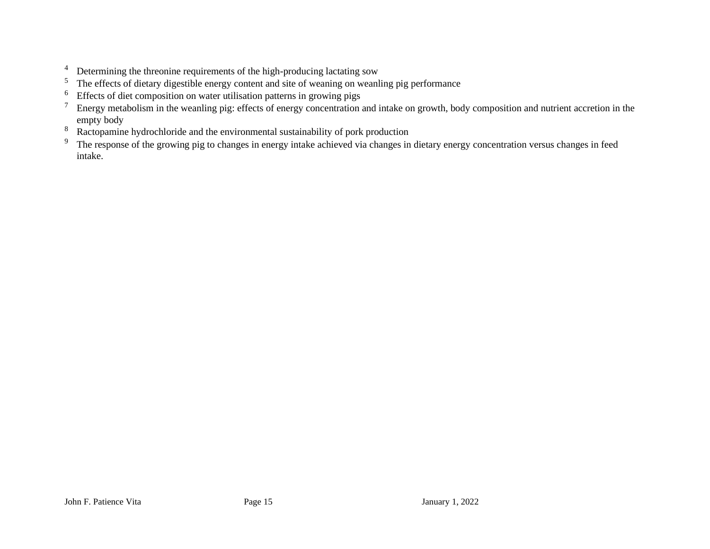- <sup>4</sup> Determining the threonine requirements of the high-producing lactating sow  $\frac{5}{\text{}}$  The effects of dietary digestible energy content and site of weaping on weap
- The effects of dietary digestible energy content and site of weaning on weanling pig performance
- <sup>6</sup> Effects of diet composition on water utilisation patterns in growing pigs
- $<sup>7</sup>$  Energy metabolism in the weanling pig: effects of energy concentration and intake on growth, body composition and nutrient accretion in the</sup> empty body
- <sup>8</sup> Ractopamine hydrochloride and the environmental sustainability of pork production<br><sup>9</sup> The response of the growing pig to changes in energy intake achieved via changes in
- The response of the growing pig to changes in energy intake achieved via changes in dietary energy concentration versus changes in feed intake.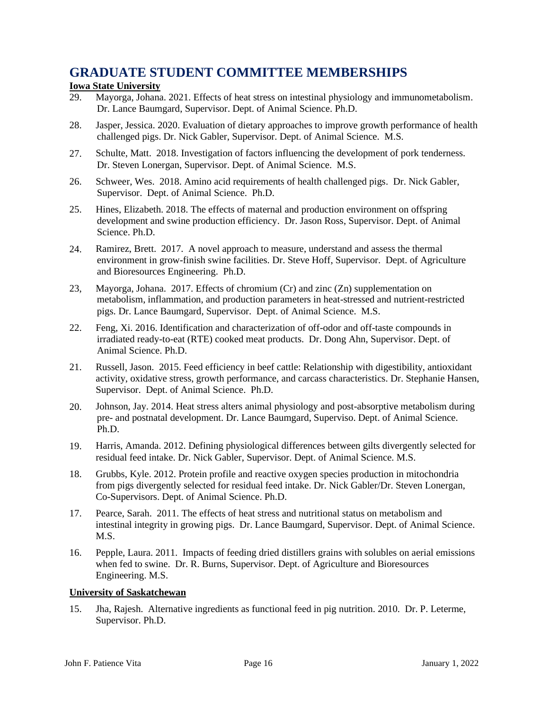### **GRADUATE STUDENT COMMITTEE MEMBERSHIPS**

### **Iowa State University**

- 29. Mayorga, Johana. 2021. Effects of heat stress on intestinal physiology and immunometabolism. Dr. Lance Baumgard, Supervisor. Dept. of Animal Science. Ph.D.
- 28. Jasper, Jessica. 2020. Evaluation of dietary approaches to improve growth performance of health challenged pigs. Dr. Nick Gabler, Supervisor. Dept. of Animal Science. M.S.
- 27. Schulte, Matt. 2018. Investigation of factors influencing the development of pork tenderness. Dr. Steven Lonergan, Supervisor. Dept. of Animal Science. M.S.
- 26. Schweer, Wes. 2018. Amino acid requirements of health challenged pigs. Dr. Nick Gabler, Supervisor. Dept. of Animal Science. Ph.D.
- 25. Hines, Elizabeth. 2018. The effects of maternal and production environment on offspring development and swine production efficiency. Dr. Jason Ross, Supervisor. Dept. of Animal Science. Ph.D.
- 24. Ramirez, Brett. 2017. A novel approach to measure, understand and assess the thermal environment in grow-finish swine facilities. Dr. Steve Hoff, Supervisor. Dept. of Agriculture and Bioresources Engineering. Ph.D.
- 23, Mayorga, Johana. 2017. Effects of chromium (Cr) and zinc (Zn) supplementation on metabolism, inflammation, and production parameters in heat-stressed and nutrient-restricted pigs. Dr. Lance Baumgard, Supervisor. Dept. of Animal Science. M.S.
- 22. Feng, Xi. 2016. Identification and characterization of off-odor and off-taste compounds in irradiated ready-to-eat (RTE) cooked meat products. Dr. Dong Ahn, Supervisor. Dept. of Animal Science. Ph.D.
- 21. Russell, Jason. 2015. Feed efficiency in beef cattle: Relationship with digestibility, antioxidant activity, oxidative stress, growth performance, and carcass characteristics. Dr. Stephanie Hansen, Supervisor. Dept. of Animal Science. Ph.D.
- 20. Johnson, Jay. 2014. Heat stress alters animal physiology and post-absorptive metabolism during pre- and postnatal development. Dr. Lance Baumgard, Superviso. Dept. of Animal Science. Ph.D.
- 19. Harris, Amanda. 2012. Defining physiological differences between gilts divergently selected for residual feed intake. Dr. Nick Gabler, Supervisor. Dept. of Animal Science. M.S.
- 18. Grubbs, Kyle. 2012. Protein profile and reactive oxygen species production in mitochondria from pigs divergently selected for residual feed intake. Dr. Nick Gabler/Dr. Steven Lonergan, Co-Supervisors. Dept. of Animal Science. Ph.D.
- 17. Pearce, Sarah. 2011. The effects of heat stress and nutritional status on metabolism and intestinal integrity in growing pigs. Dr. Lance Baumgard, Supervisor. Dept. of Animal Science. M.S.
- 16. Pepple, Laura. 2011. Impacts of feeding dried distillers grains with solubles on aerial emissions when fed to swine. Dr. R. Burns, Supervisor. Dept. of Agriculture and Bioresources Engineering. M.S.

### **University of Saskatchewan**

15. Jha, Rajesh. Alternative ingredients as functional feed in pig nutrition. 2010. Dr. P. Leterme, Supervisor. Ph.D.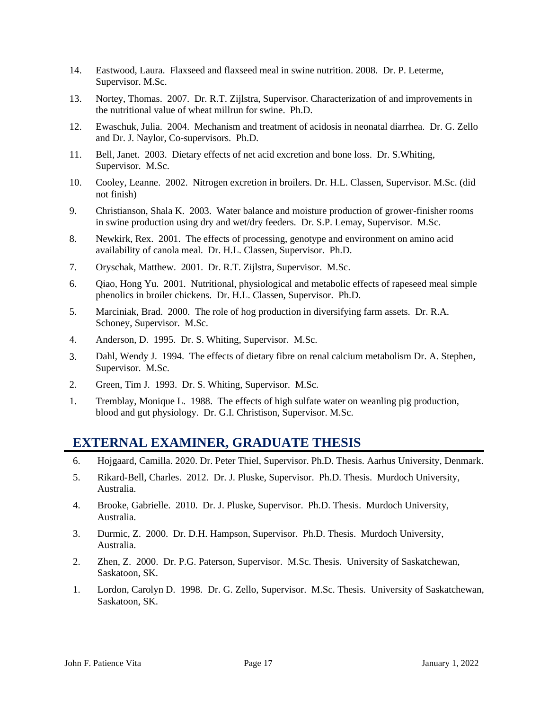- 14. Eastwood, Laura. Flaxseed and flaxseed meal in swine nutrition. 2008. Dr. P. Leterme, Supervisor. M.Sc.
- 13. Nortey, Thomas. 2007. Dr. R.T. Zijlstra, Supervisor. Characterization of and improvements in the nutritional value of wheat millrun for swine. Ph.D.
- 12. Ewaschuk, Julia. 2004. Mechanism and treatment of acidosis in neonatal diarrhea. Dr. G. Zello and Dr. J. Naylor, Co-supervisors. Ph.D.
- 11. Bell, Janet. 2003. Dietary effects of net acid excretion and bone loss. Dr. S.Whiting, Supervisor. M.Sc.
- 10. Cooley, Leanne. 2002. Nitrogen excretion in broilers. Dr. H.L. Classen, Supervisor. M.Sc. (did not finish)
- 9. Christianson, Shala K. 2003. Water balance and moisture production of grower-finisher rooms in swine production using dry and wet/dry feeders. Dr. S.P. Lemay, Supervisor. M.Sc.
- 8. Newkirk, Rex. 2001. The effects of processing, genotype and environment on amino acid availability of canola meal. Dr. H.L. Classen, Supervisor. Ph.D.
- 7. Oryschak, Matthew. 2001. Dr. R.T. Zijlstra, Supervisor. M.Sc.
- 6. Qiao, Hong Yu. 2001. Nutritional, physiological and metabolic effects of rapeseed meal simple phenolics in broiler chickens. Dr. H.L. Classen, Supervisor. Ph.D.
- 5. Marciniak, Brad. 2000. The role of hog production in diversifying farm assets. Dr. R.A. Schoney, Supervisor. M.Sc.
- 4. Anderson, D. 1995. Dr. S. Whiting, Supervisor. M.Sc.
- 3. Dahl, Wendy J. 1994. The effects of dietary fibre on renal calcium metabolism Dr. A. Stephen, Supervisor. M.Sc.
- 2. Green, Tim J. 1993. Dr. S. Whiting, Supervisor. M.Sc.
- 1. Tremblay, Monique L. 1988. The effects of high sulfate water on weanling pig production, blood and gut physiology. Dr. G.I. Christison, Supervisor. M.Sc.

### **EXTERNAL EXAMINER, GRADUATE THESIS**

- 6. Hojgaard, Camilla. 2020. Dr. Peter Thiel, Supervisor. Ph.D. Thesis. Aarhus University, Denmark.
- 5. Rikard-Bell, Charles. 2012. Dr. J. Pluske, Supervisor. Ph.D. Thesis. Murdoch University, Australia.
- 4. Brooke, Gabrielle. 2010. Dr. J. Pluske, Supervisor. Ph.D. Thesis. Murdoch University, Australia.
- 3. Durmic, Z. 2000. Dr. D.H. Hampson, Supervisor. Ph.D. Thesis. Murdoch University, Australia.
- 2. Zhen, Z. 2000. Dr. P.G. Paterson, Supervisor. M.Sc. Thesis. University of Saskatchewan, Saskatoon, SK.
- 1. Lordon, Carolyn D. 1998. Dr. G. Zello, Supervisor. M.Sc. Thesis. University of Saskatchewan, Saskatoon, SK.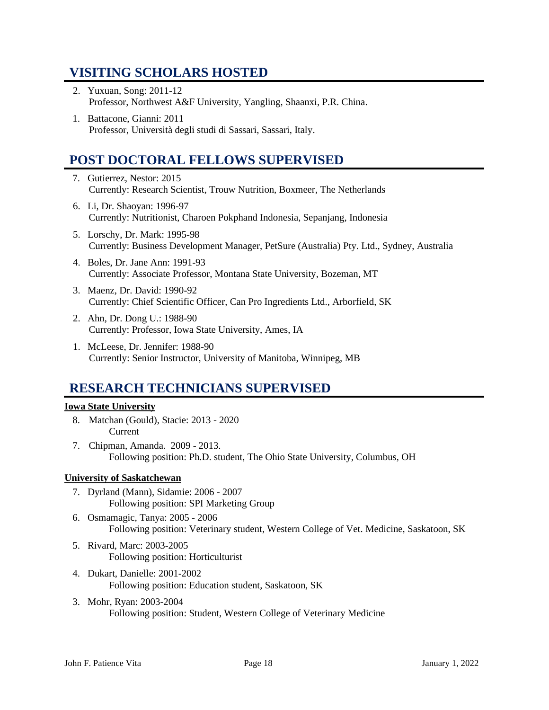## **VISITING SCHOLARS HOSTED**

- 2. Yuxuan, Song: 2011-12 Professor, Northwest A&F University, Yangling, Shaanxi, P.R. China.
- 1. Battacone, Gianni: 2011 Professor, Università degli studi di Sassari, Sassari, Italy.

## **POST DOCTORAL FELLOWS SUPERVISED**

- 7. Gutierrez, Nestor: 2015 Currently: Research Scientist, Trouw Nutrition, Boxmeer, The Netherlands
- 6. Li, Dr. Shaoyan: 1996-97 Currently: Nutritionist, Charoen Pokphand Indonesia, Sepanjang, Indonesia
- 5. Lorschy, Dr. Mark: 1995-98 Currently: Business Development Manager, PetSure (Australia) Pty. Ltd., Sydney, Australia
- 4. Boles, Dr. Jane Ann: 1991-93 Currently: Associate Professor, Montana State University, Bozeman, MT
- 3. Maenz, Dr. David: 1990-92 Currently: Chief Scientific Officer, Can Pro Ingredients Ltd., Arborfield, SK
- 2. Ahn, Dr. Dong U.: 1988-90 Currently: Professor, Iowa State University, Ames, IA
- 1. McLeese, Dr. Jennifer: 1988-90 Currently: Senior Instructor, University of Manitoba, Winnipeg, MB

## **RESEARCH TECHNICIANS SUPERVISED**

### **Iowa State University**

- 8. Matchan (Gould), Stacie: 2013 2020 Current
- 7. Chipman, Amanda. 2009 2013. Following position: Ph.D. student, The Ohio State University, Columbus, OH

### **University of Saskatchewan**

- 7. Dyrland (Mann), Sidamie: 2006 2007 Following position: SPI Marketing Group
- 6. Osmamagic, Tanya: 2005 2006 Following position: Veterinary student, Western College of Vet. Medicine, Saskatoon, SK
- 5. Rivard, Marc: 2003-2005 Following position: Horticulturist
- 4. Dukart, Danielle: 2001-2002 Following position: Education student, Saskatoon, SK
- 3. Mohr, Ryan: 2003-2004 Following position: Student, Western College of Veterinary Medicine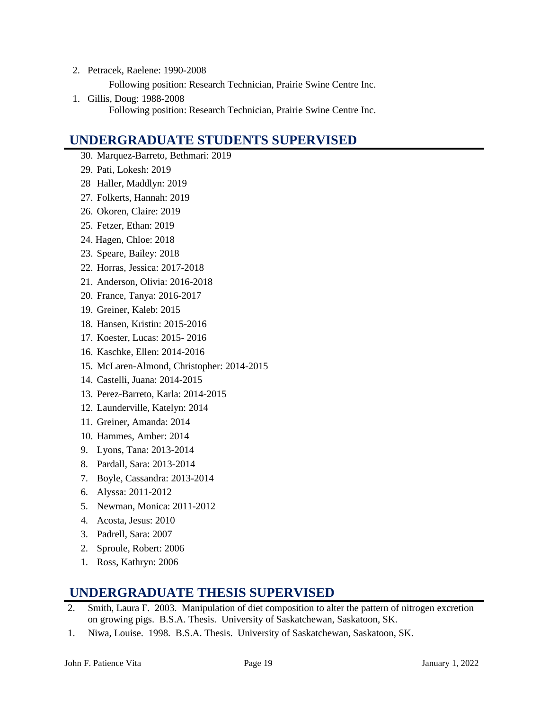- 2. Petracek, Raelene: 1990-2008 Following position: Research Technician, Prairie Swine Centre Inc.
- 1. Gillis, Doug: 1988-2008 Following position: Research Technician, Prairie Swine Centre Inc.

## **UNDERGRADUATE STUDENTS SUPERVISED**

- 30. Marquez-Barreto, Bethmari: 2019
- 29. Pati, Lokesh: 2019
- 28 Haller, Maddlyn: 2019
- 27. Folkerts, Hannah: 2019
- 26. Okoren, Claire: 2019
- 25. Fetzer, Ethan: 2019
- 24. Hagen, Chloe: 2018
- 23. Speare, Bailey: 2018
- 22. Horras, Jessica: 2017-2018
- 21. Anderson, Olivia: 2016-2018
- 20. France, Tanya: 2016-2017
- 19. Greiner, Kaleb: 2015
- 18. Hansen, Kristin: 2015-2016
- 17. Koester, Lucas: 2015- 2016
- 16. Kaschke, Ellen: 2014-2016
- 15. McLaren-Almond, Christopher: 2014-2015
- 14. Castelli, Juana: 2014-2015
- 13. Perez-Barreto, Karla: 2014-2015
- 12. Launderville, Katelyn: 2014
- 11. Greiner, Amanda: 2014
- 10. Hammes, Amber: 2014
- 9. Lyons, Tana: 2013-2014
- 8. Pardall, Sara: 2013-2014
- 7. Boyle, Cassandra: 2013-2014
- 6. Alyssa: 2011-2012
- 5. Newman, Monica: 2011-2012
- 4. Acosta, Jesus: 2010
- 3. Padrell, Sara: 2007
- 2. Sproule, Robert: 2006
- 1. Ross, Kathryn: 2006

### **UNDERGRADUATE THESIS SUPERVISED**

- 2. Smith, Laura F. 2003. Manipulation of diet composition to alter the pattern of nitrogen excretion on growing pigs. B.S.A. Thesis. University of Saskatchewan, Saskatoon, SK.
- 1. Niwa, Louise. 1998. B.S.A. Thesis. University of Saskatchewan, Saskatoon, SK.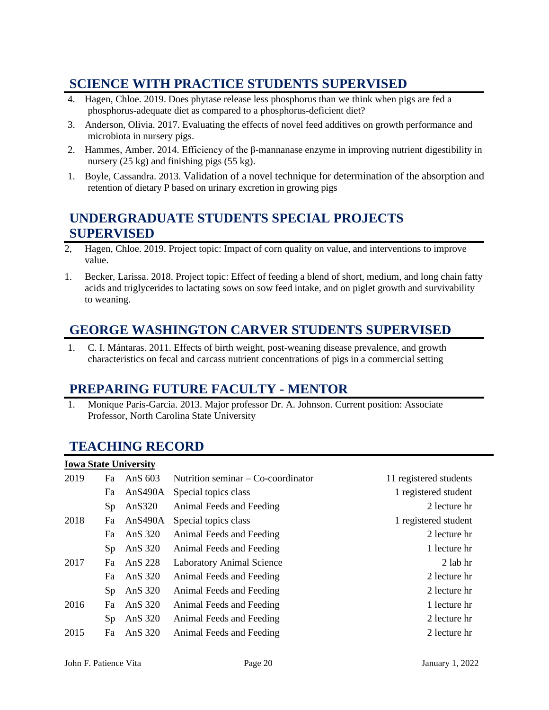## **SCIENCE WITH PRACTICE STUDENTS SUPERVISED**

- 4. Hagen, Chloe. 2019. Does phytase release less phosphorus than we think when pigs are fed a phosphorus-adequate diet as compared to a phosphorus-deficient diet?
- 3. Anderson, Olivia. 2017. Evaluating the effects of novel feed additives on growth performance and microbiota in nursery pigs.
- 2. Hammes, Amber. 2014. Efficiency of the β-mannanase enzyme in improving nutrient digestibility in nursery (25 kg) and finishing pigs (55 kg).
- 1. Boyle, Cassandra. 2013. Validation of a novel technique for determination of the absorption and retention of dietary P based on urinary excretion in growing pigs

## **UNDERGRADUATE STUDENTS SPECIAL PROJECTS SUPERVISED**

- 2, Hagen, Chloe. 2019. Project topic: Impact of corn quality on value, and interventions to improve value.
- 1. Becker, Larissa. 2018. Project topic: Effect of feeding a blend of short, medium, and long chain fatty acids and triglycerides to lactating sows on sow feed intake, and on piglet growth and survivability to weaning.

## **GEORGE WASHINGTON CARVER STUDENTS SUPERVISED**

1. C. I. Mántaras. 2011. Effects of birth weight, post-weaning disease prevalence, and growth characteristics on fecal and carcass nutrient concentrations of pigs in a commercial setting

### **PREPARING FUTURE FACULTY - MENTOR**

1. Monique Paris-Garcia. 2013. Major professor Dr. A. Johnson. Current position: Associate Professor, North Carolina State University

## **TEACHING RECORD**

|      |                | <b>Iowa State University</b> |                                      |                        |
|------|----------------|------------------------------|--------------------------------------|------------------------|
| 2019 | Fa             | AnS $603$                    | Nutrition seminar $-$ Co-coordinator | 11 registered students |
|      | Fa             | AnS490A                      | Special topics class                 | 1 registered student   |
|      | Sp             | An $S320$                    | Animal Feeds and Feeding             | 2 lecture hr           |
| 2018 | Fa             | An $S490A$                   | Special topics class                 | 1 registered student   |
|      | Fa             | AnS 320                      | Animal Feeds and Feeding             | 2 lecture hr           |
|      | Sp             | AnS 320                      | Animal Feeds and Feeding             | 1 lecture hr           |
| 2017 | Fa             | AnS 228                      | <b>Laboratory Animal Science</b>     | 2 lab hr               |
|      | Fa             | AnS 320                      | Animal Feeds and Feeding             | 2 lecture hr           |
|      | S <sub>p</sub> | AnS 320                      | Animal Feeds and Feeding             | 2 lecture hr           |
| 2016 | Fa             | AnS 320                      | Animal Feeds and Feeding             | 1 lecture hr           |
|      | S <sub>p</sub> | AnS 320                      | Animal Feeds and Feeding             | 2 lecture hr           |
| 2015 | Fa             | AnS 320                      | Animal Feeds and Feeding             | 2 lecture hr           |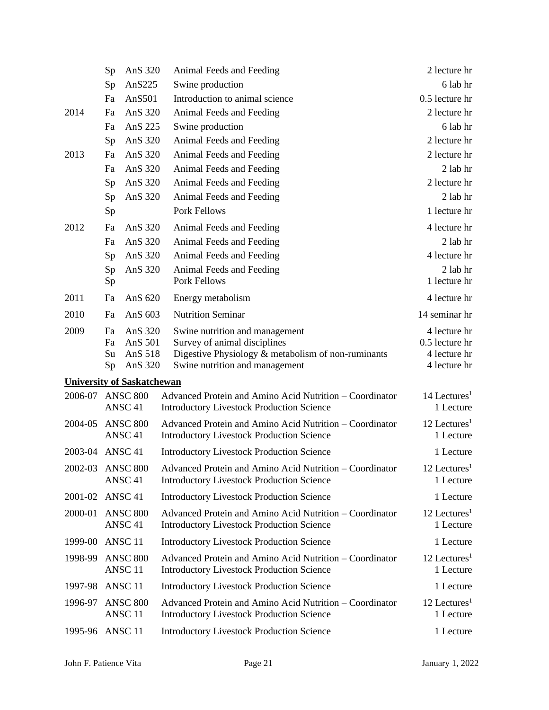|                                   | Sp               | AnS 320                                                                                                                                              | Animal Feeds and Feeding                                                                                    | 2 lecture hr                            |
|-----------------------------------|------------------|------------------------------------------------------------------------------------------------------------------------------------------------------|-------------------------------------------------------------------------------------------------------------|-----------------------------------------|
|                                   | Sp               | An $S225$                                                                                                                                            | Swine production                                                                                            | 6 lab hr                                |
|                                   | Fa               | AnS501                                                                                                                                               | Introduction to animal science                                                                              | 0.5 lecture hr                          |
| 2014                              | Fa               | AnS 320                                                                                                                                              | Animal Feeds and Feeding                                                                                    | 2 lecture hr                            |
|                                   | Fa               | AnS 225                                                                                                                                              | Swine production                                                                                            | 6 lab hr                                |
|                                   | Sp               | AnS 320                                                                                                                                              | Animal Feeds and Feeding                                                                                    | 2 lecture hr                            |
| 2013                              | Fa               | AnS 320                                                                                                                                              | Animal Feeds and Feeding                                                                                    | 2 lecture hr                            |
|                                   | Fa               | AnS 320                                                                                                                                              | Animal Feeds and Feeding                                                                                    | $2$ lab hr                              |
|                                   | Sp               | AnS 320                                                                                                                                              | Animal Feeds and Feeding                                                                                    | 2 lecture hr                            |
|                                   | Sp               | AnS 320                                                                                                                                              | Animal Feeds and Feeding                                                                                    | 2 lab hr                                |
|                                   | Sp               |                                                                                                                                                      | Pork Fellows                                                                                                | 1 lecture hr                            |
| 2012                              | Fa               | AnS 320                                                                                                                                              | Animal Feeds and Feeding                                                                                    | 4 lecture hr                            |
|                                   | Fa               | AnS 320                                                                                                                                              | Animal Feeds and Feeding                                                                                    | 2 lab hr                                |
|                                   | Sp               | AnS 320                                                                                                                                              | Animal Feeds and Feeding                                                                                    | 4 lecture hr                            |
|                                   | Sp               | AnS 320                                                                                                                                              | Animal Feeds and Feeding                                                                                    | 2 lab hr                                |
|                                   | Sp               |                                                                                                                                                      | <b>Pork Fellows</b>                                                                                         | 1 lecture hr                            |
| 2011                              | Fa               | AnS 620                                                                                                                                              | Energy metabolism                                                                                           | 4 lecture hr                            |
| 2010                              | Fa               | AnS 603                                                                                                                                              | <b>Nutrition Seminar</b>                                                                                    | 14 seminar hr                           |
| 2009                              | Fa               | AnS 320                                                                                                                                              | Swine nutrition and management                                                                              | 4 lecture hr                            |
|                                   | Fa               | AnS 501                                                                                                                                              | Survey of animal disciplines                                                                                | 0.5 lecture hr                          |
|                                   | Su<br>Sp         | AnS 518<br>AnS 320                                                                                                                                   | Digestive Physiology & metabolism of non-ruminants<br>Swine nutrition and management                        | 4 lecture hr<br>4 lecture hr            |
| <b>University of Saskatchewan</b> |                  |                                                                                                                                                      |                                                                                                             |                                         |
| 2006-07 ANSC 800                  |                  |                                                                                                                                                      | Advanced Protein and Amino Acid Nutrition – Coordinator                                                     | 14 Lectures <sup>1</sup>                |
|                                   |                  | ANSC <sub>41</sub>                                                                                                                                   | <b>Introductory Livestock Production Science</b>                                                            | 1 Lecture                               |
| 2004-05                           |                  | <b>ANSC 800</b>                                                                                                                                      | Advanced Protein and Amino Acid Nutrition - Coordinator                                                     | 12 Lectures <sup>1</sup>                |
|                                   |                  | ANSC <sub>41</sub>                                                                                                                                   | <b>Introductory Livestock Production Science</b>                                                            | 1 Lecture                               |
| 2003-04 ANSC 41                   |                  |                                                                                                                                                      | <b>Introductory Livestock Production Science</b>                                                            | 1 Lecture                               |
|                                   | 2002-03 ANSC 800 |                                                                                                                                                      | Advanced Protein and Amino Acid Nutrition - Coordinator                                                     | $12$ Lectures <sup>1</sup>              |
|                                   |                  | ANSC <sub>41</sub>                                                                                                                                   | <b>Introductory Livestock Production Science</b>                                                            | 1 Lecture                               |
| 2001-02                           |                  | ANSC <sub>41</sub>                                                                                                                                   | <b>Introductory Livestock Production Science</b>                                                            | 1 Lecture                               |
| 2000-01                           |                  | <b>ANSC 800</b><br>ANSC <sub>41</sub>                                                                                                                | Advanced Protein and Amino Acid Nutrition – Coordinator<br><b>Introductory Livestock Production Science</b> | $12$ Lectures <sup>1</sup><br>1 Lecture |
| 1999-00                           |                  | ANSC <sub>11</sub>                                                                                                                                   | <b>Introductory Livestock Production Science</b>                                                            | 1 Lecture                               |
| 1998-99                           |                  | <b>ANSC 800</b><br>ANSC <sub>11</sub>                                                                                                                | Advanced Protein and Amino Acid Nutrition – Coordinator<br><b>Introductory Livestock Production Science</b> | $12$ Lectures <sup>1</sup><br>1 Lecture |
| 1997-98                           |                  | ANSC <sub>11</sub>                                                                                                                                   | <b>Introductory Livestock Production Science</b>                                                            | 1 Lecture                               |
| 1996-97                           |                  | <b>ANSC 800</b><br>Advanced Protein and Amino Acid Nutrition – Coordinator<br>ANSC <sub>11</sub><br><b>Introductory Livestock Production Science</b> |                                                                                                             | 12 Lectures <sup>1</sup><br>1 Lecture   |
| 1995-96                           |                  | ANSC <sub>11</sub>                                                                                                                                   | <b>Introductory Livestock Production Science</b>                                                            | 1 Lecture                               |
|                                   |                  |                                                                                                                                                      |                                                                                                             |                                         |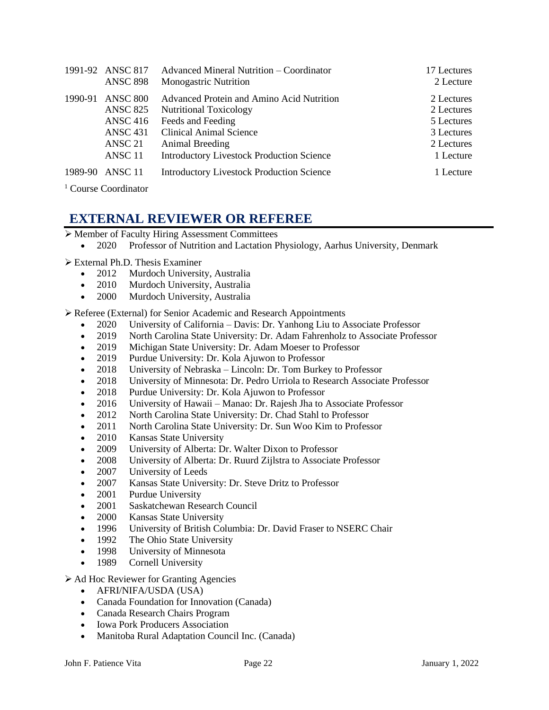|         | 1991-92 ANSC 817   | Advanced Mineral Nutrition – Coordinator         | 17 Lectures |
|---------|--------------------|--------------------------------------------------|-------------|
|         | <b>ANSC 898</b>    | <b>Monogastric Nutrition</b>                     | 2 Lecture   |
| 1990-91 | <b>ANSC 800</b>    | Advanced Protein and Amino Acid Nutrition        | 2 Lectures  |
|         | <b>ANSC 825</b>    | <b>Nutritional Toxicology</b>                    | 2 Lectures  |
|         | <b>ANSC 416</b>    | Feeds and Feeding                                | 5 Lectures  |
|         | <b>ANSC 431</b>    | <b>Clinical Animal Science</b>                   | 3 Lectures  |
|         | ANSC 21            | Animal Breeding                                  | 2 Lectures  |
|         | ANSC <sub>11</sub> | <b>Introductory Livestock Production Science</b> | 1 Lecture   |
| 1989-90 | ANSC 11            | <b>Introductory Livestock Production Science</b> | 1 Lecture   |

<sup>1</sup> Course Coordinator

## **EXTERNAL REVIEWER OR REFEREE**

- ➢ Member of Faculty Hiring Assessment Committees
	- 2020 Professor of Nutrition and Lactation Physiology, Aarhus University, Denmark
- ➢ External Ph.D. Thesis Examiner
	- 2012 Murdoch University, Australia
	- 2010 Murdoch University, Australia
	- 2000 Murdoch University, Australia

➢ Referee (External) for Senior Academic and Research Appointments

- 2020 University of California Davis: Dr. Yanhong Liu to Associate Professor
- 2019 North Carolina State University: Dr. Adam Fahrenholz to Associate Professor
- 2019 Michigan State University: Dr. Adam Moeser to Professor
- 2019 Purdue University: Dr. Kola Ajuwon to Professor
- 2018 University of Nebraska Lincoln: Dr. Tom Burkey to Professor
- 2018 University of Minnesota: Dr. Pedro Urriola to Research Associate Professor
- 2018 Purdue University: Dr. Kola Ajuwon to Professor
- 2016 University of Hawaii Manao: Dr. Rajesh Jha to Associate Professor
- 2012 North Carolina State University: Dr. Chad Stahl to Professor
- 2011 North Carolina State University: Dr. Sun Woo Kim to Professor
- 2010 Kansas State University
- 2009 University of Alberta: Dr. Walter Dixon to Professor
- 2008 University of Alberta: Dr. Ruurd Zijlstra to Associate Professor
- 2007 University of Leeds
- 2007 Kansas State University: Dr. Steve Dritz to Professor
- 2001 Purdue University
- 2001 Saskatchewan Research Council
- 2000 Kansas State University
- 1996 University of British Columbia: Dr. David Fraser to NSERC Chair
- 1992 The Ohio State University
- 1998 University of Minnesota
- 1989 Cornell University
- ➢ Ad Hoc Reviewer for Granting Agencies
	- AFRI/NIFA/USDA (USA)
	- Canada Foundation for Innovation (Canada)
	- Canada Research Chairs Program
	- Iowa Pork Producers Association
	- Manitoba Rural Adaptation Council Inc. (Canada)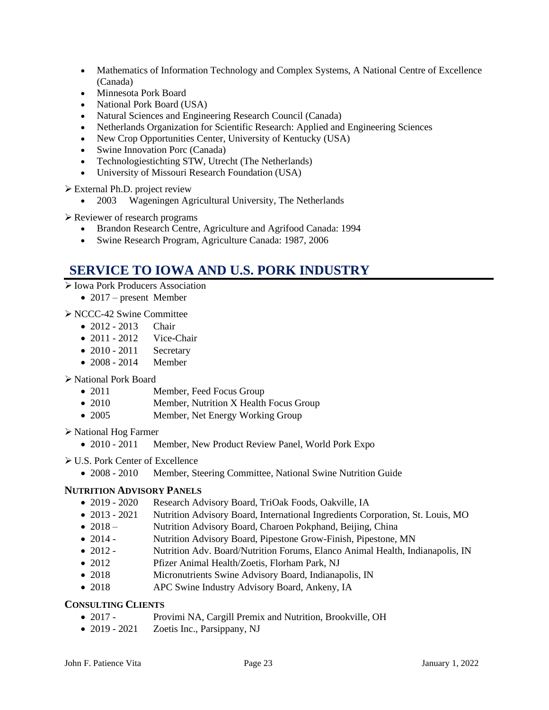- Mathematics of Information Technology and Complex Systems, A National Centre of Excellence (Canada)
- Minnesota Pork Board
- National Pork Board (USA)
- Natural Sciences and Engineering Research Council (Canada)
- Netherlands Organization for Scientific Research: Applied and Engineering Sciences
- New Crop Opportunities Center, University of Kentucky (USA)
- Swine Innovation Porc (Canada)
- Technologiestichting STW, Utrecht (The Netherlands)
- University of Missouri Research Foundation (USA)

➢ External Ph.D. project review

• 2003 Wageningen Agricultural University, The Netherlands

➢ Reviewer of research programs

- Brandon Research Centre, Agriculture and Agrifood Canada: 1994
- Swine Research Program, Agriculture Canada: 1987, 2006

### **SERVICE TO IOWA AND U.S. PORK INDUSTRY**

- ➢ Iowa Pork Producers Association
	- 2017 present Member

➢ NCCC-42 Swine Committee

- 2012 2013 Chair
- 2011 2012 Vice-Chair
- $\bullet$  2010 2011 Secretary
- 2008 2014 Member

### ➢ National Pork Board

- 2011 Member, Feed Focus Group
- 2010 Member, Nutrition X Health Focus Group
- 2005 Member, Net Energy Working Group

➢ National Hog Farmer

- 2010 2011 Member, New Product Review Panel, World Pork Expo
- ➢ U.S. Pork Center of Excellence
	- 2008 2010 Member, Steering Committee, National Swine Nutrition Guide

### **NUTRITION ADVISORY PANELS**

- 2019 2020 Research Advisory Board, TriOak Foods, Oakville, IA
- 2013 2021 Nutrition Advisory Board, International Ingredients Corporation, St. Louis, MO
- 2018 Nutrition Advisory Board, Charoen Pokphand, Beijing, China
- 2014 Nutrition Advisory Board, Pipestone Grow-Finish, Pipestone, MN
- 2012 Nutrition Adv. Board/Nutrition Forums, Elanco Animal Health, Indianapolis, IN
- 2012 Pfizer Animal Health/Zoetis, Florham Park, NJ
- 2018 Micronutrients Swine Advisory Board, Indianapolis, IN
- 2018 APC Swine Industry Advisory Board, Ankeny, IA

### **CONSULTING CLIENTS**

- 2017 Provimi NA, Cargill Premix and Nutrition, Brookville, OH
- 2019 2021 Zoetis Inc., Parsippany, NJ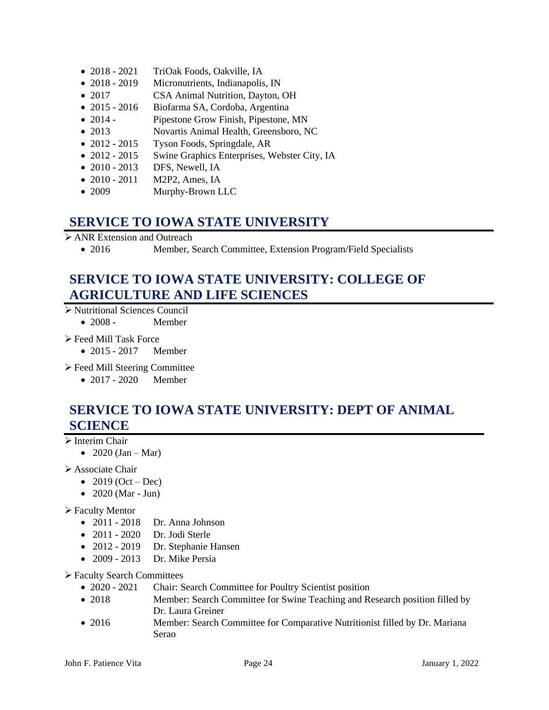- 2018 2021 TriOak Foods, Oakville, IA
- 2018 2019 Micronutrients, Indianapolis, IN
- 2017 CSA Animal Nutrition, Dayton, OH
- 2015 2016 Biofarma SA, Cordoba, Argentina
- 2014 Pipestone Grow Finish, Pipestone, MN
- 2013 Novartis Animal Health, Greensboro, NC
- 2012 2015 Tyson Foods, Springdale, AR
- 2012 2015 Swine Graphics Enterprises, Webster City, IA
- 2010 2013 DFS, Newell, IA
- 2010 2011 M2P2, Ames, IA
- 2009 Murphy-Brown LLC

### **SERVICE TO IOWA STATE UNIVERSITY**

➢ ANR Extension and Outreach

• 2016 Member, Search Committee, Extension Program/Field Specialists

## **SERVICE TO IOWA STATE UNIVERSITY: COLLEGE OF AGRICULTURE AND LIFE SCIENCES**

- ➢ Nutritional Sciences Council
	- 2008 Member
- ➢ Feed Mill Task Force
	- 2015 2017 Member
- ➢ Feed Mill Steering Committee
	- 2017 2020 Member

## **SERVICE TO IOWA STATE UNIVERSITY: DEPT OF ANIMAL SCIENCE**

### ➢ Interim Chair

• 2020 (Jan – Mar)

### ➢ Associate Chair

- 2019 (Oct Dec)
- 2020 (Mar Jun)

### ➢ Faculty Mentor

- 2011 2018 Dr. Anna Johnson
- 2011 2020 Dr. Jodi Sterle
- 2012 2019 Dr. Stephanie Hansen
- 2009 2013 Dr. Mike Persia

### ➢ Faculty Search Committees

- 2020 2021 Chair: Search Committee for Poultry Scientist position
- 2018 Member: Search Committee for Swine Teaching and Research position filled by Dr. Laura Greiner
- 2016 Member: Search Committee for Comparative Nutritionist filled by Dr. Mariana Serao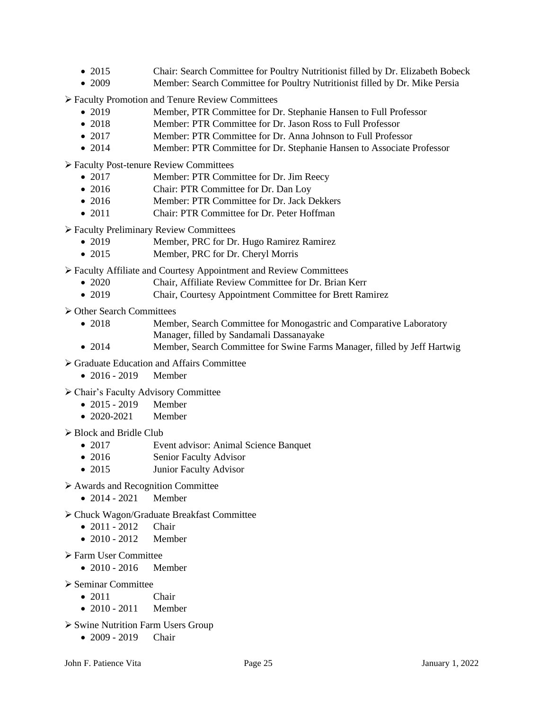- 2015 Chair: Search Committee for Poultry Nutritionist filled by Dr. Elizabeth Bobeck
- 2009 Member: Search Committee for Poultry Nutritionist filled by Dr. Mike Persia

➢ Faculty Promotion and Tenure Review Committees

- 2019 Member, PTR Committee for Dr. Stephanie Hansen to Full Professor
- 2018 Member: PTR Committee for Dr. Jason Ross to Full Professor
- 2017 Member: PTR Committee for Dr. Anna Johnson to Full Professor
- 2014 Member: PTR Committee for Dr. Stephanie Hansen to Associate Professor

➢ Faculty Post-tenure Review Committees

- 2017 Member: PTR Committee for Dr. Jim Reecy
- 2016 Chair: PTR Committee for Dr. Dan Loy
- 2016 Member: PTR Committee for Dr. Jack Dekkers
- 2011 Chair: PTR Committee for Dr. Peter Hoffman

➢ Faculty Preliminary Review Committees

- 2019 Member, PRC for Dr. Hugo Ramirez Ramirez
- 2015 Member, PRC for Dr. Cheryl Morris

➢ Faculty Affiliate and Courtesy Appointment and Review Committees

- 2020 Chair, Affiliate Review Committee for Dr. Brian Kerr
- 2019 Chair, Courtesy Appointment Committee for Brett Ramirez

➢ Other Search Committees

- 2018 Member, Search Committee for Monogastric and Comparative Laboratory Manager, filled by Sandamali Dassanayake
- 2014 Member, Search Committee for Swine Farms Manager, filled by Jeff Hartwig
- ➢ Graduate Education and Affairs Committee
	- 2016 2019 Member
- ➢ Chair's Faculty Advisory Committee
	- 2015 2019 Member
	- 2020-2021 Member

➢ Block and Bridle Club

- 2017 Event advisor: Animal Science Banquet
- 2016 Senior Faculty Advisor
- 2015 Junior Faculty Advisor
- ➢ Awards and Recognition Committee
	- 2014 2021 Member
- ➢ Chuck Wagon/Graduate Breakfast Committee
	- 2011 2012 Chair
	- 2010 2012 Member
- ➢ Farm User Committee
	- 2010 2016 Member
- ➢ Seminar Committee
	- 2011 Chair
	- 2010 2011 Member
- ➢ Swine Nutrition Farm Users Group
	- 2009 2019 Chair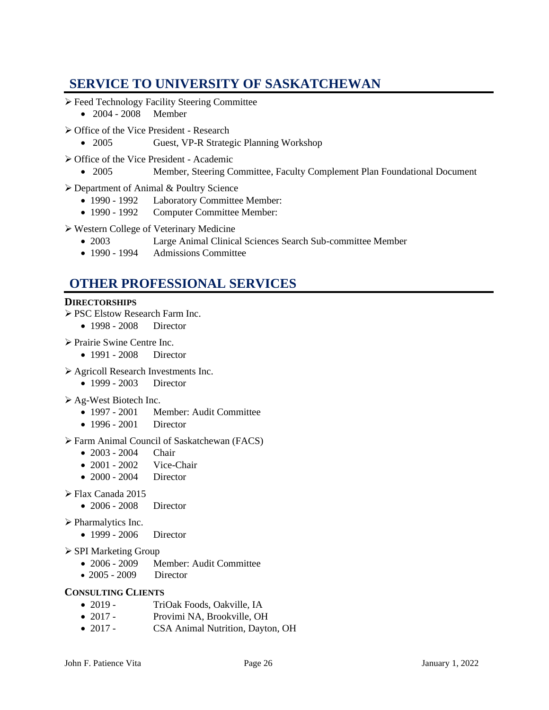## **SERVICE TO UNIVERSITY OF SASKATCHEWAN**

- ➢ Feed Technology Facility Steering Committee • 2004 - 2008 Member
- ➢ Office of the Vice President Research
	- 2005 Guest, VP-R Strategic Planning Workshop
- ➢ Office of the Vice President Academic
	- 2005 Member, Steering Committee, Faculty Complement Plan Foundational Document
- ➢ Department of Animal & Poultry Science
	- 1990 1992 Laboratory Committee Member:
	- 1990 1992 Computer Committee Member:
- ➢ Western College of Veterinary Medicine
	- 2003 Large Animal Clinical Sciences Search Sub-committee Member
	- 1990 1994 Admissions Committee

## **OTHER PROFESSIONAL SERVICES**

### **DIRECTORSHIPS**

- ➢ PSC Elstow Research Farm Inc.
	- 1998 2008 Director
- ➢ Prairie Swine Centre Inc.
	- 1991 2008 Director
- ➢ Agricoll Research Investments Inc.
	- 1999 2003 Director

### ➢ Ag-West Biotech Inc.

- 1997 2001 Member: Audit Committee
- 1996 2001 Director

### ➢ Farm Animal Council of Saskatchewan (FACS)

- 2003 2004 Chair
- 2001 2002 Vice-Chair
- 2000 2004 Director

### ➢ Flax Canada 2015

• 2006 - 2008 Director

### ➢ Pharmalytics Inc.

- 1999 2006 Director
- ➢ SPI Marketing Group
	- 2006 2009 Member: Audit Committee
	- 2005 2009 Director

### **CONSULTING CLIENTS**

- 2019 TriOak Foods, Oakville, IA
- 2017 Provimi NA, Brookville, OH
- 2017 CSA Animal Nutrition, Dayton, OH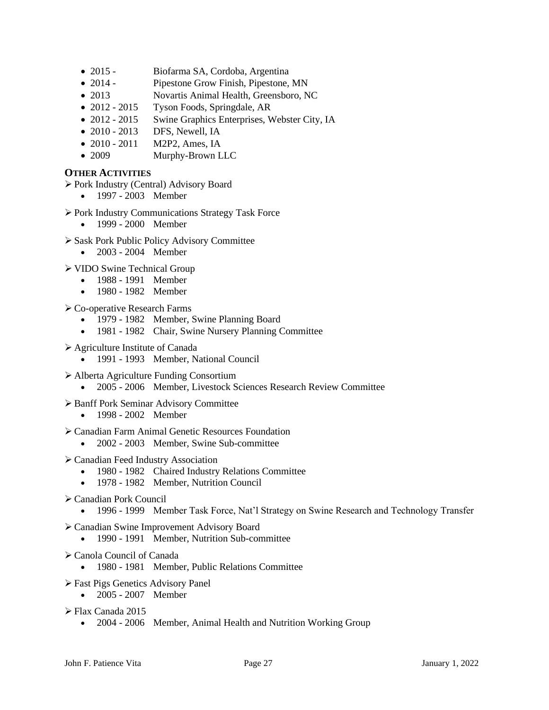- 2015 Biofarma SA, Cordoba, Argentina
- 2014 Pipestone Grow Finish, Pipestone, MN
- 2013 Novartis Animal Health, Greensboro, NC
- 2012 2015 Tyson Foods, Springdale, AR
- 2012 2015 Swine Graphics Enterprises, Webster City, IA
- 2010 2013 DFS, Newell, IA
- 2010 2011 M2P2, Ames, IA
- 2009 Murphy-Brown LLC

### **OTHER ACTIVITIES**

➢ Pork Industry (Central) Advisory Board

- 1997 2003 Member
- ➢ Pork Industry Communications Strategy Task Force
	- 1999 2000 Member
- ➢ Sask Pork Public Policy Advisory Committee
	- 2003 2004 Member

➢ VIDO Swine Technical Group

- 1988 1991 Member
- 1980 1982 Member
- ➢ Co-operative Research Farms
	- 1979 1982 Member, Swine Planning Board
	- 1981 1982 Chair, Swine Nursery Planning Committee
- ➢ Agriculture Institute of Canada
	- 1991 1993 Member, National Council

➢ Alberta Agriculture Funding Consortium

- 2005 2006 Member, Livestock Sciences Research Review Committee
- ➢ Banff Pork Seminar Advisory Committee
	- 1998 2002 Member
- ➢ Canadian Farm Animal Genetic Resources Foundation
	- 2002 2003 Member, Swine Sub-committee
- ➢ Canadian Feed Industry Association
	- 1980 1982 Chaired Industry Relations Committee
	- 1978 1982 Member, Nutrition Council
- ➢ Canadian Pork Council
	- 1996 1999 Member Task Force, Nat'l Strategy on Swine Research and Technology Transfer
- ➢ Canadian Swine Improvement Advisory Board
	- 1990 1991 Member, Nutrition Sub-committee
- ➢ Canola Council of Canada
	- 1980 1981 Member, Public Relations Committee
- ➢ Fast Pigs Genetics Advisory Panel
	- 2005 2007 Member
- ➢ Flax Canada 2015
	- 2004 2006 Member, Animal Health and Nutrition Working Group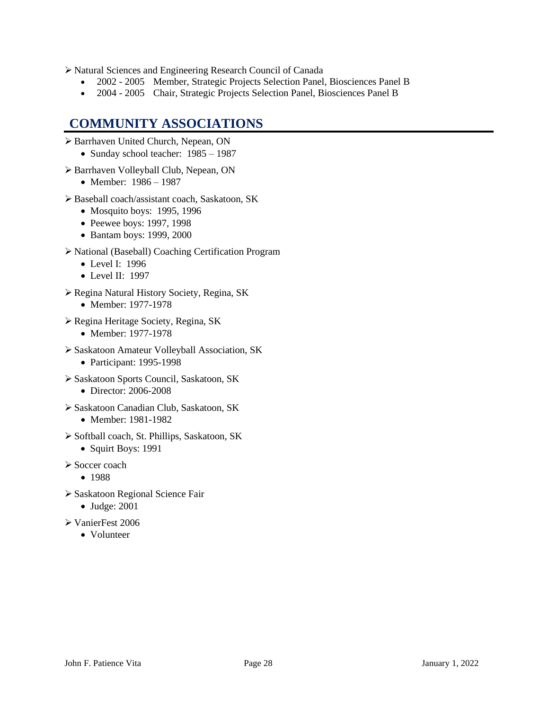➢ Natural Sciences and Engineering Research Council of Canada

- 2002 2005 Member, Strategic Projects Selection Panel, Biosciences Panel B
- 2004 2005 Chair, Strategic Projects Selection Panel, Biosciences Panel B

### **COMMUNITY ASSOCIATIONS**

- ➢ Barrhaven United Church, Nepean, ON
	- Sunday school teacher: 1985 1987
- ➢ Barrhaven Volleyball Club, Nepean, ON
	- Member: 1986 1987
- ➢ Baseball coach/assistant coach, Saskatoon, SK
	- Mosquito boys: 1995, 1996
	- Peewee boys: 1997, 1998
	- Bantam boys: 1999, 2000
- ➢ National (Baseball) Coaching Certification Program
	- Level I: 1996
	- Level II: 1997
- ➢ Regina Natural History Society, Regina, SK
	- Member: 1977-1978
- ➢ Regina Heritage Society, Regina, SK
	- Member: 1977-1978
- ➢ Saskatoon Amateur Volleyball Association, SK
	- Participant: 1995-1998
- ➢ Saskatoon Sports Council, Saskatoon, SK
	- Director: 2006-2008
- ➢ Saskatoon Canadian Club, Saskatoon, SK
	- Member: 1981-1982
- ➢ Softball coach, St. Phillips, Saskatoon, SK
	- Squirt Boys: 1991
- ➢ Soccer coach
	- 1988
- ➢ Saskatoon Regional Science Fair
	- Judge: 2001
- ➢ VanierFest 2006
	- Volunteer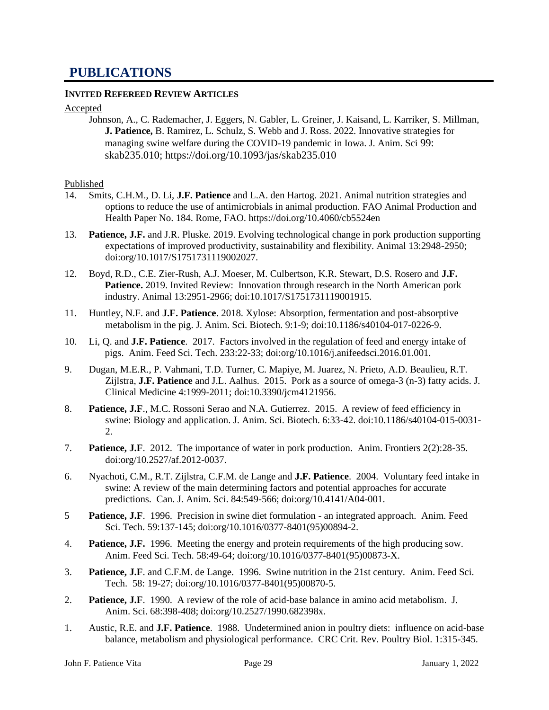### **PUBLICATIONS**

### **INVITED REFEREED REVIEW ARTICLES**

#### Accepted

Johnson, A., C. Rademacher, J. Eggers, N. Gabler, L. Greiner, J. Kaisand, L. Karriker, S. Millman, **J. Patience,** B. Ramirez, L. Schulz, S. Webb and J. Ross. 2022. Innovative strategies for managing swine welfare during the COVID-19 pandemic in Iowa. J. Anim. Sci 99: skab235.010;<https://doi.org/10.1093/jas/skab235.010>

#### Published

- 14. Smits, C.H.M., D. Li, **J.F. Patience** and L.A. den Hartog. 2021. Animal nutrition strategies and options to reduce the use of antimicrobials in animal production. FAO Animal Production and Health Paper No. 184. Rome, FAO. https://doi.org/10.4060/cb5524en
- 13. **Patience, J.F.** and J.R. Pluske. 2019. Evolving technological change in pork production supporting expectations of improved productivity, sustainability and flexibility. Animal 13:2948-2950; doi:org/10.1017/S1751731119002027.
- 12. Boyd, R.D., C.E. Zier-Rush, A.J. Moeser, M. Culbertson, K.R. Stewart, D.S. Rosero and **J.F.**  Patience. 2019. Invited Review: Innovation through research in the North American pork industry. Animal 13:2951-2966; doi:10.1017/S1751731119001915.
- 11. Huntley, N.F. and **J.F. Patience**. 2018. Xylose: Absorption, fermentation and post-absorptive metabolism in the pig. J. Anim. Sci. Biotech. 9:1-9; doi:10.1186/s40104-017-0226-9.
- 10. Li, Q. and **J.F. Patience**. 2017. Factors involved in the regulation of feed and energy intake of pigs. Anim. Feed Sci. Tech. 233:22-33; doi:org/10.1016/j.anifeedsci.2016.01.001.
- 9. Dugan, M.E.R., P. Vahmani, T.D. Turner, C. Mapiye, M. Juarez, N. Prieto, A.D. Beaulieu, R.T. Zijlstra, **J.F. Patience** and J.L. Aalhus. 2015. Pork as a source of omega-3 (n-3) fatty acids. J. Clinical Medicine 4:1999-2011; doi:10.3390/jcm4121956.
- 8. **Patience, J.F**., M.C. Rossoni Serao and N.A. Gutierrez. 2015. A review of feed efficiency in swine: Biology and application. J. Anim. Sci. Biotech. 6:33-42. doi:10.1186/s40104-015-0031- 2.
- 7. **Patience, J.F**. 2012. The importance of water in pork production. Anim. Frontiers 2(2):28-35. doi:org/10.2527/af.2012-0037.
- 6. Nyachoti, C.M., R.T. Zijlstra, C.F.M. de Lange and **J.F. Patience**. 2004. Voluntary feed intake in swine: A review of the main determining factors and potential approaches for accurate predictions. Can. J. Anim. Sci. 84:549-566; doi:org/10.4141/A04-001.
- 5 **Patience, J.F**. 1996. Precision in swine diet formulation an integrated approach. Anim. Feed Sci. Tech. 59:137-145; doi:org/10.1016/0377-8401(95)00894-2.
- 4. **Patience, J.F.** 1996. Meeting the energy and protein requirements of the high producing sow. Anim. Feed Sci. Tech. 58:49-64; doi:org/10.1016/0377-8401(95)00873-X.
- 3. **Patience, J.F**. and C.F.M. de Lange. 1996. Swine nutrition in the 21st century. Anim. Feed Sci. Tech. 58: 19-27; doi:org/10.1016/0377-8401(95)00870-5.
- 2. **Patience, J.F**. 1990. A review of the role of acid-base balance in amino acid metabolism. J. Anim. Sci. 68:398-408; doi:org/10.2527/1990.682398x.
- 1. Austic, R.E. and **J.F. Patience**. 1988. Undetermined anion in poultry diets: influence on acid-base balance, metabolism and physiological performance. CRC Crit. Rev. Poultry Biol. 1:315-345.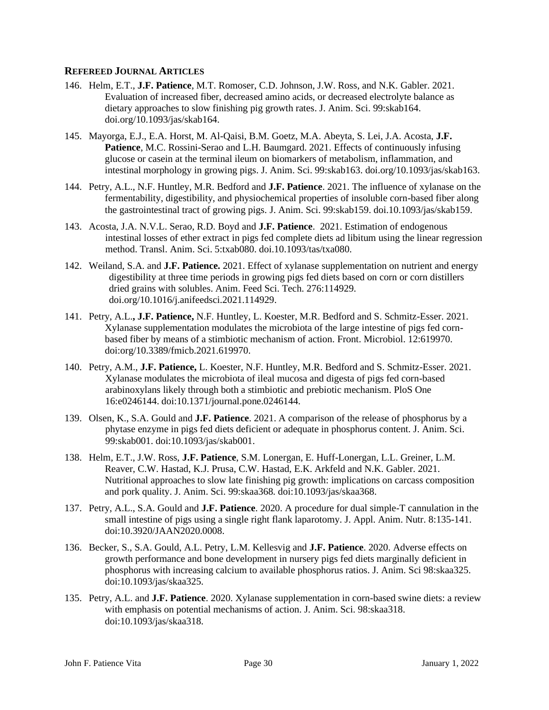### **REFEREED JOURNAL ARTICLES**

- 146. Helm, E.T., **J.F. Patience**, M.T. Romoser, C.D. Johnson, J.W. Ross, and N.K. Gabler. 2021. Evaluation of increased fiber, decreased amino acids, or decreased electrolyte balance as dietary approaches to slow finishing pig growth rates. J. Anim. Sci. 99:skab164. doi.org/10.1093/jas/skab164.
- 145. Mayorga, E.J., E.A. Horst, M. Al-Qaisi, B.M. Goetz, M.A. Abeyta, S. Lei, J.A. Acosta, **J.F. Patience**, M.C. Rossini-Serao and L.H. Baumgard. 2021. Effects of continuously infusing glucose or casein at the terminal ileum on biomarkers of metabolism, inflammation, and intestinal morphology in growing pigs. J. Anim. Sci. 99:skab163. doi.org/10.1093/jas/skab163.
- 144. Petry, A.L., N.F. Huntley, M.R. Bedford and **J.F. Patience**. 2021. The influence of xylanase on the fermentability, digestibility, and physiochemical properties of insoluble corn-based fiber along the gastrointestinal tract of growing pigs. J. Anim. Sci. 99:skab159. doi.10.1093/jas/skab159.
- 143. Acosta, J.A. N.V.L. Serao, R.D. Boyd and **J.F. Patience**. 2021. Estimation of endogenous intestinal losses of ether extract in pigs fed complete diets ad libitum using the linear regression method. Transl. Anim. Sci. 5:txab080. doi.10.1093/tas/txa080.
- 142. Weiland, S.A. and **J.F. Patience.** 2021. Effect of xylanase supplementation on nutrient and energy digestibility at three time periods in growing pigs fed diets based on corn or corn distillers dried grains with solubles. Anim. Feed Sci. Tech. 276:114929. [doi.org/10.1016/j.anifeedsci.2021.114929.](https://doi.org/10.1016/j.anifeedsci.2021.114929)
- 141. Petry, A.L.**, J.F. Patience,** N.F. Huntley, L. Koester, M.R. Bedford and S. Schmitz-Esser. 2021. Xylanase supplementation modulates the microbiota of the large intestine of pigs fed cornbased fiber by means of a stimbiotic mechanism of action. Front. Microbiol. 12:619970. doi:org/10.3389/fmicb.2021.619970.
- 140. Petry, A.M., **J.F. Patience,** L. Koester, N.F. Huntley, M.R. Bedford and S. Schmitz-Esser. 2021. Xylanase modulates the microbiota of ileal mucosa and digesta of pigs fed corn-based arabinoxylans likely through both a stimbiotic and prebiotic mechanism. PloS One 16:e0246144. doi:10.1371/journal.pone.0246144.
- 139. Olsen, K., S.A. Gould and **J.F. Patience**. 2021. A comparison of the release of phosphorus by a phytase enzyme in pigs fed diets deficient or adequate in phosphorus content. J. Anim. Sci. 99:skab001. doi[:10.1093/jas/skab001.](http://dx.doi.org/10.1093/jas/skab001)
- 138. Helm, E.T., J.W. Ross, **J.F. Patience**, S.M. Lonergan, E. Huff-Lonergan, L.L. Greiner, L.M. Reaver, C.W. Hastad, K.J. Prusa, C.W. Hastad, E.K. Arkfeld and N.K. Gabler. 2021. Nutritional approaches to slow late finishing pig growth: implications on carcass composition and pork quality. J. Anim. Sci. 99:skaa368. doi:10.1093/jas/skaa368.
- 137. Petry, A.L., S.A. Gould and **J.F. Patience**. 2020. A procedure for dual simple-T cannulation in the small intestine of pigs using a single right flank laparotomy. J. Appl. Anim. Nutr. 8:135-141. doi:10.3920/JAAN2020.0008.
- 136. Becker, S., S.A. Gould, A.L. Petry, L.M. Kellesvig and **J.F. Patience**. 2020. Adverse effects on growth performance and bone development in nursery pigs fed diets marginally deficient in phosphorus with increasing calcium to available phosphorus ratios. J. Anim. Sci 98:skaa325. doi:10.1093/jas/skaa325.
- 135. Petry, A.L. and **J.F. Patience**. 2020. Xylanase supplementation in corn-based swine diets: a review with emphasis on potential mechanisms of action. J. Anim. Sci. 98:skaa318. doi:10.1093/jas/skaa318.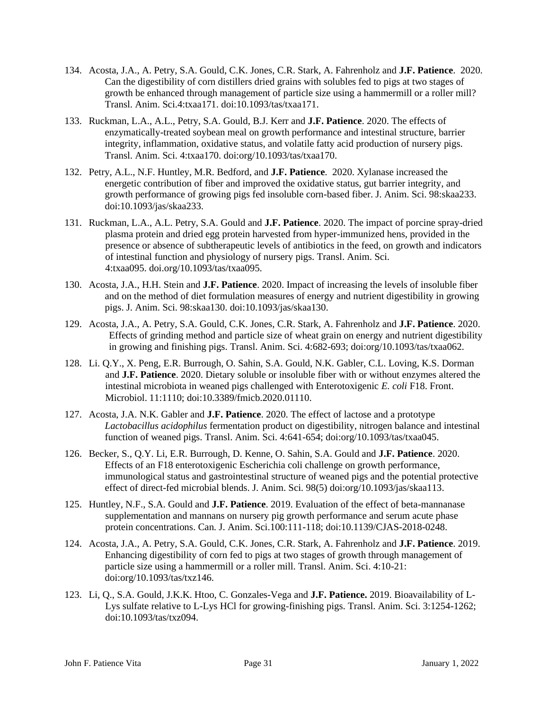- 134. Acosta, J.A., A. Petry, S.A. Gould, C.K. Jones, C.R. Stark, A. Fahrenholz and **J.F. Patience**. 2020. Can the digestibility of corn distillers dried grains with solubles fed to pigs at two stages of growth be enhanced through management of particle size using a hammermill or a roller mill? Transl. Anim. Sci.4:txaa171. doi:10.1093/tas/txaa171.
- 133. Ruckman, L.A., A.L., Petry, S.A. Gould, B.J. Kerr and **J.F. Patience**. 2020. The effects of enzymatically-treated soybean meal on growth performance and intestinal structure, barrier integrity, inflammation, oxidative status, and volatile fatty acid production of nursery pigs. Transl. Anim. Sci. 4:txaa170. doi:org/10.1093/tas/txaa170.
- 132. Petry, A.L., N.F. Huntley, M.R. Bedford, and **J.F. Patience**. 2020. Xylanase increased the energetic contribution of fiber and improved the oxidative status, gut barrier integrity, and growth performance of growing pigs fed insoluble corn-based fiber. J. Anim. Sci. 98:skaa233. doi:10.1093/jas/skaa233.
- 131. Ruckman, L.A., A.L. Petry, S.A. Gould and **J.F. Patience**. 2020. The impact of porcine spray-dried plasma protein and dried egg protein harvested from hyper-immunized hens, provided in the presence or absence of subtherapeutic levels of antibiotics in the feed, on growth and indicators of intestinal function and physiology of nursery pigs. Transl. Anim. Sci. 4:txaa095. [doi.org/10.1093/tas/txaa095.](https://doi.org/10.1093/tas/txaa095)
- 130. Acosta, J.A., H.H. Stein and **J.F. Patience**. 2020. Impact of increasing the levels of insoluble fiber and on the method of diet formulation measures of energy and nutrient digestibility in growing pigs. J. Anim. Sci. 98:skaa130. doi:10.1093/jas/skaa130.
- 129. Acosta, J.A., A. Petry, S.A. Gould, C.K. Jones, C.R. Stark, A. Fahrenholz and **J.F. Patience**. 2020. Effects of grinding method and particle size of wheat grain on energy and nutrient digestibility in growing and finishing pigs. Transl. Anim. Sci. 4:682-693; doi:org/10.1093/tas/txaa062.
- 128. Li. Q.Y., X. Peng, E.R. Burrough, O. Sahin, S.A. Gould, N.K. Gabler, C.L. Loving, K.S. Dorman and **J.F. Patience**. 2020. Dietary soluble or insoluble fiber with or without enzymes altered the intestinal microbiota in weaned pigs challenged with Enterotoxigenic *E. coli* F18. Front. Microbiol. 11:1110; doi:10.3389/fmicb.2020.01110.
- 127. Acosta, J.A. N.K. Gabler and **J.F. Patience**. 2020. The effect of lactose and a prototype *Lactobacillus acidophilus* fermentation product on digestibility, nitrogen balance and intestinal function of weaned pigs. Transl. Anim. Sci. 4:641-654; doi:org/10.1093/tas/txaa045.
- 126. Becker, S., Q.Y. Li, E.R. Burrough, D. Kenne, O. Sahin, S.A. Gould and **J.F. Patience**. 2020. Effects of an F18 enterotoxigenic Escherichia coli challenge on growth performance, immunological status and gastrointestinal structure of weaned pigs and the potential protective effect of direct-fed microbial blends. J. Anim. Sci. 98(5) [doi:org/10.1093/jas/skaa113.](https://doi.org/10.1093/jas/skaa113)
- 125. Huntley, N.F., S.A. Gould and **J.F. Patience**. 2019. Evaluation of the effect of beta-mannanase supplementation and mannans on nursery pig growth performance and serum acute phase protein concentrations. Can. J. Anim. Sci.100:111-118; doi:10.1139/CJAS-2018-0248.
- 124. Acosta, J.A., A. Petry, S.A. Gould, C.K. Jones, C.R. Stark, A. Fahrenholz and **J.F. Patience**. 2019. Enhancing digestibility of corn fed to pigs at two stages of growth through management of particle size using a hammermill or a roller mill. Transl. Anim. Sci. 4:10-21: doi:org/10.1093/tas/txz146.
- 123. Li, Q., S.A. Gould, J.K.K. Htoo, C. Gonzales-Vega and **J.F. Patience.** 2019. Bioavailability of L-Lys sulfate relative to L-Lys HCl for growing-finishing pigs. Transl. Anim. Sci. 3:1254-1262; doi:10.1093/tas/txz094.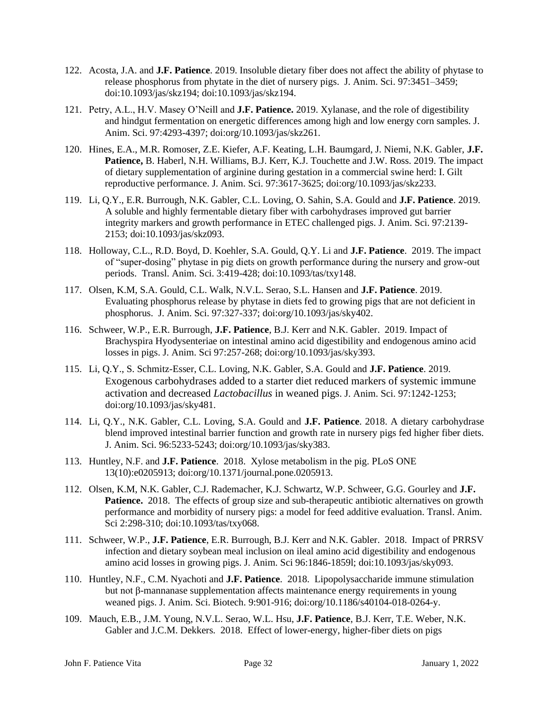- 122. Acosta, J.A. and **J.F. Patience**. 2019. Insoluble dietary fiber does not affect the ability of phytase to release phosphorus from phytate in the diet of nursery pigs. J. Anim. Sci. 97:3451–3459; doi:10.1093/jas/skz194; doi:10.1093/jas/skz194.
- 121. Petry, A.L., H.V. Masey O'Neill and **J.F. Patience.** 2019. Xylanase, and the role of digestibility and hindgut fermentation on energetic differences among high and low energy corn samples. J. Anim. Sci. 97:4293-4397; doi:org/10.1093/jas/skz261.
- 120. Hines, E.A., M.R. Romoser, Z.E. Kiefer, A.F. Keating, L.H. Baumgard, J. Niemi, N.K. Gabler, **J.F. Patience,** B. Haberl, N.H. Williams, B.J. Kerr, K.J. Touchette and J.W. Ross. 2019. The impact of dietary supplementation of arginine during gestation in a commercial swine herd: I. Gilt reproductive performance. J. Anim. Sci. 97:3617-3625; doi:org/10.1093/jas/skz233.
- 119. Li, Q.Y., E.R. Burrough, N.K. Gabler, C.L. Loving, O. Sahin, S.A. Gould and **J.F. Patience**. 2019. A soluble and highly fermentable dietary fiber with carbohydrases improved gut barrier integrity markers and growth performance in ETEC challenged pigs. J. Anim. Sci. 97:2139- 2153; doi:10.1093/jas/skz093.
- 118. Holloway, C.L., R.D. Boyd, D. Koehler, S.A. Gould, Q.Y. Li and **J.F. Patience**. 2019. The impact of "super-dosing" phytase in pig diets on growth performance during the nursery and grow-out periods. Transl. Anim. Sci. 3:419-428; doi:10.1093/tas/txy148.
- 117. Olsen, K.M, S.A. Gould, C.L. Walk, N.V.L. Serao, S.L. Hansen and **J.F. Patience**. 2019. Evaluating phosphorus release by phytase in diets fed to growing pigs that are not deficient in phosphorus. J. Anim. Sci. 97:327-337; doi:org/10.1093/jas/sky402.
- 116. Schweer, W.P., E.R. Burrough, **J.F. Patience**, B.J. Kerr and N.K. Gabler. 2019. Impact of Brachyspira Hyodysenteriae on intestinal amino acid digestibility and endogenous amino acid losses in pigs. J. Anim. Sci 97:257-268; doi:org/10.1093/jas/sky393.
- 115. Li, Q.Y., S. Schmitz-Esser, C.L. Loving, N.K. Gabler, S.A. Gould and **J.F. Patience**. 2019. Exogenous carbohydrases added to a starter diet reduced markers of systemic immune activation and decreased *Lactobacillus* in weaned pigs. J. Anim. Sci. 97:1242-1253; doi:org/10.1093/jas/sky481.
- 114. Li, Q.Y., N.K. Gabler, C.L. Loving, S.A. Gould and **J.F. Patience**. 2018. A dietary carbohydrase blend improved intestinal barrier function and growth rate in nursery pigs fed higher fiber diets. J. Anim. Sci. 96:5233-5243; doi:org/10.1093/jas/sky383.
- 113. Huntley, N.F. and **J.F. Patience**. 2018. Xylose metabolism in the pig. PLoS ONE 13(10):e0205913; doi:org/10.1371/journal.pone.0205913.
- 112. Olsen, K.M, N.K. Gabler, C.J. Rademacher, K.J. Schwartz, W.P. Schweer, G.G. Gourley and **J.F. Patience.** 2018. The effects of group size and sub-therapeutic antibiotic alternatives on growth performance and morbidity of nursery pigs: a model for feed additive evaluation. Transl. Anim. Sci 2:298-310; doi:10.1093/tas/txy068.
- 111. Schweer, W.P., **J.F. Patience**, E.R. Burrough, B.J. Kerr and N.K. Gabler. 2018. Impact of PRRSV infection and dietary soybean meal inclusion on ileal amino acid digestibility and endogenous amino acid losses in growing pigs. J. Anim. Sci 96:1846-1859l; doi:10.1093/jas/sky093.
- 110. Huntley, N.F., C.M. Nyachoti and **J.F. Patience**. 2018. Lipopolysaccharide immune stimulation but not β-mannanase supplementation affects maintenance energy requirements in young weaned pigs. J. Anim. Sci. Biotech. 9:901-916; doi:org/10.1186/s40104-018-0264-y.
- 109. Mauch, E.B., J.M. Young, N.V.L. Serao, W.L. Hsu, **J.F. Patience**, B.J. Kerr, T.E. Weber, N.K. Gabler and J.C.M. Dekkers. 2018. Effect of lower-energy, higher-fiber diets on pigs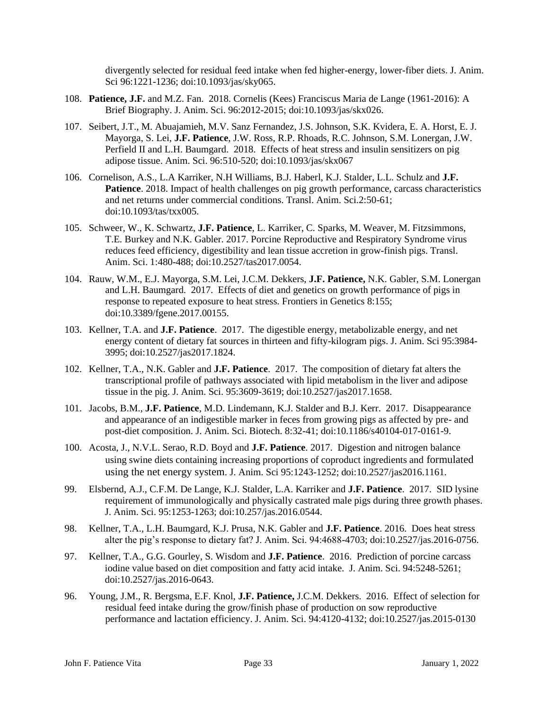divergently selected for residual feed intake when fed higher-energy, lower-fiber diets. J. Anim. Sci 96:1221-1236; doi:10.1093/jas/sky065.

- 108. **Patience, J.F.** and M.Z. Fan. 2018. Cornelis (Kees) Franciscus Maria de Lange (1961-2016): A Brief Biography. J. Anim. Sci. 96:2012-2015; doi:10.1093/jas/skx026.
- 107. Seibert, J.T., M. Abuajamieh, M.V. Sanz Fernandez, J.S. Johnson, S.K. Kvidera, E. A. Horst, E. J. Mayorga, S. Lei, **J.F. Patience**, J.W. Ross, R.P. Rhoads, R.C. Johnson, S.M. Lonergan, J.W. Perfield II and L.H. Baumgard. 2018. Effects of heat stress and insulin sensitizers on pig adipose tissue. Anim. Sci. 96:510-520; doi:10.1093/jas/skx067
- 106. Cornelison, A.S., L.A Karriker, N.H Williams, B.J. Haberl, K.J. Stalder, L.L. Schulz and **J.F. Patience**. 2018. Impact of health challenges on pig growth performance, carcass characteristics and net returns under commercial conditions. Transl. Anim. Sci.2:50-61; doi:10.1093/tas/txx005.
- 105. Schweer, W., K. Schwartz, **J.F. Patience**, L. Karriker, C. Sparks, M. Weaver, M. Fitzsimmons, T.E. Burkey and N.K. Gabler. 2017. Porcine Reproductive and Respiratory Syndrome virus reduces feed efficiency, digestibility and lean tissue accretion in grow-finish pigs. Transl. Anim. Sci. 1:480-488; doi:10.2527/tas2017.0054.
- 104. Rauw, W.M., E.J. Mayorga, S.M. Lei, J.C.M. Dekkers, **J.F. Patience,** N.K. Gabler, S.M. Lonergan and L.H. Baumgard. 2017. Effects of diet and genetics on growth performance of pigs in response to repeated exposure to heat stress. Frontiers in Genetics 8:155; doi:10.3389/fgene.2017.00155.
- 103. Kellner, T.A. and **J.F. Patience**. 2017. The digestible energy, metabolizable energy, and net energy content of dietary fat sources in thirteen and fifty-kilogram pigs. J. Anim. Sci 95:3984- 3995; doi:10.2527/jas2017.1824.
- 102. Kellner, T.A., N.K. Gabler and **J.F. Patience**. 2017. The composition of dietary fat alters the transcriptional profile of pathways associated with lipid metabolism in the liver and adipose tissue in the pig. J. Anim. Sci. 95:3609-3619; doi:10.2527/jas2017.1658.
- 101. Jacobs, B.M., **J.F. Patience**, M.D. Lindemann, K.J. Stalder and B.J. Kerr. 2017. Disappearance and appearance of an indigestible marker in feces from growing pigs as affected by pre- and post-diet composition. J. Anim. Sci. Biotech. 8:32-41; doi:10.1186/s40104-017-0161-9.
- 100. Acosta, J., N.V.L. Serao, R.D. Boyd and **J.F. Patience**. 2017. Digestion and nitrogen balance using swine diets containing increasing proportions of coproduct ingredients and formulated using the net energy system. J. Anim. Sci 95:1243-1252; doi:10.2527/jas2016.1161.
- 99. Elsbernd, A.J., C.F.M. De Lange, K.J. Stalder, L.A. Karriker and **J.F. Patience**. 2017. SID lysine requirement of immunologically and physically castrated male pigs during three growth phases. J. Anim. Sci. 95:1253-1263; doi:10.257/jas.2016.0544.
- 98. Kellner, T.A., L.H. Baumgard, K.J. Prusa, N.K. Gabler and **J.F. Patience**. 2016. Does heat stress alter the pig's response to dietary fat? J. Anim. Sci. 94:4688-4703; doi:10.2527/jas.2016-0756.
- 97. Kellner, T.A., G.G. Gourley, S. Wisdom and **J.F. Patience**. 2016. Prediction of porcine carcass iodine value based on diet composition and fatty acid intake. J. Anim. Sci. 94:5248-5261; doi:10.2527/jas.2016-0643.
- 96. Young, J.M., R. Bergsma, E.F. Knol, **J.F. Patience,** J.C.M. Dekkers. 2016. Effect of selection for residual feed intake during the grow/finish phase of production on sow reproductive performance and lactation efficiency. J. Anim. Sci. 94:4120-4132; doi:10.2527/jas.2015-0130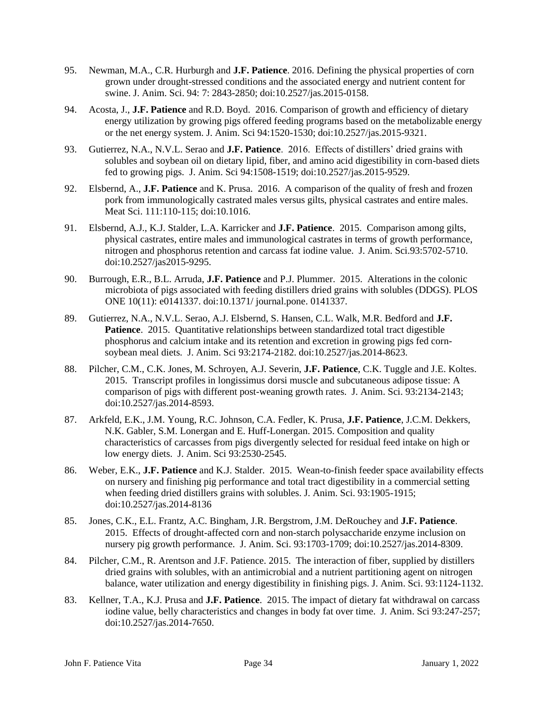- 95. Newman, M.A., C.R. Hurburgh and **J.F. Patience**. 2016. Defining the physical properties of corn grown under drought-stressed conditions and the associated energy and nutrient content for swine. J. Anim. Sci. 94: 7: 2843-2850; doi:10.2527/jas.2015-0158.
- 94. Acosta, J., **J.F. Patience** and R.D. Boyd. 2016. Comparison of growth and efficiency of dietary energy utilization by growing pigs offered feeding programs based on the metabolizable energy or the net energy system. J. Anim. Sci 94:1520-1530; doi:10.2527/jas.2015-9321.
- 93. Gutierrez, N.A., N.V.L. Serao and **J.F. Patience**. 2016. Effects of distillers' dried grains with solubles and soybean oil on dietary lipid, fiber, and amino acid digestibility in corn-based diets fed to growing pigs. J. Anim. Sci 94:1508-1519; doi:10.2527/jas.2015-9529.
- 92. Elsbernd, A., **J.F. Patience** and K. Prusa. 2016. A comparison of the quality of fresh and frozen pork from immunologically castrated males versus gilts, physical castrates and entire males. Meat Sci. 111:110-115; doi:10.1016.
- 91. Elsbernd, A.J., K.J. Stalder, L.A. Karricker and **J.F. Patience**. 2015. Comparison among gilts, physical castrates, entire males and immunological castrates in terms of growth performance, nitrogen and phosphorus retention and carcass fat iodine value. J. Anim. Sci.93:5702-5710. doi:10.2527/jas2015-9295.
- 90. Burrough, E.R., B.L. Arruda, **J.F. Patience** and P.J. Plummer. 2015. Alterations in the colonic microbiota of pigs associated with feeding distillers dried grains with solubles (DDGS). PLOS ONE 10(11): e0141337. doi:10.1371/ journal.pone. 0141337.
- 89. Gutierrez, N.A., N.V.L. Serao, A.J. Elsbernd, S. Hansen, C.L. Walk, M.R. Bedford and **J.F. Patience**. 2015. Quantitative relationships between standardized total tract digestible phosphorus and calcium intake and its retention and excretion in growing pigs fed cornsoybean meal diets. J. Anim. Sci 93:2174-2182. doi:10.2527/jas.2014-8623.
- 88. Pilcher, C.M., C.K. Jones, M. Schroyen, A.J. Severin, **J.F. Patience**, C.K. Tuggle and J.E. Koltes. 2015. Transcript profiles in longissimus dorsi muscle and subcutaneous adipose tissue: A comparison of pigs with different post-weaning growth rates. J. Anim. Sci. 93:2134-2143; doi:10.2527/jas.2014-8593.
- 87. Arkfeld, E.K., J.M. Young, R.C. Johnson, C.A. Fedler, K. Prusa, **J.F. Patience**, J.C.M. Dekkers, N.K. Gabler, S.M. Lonergan and E. Huff-Lonergan. 2015. Composition and quality characteristics of carcasses from pigs divergently selected for residual feed intake on high or low energy diets. J. Anim. Sci 93:2530-2545.
- 86. Weber, E.K., **J.F. Patience** and K.J. Stalder. 2015. Wean-to-finish feeder space availability effects on nursery and finishing pig performance and total tract digestibility in a commercial setting when feeding dried distillers grains with solubles. J. Anim. Sci. 93:1905-1915; doi:10.2527/jas.2014-8136
- 85. Jones, C.K., E.L. Frantz, A.C. Bingham, J.R. Bergstrom, J.M. DeRouchey and **J.F. Patience**. 2015. Effects of drought-affected corn and non-starch polysaccharide enzyme inclusion on nursery pig growth performance. J. Anim. Sci. 93:1703-1709; doi:10.2527/jas.2014-8309.
- 84. Pilcher, C.M., R. Arentson and J.F. Patience. 2015. The interaction of fiber, supplied by distillers dried grains with solubles, with an antimicrobial and a nutrient partitioning agent on nitrogen balance, water utilization and energy digestibility in finishing pigs. J. Anim. Sci. 93:1124-1132.
- 83. Kellner, T.A., K.J. Prusa and **J.F. Patience**. 2015. The impact of dietary fat withdrawal on carcass iodine value, belly characteristics and changes in body fat over time. J. Anim. Sci 93:247-257; doi:10.2527/jas.2014-7650.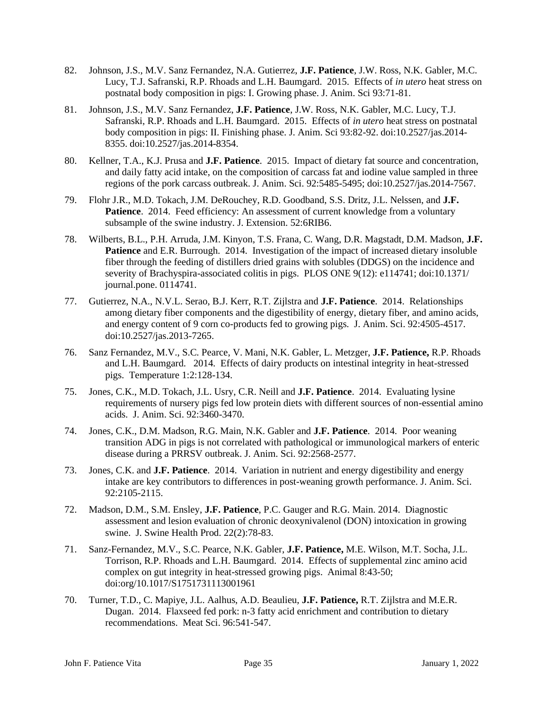- 82. Johnson, J.S., M.V. Sanz Fernandez, N.A. Gutierrez, **J.F. Patience**, J.W. Ross, N.K. Gabler, M.C. Lucy, T.J. Safranski, R.P. Rhoads and L.H. Baumgard. 2015. Effects of *in utero* heat stress on postnatal body composition in pigs: I. Growing phase. J. Anim. Sci 93:71-81.
- 81. Johnson, J.S., M.V. Sanz Fernandez, **J.F. Patience**, J.W. Ross, N.K. Gabler, M.C. Lucy, T.J. Safranski, R.P. Rhoads and L.H. Baumgard. 2015. Effects of *in utero* heat stress on postnatal body composition in pigs: II. Finishing phase. J. Anim. Sci 93:82-92. doi:10.2527/jas.2014- 8355. doi:10.2527/jas.2014-8354.
- 80. Kellner, T.A., K.J. Prusa and **J.F. Patience**. 2015. Impact of dietary fat source and concentration, and daily fatty acid intake, on the composition of carcass fat and iodine value sampled in three regions of the pork carcass outbreak. J. Anim. Sci. 92:5485-5495; doi:10.2527/jas.2014-7567.
- 79. Flohr J.R., M.D. Tokach, J.M. DeRouchey, R.D. Goodband, S.S. Dritz, J.L. Nelssen, and **J.F.**  Patience. 2014. Feed efficiency: An assessment of current knowledge from a voluntary subsample of the swine industry. J. Extension. 52:6RIB6.
- 78. Wilberts, B.L., P.H. Arruda, J.M. Kinyon, T.S. Frana, C. Wang, D.R. Magstadt, D.M. Madson, **J.F. Patience** and E.R. Burrough. 2014. Investigation of the impact of increased dietary insoluble fiber through the feeding of distillers dried grains with solubles (DDGS) on the incidence and severity of Brachyspira-associated colitis in pigs. PLOS ONE 9(12): e114741; doi:10.1371/ journal.pone. 0114741.
- 77. Gutierrez, N.A., N.V.L. Serao, B.J. Kerr, R.T. Zijlstra and **J.F. Patience**. 2014. Relationships among dietary fiber components and the digestibility of energy, dietary fiber, and amino acids, and energy content of 9 corn co-products fed to growing pigs. J. Anim. Sci. 92:4505-4517. doi:10.2527/jas.2013-7265.
- 76. Sanz Fernandez, M.V., S.C. Pearce, V. Mani, N.K. Gabler, L. Metzger, **J.F. Patience,** R.P. Rhoads and L.H. Baumgard. 2014. Effects of dairy products on intestinal integrity in heat-stressed pigs. Temperature 1:2:128-134.
- 75. Jones, C.K., M.D. Tokach, J.L. Usry, C.R. Neill and **J.F. Patience**. 2014. Evaluating lysine requirements of nursery pigs fed low protein diets with different sources of non-essential amino acids. J. Anim. Sci. 92:3460-3470.
- 74. Jones, C.K., D.M. Madson, R.G. Main, N.K. Gabler and **J.F. Patience**. 2014. Poor weaning transition ADG in pigs is not correlated with pathological or immunological markers of enteric disease during a PRRSV outbreak. J. Anim. Sci. 92:2568-2577.
- 73. Jones, C.K. and **J.F. Patience**. 2014. Variation in nutrient and energy digestibility and energy intake are key contributors to differences in post-weaning growth performance. J. Anim. Sci. 92:2105-2115.
- 72. Madson, D.M., S.M. Ensley, **J.F. Patience**, P.C. Gauger and R.G. Main. 2014. Diagnostic assessment and lesion evaluation of chronic deoxynivalenol (DON) intoxication in growing swine. J. Swine Health Prod. 22(2):78-83.
- 71. Sanz-Fernandez, M.V., S.C. Pearce, N.K. Gabler, **J.F. Patience,** M.E. Wilson, M.T. Socha, J.L. Torrison, R.P. Rhoads and L.H. Baumgard. 2014. Effects of supplemental zinc amino acid complex on gut integrity in heat-stressed growing pigs. Animal 8:43-50; doi:org/10.1017/S1751731113001961
- 70. Turner, T.D., C. Mapiye, J.L. Aalhus, A.D. Beaulieu, **J.F. Patience,** R.T. Zijlstra and M.E.R. Dugan. 2014. Flaxseed fed pork: n-3 fatty acid enrichment and contribution to dietary recommendations. Meat Sci. 96:541-547.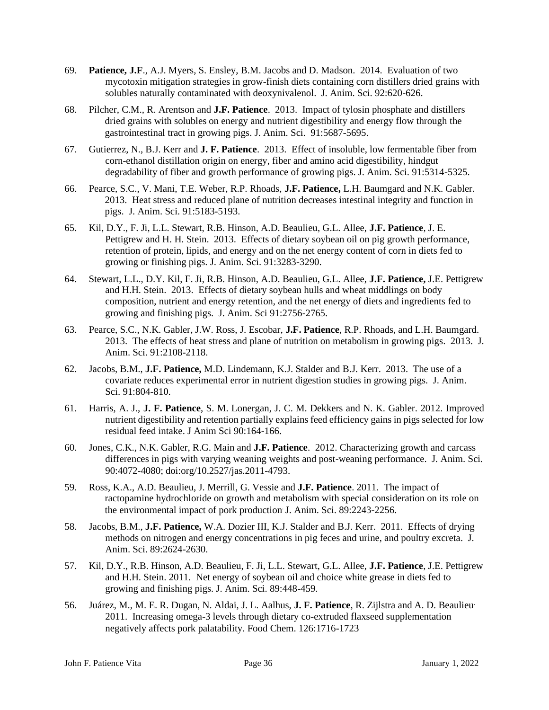- 69. **Patience, J.F**., A.J. Myers, S. Ensley, B.M. Jacobs and D. Madson. 2014. Evaluation of two mycotoxin mitigation strategies in grow-finish diets containing corn distillers dried grains with solubles naturally contaminated with deoxynivalenol. J. Anim. Sci. 92:620-626.
- 68. Pilcher, C.M., R. Arentson and **J.F. Patience**. 2013. Impact of tylosin phosphate and distillers dried grains with solubles on energy and nutrient digestibility and energy flow through the gastrointestinal tract in growing pigs. J. Anim. Sci. 91:5687-5695.
- 67. Gutierrez, N., B.J. Kerr and **J. F. Patience**. 2013. Effect of insoluble, low fermentable fiber from corn-ethanol distillation origin on energy, fiber and amino acid digestibility, hindgut degradability of fiber and growth performance of growing pigs. J. Anim. Sci. 91:5314-5325.
- 66. Pearce, S.C., V. Mani, T.E. Weber, R.P. Rhoads, **J.F. Patience,** L.H. Baumgard and N.K. Gabler. 2013. Heat stress and reduced plane of nutrition decreases intestinal integrity and function in pigs. J. Anim. Sci. 91:5183-5193.
- 65. Kil, D.Y., F. Ji, L.L. Stewart, R.B. Hinson, A.D. Beaulieu, G.L. Allee, **J.F. Patience**, J. E. Pettigrew and H. H. Stein. 2013. Effects of dietary soybean oil on pig growth performance, retention of protein, lipids, and energy and on the net energy content of corn in diets fed to growing or finishing pigs. J. Anim. Sci. 91:3283-3290.
- 64. Stewart, L.L., D.Y. Kil, F. Ji, R.B. Hinson, A.D. Beaulieu, G.L. Allee, **J.F. Patience,** J.E. Pettigrew and H.H. Stein. 2013. Effects of dietary soybean hulls and wheat middlings on body composition, nutrient and energy retention, and the net energy of diets and ingredients fed to growing and finishing pigs. J. Anim. Sci 91:2756-2765.
- 63. Pearce, S.C., N.K. Gabler, J.W. Ross, J. Escobar, **J.F. Patience**, R.P. Rhoads, and L.H. Baumgard. 2013. The effects of heat stress and plane of nutrition on metabolism in growing pigs. 2013. J. Anim. Sci. 91:2108-2118.
- 62. Jacobs, B.M., **J.F. Patience,** M.D. Lindemann, K.J. Stalder and B.J. Kerr. 2013. The use of a covariate reduces experimental error in nutrient digestion studies in growing pigs. J. Anim. Sci. 91:804-810.
- 61. Harris, A. J., **J. F. Patience**, S. M. Lonergan, J. C. M. Dekkers and N. K. Gabler. 2012. Improved nutrient digestibility and retention partially explains feed efficiency gains in pigs selected for low residual feed intake. J Anim Sci 90:164-166.
- 60. Jones, C.K., N.K. Gabler, R.G. Main and **J.F. Patience**. 2012. Characterizing growth and carcass differences in pigs with varying weaning weights and post-weaning performance. J. Anim. Sci. 90:4072-4080; doi:org/10.2527/jas.2011-4793.
- 59. Ross, K.A., A.D. Beaulieu, J. Merrill, G. Vessie and **J.F. Patience**. 2011. The impact of ractopamine hydrochloride on growth and metabolism with special consideration on its role on the environmental impact of pork production J. Anim. Sci. 89:2243-2256.
- 58. Jacobs, B.M., **J.F. Patience,** W.A. Dozier III, K.J. Stalder and B.J. Kerr. 2011. Effects of drying methods on nitrogen and energy concentrations in pig feces and urine, and poultry excreta. J. Anim. Sci. 89:2624-2630.
- 57. Kil, D.Y., R.B. Hinson, A.D. Beaulieu, F. Ji, L.L. Stewart, G.L. Allee, **J.F. Patience**, J.E. Pettigrew and H.H. Stein. 2011. Net energy of soybean oil and choice white grease in diets fed to growing and finishing pigs. J. Anim. Sci. 89:448-459.
- 56. Juárez, M., M. E. R. Dugan, N. Aldai, J. L. Aalhus, **J. F. Patience**, R. Zijlstra and A. D. Beaulieu. 2011. Increasing omega-3 levels through dietary co-extruded flaxseed supplementation negatively affects pork palatability. Food Chem. 126:1716-1723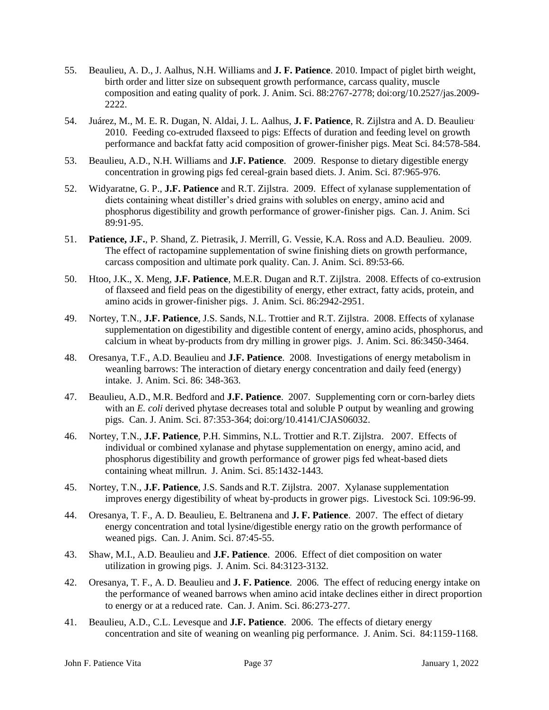- 55. Beaulieu, A. D., J. Aalhus, N.H. Williams and **J. F. Patience**. 2010. Impact of piglet birth weight, birth order and litter size on subsequent growth performance, carcass quality, muscle composition and eating quality of pork. J. Anim. Sci. 88:2767-2778; doi:org/10.2527/jas.2009- 2222.
- 54. Juárez, M., M. E. R. Dugan, N. Aldai, J. L. Aalhus, **J. F. Patience**, R. Zijlstra and A. D. Beaulieu. 2010. Feeding co-extruded flaxseed to pigs: Effects of duration and feeding level on growth performance and backfat fatty acid composition of grower-finisher pigs. Meat Sci. 84:578-584.
- 53. Beaulieu, A.D., N.H. Williams and **J.F. Patience**. 2009. Response to dietary digestible energy concentration in growing pigs fed cereal-grain based diets. J. Anim. Sci. 87:965-976.
- 52. Widyaratne, G. P., **J.F. Patience** and R.T. Zijlstra. 2009. Effect of xylanase supplementation of diets containing wheat distiller's dried grains with solubles on energy, amino acid and phosphorus digestibility and growth performance of grower-finisher pigs. Can. J. Anim. Sci 89:91-95.
- 51. **Patience, J.F.**, P. Shand, Z. Pietrasik, J. Merrill, G. Vessie, K.A. Ross and A.D. Beaulieu. 2009. The effect of ractopamine supplementation of swine finishing diets on growth performance, carcass composition and ultimate pork quality. Can. J. Anim. Sci. 89:53-66.
- 50. Htoo, J.K., X. Meng, **J.F. Patience**, M.E.R. Dugan and R.T. Zijlstra. 2008. Effects of co-extrusion of flaxseed and field peas on the digestibility of energy, ether extract, fatty acids, protein, and amino acids in grower-finisher pigs. J. Anim. Sci. 86:2942-2951.
- 49. Nortey, T.N., **J.F. Patience**, J.S. Sands, N.L. Trottier and R.T. Zijlstra. 2008. Effects of xylanase supplementation on digestibility and digestible content of energy, amino acids, phosphorus, and calcium in wheat by-products from dry milling in grower pigs. J. Anim. Sci. 86:3450-3464.
- 48. Oresanya, T.F., A.D. Beaulieu and **J.F. Patience**. 2008. Investigations of energy metabolism in weanling barrows: The interaction of dietary energy concentration and daily feed (energy) intake. J. Anim. Sci. 86: 348-363.
- 47. Beaulieu, A.D., M.R. Bedford and **J.F. Patience**. 2007. Supplementing corn or corn-barley diets with an *E. coli* derived phytase decreases total and soluble P output by weanling and growing pigs. Can. J. Anim. Sci. 87:353-364; doi:org/10.4141/CJAS06032.
- 46. Nortey, T.N., **J.F. Patience**, P.H. Simmins, N.L. Trottier and R.T. Zijlstra. 2007. Effects of individual or combined xylanase and phytase supplementation on energy, amino acid, and phosphorus digestibility and growth performance of grower pigs fed wheat-based diets containing wheat millrun. J. Anim. Sci. 85:1432-1443.
- 45. Nortey, T.N., **J.F. Patience**, J.S. Sands and R.T. Zijlstra. 2007. Xylanase supplementation improves energy digestibility of wheat by-products in grower pigs. Livestock Sci. 109:96-99.
- 44. Oresanya, T. F., A. D. Beaulieu, E. Beltranena and **J. F. Patience**. 2007. The effect of dietary energy concentration and total lysine/digestible energy ratio on the growth performance of weaned pigs. Can. J. Anim. Sci. 87:45-55.
- 43. Shaw, M.I., A.D. Beaulieu and **J.F. Patience**. 2006. Effect of diet composition on water utilization in growing pigs. J. Anim. Sci. 84:3123-3132.
- 42. Oresanya, T. F., A. D. Beaulieu and **J. F. Patience**. 2006. The effect of reducing energy intake on the performance of weaned barrows when amino acid intake declines either in direct proportion to energy or at a reduced rate. Can. J. Anim. Sci. 86:273-277.
- 41. Beaulieu, A.D., C.L. Levesque and **J.F. Patience**. 2006. The effects of dietary energy concentration and site of weaning on weanling pig performance. J. Anim. Sci. 84:1159-1168.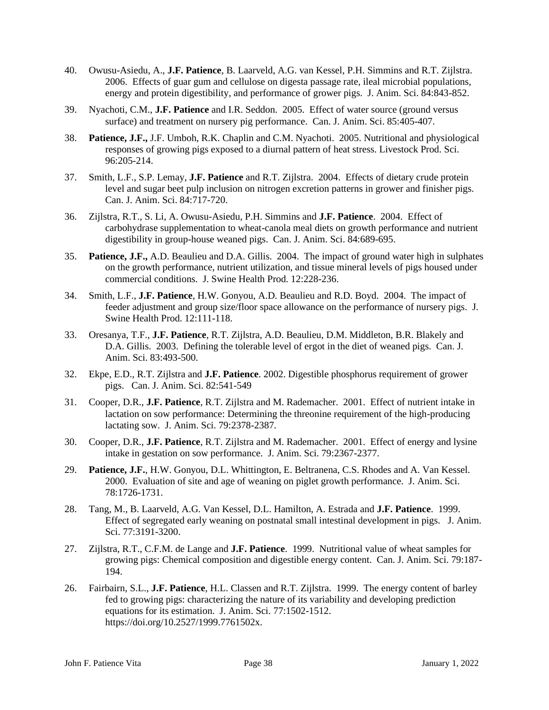- 40. Owusu-Asiedu, A., **J.F. Patience**, B. Laarveld, A.G. van Kessel, P.H. Simmins and R.T. Zijlstra. 2006. Effects of guar gum and cellulose on digesta passage rate, ileal microbial populations, energy and protein digestibility, and performance of grower pigs. J. Anim. Sci. 84:843-852.
- 39. Nyachoti, C.M., **J.F. Patience** and I.R. Seddon. 2005. Effect of water source (ground versus surface) and treatment on nursery pig performance. Can. J. Anim. Sci. 85:405-407.
- 38. **Patience, J.F.,** J.F. Umboh, R.K. Chaplin and C.M. Nyachoti. 2005. Nutritional and physiological responses of growing pigs exposed to a diurnal pattern of heat stress. Livestock Prod. Sci. 96:205-214.
- 37. Smith, L.F., S.P. Lemay, **J.F. Patience** and R.T. Zijlstra. 2004. Effects of dietary crude protein level and sugar beet pulp inclusion on nitrogen excretion patterns in grower and finisher pigs. Can. J. Anim. Sci. 84:717-720.
- 36. Zijlstra, R.T., S. Li, A. Owusu-Asiedu, P.H. Simmins and **J.F. Patience**. 2004. Effect of carbohydrase supplementation to wheat-canola meal diets on growth performance and nutrient digestibility in group-house weaned pigs. Can. J. Anim. Sci. 84:689-695.
- 35. **Patience, J.F.,** A.D. Beaulieu and D.A. Gillis. 2004. The impact of ground water high in sulphates on the growth performance, nutrient utilization, and tissue mineral levels of pigs housed under commercial conditions. J. Swine Health Prod. 12:228-236.
- 34. Smith, L.F., **J.F. Patience**, H.W. Gonyou, A.D. Beaulieu and R.D. Boyd. 2004. The impact of feeder adjustment and group size/floor space allowance on the performance of nursery pigs. J. Swine Health Prod. 12:111-118.
- 33. Oresanya, T.F., **J.F. Patience**, R.T. Zijlstra, A.D. Beaulieu, D.M. Middleton, B.R. Blakely and D.A. Gillis. 2003. Defining the tolerable level of ergot in the diet of weaned pigs. Can. J. Anim. Sci. 83:493-500.
- 32. Ekpe, E.D., R.T. Zijlstra and **J.F. Patience**. 2002. Digestible phosphorus requirement of grower pigs. Can. J. Anim. Sci. 82:541-549
- 31. Cooper, D.R., **J.F. Patience**, R.T. Zijlstra and M. Rademacher. 2001. Effect of nutrient intake in lactation on sow performance: Determining the threonine requirement of the high-producing lactating sow. J. Anim. Sci. 79:2378-2387.
- 30. Cooper, D.R., **J.F. Patience**, R.T. Zijlstra and M. Rademacher. 2001. Effect of energy and lysine intake in gestation on sow performance. J. Anim. Sci. 79:2367-2377.
- 29. **Patience, J.F.**, H.W. Gonyou, D.L. Whittington, E. Beltranena, C.S. Rhodes and A. Van Kessel. 2000. Evaluation of site and age of weaning on piglet growth performance. J. Anim. Sci. 78:1726-1731.
- 28. Tang, M., B. Laarveld, A.G. Van Kessel, D.L. Hamilton, A. Estrada and **J.F. Patience**. 1999. Effect of segregated early weaning on postnatal small intestinal development in pigs. J. Anim. Sci. 77:3191-3200.
- 27. Zijlstra, R.T., C.F.M. de Lange and **J.F. Patience**. 1999. Nutritional value of wheat samples for growing pigs: Chemical composition and digestible energy content. Can. J. Anim. Sci. 79:187- 194.
- 26. Fairbairn, S.L., **J.F. Patience**, H.L. Classen and R.T. Zijlstra. 1999. The energy content of barley fed to growing pigs: characterizing the nature of its variability and developing prediction equations for its estimation. J. Anim. Sci. 77:1502-1512. [https://doi.org/10.2527/1999.7761502x.](https://doi.org/10.2527/1999.7761502x)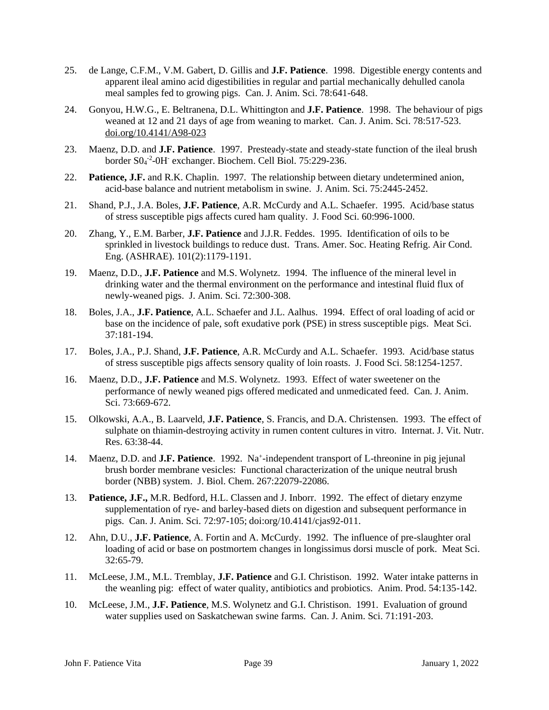- 25. de Lange, C.F.M., V.M. Gabert, D. Gillis and **J.F. Patience**. 1998. Digestible energy contents and apparent ileal amino acid digestibilities in regular and partial mechanically dehulled canola meal samples fed to growing pigs. Can. J. Anim. Sci. 78:641-648.
- 24. Gonyou, H.W.G., E. Beltranena, D.L. Whittington and **J.F. Patience**. 1998. The behaviour of pigs weaned at 12 and 21 days of age from weaning to market. Can. J. Anim. Sci. 78:517-523. [doi.org/10.4141/A98-023](https://doi.org/10.4141/A98-023)
- 23. Maenz, D.D. and **J.F. Patience**. 1997. Presteady-state and steady-state function of the ileal brush border S0<sub>4</sub><sup>-2</sup>-0H<sup>-</sup> exchanger. Biochem. Cell Biol. 75:229-236.
- 22. **Patience, J.F.** and R.K. Chaplin. 1997. The relationship between dietary undetermined anion, acid-base balance and nutrient metabolism in swine. J. Anim. Sci. 75:2445-2452.
- 21. Shand, P.J., J.A. Boles, **J.F. Patience**, A.R. McCurdy and A.L. Schaefer. 1995. Acid/base status of stress susceptible pigs affects cured ham quality. J. Food Sci. 60:996-1000.
- 20. Zhang, Y., E.M. Barber, **J.F. Patience** and J.J.R. Feddes. 1995. Identification of oils to be sprinkled in livestock buildings to reduce dust. Trans. Amer. Soc. Heating Refrig. Air Cond. Eng. (ASHRAE). 101(2):1179-1191.
- 19. Maenz, D.D., **J.F. Patience** and M.S. Wolynetz. 1994. The influence of the mineral level in drinking water and the thermal environment on the performance and intestinal fluid flux of newly-weaned pigs. J. Anim. Sci. 72:300-308.
- 18. Boles, J.A., **J.F. Patience**, A.L. Schaefer and J.L. Aalhus. 1994. Effect of oral loading of acid or base on the incidence of pale, soft exudative pork (PSE) in stress susceptible pigs. Meat Sci. 37:181-194.
- 17. Boles, J.A., P.J. Shand, **J.F. Patience**, A.R. McCurdy and A.L. Schaefer. 1993. Acid/base status of stress susceptible pigs affects sensory quality of loin roasts. J. Food Sci. 58:1254-1257.
- 16. Maenz, D.D., **J.F. Patience** and M.S. Wolynetz. 1993. Effect of water sweetener on the performance of newly weaned pigs offered medicated and unmedicated feed. Can. J. Anim. Sci. 73:669-672.
- 15. Olkowski, A.A., B. Laarveld, **J.F. Patience**, S. Francis, and D.A. Christensen. 1993. The effect of sulphate on thiamin-destroying activity in rumen content cultures in vitro. Internat. J. Vit. Nutr. Res. 63:38-44.
- 14. Maenz, D.D. and **J.F. Patience**. 1992. Na<sup>+</sup>-independent transport of L-threonine in pig jejunal brush border membrane vesicles: Functional characterization of the unique neutral brush border (NBB) system. J. Biol. Chem. 267:22079-22086.
- 13. **Patience, J.F.,** M.R. Bedford, H.L. Classen and J. Inborr. 1992. The effect of dietary enzyme supplementation of rye- and barley-based diets on digestion and subsequent performance in pigs. Can. J. Anim. Sci. 72:97-105; doi:org/10.4141/cjas92-011.
- 12. Ahn, D.U., **J.F. Patience**, A. Fortin and A. McCurdy. 1992. The influence of pre-slaughter oral loading of acid or base on postmortem changes in longissimus dorsi muscle of pork. Meat Sci. 32:65-79.
- 11. McLeese, J.M., M.L. Tremblay, **J.F. Patience** and G.I. Christison. 1992. Water intake patterns in the weanling pig: effect of water quality, antibiotics and probiotics. Anim. Prod. 54:135-142.
- 10. McLeese, J.M., **J.F. Patience**, M.S. Wolynetz and G.I. Christison. 1991. Evaluation of ground water supplies used on Saskatchewan swine farms. Can. J. Anim. Sci. 71:191-203.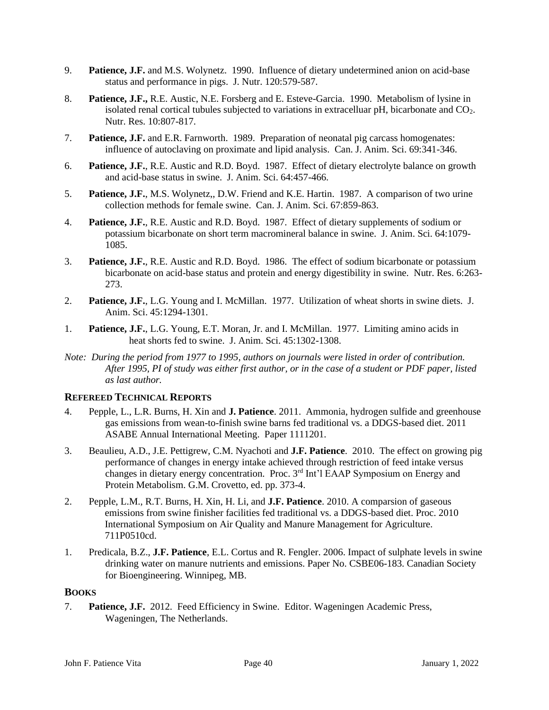- 9. **Patience, J.F.** and M.S. Wolynetz. 1990. Influence of dietary undetermined anion on acid-base status and performance in pigs. J. Nutr. 120:579-587.
- 8. **Patience, J.F.,** R.E. Austic, N.E. Forsberg and E. Esteve-Garcia. 1990. Metabolism of lysine in isolated renal cortical tubules subjected to variations in extracelluar  $pH$ , bicarbonate and  $CO<sub>2</sub>$ . Nutr. Res. 10:807-817.
- 7. **Patience, J.F.** and E.R. Farnworth. 1989. Preparation of neonatal pig carcass homogenates: influence of autoclaving on proximate and lipid analysis. Can. J. Anim. Sci. 69:341-346.
- 6. **Patience, J.F.**, R.E. Austic and R.D. Boyd. 1987. Effect of dietary electrolyte balance on growth and acid-base status in swine. J. Anim. Sci. 64:457-466.
- 5. **Patience, J.F.**, M.S. Wolynetz,, D.W. Friend and K.E. Hartin. 1987. A comparison of two urine collection methods for female swine. Can. J. Anim. Sci. 67:859-863.
- 4. **Patience, J.F.**, R.E. Austic and R.D. Boyd. 1987. Effect of dietary supplements of sodium or potassium bicarbonate on short term macromineral balance in swine. J. Anim. Sci. 64:1079- 1085.
- 3. **Patience, J.F.**, R.E. Austic and R.D. Boyd. 1986. The effect of sodium bicarbonate or potassium bicarbonate on acid-base status and protein and energy digestibility in swine. Nutr. Res. 6:263- 273.
- 2. **Patience, J.F.**, L.G. Young and I. McMillan. 1977. Utilization of wheat shorts in swine diets. J. Anim. Sci. 45:1294-1301.
- 1. **Patience, J.F.**, L.G. Young, E.T. Moran, Jr. and I. McMillan. 1977. Limiting amino acids in heat shorts fed to swine. J. Anim. Sci. 45:1302-1308.
- *Note: During the period from 1977 to 1995, authors on journals were listed in order of contribution. After 1995, PI of study was either first author, or in the case of a student or PDF paper, listed as last author.*

# **REFEREED TECHNICAL REPORTS**

- 4. Pepple, L., L.R. Burns, H. Xin and **J. Patience**. 2011. Ammonia, hydrogen sulfide and greenhouse gas emissions from wean-to-finish swine barns fed traditional vs. a DDGS-based diet. 2011 ASABE Annual International Meeting. Paper 1111201.
- 3. Beaulieu, A.D., J.E. Pettigrew, C.M. Nyachoti and **J.F. Patience**. 2010. The effect on growing pig performance of changes in energy intake achieved through restriction of feed intake versus changes in dietary energy concentration. Proc. 3rd Int'l EAAP Symposium on Energy and Protein Metabolism. G.M. Crovetto, ed. pp. 373-4.
- 2. Pepple, L.M., R.T. Burns, H. Xin, H. Li, and **J.F. Patience**. 2010. A comparsion of gaseous emissions from swine finisher facilities fed traditional vs. a DDGS-based diet. Proc. 2010 International Symposium on Air Quality and Manure Management for Agriculture. 711P0510cd.
- 1. Predicala, B.Z., **J.F. Patience**, E.L. Cortus and R. Fengler. 2006. Impact of sulphate levels in swine drinking water on manure nutrients and emissions. Paper No. CSBE06-183. Canadian Society for Bioengineering. Winnipeg, MB.

## **BOOKS**

7. **Patience, J.F.** 2012. Feed Efficiency in Swine. Editor. Wageningen Academic Press, Wageningen, The Netherlands.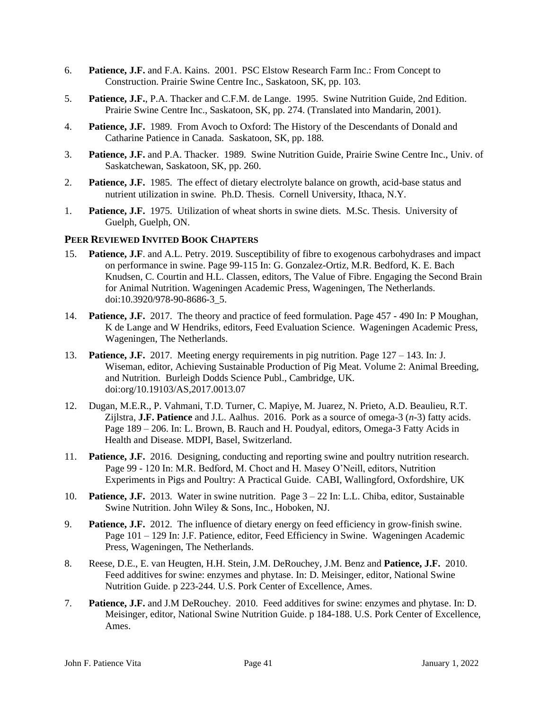- 6. **Patience, J.F.** and F.A. Kains. 2001. PSC Elstow Research Farm Inc.: From Concept to Construction. Prairie Swine Centre Inc., Saskatoon, SK, pp. 103.
- 5. **Patience, J.F.**, P.A. Thacker and C.F.M. de Lange. 1995. Swine Nutrition Guide, 2nd Edition. Prairie Swine Centre Inc., Saskatoon, SK, pp. 274. (Translated into Mandarin, 2001).
- 4. **Patience, J.F.** 1989. From Avoch to Oxford: The History of the Descendants of Donald and Catharine Patience in Canada. Saskatoon, SK, pp. 188.
- 3. **Patience, J.F.** and P.A. Thacker. 1989. Swine Nutrition Guide, Prairie Swine Centre Inc., Univ. of Saskatchewan, Saskatoon, SK, pp. 260.
- 2. **Patience, J.F.** 1985. The effect of dietary electrolyte balance on growth, acid-base status and nutrient utilization in swine. Ph.D. Thesis. Cornell University, Ithaca, N.Y.
- 1. **Patience, J.F.** 1975. Utilization of wheat shorts in swine diets. M.Sc. Thesis. University of Guelph, Guelph, ON.

## **PEER REVIEWED INVITED BOOK CHAPTERS**

- 15. **Patience, J.F**. and A.L. Petry. 2019. Susceptibility of fibre to exogenous carbohydrases and impact on performance in swine. Page 99-115 In: G. Gonzalez-Ortiz, M.R. Bedford, K. E. Bach Knudsen, C. Courtin and H.L. Classen, editors, The Value of Fibre. Engaging the Second Brain for Animal Nutrition. Wageningen Academic Press, Wageningen, The Netherlands. doi:10.3920/978-90-8686-3\_5.
- 14. **Patience, J.F.** 2017. The theory and practice of feed formulation. Page 457 490 In: P Moughan, K de Lange and W Hendriks, editors, Feed Evaluation Science. Wageningen Academic Press, Wageningen, The Netherlands.
- 13. **Patience, J.F.** 2017. Meeting energy requirements in pig nutrition. Page 127 143. In: J. Wiseman, editor, Achieving Sustainable Production of Pig Meat. Volume 2: Animal Breeding, and Nutrition. Burleigh Dodds Science Publ., Cambridge, UK. doi:org/10.19103/AS,2017.0013.07
- 12. Dugan, M.E.R., P. Vahmani, T.D. Turner, C. Mapiye, M. Juarez, N. Prieto, A.D. Beaulieu, R.T. Zijlstra, **J.F. Patience** and J.L. Aalhus. 2016. Pork as a source of omega-3 (*n*-3) fatty acids. Page 189 – 206. In: L. Brown, B. Rauch and H. Poudyal, editors, Omega-3 Fatty Acids in Health and Disease. MDPI, Basel, Switzerland.
- 11. **Patience, J.F.** 2016. Designing, conducting and reporting swine and poultry nutrition research. Page 99 - 120 In: M.R. Bedford, M. Choct and H. Masey O'Neill, editors, Nutrition Experiments in Pigs and Poultry: A Practical Guide. CABI, Wallingford, Oxfordshire, UK
- 10. **Patience, J.F.** 2013. Water in swine nutrition. Page 3 22 In: L.L. Chiba, editor, Sustainable Swine Nutrition. John Wiley & Sons, Inc., Hoboken, NJ.
- 9. **Patience, J.F.** 2012. The influence of dietary energy on feed efficiency in grow-finish swine. Page 101 – 129 In: J.F. Patience, editor, Feed Efficiency in Swine. Wageningen Academic Press, Wageningen, The Netherlands.
- 8. Reese, D.E., E. van Heugten, H.H. Stein, J.M. DeRouchey, J.M. Benz and **Patience, J.F.** 2010. Feed additives for swine: enzymes and phytase. In: D. Meisinger, editor, National Swine Nutrition Guide. p 223-244. U.S. Pork Center of Excellence, Ames.
- 7. **Patience, J.F.** and J.M DeRouchey. 2010. Feed additives for swine: enzymes and phytase. In: D. Meisinger, editor, National Swine Nutrition Guide. p 184-188. U.S. Pork Center of Excellence, Ames.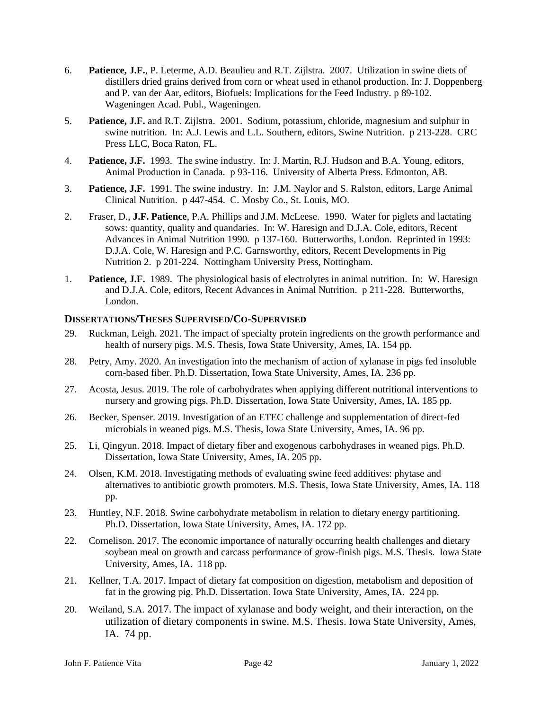- 6. **Patience, J.F.**, P. Leterme, A.D. Beaulieu and R.T. Zijlstra. 2007. Utilization in swine diets of distillers dried grains derived from corn or wheat used in ethanol production. In: J. Doppenberg and P. van der Aar, editors, Biofuels: Implications for the Feed Industry. p 89-102. Wageningen Acad. Publ., Wageningen.
- 5. **Patience, J.F.** and R.T. Zijlstra. 2001. Sodium, potassium, chloride, magnesium and sulphur in swine nutrition. In: A.J. Lewis and L.L. Southern, editors, Swine Nutrition. p 213-228. CRC Press LLC, Boca Raton, FL.
- 4. **Patience, J.F.** 1993. The swine industry. In: J. Martin, R.J. Hudson and B.A. Young, editors, Animal Production in Canada. p 93-116. University of Alberta Press. Edmonton, AB.
- 3. **Patience, J.F.** 1991. The swine industry. In: J.M. Naylor and S. Ralston, editors, Large Animal Clinical Nutrition. p 447-454. C. Mosby Co., St. Louis, MO.
- 2. Fraser, D., **J.F. Patience**, P.A. Phillips and J.M. McLeese. 1990. Water for piglets and lactating sows: quantity, quality and quandaries. In: W. Haresign and D.J.A. Cole, editors, Recent Advances in Animal Nutrition 1990. p 137-160. Butterworths, London. Reprinted in 1993: D.J.A. Cole, W. Haresign and P.C. Garnsworthy, editors, Recent Developments in Pig Nutrition 2. p 201-224. Nottingham University Press, Nottingham.
- 1. **Patience, J.F.** 1989. The physiological basis of electrolytes in animal nutrition. In: W. Haresign and D.J.A. Cole, editors, Recent Advances in Animal Nutrition. p 211-228. Butterworths, London.

#### **DISSERTATIONS/THESES SUPERVISED/CO-SUPERVISED**

- 29. Ruckman, Leigh. 2021. The impact of specialty protein ingredients on the growth performance and health of nursery pigs. M.S. Thesis, Iowa State University, Ames, IA. 154 pp.
- 28. Petry, Amy. 2020. An investigation into the mechanism of action of xylanase in pigs fed insoluble corn-based fiber. Ph.D. Dissertation, Iowa State University, Ames, IA. 236 pp.
- 27. Acosta, Jesus. 2019. The role of carbohydrates when applying different nutritional interventions to nursery and growing pigs. Ph.D. Dissertation, Iowa State University, Ames, IA. 185 pp.
- 26. Becker, Spenser. 2019. Investigation of an ETEC challenge and supplementation of direct-fed microbials in weaned pigs. M.S. Thesis, Iowa State University, Ames, IA. 96 pp.
- 25. Li, Qingyun. 2018. Impact of dietary fiber and exogenous carbohydrases in weaned pigs. Ph.D. Dissertation, Iowa State University, Ames, IA. 205 pp.
- 24. Olsen, K.M. 2018. Investigating methods of evaluating swine feed additives: phytase and alternatives to antibiotic growth promoters. M.S. Thesis, Iowa State University, Ames, IA. 118 pp.
- 23. Huntley, N.F. 2018. Swine carbohydrate metabolism in relation to dietary energy partitioning. Ph.D. Dissertation, Iowa State University, Ames, IA. 172 pp.
- 22. Cornelison. 2017. The economic importance of naturally occurring health challenges and dietary soybean meal on growth and carcass performance of grow-finish pigs. M.S. Thesis. Iowa State University, Ames, IA. 118 pp.
- 21. Kellner, T.A. 2017. Impact of dietary fat composition on digestion, metabolism and deposition of fat in the growing pig. Ph.D. Dissertation. Iowa State University, Ames, IA. 224 pp.
- 20. Weiland, S.A. 2017. The impact of xylanase and body weight, and their interaction, on the utilization of dietary components in swine. M.S. Thesis. Iowa State University, Ames, IA. 74 pp.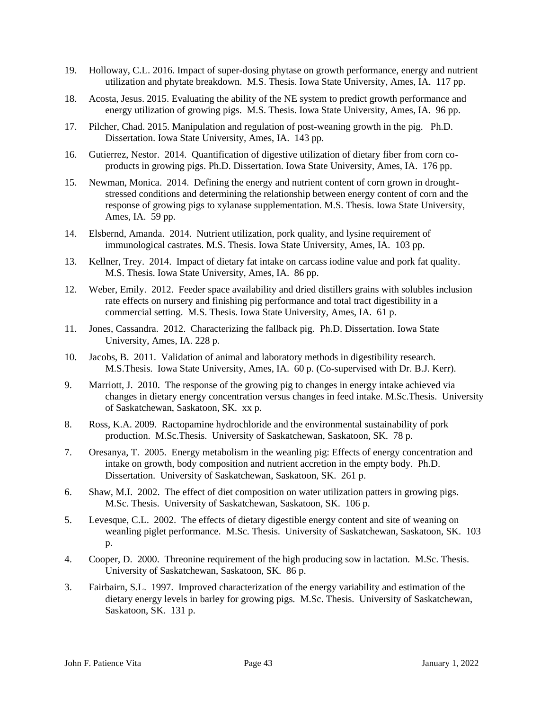- 19. Holloway, C.L. 2016. Impact of super-dosing phytase on growth performance, energy and nutrient utilization and phytate breakdown. M.S. Thesis. Iowa State University, Ames, IA. 117 pp.
- 18. Acosta, Jesus. 2015. Evaluating the ability of the NE system to predict growth performance and energy utilization of growing pigs. M.S. Thesis. Iowa State University, Ames, IA. 96 pp.
- 17. Pilcher, Chad. 2015. Manipulation and regulation of post-weaning growth in the pig. Ph.D. Dissertation. Iowa State University, Ames, IA. 143 pp.
- 16. Gutierrez, Nestor. 2014. Quantification of digestive utilization of dietary fiber from corn coproducts in growing pigs. Ph.D. Dissertation. Iowa State University, Ames, IA. 176 pp.
- 15. Newman, Monica. 2014. Defining the energy and nutrient content of corn grown in droughtstressed conditions and determining the relationship between energy content of corn and the response of growing pigs to xylanase supplementation. M.S. Thesis. Iowa State University, Ames, IA. 59 pp.
- 14. Elsbernd, Amanda. 2014. Nutrient utilization, pork quality, and lysine requirement of immunological castrates. M.S. Thesis. Iowa State University, Ames, IA. 103 pp.
- 13. Kellner, Trey. 2014. Impact of dietary fat intake on carcass iodine value and pork fat quality. M.S. Thesis. Iowa State University, Ames, IA. 86 pp.
- 12. Weber, Emily. 2012. Feeder space availability and dried distillers grains with solubles inclusion rate effects on nursery and finishing pig performance and total tract digestibility in a commercial setting. M.S. Thesis. Iowa State University, Ames, IA. 61 p.
- 11. Jones, Cassandra. 2012. Characterizing the fallback pig. Ph.D. Dissertation. Iowa State University, Ames, IA. 228 p.
- 10. Jacobs, B. 2011. Validation of animal and laboratory methods in digestibility research. M.S.Thesis. Iowa State University, Ames, IA. 60 p. (Co-supervised with Dr. B.J. Kerr).
- 9. Marriott, J. 2010. The response of the growing pig to changes in energy intake achieved via changes in dietary energy concentration versus changes in feed intake. M.Sc.Thesis. University of Saskatchewan, Saskatoon, SK. xx p.
- 8. Ross, K.A. 2009. Ractopamine hydrochloride and the environmental sustainability of pork production. M.Sc.Thesis. University of Saskatchewan, Saskatoon, SK. 78 p.
- 7. Oresanya, T. 2005. Energy metabolism in the weanling pig: Effects of energy concentration and intake on growth, body composition and nutrient accretion in the empty body. Ph.D. Dissertation. University of Saskatchewan, Saskatoon, SK. 261 p.
- 6. Shaw, M.I. 2002. The effect of diet composition on water utilization patters in growing pigs. M.Sc. Thesis. University of Saskatchewan, Saskatoon, SK. 106 p.
- 5. Levesque, C.L. 2002. The effects of dietary digestible energy content and site of weaning on weanling piglet performance. M.Sc. Thesis. University of Saskatchewan, Saskatoon, SK. 103 p.
- 4. Cooper, D. 2000. Threonine requirement of the high producing sow in lactation. M.Sc. Thesis. University of Saskatchewan, Saskatoon, SK. 86 p.
- 3. Fairbairn, S.L. 1997. Improved characterization of the energy variability and estimation of the dietary energy levels in barley for growing pigs. M.Sc. Thesis. University of Saskatchewan, Saskatoon, SK. 131 p.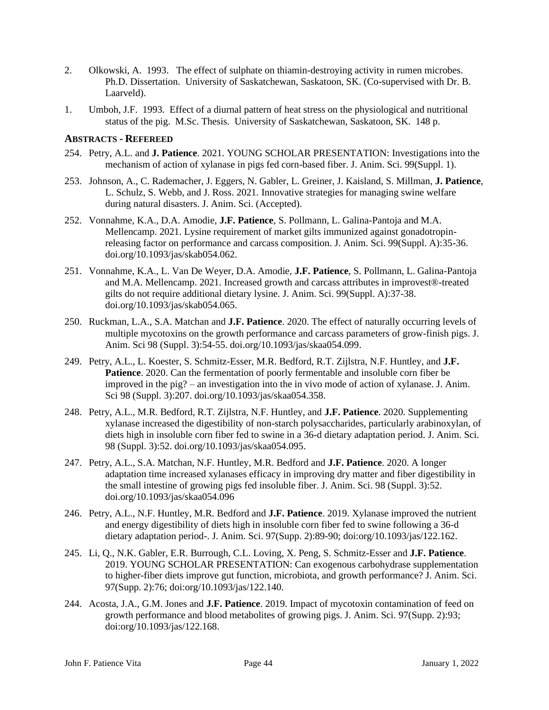- 2. Olkowski, A. 1993. The effect of sulphate on thiamin-destroying activity in rumen microbes. Ph.D. Dissertation. University of Saskatchewan, Saskatoon, SK. (Co-supervised with Dr. B. Laarveld).
- 1. Umboh, J.F. 1993. Effect of a diurnal pattern of heat stress on the physiological and nutritional status of the pig. M.Sc. Thesis. University of Saskatchewan, Saskatoon, SK. 148 p.

#### **ABSTRACTS - REFEREED**

- 254. Petry, A.L. and **J. Patience**. 2021. YOUNG SCHOLAR PRESENTATION: Investigations into the mechanism of action of xylanase in pigs fed corn-based fiber. J. Anim. Sci. 99(Suppl. 1).
- 253. Johnson, A., C. Rademacher, J. Eggers, N. Gabler, L. Greiner, J. Kaisland, S. Millman, **J. Patience**, L. Schulz, S. Webb, and J. Ross. 2021. Innovative strategies for managing swine welfare during natural disasters. J. Anim. Sci. (Accepted).
- 252. Vonnahme, K.A., D.A. Amodie, **J.F. Patience**, S. Pollmann, L. Galina-Pantoja and M.A. Mellencamp. 2021. Lysine requirement of market gilts immunized against gonadotropinreleasing factor on performance and carcass composition. J. Anim. Sci. 99(Suppl. A):35-36. [doi.org/10.1093/jas/skab054.062.](https://doi.org/10.1093/jas/skab054.062)
- 251. Vonnahme, K.A., L. Van De Weyer, D.A. Amodie, **J.F. Patience**, S. Pollmann, L. Galina-Pantoja and M.A. Mellencamp. 2021. Increased growth and carcass attributes in improvest®-treated gilts do not require additional dietary lysine. J. Anim. Sci. 99(Suppl. A):37-38. [doi.org/10.1093/jas/skab054.065.](https://doi.org/10.1093/jas/skab054.062)
- 250. Ruckman, L.A., S.A. Matchan and **J.F. Patience**. 2020. The effect of naturally occurring levels of multiple mycotoxins on the growth performance and carcass parameters of grow-finish pigs. J. Anim. Sci 98 (Suppl. 3):54-55. [doi.org/10.1093/jas/skaa054.099.](https://doi.org/10.1093/jas/skaa054.099)
- 249. Petry, A.L., L. Koester, S. Schmitz-Esser, M.R. Bedford, R.T. Zijlstra, N.F. Huntley, and **J.F. Patience**. 2020. Can the fermentation of poorly fermentable and insoluble corn fiber be improved in the pig? – an investigation into the in vivo mode of action of xylanase. J. Anim. Sci 98 (Suppl. 3):207. [doi.org/10.1093/jas/skaa054.358.](https://doi.org/10.1093/jas/skaa054.358)
- 248. Petry, A.L., M.R. Bedford, R.T. Zijlstra, N.F. Huntley, and **J.F. Patience**. 2020. Supplementing xylanase increased the digestibility of non-starch polysaccharides, particularly arabinoxylan, of diets high in insoluble corn fiber fed to swine in a 36-d dietary adaptation period. J. Anim. Sci. 98 (Suppl. 3):52. [doi.org/10.1093/jas/skaa054.095.](https://doi.org/10.1093/jas/skaa054.095)
- 247. Petry, A.L., S.A. Matchan, N.F. Huntley, M.R. Bedford and **J.F. Patience**. 2020. A longer adaptation time increased xylanases efficacy in improving dry matter and fiber digestibility in the small intestine of growing pigs fed insoluble fiber. J. Anim. Sci. 98 (Suppl. 3):52[.](https://doi.org/10.1093/jas/skaa054.095) [doi.org/10.1093/jas/skaa054.096](https://doi.org/10.1093/jas/skaa054.095)
- 246. Petry, A.L., N.F. Huntley, M.R. Bedford and **J.F. Patience**. 2019. Xylanase improved the nutrient and energy digestibility of diets high in insoluble corn fiber fed to swine following a 36-d dietary adaptation period-. J. Anim. Sci. 97(Supp. 2):89-90; doi:org/10.1093/jas/122.162.
- 245. Li, Q., N.K. Gabler, E.R. Burrough, C.L. Loving, X. Peng, S. Schmitz-Esser and **J.F. Patience**. 2019. YOUNG SCHOLAR PRESENTATION: Can exogenous carbohydrase supplementation to higher-fiber diets improve gut function, microbiota, and growth performance? J. Anim. Sci. 97(Supp. 2):76; doi:org/10.1093/jas/122.140.
- 244. Acosta, J.A., G.M. Jones and **J.F. Patience**. 2019. Impact of mycotoxin contamination of feed on growth performance and blood metabolites of growing pigs. J. Anim. Sci. 97(Supp. 2):93; doi:org/10.1093/jas/122.168.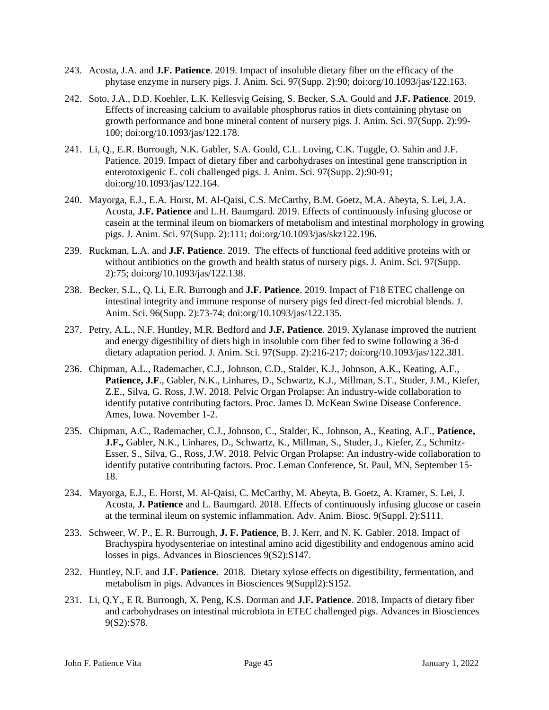- 243. Acosta, J.A. and **J.F. Patience**. 2019. Impact of insoluble dietary fiber on the efficacy of the phytase enzyme in nursery pigs. J. Anim. Sci. 97(Supp. 2):90; doi:org/10.1093/jas/122.163.
- 242. Soto, J.A., D.D. Koehler, L.K. Kellesvig Geising, S. Becker, S.A. Gould and **J.F. Patience**. 2019. Effects of increasing calcium to available phosphorus ratios in diets containing phytase on growth performance and bone mineral content of nursery pigs. J. Anim. Sci. 97(Supp. 2):99- 100; doi:org/10.1093/jas/122.178.
- 241. Li, Q., E.R. Burrough, N.K. Gabler, S.A. Gould, C.L. Loving, C.K. Tuggle, O. Sahin and J.F. Patience. 2019. Impact of dietary fiber and carbohydrases on intestinal gene transcription in enterotoxigenic E. coli challenged pigs. J. Anim. Sci. 97(Supp. 2):90-91; doi:org/10.1093/jas/122.164.
- 240. Mayorga, E.J., E.A. Horst, M. Al-Qaisi, C.S. McCarthy, B.M. Goetz, M.A. Abeyta, S. Lei, J.A. Acosta, **J.F. Patience** and L.H. Baumgard. 2019. Effects of continuously infusing glucose or casein at the terminal ileum on biomarkers of metabolism and intestinal morphology in growing pigs. J. Anim. Sci. 97(Supp. 2):111; doi:org/10.1093/jas/skz122.196.
- 239. Ruckman, L.A. and **J.F. Patience**. 2019. The effects of functional feed additive proteins with or without antibiotics on the growth and health status of nursery pigs. J. Anim. Sci. 97(Supp. 2):75; doi:org/10.1093/jas/122.138.
- 238. Becker, S.L., Q. Li, E.R. Burrough and **J.F. Patience**. 2019. Impact of F18 ETEC challenge on intestinal integrity and immune response of nursery pigs fed direct-fed microbial blends. J. Anim. Sci. 96(Supp. 2):73-74; doi:org/10.1093/jas/122.135.
- 237. Petry, A.L., N.F. Huntley, M.R. Bedford and **J.F. Patience**. 2019. Xylanase improved the nutrient and energy digestibility of diets high in insoluble corn fiber fed to swine following a 36-d dietary adaptation period. J. Anim. Sci. 97(Supp. 2):216-217; doi:org/10.1093/jas/122.381.
- 236. Chipman, A.L., Rademacher, C.J., Johnson, C.D., Stalder, K.J., Johnson, A.K., Keating, A.F., Patience, J.F., Gabler, N.K., Linhares, D., Schwartz, K.J., Millman, S.T., Studer, J.M., Kiefer, Z.E., Silva, G. Ross, J.W. 2018. Pelvic Organ Prolapse: An industry-wide collaboration to identify putative contributing factors. Proc. James D. McKean Swine Disease Conference. Ames, Iowa. November 1-2.
- 235. Chipman, A.C., Rademacher, C.J., Johnson, C., Stalder, K., Johnson, A., Keating, A.F., **Patience, J.F.,** Gabler, N.K., Linhares, D., Schwartz, K., Millman, S., Studer, J., Kiefer, Z., Schmitz-Esser, S., Silva, G., Ross, J.W. 2018. Pelvic Organ Prolapse: An industry-wide collaboration to identify putative contributing factors. Proc. Leman Conference, St. Paul, MN, September 15- 18.
- 234. Mayorga, E.J., E. Horst, M. Al-Qaisi, C. McCarthy, M. Abeyta, B. Goetz, A. Kramer, S. Lei, J. Acosta, **J. Patience** and L. Baumgard. 2018. Effects of continuously infusing glucose or casein at the terminal ileum on systemic inflammation. Adv. Anim. Biosc. 9(Suppl. 2):S111.
- 233. Schweer, W. P., E. R. Burrough, **J. F. Patience**, B. J. Kerr, and N. K. Gabler. 2018. Impact of Brachyspira hyodysenteriae on intestinal amino acid digestibility and endogenous amino acid losses in pigs. Advances in Biosciences 9(S2):S147.
- 232. Huntley, N.F. and **J.F. Patience.** 2018. Dietary xylose effects on digestibility, fermentation, and metabolism in pigs. Advances in Biosciences 9(Suppl2):S152.
- 231. Li, Q.Y., E R. Burrough, X. Peng, K.S. Dorman and **J.F. Patience**. 2018. Impacts of dietary fiber and carbohydrases on intestinal microbiota in ETEC challenged pigs. Advances in Biosciences 9(S2):S78.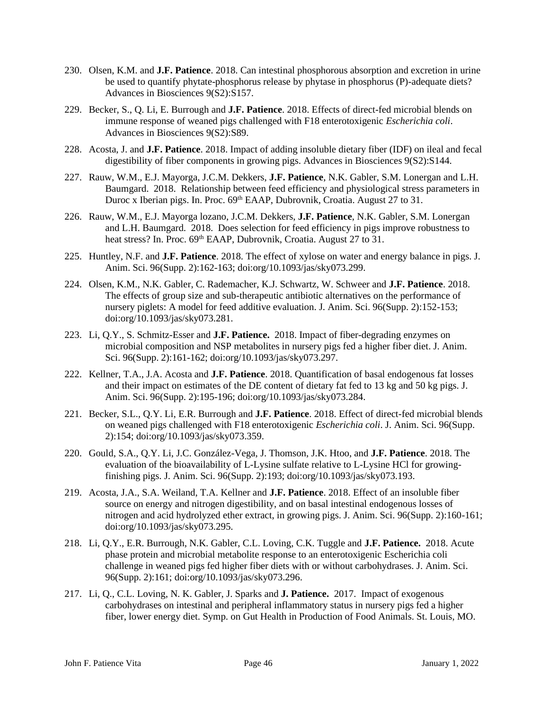- 230. Olsen, K.M. and **J.F. Patience**. 2018. Can intestinal phosphorous absorption and excretion in urine be used to quantify phytate-phosphorus release by phytase in phosphorus (P)-adequate diets? Advances in Biosciences 9(S2):S157.
- 229. Becker, S., Q. Li, E. Burrough and **J.F. Patience**. 2018. Effects of direct-fed microbial blends on immune response of weaned pigs challenged with F18 enterotoxigenic *Escherichia coli*. Advances in Biosciences 9(S2):S89.
- 228. Acosta, J. and **J.F. Patience**. 2018. Impact of adding insoluble dietary fiber (IDF) on ileal and fecal digestibility of fiber components in growing pigs. Advances in Biosciences 9(S2):S144.
- 227. Rauw, W.M., E.J. Mayorga, J.C.M. Dekkers, **J.F. Patience**, N.K. Gabler, S.M. Lonergan and L.H. Baumgard. 2018. Relationship between feed efficiency and physiological stress parameters in Duroc x Iberian pigs. In. Proc. 69<sup>th</sup> EAAP, Dubrovnik, Croatia. August 27 to 31.
- 226. Rauw, W.M., E.J. Mayorga lozano, J.C.M. Dekkers, **J.F. Patience**, N.K. Gabler, S.M. Lonergan and L.H. Baumgard. 2018. Does selection for feed efficiency in pigs improve robustness to heat stress? In. Proc. 69<sup>th</sup> EAAP, Dubrovnik, Croatia. August 27 to 31.
- 225. Huntley, N.F. and **J.F. Patience**. 2018. The effect of xylose on water and energy balance in pigs. J. Anim. Sci. 96(Supp. 2):162-163; doi:org/10.1093/jas/sky073.299.
- 224. Olsen, K.M., N.K. Gabler, C. Rademacher, K.J. Schwartz, W. Schweer and **J.F. Patience**. 2018. The effects of group size and sub-therapeutic antibiotic alternatives on the performance of nursery piglets: A model for feed additive evaluation. J. Anim. Sci. 96(Supp. 2):152-153; doi:org/10.1093/jas/sky073.281.
- 223. Li, Q.Y., S. Schmitz-Esser and **J.F. Patience.** 2018. Impact of fiber-degrading enzymes on microbial composition and NSP metabolites in nursery pigs fed a higher fiber diet. J. Anim. Sci. 96(Supp. 2):161-162; doi:org/10.1093/jas/sky073.297.
- 222. Kellner, T.A., J.A. Acosta and **J.F. Patience**. 2018. Quantification of basal endogenous fat losses and their impact on estimates of the DE content of dietary fat fed to 13 kg and 50 kg pigs. J. Anim. Sci. 96(Supp. 2):195-196; doi:org/10.1093/jas/sky073.284.
- 221. Becker, S.L., Q.Y. Li, E.R. Burrough and **J.F. Patience**. 2018. Effect of direct-fed microbial blends on weaned pigs challenged with F18 enterotoxigenic *Escherichia coli*. J. Anim. Sci. 96(Supp. 2):154; doi:org/10.1093/jas/sky073.359.
- 220. Gould, S.A., Q.Y. Li, J.C. González-Vega, J. Thomson, J.K. Htoo, and **J.F. Patience**. 2018. The evaluation of the bioavailability of L-Lysine sulfate relative to L-Lysine HCl for growingfinishing pigs. J. Anim. Sci. 96(Supp. 2):193; doi:org/10.1093/jas/sky073.193.
- 219. Acosta, J.A., S.A. Weiland, T.A. Kellner and **J.F. Patience**. 2018. Effect of an insoluble fiber source on energy and nitrogen digestibility, and on basal intestinal endogenous losses of nitrogen and acid hydrolyzed ether extract, in growing pigs. J. Anim. Sci. 96(Supp. 2):160-161; doi:org/10.1093/jas/sky073.295.
- 218. Li, Q.Y., E.R. Burrough, N.K. Gabler, C.L. Loving, C.K. Tuggle and **J.F. Patience.** 2018. Acute phase protein and microbial metabolite response to an enterotoxigenic Escherichia coli challenge in weaned pigs fed higher fiber diets with or without carbohydrases. J. Anim. Sci. 96(Supp. 2):161; doi:org/10.1093/jas/sky073.296.
- 217. Li, Q., C.L. Loving, N. K. Gabler, J. Sparks and **J. Patience.** 2017. Impact of exogenous carbohydrases on intestinal and peripheral inflammatory status in nursery pigs fed a higher fiber, lower energy diet. Symp. on Gut Health in Production of Food Animals. St. Louis, MO.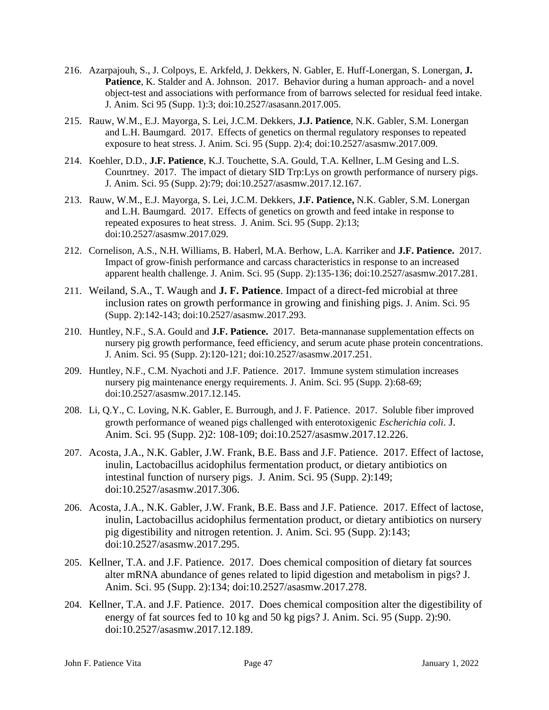- 216. Azarpajouh, S., J. Colpoys, E. Arkfeld, J. Dekkers, N. Gabler, E. Huff-Lonergan, S. Lonergan, **J. Patience**, K. Stalder and A. Johnson. 2017. Behavior during a human approach- and a novel object-test and associations with performance from of barrows selected for residual feed intake. J. Anim. Sci 95 (Supp. 1):3; doi:10.2527/asasann.2017.005.
- 215. Rauw, W.M., E.J. Mayorga, S. Lei, J.C.M. Dekkers, **J.J. Patience**, N.K. Gabler, S.M. Lonergan and L.H. Baumgard. 2017. Effects of genetics on thermal regulatory responses to repeated exposure to heat stress. J. Anim. Sci. 95 (Supp. 2):4; doi:10.2527/asasmw.2017.009.
- 214. Koehler, D.D., **J.F. Patience**, K.J. Touchette, S.A. Gould, T.A. Kellner, L.M Gesing and L.S. Counrtney. 2017. The impact of dietary SID Trp:Lys on growth performance of nursery pigs. J. Anim. Sci. 95 (Supp. 2):79; doi:10.2527/asasmw.2017.12.167.
- 213. Rauw, W.M., E.J. Mayorga, S. Lei, J.C.M. Dekkers, **J.F. Patience,** N.K. Gabler, S.M. Lonergan and L.H. Baumgard. 2017. Effects of genetics on growth and feed intake in response to repeated exposures to heat stress. J. Anim. Sci. 95 (Supp. 2):13; doi:10.2527/asasmw.2017.029.
- 212. Cornelison, A.S., N.H. Williams, B. Haberl, M.A. Berhow, L.A. Karriker and **J.F. Patience.** 2017. Impact of grow-finish performance and carcass characteristics in response to an increased apparent health challenge. J. Anim. Sci. 95 (Supp. 2):135-136; doi:10.2527/asasmw.2017.281.
- 211. Weiland, S.A., T. Waugh and **J. F. Patience**. Impact of a direct-fed microbial at three inclusion rates on growth performance in growing and finishing pigs. J. Anim. Sci. 95 (Supp. 2):142-143; doi:10.2527/asasmw.2017.293.
- 210. Huntley, N.F., S.A. Gould and **J.F. Patience.** 2017. Beta-mannanase supplementation effects on nursery pig growth performance, feed efficiency, and serum acute phase protein concentrations. J. Anim. Sci. 95 (Supp. 2):120-121; doi:10.2527/asasmw.2017.251.
- 209. Huntley, N.F., C.M. Nyachoti and J.F. Patience. 2017. Immune system stimulation increases nursery pig maintenance energy requirements. J. Anim. Sci. 95 (Supp. 2):68-69; doi:10.2527/asasmw.2017.12.145.
- 208. Li, Q.Y., C. Loving, N.K. Gabler, E. Burrough, and J. F. Patience. 2017. Soluble fiber improved growth performance of weaned pigs challenged with enterotoxigenic *Escherichia coli*. J. Anim. Sci. 95 (Supp. 2)2: 108-109; doi:10.2527/asasmw.2017.12.226.
- 207. Acosta, J.A., N.K. Gabler, J.W. Frank, B.E. Bass and J.F. Patience. 2017. Effect of lactose, inulin, Lactobacillus acidophilus fermentation product, or dietary antibiotics on intestinal function of nursery pigs. J. Anim. Sci. 95 (Supp. 2):149; doi:10.2527/asasmw.2017.306.
- 206. Acosta, J.A., N.K. Gabler, J.W. Frank, B.E. Bass and J.F. Patience. 2017. Effect of lactose, inulin, Lactobacillus acidophilus fermentation product, or dietary antibiotics on nursery pig digestibility and nitrogen retention. J. Anim. Sci. 95 (Supp. 2):143; doi:10.2527/asasmw.2017.295.
- 205. Kellner, T.A. and J.F. Patience. 2017. Does chemical composition of dietary fat sources alter mRNA abundance of genes related to lipid digestion and metabolism in pigs? J. Anim. Sci. 95 (Supp. 2):134; doi:10.2527/asasmw.2017.278.
- 204. Kellner, T.A. and J.F. Patience. 2017. Does chemical composition alter the digestibility of energy of fat sources fed to 10 kg and 50 kg pigs? J. Anim. Sci. 95 (Supp. 2):90. doi:10.2527/asasmw.2017.12.189.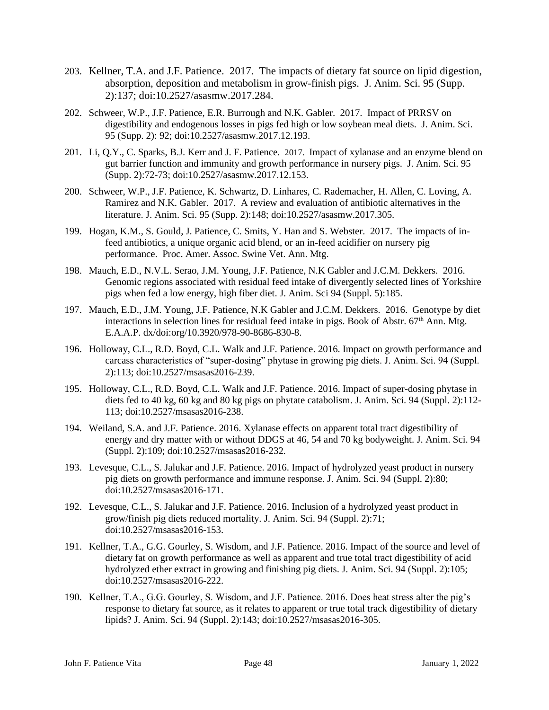- 203. Kellner, T.A. and J.F. Patience. 2017. The impacts of dietary fat source on lipid digestion, absorption, deposition and metabolism in grow-finish pigs. J. Anim. Sci. 95 (Supp. 2):137; doi:10.2527/asasmw.2017.284.
- 202. Schweer, W.P., J.F. Patience, E.R. Burrough and N.K. Gabler. 2017. Impact of PRRSV on digestibility and endogenous losses in pigs fed high or low soybean meal diets. J. Anim. Sci. 95 (Supp. 2): 92; doi:10.2527/asasmw.2017.12.193.
- 201. Li, Q.Y., C. Sparks, B.J. Kerr and J. F. Patience. 2017. Impact of xylanase and an enzyme blend on gut barrier function and immunity and growth performance in nursery pigs. J. Anim. Sci. 95 (Supp. 2):72-73; doi:10.2527/asasmw.2017.12.153.
- 200. Schweer, W.P., J.F. Patience, K. Schwartz, D. Linhares, C. Rademacher, H. Allen, C. Loving, A. Ramirez and N.K. Gabler. 2017. A review and evaluation of antibiotic alternatives in the literature. J. Anim. Sci. 95 (Supp. 2):148; doi:10.2527/asasmw.2017.305.
- 199. Hogan, K.M., S. Gould, J. Patience, C. Smits, Y. Han and S. Webster. 2017. The impacts of infeed antibiotics, a unique organic acid blend, or an in-feed acidifier on nursery pig performance. Proc. Amer. Assoc. Swine Vet. Ann. Mtg.
- 198. Mauch, E.D., N.V.L. Serao, J.M. Young, J.F. Patience, N.K Gabler and J.C.M. Dekkers. 2016. Genomic regions associated with residual feed intake of divergently selected lines of Yorkshire pigs when fed a low energy, high fiber diet. J. Anim. Sci 94 (Suppl. 5):185.
- 197. Mauch, E.D., J.M. Young, J.F. Patience, N.K Gabler and J.C.M. Dekkers. 2016. Genotype by diet interactions in selection lines for residual feed intake in pigs. Book of Abstr.  $67<sup>th</sup>$  Ann. Mtg. E.A.A.P. dx/doi:org/10.3920/978-90-8686-830-8.
- 196. Holloway, C.L., R.D. Boyd, C.L. Walk and J.F. Patience. 2016. Impact on growth performance and carcass characteristics of "super-dosing" phytase in growing pig diets. J. Anim. Sci. 94 (Suppl. 2):113; doi:10.2527/msasas2016-239.
- 195. Holloway, C.L., R.D. Boyd, C.L. Walk and J.F. Patience. 2016. Impact of super-dosing phytase in diets fed to 40 kg, 60 kg and 80 kg pigs on phytate catabolism. J. Anim. Sci. 94 (Suppl. 2):112- 113; doi:10.2527/msasas2016-238.
- 194. Weiland, S.A. and J.F. Patience. 2016. Xylanase effects on apparent total tract digestibility of energy and dry matter with or without DDGS at 46, 54 and 70 kg bodyweight. J. Anim. Sci. 94 (Suppl. 2):109; doi:10.2527/msasas2016-232.
- 193. Levesque, C.L., S. Jalukar and J.F. Patience. 2016. Impact of hydrolyzed yeast product in nursery pig diets on growth performance and immune response. J. Anim. Sci. 94 (Suppl. 2):80; doi:10.2527/msasas2016-171.
- 192. Levesque, C.L., S. Jalukar and J.F. Patience. 2016. Inclusion of a hydrolyzed yeast product in grow/finish pig diets reduced mortality. J. Anim. Sci. 94 (Suppl. 2):71; doi:10.2527/msasas2016-153.
- 191. Kellner, T.A., G.G. Gourley, S. Wisdom, and J.F. Patience. 2016. Impact of the source and level of dietary fat on growth performance as well as apparent and true total tract digestibility of acid hydrolyzed ether extract in growing and finishing pig diets. J. Anim. Sci. 94 (Suppl. 2):105; doi:10.2527/msasas2016-222.
- 190. Kellner, T.A., G.G. Gourley, S. Wisdom, and J.F. Patience. 2016. Does heat stress alter the pig's response to dietary fat source, as it relates to apparent or true total track digestibility of dietary lipids? J. Anim. Sci. 94 (Suppl. 2):143; doi:10.2527/msasas2016-305.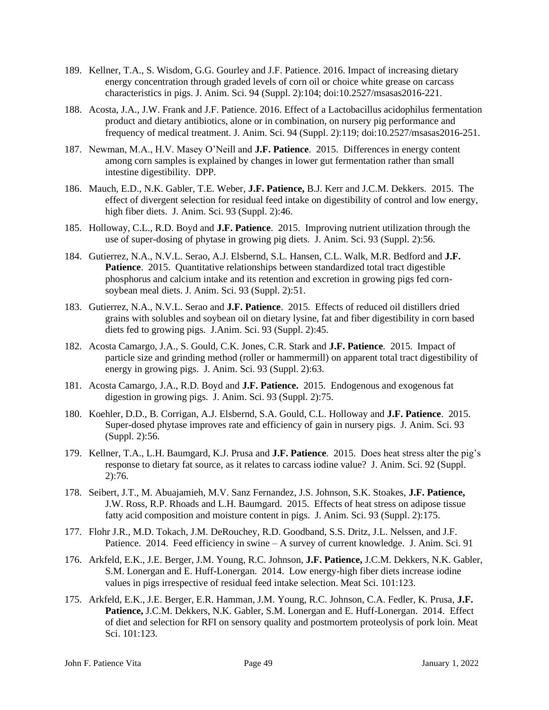- 189. Kellner, T.A., S. Wisdom, G.G. Gourley and J.F. Patience. 2016. Impact of increasing dietary energy concentration through graded levels of corn oil or choice white grease on carcass characteristics in pigs. J. Anim. Sci. 94 (Suppl. 2):104; doi:10.2527/msasas2016-221.
- 188. Acosta, J.A., J.W. Frank and J.F. Patience. 2016. Effect of a Lactobacillus acidophilus fermentation product and dietary antibiotics, alone or in combination, on nursery pig performance and frequency of medical treatment. J. Anim. Sci. 94 (Suppl. 2):119; doi:10.2527/msasas2016-251.
- 187. Newman, M.A., H.V. Masey O'Neill and **J.F. Patience**. 2015. Differences in energy content among corn samples is explained by changes in lower gut fermentation rather than small intestine digestibility. DPP.
- 186. Mauch, E.D., N.K. Gabler, T.E. Weber, **J.F. Patience,** B.J. Kerr and J.C.M. Dekkers. 2015. The effect of divergent selection for residual feed intake on digestibility of control and low energy, high fiber diets. J. Anim. Sci. 93 (Suppl. 2):46.
- 185. Holloway, C.L., R.D. Boyd and **J.F. Patience**. 2015. Improving nutrient utilization through the use of super-dosing of phytase in growing pig diets. J. Anim. Sci. 93 (Suppl. 2):56.
- 184. Gutierrez, N.A., N.V.L. Serao, A.J. Elsbernd, S.L. Hansen, C.L. Walk, M.R. Bedford and **J.F. Patience**. 2015. Quantitative relationships between standardized total tract digestible phosphorus and calcium intake and its retention and excretion in growing pigs fed cornsoybean meal diets. J. Anim. Sci. 93 (Suppl. 2):51.
- 183. Gutierrez, N.A., N.V.L. Serao and **J.F. Patience**. 2015. Effects of reduced oil distillers dried grains with solubles and soybean oil on dietary lysine, fat and fiber digestibility in corn based diets fed to growing pigs. J.Anim. Sci. 93 (Suppl. 2):45.
- 182. Acosta Camargo, J.A., S. Gould, C.K. Jones, C.R. Stark and **J.F. Patience**. 2015. Impact of particle size and grinding method (roller or hammermill) on apparent total tract digestibility of energy in growing pigs. J. Anim. Sci. 93 (Suppl. 2):63.
- 181. Acosta Camargo, J.A., R.D. Boyd and **J.F. Patience.** 2015. Endogenous and exogenous fat digestion in growing pigs. J. Anim. Sci. 93 (Suppl. 2):75.
- 180. Koehler, D.D., B. Corrigan, A.J. Elsbernd, S.A. Gould, C.L. Holloway and **J.F. Patience**. 2015. Super-dosed phytase improves rate and efficiency of gain in nursery pigs. J. Anim. Sci. 93 (Suppl. 2):56.
- 179. Kellner, T.A., L.H. Baumgard, K.J. Prusa and **J.F. Patience**. 2015. Does heat stress alter the pig's response to dietary fat source, as it relates to carcass iodine value? J. Anim. Sci. 92 (Suppl. 2):76.
- 178. Seibert, J.T., M. Abuajamieh, M.V. Sanz Fernandez, J.S. Johnson, S.K. Stoakes, **J.F. Patience,** J.W. Ross, R.P. Rhoads and L.H. Baumgard. 2015. Effects of heat stress on adipose tissue fatty acid composition and moisture content in pigs. J. Anim. Sci. 93 (Suppl. 2):175.
- 177. Flohr J.R., M.D. Tokach, J.M. DeRouchey, R.D. Goodband, S.S. Dritz, J.L. Nelssen, and J.F. Patience. 2014. Feed efficiency in swine – A survey of current knowledge. J. Anim. Sci. 91
- 176. Arkfeld, E.K., J.E. Berger, J.M. Young, R.C. Johnson, **J.F. Patience,** J.C.M. Dekkers, N.K. Gabler, S.M. Lonergan and E. Huff-Lonergan. 2014. Low energy-high fiber diets increase iodine values in pigs irrespective of residual feed intake selection. Meat Sci. 101:123.
- 175. Arkfeld, E.K., J.E. Berger, E.R. Hamman, J.M. Young, R.C. Johnson, C.A. Fedler, K. Prusa, **J.F. Patience,** J.C.M. Dekkers, N.K. Gabler, S.M. Lonergan and E. Huff-Lonergan. 2014. Effect of diet and selection for RFI on sensory quality and postmortem proteolysis of pork loin. Meat Sci. 101:123.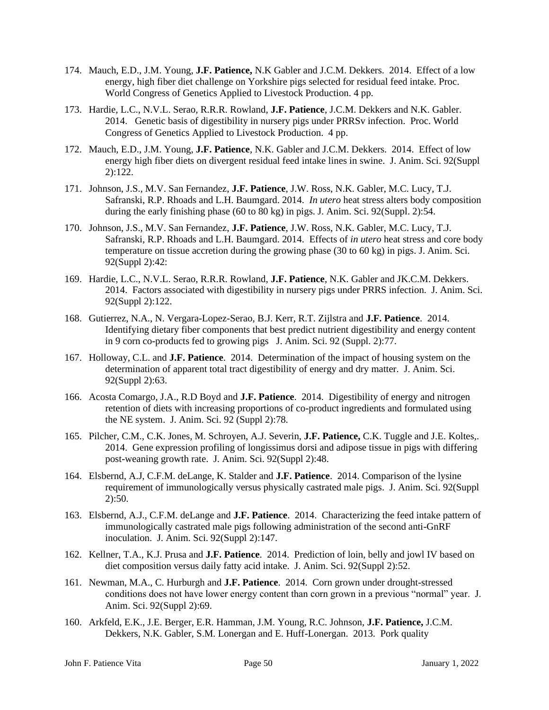- 174. Mauch, E.D., J.M. Young, **J.F. Patience,** N.K Gabler and J.C.M. Dekkers. 2014. Effect of a low energy, high fiber diet challenge on Yorkshire pigs selected for residual feed intake. Proc. World Congress of Genetics Applied to Livestock Production. 4 pp.
- 173. Hardie, L.C., N.V.L. Serao, R.R.R. Rowland, **J.F. Patience**, J.C.M. Dekkers and N.K. Gabler. 2014. Genetic basis of digestibility in nursery pigs under PRRSv infection. Proc. World Congress of Genetics Applied to Livestock Production. 4 pp.
- 172. Mauch, E.D., J.M. Young, **J.F. Patience**, N.K. Gabler and J.C.M. Dekkers. 2014. Effect of low energy high fiber diets on divergent residual feed intake lines in swine. J. Anim. Sci. 92(Suppl 2):122.
- 171. Johnson, J.S., M.V. San Fernandez, **J.F. Patience**, J.W. Ross, N.K. Gabler, M.C. Lucy, T.J. Safranski, R.P. Rhoads and L.H. Baumgard. 2014. *In utero* heat stress alters body composition during the early finishing phase (60 to 80 kg) in pigs. J. Anim. Sci. 92(Suppl. 2):54.
- 170. Johnson, J.S., M.V. San Fernandez, **J.F. Patience**, J.W. Ross, N.K. Gabler, M.C. Lucy, T.J. Safranski, R.P. Rhoads and L.H. Baumgard. 2014. Effects of *in utero* heat stress and core body temperature on tissue accretion during the growing phase (30 to 60 kg) in pigs. J. Anim. Sci. 92(Suppl 2):42:
- 169. Hardie, L.C., N.V.L. Serao, R.R.R. Rowland, **J.F. Patience**, N.K. Gabler and JK.C.M. Dekkers. 2014. Factors associated with digestibility in nursery pigs under PRRS infection. J. Anim. Sci. 92(Suppl 2):122.
- 168. Gutierrez, N.A., N. Vergara-Lopez-Serao, B.J. Kerr, R.T. Zijlstra and **J.F. Patience**. 2014. Identifying dietary fiber components that best predict nutrient digestibility and energy content in 9 corn co-products fed to growing pigs J. Anim. Sci. 92 (Suppl. 2):77.
- 167. Holloway, C.L. and **J.F. Patience**. 2014. Determination of the impact of housing system on the determination of apparent total tract digestibility of energy and dry matter. J. Anim. Sci. 92(Suppl 2):63.
- 166. Acosta Comargo, J.A., R.D Boyd and **J.F. Patience**. 2014. Digestibility of energy and nitrogen retention of diets with increasing proportions of co-product ingredients and formulated using the NE system. J. Anim. Sci. 92 (Suppl 2):78.
- 165. Pilcher, C.M., C.K. Jones, M. Schroyen, A.J. Severin, **J.F. Patience,** C.K. Tuggle and J.E. Koltes,. 2014. Gene expression profiling of longissimus dorsi and adipose tissue in pigs with differing post-weaning growth rate. J. Anim. Sci. 92(Suppl 2):48.
- 164. Elsbernd, A.J, C.F.M. deLange, K. Stalder and **J.F. Patience**. 2014. Comparison of the lysine requirement of immunologically versus physically castrated male pigs. J. Anim. Sci. 92(Suppl 2):50.
- 163. Elsbernd, A.J., C.F.M. deLange and **J.F. Patience**. 2014. Characterizing the feed intake pattern of immunologically castrated male pigs following administration of the second anti-GnRF inoculation. J. Anim. Sci. 92(Suppl 2):147.
- 162. Kellner, T.A., K.J. Prusa and **J.F. Patience**. 2014. Prediction of loin, belly and jowl IV based on diet composition versus daily fatty acid intake. J. Anim. Sci. 92(Suppl 2):52.
- 161. Newman, M.A., C. Hurburgh and **J.F. Patience**. 2014. Corn grown under drought-stressed conditions does not have lower energy content than corn grown in a previous "normal" year. J. Anim. Sci. 92(Suppl 2):69.
- 160. Arkfeld, E.K., J.E. Berger, E.R. Hamman, J.M. Young, R.C. Johnson, **J.F. Patience,** J.C.M. Dekkers, N.K. Gabler, S.M. Lonergan and E. Huff-Lonergan. 2013. Pork quality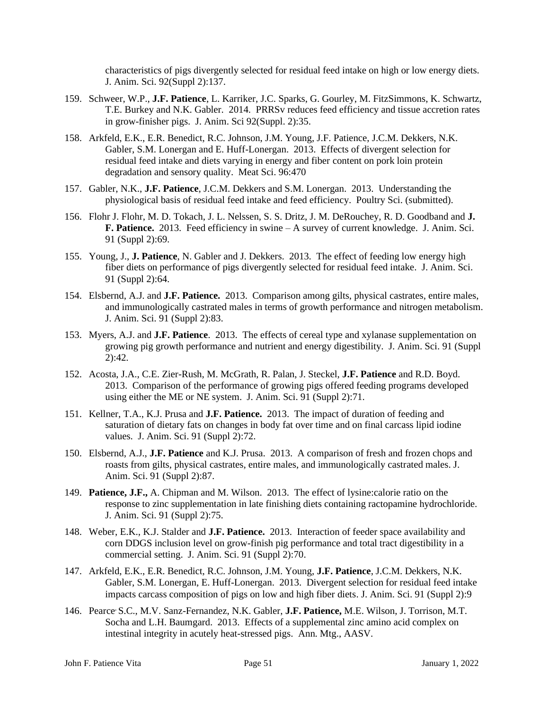characteristics of pigs divergently selected for residual feed intake on high or low energy diets. J. Anim. Sci. 92(Suppl 2):137.

- 159. Schweer, W.P., **J.F. Patience**, L. Karriker, J.C. Sparks, G. Gourley, M. FitzSimmons, K. Schwartz, T.E. Burkey and N.K. Gabler. 2014. PRRSv reduces feed efficiency and tissue accretion rates in grow-finisher pigs. J. Anim. Sci 92(Suppl. 2):35.
- 158. Arkfeld, E.K., E.R. Benedict, R.C. Johnson, J.M. Young, J.F. Patience, J.C.M. Dekkers, N.K. Gabler, S.M. Lonergan and E. Huff-Lonergan. 2013. Effects of divergent selection for residual feed intake and diets varying in energy and fiber content on pork loin protein degradation and sensory quality. Meat Sci. 96:470
- 157. Gabler, N.K., **J.F. Patience**, J.C.M. Dekkers and S.M. Lonergan. 2013. Understanding the physiological basis of residual feed intake and feed efficiency. Poultry Sci. (submitted).
- 156. Flohr J. Flohr, M. D. Tokach, J. L. Nelssen, S. S. Dritz, J. M. DeRouchey, R. D. Goodband and **J. F. Patience.** 2013. Feed efficiency in swine – A survey of current knowledge. J. Anim. Sci. 91 (Suppl 2):69.
- 155. Young, J., **J. Patience**, N. Gabler and J. Dekkers. 2013. The effect of feeding low energy high fiber diets on performance of pigs divergently selected for residual feed intake. J. Anim. Sci. 91 (Suppl 2):64.
- 154. Elsbernd, A.J. and **J.F. Patience.** 2013. Comparison among gilts, physical castrates, entire males, and immunologically castrated males in terms of growth performance and nitrogen metabolism. J. Anim. Sci. 91 (Suppl 2):83.
- 153. Myers, A.J. and **J.F. Patience**. 2013. The effects of cereal type and xylanase supplementation on growing pig growth performance and nutrient and energy digestibility. J. Anim. Sci. 91 (Suppl 2):42.
- 152. Acosta, J.A., C.E. Zier-Rush, M. McGrath, R. Palan, J. Steckel, **J.F. Patience** and R.D. Boyd. 2013. Comparison of the performance of growing pigs offered feeding programs developed using either the ME or NE system. J. Anim. Sci. 91 (Suppl 2):71.
- 151. Kellner, T.A., K.J. Prusa and **J.F. Patience.** 2013. The impact of duration of feeding and saturation of dietary fats on changes in body fat over time and on final carcass lipid iodine values. J. Anim. Sci. 91 (Suppl 2):72.
- 150. Elsbernd, A.J., **J.F. Patience** and K.J. Prusa. 2013. A comparison of fresh and frozen chops and roasts from gilts, physical castrates, entire males, and immunologically castrated males. J. Anim. Sci. 91 (Suppl 2):87.
- 149. **Patience, J.F.,** A. Chipman and M. Wilson. 2013. The effect of lysine:calorie ratio on the response to zinc supplementation in late finishing diets containing ractopamine hydrochloride. J. Anim. Sci. 91 (Suppl 2):75.
- 148. Weber, E.K., K.J. Stalder and **J.F. Patience.** 2013. Interaction of feeder space availability and corn DDGS inclusion level on grow-finish pig performance and total tract digestibility in a commercial setting. J. Anim. Sci. 91 (Suppl 2):70.
- 147. Arkfeld, E.K., E.R. Benedict, R.C. Johnson, J.M. Young, **J.F. Patience**, J.C.M. Dekkers, N.K. Gabler, S.M. Lonergan, E. Huff-Lonergan. 2013. Divergent selection for residual feed intake impacts carcass composition of pigs on low and high fiber diets. J. Anim. Sci. 91 (Suppl 2):9
- 146. Pearce, S.C., M.V. Sanz-Fernandez, N.K. Gabler, **J.F. Patience,** M.E. Wilson, J. Torrison, M.T. Socha and L.H. Baumgard. 2013. Effects of a supplemental zinc amino acid complex on intestinal integrity in acutely heat-stressed pigs. Ann. Mtg., AASV.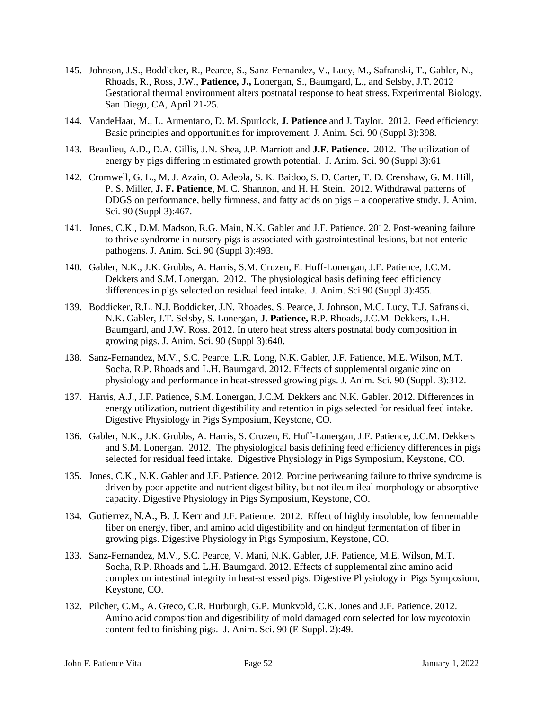- 145. Johnson, J.S., Boddicker, R., Pearce, S., Sanz-Fernandez, V., Lucy, M., Safranski, T., Gabler, N., Rhoads, R., Ross, J.W., **Patience, J.,** Lonergan, S., Baumgard, L., and Selsby, J.T. 2012 Gestational thermal environment alters postnatal response to heat stress. Experimental Biology. San Diego, CA, April 21-25.
- 144. VandeHaar, M., L. Armentano, D. M. Spurlock, **J. Patience** and J. Taylor. 2012. Feed efficiency: Basic principles and opportunities for improvement. J. Anim. Sci. 90 (Suppl 3):398.
- 143. Beaulieu, A.D., D.A. Gillis, J.N. Shea, J.P. Marriott and **J.F. Patience.** 2012. The utilization of energy by pigs differing in estimated growth potential. J. Anim. Sci. 90 (Suppl 3):61
- 142. Cromwell, G. L., M. J. Azain, O. Adeola, S. K. Baidoo, S. D. Carter, T. D. Crenshaw, G. M. Hill, P. S. Miller, **J. F. Patience**, M. C. Shannon, and H. H. Stein. 2012. Withdrawal patterns of DDGS on performance, belly firmness, and fatty acids on pigs – a cooperative study. J. Anim. Sci. 90 (Suppl 3):467.
- 141. Jones, C.K., D.M. Madson, R.G. Main, N.K. Gabler and J.F. Patience. 2012. Post-weaning failure to thrive syndrome in nursery pigs is associated with gastrointestinal lesions, but not enteric pathogens. J. Anim. Sci. 90 (Suppl 3):493.
- 140. Gabler, N.K., J.K. Grubbs, A. Harris, S.M. Cruzen, E. Huff-Lonergan, J.F. Patience, J.C.M. Dekkers and S.M. Lonergan. 2012. The physiological basis defining feed efficiency differences in pigs selected on residual feed intake. J. Anim. Sci 90 (Suppl 3):455.
- 139. Boddicker, R.L. N.J. Boddicker, J.N. Rhoades, S. Pearce, J. Johnson, M.C. Lucy, T.J. Safranski, N.K. Gabler, J.T. Selsby, S. Lonergan, **J. Patience,** R.P. Rhoads, J.C.M. Dekkers, L.H. Baumgard, and J.W. Ross. 2012. In utero heat stress alters postnatal body composition in growing pigs. J. Anim. Sci. 90 (Suppl 3):640.
- 138. Sanz-Fernandez, M.V., S.C. Pearce, L.R. Long, N.K. Gabler, J.F. Patience, M.E. Wilson, M.T. Socha, R.P. Rhoads and L.H. Baumgard. 2012. Effects of supplemental organic zinc on physiology and performance in heat-stressed growing pigs. J. Anim. Sci. 90 (Suppl. 3):312.
- 137. Harris, A.J., J.F. Patience, S.M. Lonergan, J.C.M. Dekkers and N.K. Gabler. 2012. Differences in energy utilization, nutrient digestibility and retention in pigs selected for residual feed intake. Digestive Physiology in Pigs Symposium, Keystone, CO.
- 136. Gabler, N.K., J.K. Grubbs, A. Harris, S. Cruzen, E. Huff-Lonergan, J.F. Patience, J.C.M. Dekkers and S.M. Lonergan. 2012. The physiological basis defining feed efficiency differences in pigs selected for residual feed intake. Digestive Physiology in Pigs Symposium, Keystone, CO.
- 135. Jones, C.K., N.K. Gabler and J.F. Patience. 2012. Porcine periweaning failure to thrive syndrome is driven by poor appetite and nutrient digestibility, but not ileum ileal morphology or absorptive capacity. Digestive Physiology in Pigs Symposium, Keystone, CO.
- 134. Gutierrez, N.A., B. J. Kerr and J.F. Patience. 2012. Effect of highly insoluble, low fermentable fiber on energy, fiber, and amino acid digestibility and on hindgut fermentation of fiber in growing pigs. Digestive Physiology in Pigs Symposium, Keystone, CO.
- 133. Sanz-Fernandez, M.V., S.C. Pearce, V. Mani, N.K. Gabler, J.F. Patience, M.E. Wilson, M.T. Socha, R.P. Rhoads and L.H. Baumgard. 2012. Effects of supplemental zinc amino acid complex on intestinal integrity in heat-stressed pigs. Digestive Physiology in Pigs Symposium, Keystone, CO.
- 132. Pilcher, C.M., A. Greco, C.R. Hurburgh, G.P. Munkvold, C.K. Jones and J.F. Patience. 2012. Amino acid composition and digestibility of mold damaged corn selected for low mycotoxin content fed to finishing pigs. J. Anim. Sci. 90 (E-Suppl. 2):49.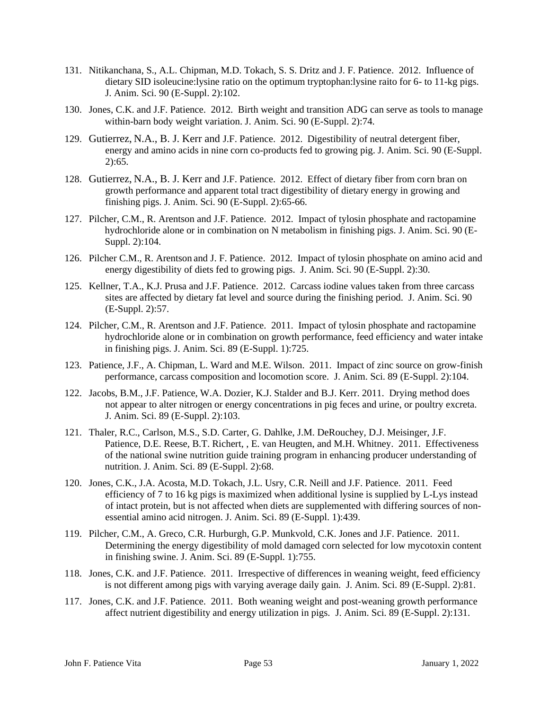- 131. Nitikanchana, S., A.L. Chipman, M.D. Tokach, S. S. Dritz and J. F. Patience. 2012. Influence of dietary SID isoleucine:lysine ratio on the optimum tryptophan:lysine raito for 6- to 11-kg pigs. J. Anim. Sci. 90 (E-Suppl. 2):102.
- 130. Jones, C.K. and J.F. Patience. 2012. Birth weight and transition ADG can serve as tools to manage within-barn body weight variation. J. Anim. Sci. 90 (E-Suppl. 2):74.
- 129. Gutierrez, N.A., B. J. Kerr and J.F. Patience. 2012. Digestibility of neutral detergent fiber, energy and amino acids in nine corn co-products fed to growing pig. J. Anim. Sci. 90 (E-Suppl.  $2):65.$
- 128. Gutierrez, N.A., B. J. Kerr and J.F. Patience. 2012. Effect of dietary fiber from corn bran on growth performance and apparent total tract digestibility of dietary energy in growing and finishing pigs. J. Anim. Sci. 90 (E-Suppl. 2):65-66.
- 127. Pilcher, C.M., R. Arentson and J.F. Patience. 2012. Impact of tylosin phosphate and ractopamine hydrochloride alone or in combination on N metabolism in finishing pigs. J. Anim. Sci. 90 (E-Suppl. 2):104.
- 126. Pilcher C.M., R. Arentson and J. F. Patience. 2012. Impact of tylosin phosphate on amino acid and energy digestibility of diets fed to growing pigs. J. Anim. Sci. 90 (E-Suppl. 2):30.
- 125. Kellner, T.A., K.J. Prusa and J.F. Patience. 2012. Carcass iodine values taken from three carcass sites are affected by dietary fat level and source during the finishing period. J. Anim. Sci. 90 (E-Suppl. 2):57.
- 124. Pilcher, C.M., R. Arentson and J.F. Patience. 2011. Impact of tylosin phosphate and ractopamine hydrochloride alone or in combination on growth performance, feed efficiency and water intake in finishing pigs. J. Anim. Sci. 89 (E-Suppl. 1):725.
- 123. Patience, J.F., A. Chipman, L. Ward and M.E. Wilson. 2011. Impact of zinc source on grow-finish performance, carcass composition and locomotion score. J. Anim. Sci. 89 (E-Suppl. 2):104.
- 122. Jacobs, B.M., J.F. Patience, W.A. Dozier, K.J. Stalder and B.J. Kerr. 2011. Drying method does not appear to alter nitrogen or energy concentrations in pig feces and urine, or poultry excreta. J. Anim. Sci. 89 (E-Suppl. 2):103.
- 121. Thaler, R.C., Carlson, M.S., S.D. Carter, G. Dahlke, J.M. DeRouchey, D.J. Meisinger, J.F. Patience, D.E. Reese, B.T. Richert, , E. van Heugten, and M.H. Whitney. 2011. Effectiveness of the national swine nutrition guide training program in enhancing producer understanding of nutrition. J. Anim. Sci. 89 (E-Suppl. 2):68.
- 120. Jones, C.K., J.A. Acosta, M.D. Tokach, J.L. Usry, C.R. Neill and J.F. Patience. 2011. Feed efficiency of 7 to 16 kg pigs is maximized when additional lysine is supplied by L-Lys instead of intact protein, but is not affected when diets are supplemented with differing sources of nonessential amino acid nitrogen. J. Anim. Sci. 89 (E-Suppl. 1):439.
- 119. Pilcher, C.M., A. Greco, C.R. Hurburgh, G.P. Munkvold, C.K. Jones and J.F. Patience. 2011. Determining the energy digestibility of mold damaged corn selected for low mycotoxin content in finishing swine. J. Anim. Sci. 89 (E-Suppl. 1):755.
- 118. Jones, C.K. and J.F. Patience. 2011. Irrespective of differences in weaning weight, feed efficiency is not different among pigs with varying average daily gain. J. Anim. Sci. 89 (E-Suppl. 2):81.
- 117. Jones, C.K. and J.F. Patience. 2011. Both weaning weight and post-weaning growth performance affect nutrient digestibility and energy utilization in pigs. J. Anim. Sci. 89 (E-Suppl. 2):131.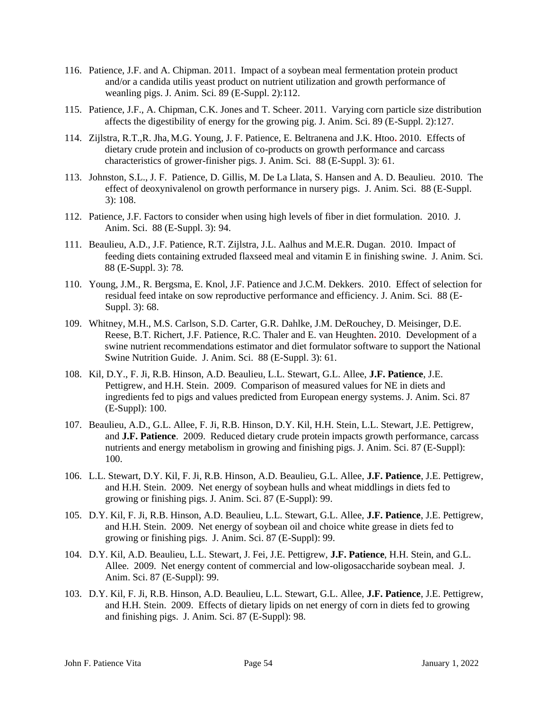- 116. Patience, J.F. and A. Chipman. 2011. Impact of a soybean meal fermentation protein product and/or a candida utilis yeast product on nutrient utilization and growth performance of weanling pigs. J. Anim. Sci. 89 (E-Suppl. 2):112.
- 115. Patience, J.F., A. Chipman, C.K. Jones and T. Scheer. 2011. Varying corn particle size distribution affects the digestibility of energy for the growing pig. J. Anim. Sci. 89 (E-Suppl. 2):127.
- 114. Zijlstra, R.T.,R. Jha, M.G. Young, J. F. Patience, E. Beltranena and J.K. Htoo**.** 2010. Effects of dietary crude protein and inclusion of co-products on growth performance and carcass characteristics of grower-finisher pigs. J. Anim. Sci. 88 (E-Suppl. 3): 61.
- 113. Johnston, S.L., J. F. Patience, D. Gillis, M. De La Llata, S. Hansen and A. D. Beaulieu. 2010. The effect of deoxynivalenol on growth performance in nursery pigs. J. Anim. Sci. 88 (E-Suppl. 3): 108.
- 112. Patience, J.F. Factors to consider when using high levels of fiber in diet formulation. 2010. J. Anim. Sci. 88 (E-Suppl. 3): 94.
- 111. Beaulieu, A.D., J.F. Patience, R.T. Zijlstra, J.L. Aalhus and M.E.R. Dugan. 2010. Impact of feeding diets containing extruded flaxseed meal and vitamin E in finishing swine. J. Anim. Sci. 88 (E-Suppl. 3): 78.
- 110. Young, J.M., R. Bergsma, E. Knol, J.F. Patience and J.C.M. Dekkers. 2010. Effect of selection for residual feed intake on sow reproductive performance and efficiency. J. Anim. Sci. 88 (E-Suppl. 3): 68.
- 109. Whitney, M.H., M.S. Carlson, S.D. Carter, G.R. Dahlke, J.M. DeRouchey, D. Meisinger, D.E. Reese, B.T. Richert, J.F. Patience, R.C. Thaler and E. van Heughten**.** 2010. Development of a swine nutrient recommendations estimator and diet formulator software to support the National Swine Nutrition Guide. J. Anim. Sci. 88 (E-Suppl. 3): 61.
- 108. Kil, D.Y., F. Ji, R.B. Hinson, A.D. Beaulieu, L.L. Stewart, G.L. Allee, **J.F. Patience**, J.E. Pettigrew, and H.H. Stein. 2009. Comparison of measured values for NE in diets and ingredients fed to pigs and values predicted from European energy systems. J. Anim. Sci. 87 (E-Suppl): 100.
- 107. Beaulieu, A.D., G.L. Allee, F. Ji, R.B. Hinson, D.Y. Kil, H.H. Stein, L.L. Stewart, J.E. Pettigrew, and **J.F. Patience**. 2009. Reduced dietary crude protein impacts growth performance, carcass nutrients and energy metabolism in growing and finishing pigs. J. Anim. Sci. 87 (E-Suppl): 100.
- 106. L.L. Stewart, D.Y. Kil, F. Ji, R.B. Hinson, A.D. Beaulieu, G.L. Allee, **J.F. Patience**, J.E. Pettigrew, and H.H. Stein. 2009. Net energy of soybean hulls and wheat middlings in diets fed to growing or finishing pigs. J. Anim. Sci. 87 (E-Suppl): 99.
- 105. D.Y. Kil, F. Ji, R.B. Hinson, A.D. Beaulieu, L.L. Stewart, G.L. Allee, **J.F. Patience**, J.E. Pettigrew, and H.H. Stein. 2009. Net energy of soybean oil and choice white grease in diets fed to growing or finishing pigs. J. Anim. Sci. 87 (E-Suppl): 99.
- 104. D.Y. Kil, A.D. Beaulieu, L.L. Stewart, J. Fei, J.E. Pettigrew, **J.F. Patience**, H.H. Stein, and G.L. Allee. 2009. Net energy content of commercial and low-oligosaccharide soybean meal. J. Anim. Sci. 87 (E-Suppl): 99.
- 103. D.Y. Kil, F. Ji, R.B. Hinson, A.D. Beaulieu, L.L. Stewart, G.L. Allee, **J.F. Patience**, J.E. Pettigrew, and H.H. Stein. 2009. Effects of dietary lipids on net energy of corn in diets fed to growing and finishing pigs. J. Anim. Sci. 87 (E-Suppl): 98.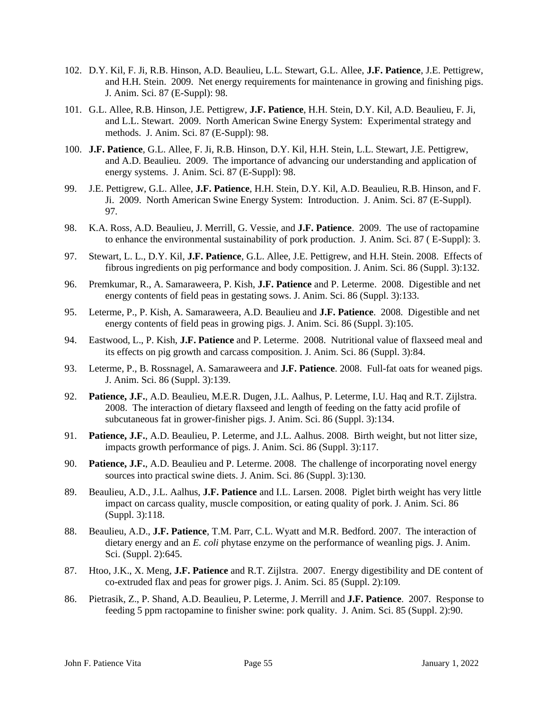- 102. D.Y. Kil, F. Ji, R.B. Hinson, A.D. Beaulieu, L.L. Stewart, G.L. Allee, **J.F. Patience**, J.E. Pettigrew, and H.H. Stein. 2009. Net energy requirements for maintenance in growing and finishing pigs. J. Anim. Sci. 87 (E-Suppl): 98.
- 101. G.L. Allee, R.B. Hinson, J.E. Pettigrew, **J.F. Patience**, H.H. Stein, D.Y. Kil, A.D. Beaulieu, F. Ji, and L.L. Stewart. 2009. North American Swine Energy System: Experimental strategy and methods. J. Anim. Sci. 87 (E-Suppl): 98.
- 100. **J.F. Patience**, G.L. Allee, F. Ji, R.B. Hinson, D.Y. Kil, H.H. Stein, L.L. Stewart, J.E. Pettigrew, and A.D. Beaulieu. 2009. The importance of advancing our understanding and application of energy systems. J. Anim. Sci. 87 (E-Suppl): 98.
- 99. J.E. Pettigrew, G.L. Allee, **J.F. Patience**, H.H. Stein, D.Y. Kil, A.D. Beaulieu, R.B. Hinson, and F. Ji. 2009. North American Swine Energy System: Introduction. J. Anim. Sci. 87 (E-Suppl). 97.
- 98. K.A. Ross, A.D. Beaulieu, J. Merrill, G. Vessie, and **J.F. Patience**. 2009. The use of ractopamine to enhance the environmental sustainability of pork production. J. Anim. Sci. 87 ( E-Suppl): 3.
- 97. Stewart, L. L., D.Y. Kil, **J.F. Patience**, G.L. Allee, J.E. Pettigrew, and H.H. Stein. 2008. Effects of fibrous ingredients on pig performance and body composition. J. Anim. Sci. 86 (Suppl. 3):132.
- 96. Premkumar, R., A. Samaraweera, P. Kish, **J.F. Patience** and P. Leterme. 2008. Digestible and net energy contents of field peas in gestating sows. J. Anim. Sci. 86 (Suppl. 3):133.
- 95. Leterme, P., P. Kish, A. Samaraweera, A.D. Beaulieu and **J.F. Patience**. 2008. Digestible and net energy contents of field peas in growing pigs. J. Anim. Sci. 86 (Suppl. 3):105.
- 94. Eastwood, L., P. Kish, **J.F. Patience** and P. Leterme. 2008. Nutritional value of flaxseed meal and its effects on pig growth and carcass composition. J. Anim. Sci. 86 (Suppl. 3):84.
- 93. Leterme, P., B. Rossnagel, A. Samaraweera and **J.F. Patience**. 2008. Full-fat oats for weaned pigs. J. Anim. Sci. 86 (Suppl. 3):139.
- 92. **Patience, J.F.**, A.D. Beaulieu, M.E.R. Dugen, J.L. Aalhus, P. Leterme, I.U. Haq and R.T. Zijlstra. 2008. The interaction of dietary flaxseed and length of feeding on the fatty acid profile of subcutaneous fat in grower-finisher pigs. J. Anim. Sci. 86 (Suppl. 3):134.
- 91. **Patience, J.F.**, A.D. Beaulieu, P. Leterme, and J.L. Aalhus. 2008. Birth weight, but not litter size, impacts growth performance of pigs. J. Anim. Sci. 86 (Suppl. 3):117.
- 90. **Patience, J.F.**, A.D. Beaulieu and P. Leterme. 2008. The challenge of incorporating novel energy sources into practical swine diets. J. Anim. Sci. 86 (Suppl. 3):130.
- 89. Beaulieu, A.D., J.L. Aalhus, **J.F. Patience** and I.L. Larsen. 2008. Piglet birth weight has very little impact on carcass quality, muscle composition, or eating quality of pork. J. Anim. Sci. 86 (Suppl. 3):118.
- 88. Beaulieu, A.D., **J.F. Patience**, T.M. Parr, C.L. Wyatt and M.R. Bedford. 2007. The interaction of dietary energy and an *E. coli* phytase enzyme on the performance of weanling pigs. J. Anim. Sci. (Suppl. 2):645.
- 87. Htoo, J.K., X. Meng, **J.F. Patience** and R.T. Zijlstra. 2007. Energy digestibility and DE content of co-extruded flax and peas for grower pigs. J. Anim. Sci. 85 (Suppl. 2):109.
- 86. Pietrasik, Z., P. Shand, A.D. Beaulieu, P. Leterme, J. Merrill and **J.F. Patience**. 2007. Response to feeding 5 ppm ractopamine to finisher swine: pork quality. J. Anim. Sci. 85 (Suppl. 2):90.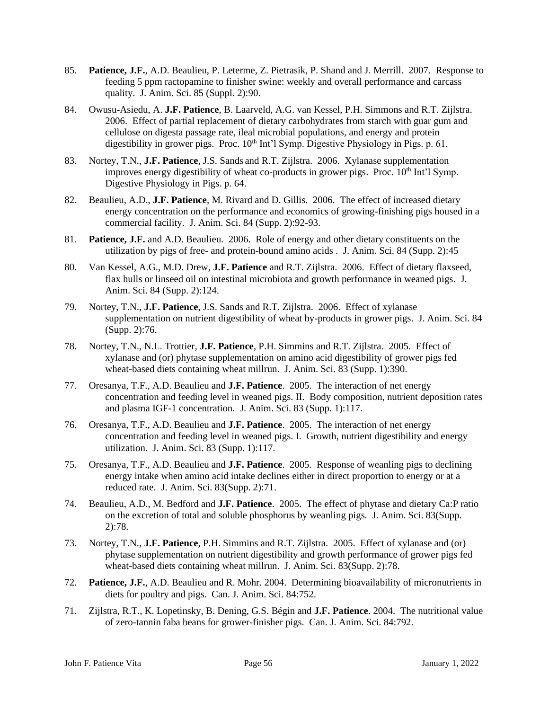- 85. **Patience, J.F.**, A.D. Beaulieu, P. Leterme, Z. Pietrasik, P. Shand and J. Merrill. 2007. Response to feeding 5 ppm ractopamine to finisher swine: weekly and overall performance and carcass quality. J. Anim. Sci. 85 (Suppl. 2):90.
- 84. Owusu-Asiedu, A. **J.F. Patience**, B. Laarveld, A.G. van Kessel, P.H. Simmons and R.T. Zijlstra. 2006. Effect of partial replacement of dietary carbohydrates from starch with guar gum and cellulose on digesta passage rate, ileal microbial populations, and energy and protein digestibility in grower pigs. Proc.  $10^{th}$  Int'l Symp. Digestive Physiology in Pigs. p. 61.
- 83. Nortey, T.N., **J.F. Patience**, J.S. Sands and R.T. Zijlstra. 2006. Xylanase supplementation improves energy digestibility of wheat co-products in grower pigs. Proc. 10<sup>th</sup> Int'l Symp. Digestive Physiology in Pigs. p. 64.
- 82. Beaulieu, A.D., **J.F. Patience**, M. Rivard and D. Gillis. 2006. The effect of increased dietary energy concentration on the performance and economics of growing-finishing pigs housed in a commercial facility. J. Anim. Sci. 84 (Supp. 2):92-93.
- 81. **Patience, J.F.** and A.D. Beaulieu. 2006. Role of energy and other dietary constituents on the utilization by pigs of free- and protein-bound amino acids . J. Anim. Sci. 84 (Supp. 2):45
- 80. Van Kessel, A.G., M.D. Drew, **J.F. Patience** and R.T. Zijlstra. 2006. Effect of dietary flaxseed, flax hulls or linseed oil on intestinal microbiota and growth performance in weaned pigs. J. Anim. Sci. 84 (Supp. 2):124.
- 79. Nortey, T.N., **J.F. Patience**, J.S. Sands and R.T. Zijlstra. 2006. Effect of xylanase supplementation on nutrient digestibility of wheat by-products in grower pigs. J. Anim. Sci. 84 (Supp. 2):76.
- 78. Nortey, T.N., N.L. Trottier, **J.F. Patience**, P.H. Simmins and R.T. Zijlstra. 2005. Effect of xylanase and (or) phytase supplementation on amino acid digestibility of grower pigs fed wheat-based diets containing wheat millrun. J. Anim. Sci. 83 (Supp. 1):390.
- 77. Oresanya, T.F., A.D. Beaulieu and **J.F. Patience**. 2005. The interaction of net energy concentration and feeding level in weaned pigs. II. Body composition, nutrient deposition rates and plasma IGF-1 concentration. J. Anim. Sci. 83 (Supp. 1):117.
- 76. Oresanya, T.F., A.D. Beaulieu and **J.F. Patience**. 2005. The interaction of net energy concentration and feeding level in weaned pigs. I. Growth, nutrient digestibility and energy utilization. J. Anim. Sci. 83 (Supp. 1):117.
- 75. Oresanya, T.F., A.D. Beaulieu and **J.F. Patience**. 2005. Response of weanling pigs to declining energy intake when amino acid intake declines either in direct proportion to energy or at a reduced rate. J. Anim. Sci. 83(Supp. 2):71.
- 74. Beaulieu, A.D., M. Bedford and **J.F. Patience**. 2005. The effect of phytase and dietary Ca:P ratio on the excretion of total and soluble phosphorus by weanling pigs. J. Anim. Sci. 83(Supp. 2):78.
- 73. Nortey, T.N., **J.F. Patience**, P.H. Simmins and R.T. Zijlstra. 2005. Effect of xylanase and (or) phytase supplementation on nutrient digestibility and growth performance of grower pigs fed wheat-based diets containing wheat millrun. J. Anim. Sci. 83(Supp. 2):78.
- 72. **Patience, J.F.**, A.D. Beaulieu and R. Mohr. 2004. Determining bioavailability of micronutrients in diets for poultry and pigs. Can. J. Anim. Sci. 84:752.
- 71. Zijlstra, R.T., K. Lopetinsky, B. Dening, G.S. Bégin and **J.F. Patience**. 2004. The nutritional value of zero-tannin faba beans for grower-finisher pigs. Can. J. Anim. Sci. 84:792.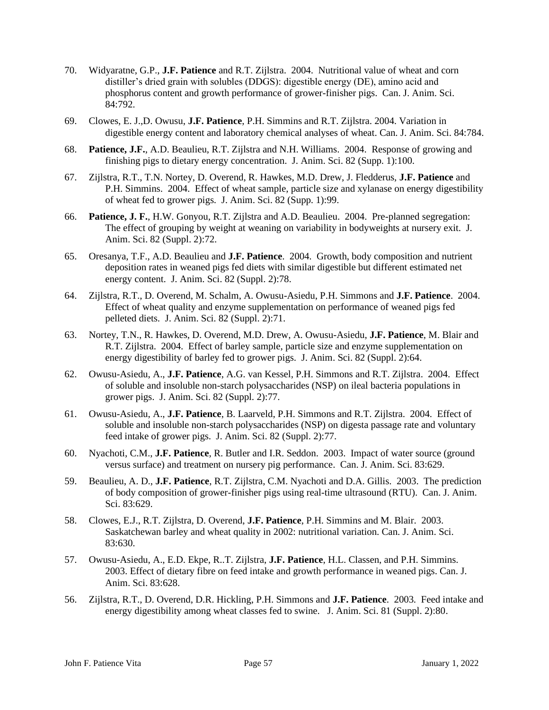- 70. Widyaratne, G.P., **J.F. Patience** and R.T. Zijlstra. 2004. Nutritional value of wheat and corn distiller's dried grain with solubles (DDGS): digestible energy (DE), amino acid and phosphorus content and growth performance of grower-finisher pigs. Can. J. Anim. Sci. 84:792.
- 69. Clowes, E. J.,D. Owusu, **J.F. Patience**, P.H. Simmins and R.T. Zijlstra. 2004. Variation in digestible energy content and laboratory chemical analyses of wheat. Can. J. Anim. Sci. 84:784.
- 68. **Patience, J.F.**, A.D. Beaulieu, R.T. Zijlstra and N.H. Williams. 2004. Response of growing and finishing pigs to dietary energy concentration. J. Anim. Sci. 82 (Supp. 1):100.
- 67. Zijlstra, R.T., T.N. Nortey, D. Overend, R. Hawkes, M.D. Drew, J. Fledderus, **J.F. Patience** and P.H. Simmins. 2004. Effect of wheat sample, particle size and xylanase on energy digestibility of wheat fed to grower pigs. J. Anim. Sci. 82 (Supp. 1):99.
- 66. **Patience, J. F.**, H.W. Gonyou, R.T. Zijlstra and A.D. Beaulieu. 2004. Pre-planned segregation: The effect of grouping by weight at weaning on variability in bodyweights at nursery exit. J. Anim. Sci. 82 (Suppl. 2):72.
- 65. Oresanya, T.F., A.D. Beaulieu and **J.F. Patience**. 2004. Growth, body composition and nutrient deposition rates in weaned pigs fed diets with similar digestible but different estimated net energy content. J. Anim. Sci. 82 (Suppl. 2):78.
- 64. Zijlstra, R.T., D. Overend, M. Schalm, A. Owusu-Asiedu, P.H. Simmons and **J.F. Patience**. 2004. Effect of wheat quality and enzyme supplementation on performance of weaned pigs fed pelleted diets. J. Anim. Sci. 82 (Suppl. 2):71.
- 63. Nortey, T.N., R. Hawkes, D. Overend, M.D. Drew, A. Owusu-Asiedu, **J.F. Patience**, M. Blair and R.T. Zijlstra. 2004. Effect of barley sample, particle size and enzyme supplementation on energy digestibility of barley fed to grower pigs. J. Anim. Sci. 82 (Suppl. 2):64.
- 62. Owusu-Asiedu, A., **J.F. Patience**, A.G. van Kessel, P.H. Simmons and R.T. Zijlstra. 2004. Effect of soluble and insoluble non-starch polysaccharides (NSP) on ileal bacteria populations in grower pigs. J. Anim. Sci. 82 (Suppl. 2):77.
- 61. Owusu-Asiedu, A., **J.F. Patience**, B. Laarveld, P.H. Simmons and R.T. Zijlstra. 2004. Effect of soluble and insoluble non-starch polysaccharides (NSP) on digesta passage rate and voluntary feed intake of grower pigs. J. Anim. Sci. 82 (Suppl. 2):77.
- 60. Nyachoti, C.M., **J.F. Patience**, R. Butler and I.R. Seddon. 2003. Impact of water source (ground versus surface) and treatment on nursery pig performance. Can. J. Anim. Sci. 83:629.
- 59. Beaulieu, A. D., **J.F. Patience**, R.T. Zijlstra, C.M. Nyachoti and D.A. Gillis. 2003. The prediction of body composition of grower-finisher pigs using real-time ultrasound (RTU). Can. J. Anim. Sci. 83:629.
- 58. Clowes, E.J., R.T. Zijlstra, D. Overend, **J.F. Patience**, P.H. Simmins and M. Blair. 2003. Saskatchewan barley and wheat quality in 2002: nutritional variation. Can. J. Anim. Sci. 83:630.
- 57. Owusu-Asiedu, A., E.D. Ekpe, R..T. Zijlstra, **J.F. Patience**, H.L. Classen, and P.H. Simmins. 2003. Effect of dietary fibre on feed intake and growth performance in weaned pigs. Can. J. Anim. Sci. 83:628.
- 56. Zijlstra, R.T., D. Overend, D.R. Hickling, P.H. Simmons and **J.F. Patience**. 2003. Feed intake and energy digestibility among wheat classes fed to swine. J. Anim. Sci. 81 (Suppl. 2):80.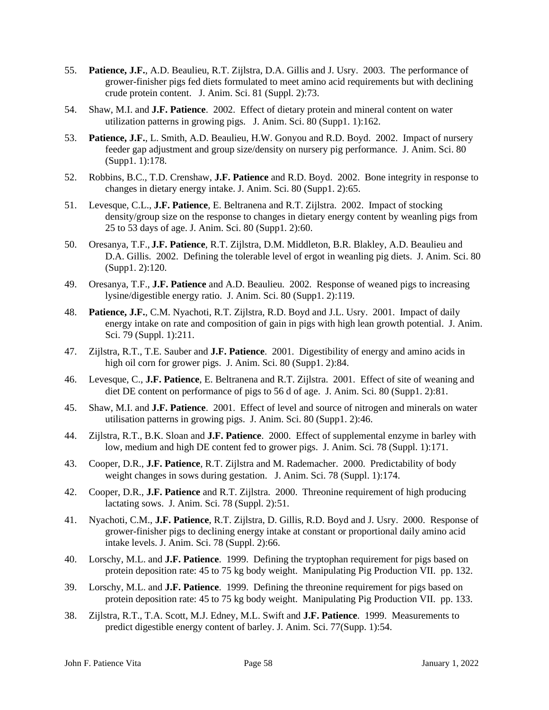- 55. **Patience, J.F.**, A.D. Beaulieu, R.T. Zijlstra, D.A. Gillis and J. Usry. 2003. The performance of grower-finisher pigs fed diets formulated to meet amino acid requirements but with declining crude protein content. J. Anim. Sci. 81 (Suppl. 2):73.
- 54. Shaw, M.I. and **J.F. Patience**. 2002. Effect of dietary protein and mineral content on water utilization patterns in growing pigs. J. Anim. Sci. 80 (Supp1. 1):162.
- 53. **Patience, J.F.**, L. Smith, A.D. Beaulieu, H.W. Gonyou and R.D. Boyd. 2002. Impact of nursery feeder gap adjustment and group size/density on nursery pig performance. J. Anim. Sci. 80 (Supp1. 1):178.
- 52. Robbins, B.C., T.D. Crenshaw, **J.F. Patience** and R.D. Boyd. 2002. Bone integrity in response to changes in dietary energy intake. J. Anim. Sci. 80 (Supp1. 2):65.
- 51. Levesque, C.L., **J.F. Patience**, E. Beltranena and R.T. Zijlstra. 2002. Impact of stocking density/group size on the response to changes in dietary energy content by weanling pigs from 25 to 53 days of age. J. Anim. Sci. 80 (Supp1. 2):60.
- 50. Oresanya, T.F., **J.F. Patience**, R.T. Zijlstra, D.M. Middleton, B.R. Blakley, A.D. Beaulieu and D.A. Gillis. 2002. Defining the tolerable level of ergot in weanling pig diets. J. Anim. Sci. 80 (Supp1. 2):120.
- 49. Oresanya, T.F., **J.F. Patience** and A.D. Beaulieu. 2002. Response of weaned pigs to increasing lysine/digestible energy ratio. J. Anim. Sci. 80 (Supp1. 2):119.
- 48. **Patience, J.F.**, C.M. Nyachoti, R.T. Zijlstra, R.D. Boyd and J.L. Usry. 2001. Impact of daily energy intake on rate and composition of gain in pigs with high lean growth potential. J. Anim. Sci. 79 (Suppl. 1):211.
- 47. Zijlstra, R.T., T.E. Sauber and **J.F. Patience**. 2001. Digestibility of energy and amino acids in high oil corn for grower pigs. J. Anim. Sci. 80 (Supp1. 2):84.
- 46. Levesque, C., **J.F. Patience**, E. Beltranena and R.T. Zijlstra. 2001. Effect of site of weaning and diet DE content on performance of pigs to 56 d of age. J. Anim. Sci. 80 (Supp1. 2):81.
- 45. Shaw, M.I. and **J.F. Patience**. 2001. Effect of level and source of nitrogen and minerals on water utilisation patterns in growing pigs. J. Anim. Sci. 80 (Supp1. 2):46.
- 44. Zijlstra, R.T., B.K. Sloan and **J.F. Patience**. 2000. Effect of supplemental enzyme in barley with low, medium and high DE content fed to grower pigs. J. Anim. Sci. 78 (Suppl. 1):171.
- 43. Cooper, D.R., **J.F. Patience**, R.T. Zijlstra and M. Rademacher. 2000. Predictability of body weight changes in sows during gestation. J. Anim. Sci. 78 (Suppl. 1):174.
- 42. Cooper, D.R., **J.F. Patience** and R.T. Zijlstra. 2000. Threonine requirement of high producing lactating sows. J. Anim. Sci. 78 (Suppl. 2):51.
- 41. Nyachoti, C.M., **J.F. Patience**, R.T. Zijlstra, D. Gillis, R.D. Boyd and J. Usry. 2000. Response of grower-finisher pigs to declining energy intake at constant or proportional daily amino acid intake levels. J. Anim. Sci. 78 (Suppl. 2):66.
- 40. Lorschy, M.L. and **J.F. Patience**. 1999. Defining the tryptophan requirement for pigs based on protein deposition rate: 45 to 75 kg body weight. Manipulating Pig Production VII. pp. 132.
- 39. Lorschy, M.L. and **J.F. Patience**. 1999. Defining the threonine requirement for pigs based on protein deposition rate: 45 to 75 kg body weight. Manipulating Pig Production VII. pp. 133.
- 38. Zijlstra, R.T., T.A. Scott, M.J. Edney, M.L. Swift and **J.F. Patience**. 1999. Measurements to predict digestible energy content of barley. J. Anim. Sci. 77(Supp. 1):54.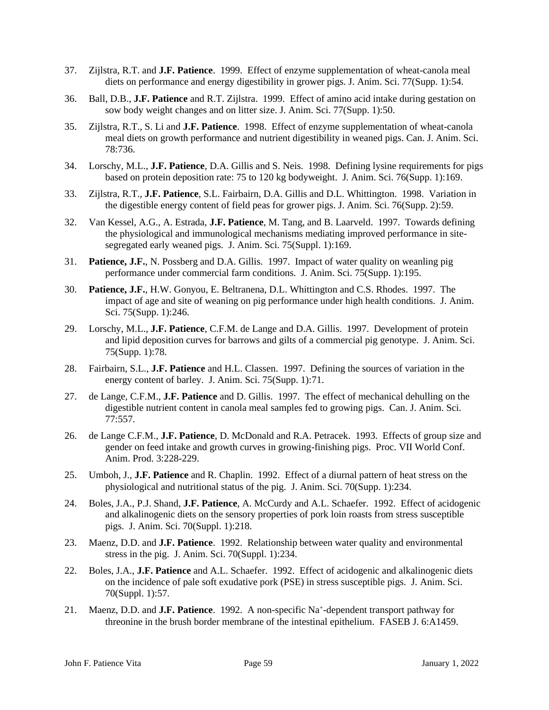- 37. Zijlstra, R.T. and **J.F. Patience**. 1999. Effect of enzyme supplementation of wheat-canola meal diets on performance and energy digestibility in grower pigs. J. Anim. Sci. 77(Supp. 1):54.
- 36. Ball, D.B., **J.F. Patience** and R.T. Zijlstra. 1999. Effect of amino acid intake during gestation on sow body weight changes and on litter size. J. Anim. Sci. 77(Supp. 1):50.
- 35. Zijlstra, R.T., S. Li and **J.F. Patience**. 1998. Effect of enzyme supplementation of wheat-canola meal diets on growth performance and nutrient digestibility in weaned pigs. Can. J. Anim. Sci. 78:736.
- 34. Lorschy, M.L., **J.F. Patience**, D.A. Gillis and S. Neis. 1998. Defining lysine requirements for pigs based on protein deposition rate: 75 to 120 kg bodyweight. J. Anim. Sci. 76(Supp. 1):169.
- 33. Zijlstra, R.T., **J.F. Patience**, S.L. Fairbairn, D.A. Gillis and D.L. Whittington. 1998. Variation in the digestible energy content of field peas for grower pigs. J. Anim. Sci. 76(Supp. 2):59.
- 32. Van Kessel, A.G., A. Estrada, **J.F. Patience**, M. Tang, and B. Laarveld. 1997. Towards defining the physiological and immunological mechanisms mediating improved performance in sitesegregated early weaned pigs. J. Anim. Sci. 75(Suppl. 1):169.
- 31. **Patience, J.F.**, N. Possberg and D.A. Gillis. 1997. Impact of water quality on weanling pig performance under commercial farm conditions. J. Anim. Sci. 75(Supp. 1):195.
- 30. **Patience, J.F.**, H.W. Gonyou, E. Beltranena, D.L. Whittington and C.S. Rhodes. 1997. The impact of age and site of weaning on pig performance under high health conditions. J. Anim. Sci. 75(Supp. 1):246.
- 29. Lorschy, M.L., **J.F. Patience**, C.F.M. de Lange and D.A. Gillis. 1997. Development of protein and lipid deposition curves for barrows and gilts of a commercial pig genotype. J. Anim. Sci. 75(Supp. 1):78.
- 28. Fairbairn, S.L., **J.F. Patience** and H.L. Classen. 1997. Defining the sources of variation in the energy content of barley. J. Anim. Sci. 75(Supp. 1):71.
- 27. de Lange, C.F.M., **J.F. Patience** and D. Gillis. 1997. The effect of mechanical dehulling on the digestible nutrient content in canola meal samples fed to growing pigs. Can. J. Anim. Sci. 77:557.
- 26. de Lange C.F.M., **J.F. Patience**, D. McDonald and R.A. Petracek. 1993. Effects of group size and gender on feed intake and growth curves in growing-finishing pigs. Proc. VII World Conf. Anim. Prod. 3:228-229.
- 25. Umboh, J., **J.F. Patience** and R. Chaplin. 1992. Effect of a diurnal pattern of heat stress on the physiological and nutritional status of the pig. J. Anim. Sci. 70(Supp. 1):234.
- 24. Boles, J.A., P.J. Shand, **J.F. Patience**, A. McCurdy and A.L. Schaefer. 1992. Effect of acidogenic and alkalinogenic diets on the sensory properties of pork loin roasts from stress susceptible pigs. J. Anim. Sci. 70(Suppl. 1):218.
- 23. Maenz, D.D. and **J.F. Patience**. 1992. Relationship between water quality and environmental stress in the pig. J. Anim. Sci. 70(Suppl. 1):234.
- 22. Boles, J.A., **J.F. Patience** and A.L. Schaefer. 1992. Effect of acidogenic and alkalinogenic diets on the incidence of pale soft exudative pork (PSE) in stress susceptible pigs. J. Anim. Sci. 70(Suppl. 1):57.
- 21. Maenz, D.D. and **J.F. Patience**. 1992. A non-specific Na<sup>+</sup>-dependent transport pathway for threonine in the brush border membrane of the intestinal epithelium. FASEB J. 6:A1459.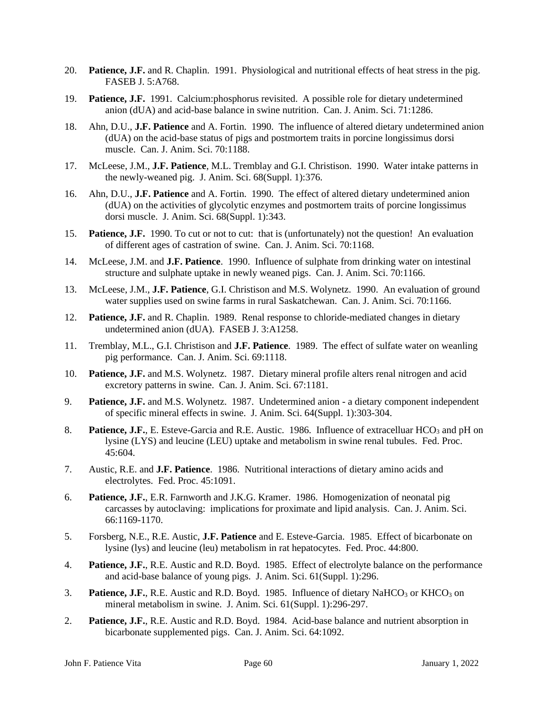- 20. **Patience, J.F.** and R. Chaplin. 1991. Physiological and nutritional effects of heat stress in the pig. FASEB J. 5:A768.
- 19. **Patience, J.F.** 1991. Calcium:phosphorus revisited. A possible role for dietary undetermined anion (dUA) and acid-base balance in swine nutrition. Can. J. Anim. Sci. 71:1286.
- 18. Ahn, D.U., **J.F. Patience** and A. Fortin. 1990. The influence of altered dietary undetermined anion (dUA) on the acid-base status of pigs and postmortem traits in porcine longissimus dorsi muscle. Can. J. Anim. Sci. 70:1188.
- 17. McLeese, J.M., **J.F. Patience**, M.L. Tremblay and G.I. Christison. 1990. Water intake patterns in the newly-weaned pig. J. Anim. Sci. 68(Suppl. 1):376.
- 16. Ahn, D.U., **J.F. Patience** and A. Fortin. 1990. The effect of altered dietary undetermined anion (dUA) on the activities of glycolytic enzymes and postmortem traits of porcine longissimus dorsi muscle. J. Anim. Sci. 68(Suppl. 1):343.
- 15. **Patience, J.F.** 1990. To cut or not to cut: that is (unfortunately) not the question! An evaluation of different ages of castration of swine. Can. J. Anim. Sci. 70:1168.
- 14. McLeese, J.M. and **J.F. Patience**. 1990. Influence of sulphate from drinking water on intestinal structure and sulphate uptake in newly weaned pigs. Can. J. Anim. Sci. 70:1166.
- 13. McLeese, J.M., **J.F. Patience**, G.I. Christison and M.S. Wolynetz. 1990. An evaluation of ground water supplies used on swine farms in rural Saskatchewan. Can. J. Anim. Sci. 70:1166.
- 12. **Patience, J.F.** and R. Chaplin. 1989. Renal response to chloride-mediated changes in dietary undetermined anion (dUA). FASEB J. 3:A1258.
- 11. Tremblay, M.L., G.I. Christison and **J.F. Patience**. 1989. The effect of sulfate water on weanling pig performance. Can. J. Anim. Sci. 69:1118.
- 10. **Patience, J.F.** and M.S. Wolynetz. 1987. Dietary mineral profile alters renal nitrogen and acid excretory patterns in swine. Can. J. Anim. Sci. 67:1181.
- 9. **Patience, J.F.** and M.S. Wolynetz. 1987. Undetermined anion a dietary component independent of specific mineral effects in swine. J. Anim. Sci. 64(Suppl. 1):303-304.
- 8. **Patience, J.F.**, E. Esteve-Garcia and R.E. Austic. 1986. Influence of extracelluar HCO<sub>3</sub> and pH on lysine (LYS) and leucine (LEU) uptake and metabolism in swine renal tubules. Fed. Proc. 45:604.
- 7. Austic, R.E. and **J.F. Patience**. 1986. Nutritional interactions of dietary amino acids and electrolytes. Fed. Proc. 45:1091.
- 6. **Patience, J.F.**, E.R. Farnworth and J.K.G. Kramer. 1986. Homogenization of neonatal pig carcasses by autoclaving: implications for proximate and lipid analysis. Can. J. Anim. Sci. 66:1169-1170.
- 5. Forsberg, N.E., R.E. Austic, **J.F. Patience** and E. Esteve-Garcia. 1985. Effect of bicarbonate on lysine (lys) and leucine (leu) metabolism in rat hepatocytes. Fed. Proc. 44:800.
- 4. **Patience, J.F.**, R.E. Austic and R.D. Boyd. 1985. Effect of electrolyte balance on the performance and acid-base balance of young pigs. J. Anim. Sci. 61(Suppl. 1):296.
- 3. **Patience, J.F.**, R.E. Austic and R.D. Boyd. 1985. Influence of dietary NaHCO<sub>3</sub> or KHCO<sub>3</sub> on mineral metabolism in swine. J. Anim. Sci. 61(Suppl. 1):296-297.
- 2. **Patience, J.F.**, R.E. Austic and R.D. Boyd. 1984. Acid-base balance and nutrient absorption in bicarbonate supplemented pigs. Can. J. Anim. Sci. 64:1092.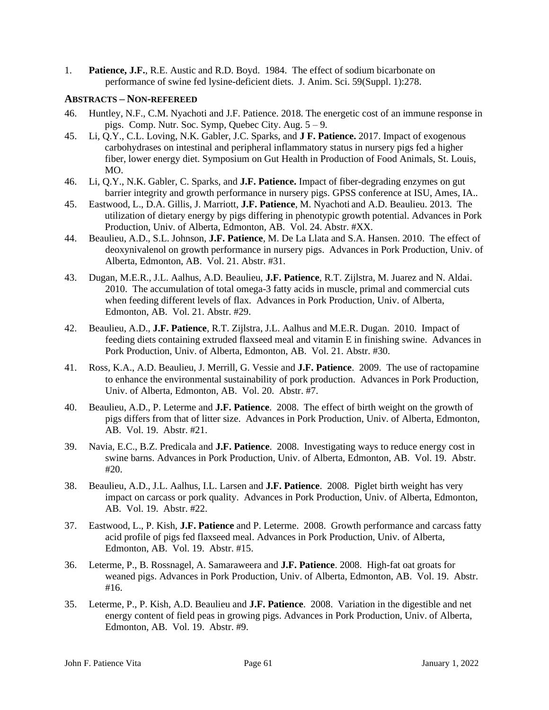1. **Patience, J.F.**, R.E. Austic and R.D. Boyd. 1984. The effect of sodium bicarbonate on performance of swine fed lysine-deficient diets. J. Anim. Sci. 59(Suppl. 1):278.

#### **ABSTRACTS – NON-REFEREED**

- 46. Huntley, N.F., C.M. Nyachoti and J.F. Patience. 2018. The energetic cost of an immune response in pigs. Comp. Nutr. Soc. Symp, Quebec City. Aug. 5 – 9.
- 45. Li, Q.Y., C.L. Loving, N.K. Gabler, J.C. Sparks, and **J F. Patience.** 2017. Impact of exogenous carbohydrases on intestinal and peripheral inflammatory status in nursery pigs fed a higher fiber, lower energy diet. Symposium on Gut Health in Production of Food Animals, St. Louis, MO.
- 46. Li, Q.Y., N.K. Gabler, C. Sparks, and **J.F. Patience.** Impact of fiber-degrading enzymes on gut barrier integrity and growth performance in nursery pigs. GPSS conference at ISU, Ames, IA..
- 45. Eastwood, L., D.A. Gillis, J. Marriott, **J.F. Patience**, M. Nyachoti and A.D. Beaulieu. 2013. The utilization of dietary energy by pigs differing in phenotypic growth potential. Advances in Pork Production, Univ. of Alberta, Edmonton, AB. Vol. 24. Abstr. #XX.
- 44. Beaulieu, A.D., S.L. Johnson, **J.F. Patience**, M. De La Llata and S.A. Hansen. 2010. The effect of deoxynivalenol on growth performance in nursery pigs. Advances in Pork Production, Univ. of Alberta, Edmonton, AB. Vol. 21. Abstr. #31.
- 43. Dugan, M.E.R., J.L. Aalhus, A.D. Beaulieu, **J.F. Patience**, R.T. Zijlstra, M. Juarez and N. Aldai. 2010. The accumulation of total omega-3 fatty acids in muscle, primal and commercial cuts when feeding different levels of flax. Advances in Pork Production, Univ. of Alberta, Edmonton, AB. Vol. 21. Abstr. #29.
- 42. Beaulieu, A.D., **J.F. Patience**, R.T. Zijlstra, J.L. Aalhus and M.E.R. Dugan. 2010. Impact of feeding diets containing extruded flaxseed meal and vitamin E in finishing swine. Advances in Pork Production, Univ. of Alberta, Edmonton, AB. Vol. 21. Abstr. #30.
- 41. Ross, K.A., A.D. Beaulieu, J. Merrill, G. Vessie and **J.F. Patience**. 2009. The use of ractopamine to enhance the environmental sustainability of pork production. Advances in Pork Production, Univ. of Alberta, Edmonton, AB. Vol. 20. Abstr. #7.
- 40. Beaulieu, A.D., P. Leterme and **J.F. Patience**. 2008. The effect of birth weight on the growth of pigs differs from that of litter size. Advances in Pork Production, Univ. of Alberta, Edmonton, AB. Vol. 19. Abstr. #21.
- 39. Navia, E.C., B.Z. Predicala and **J.F. Patience**. 2008. Investigating ways to reduce energy cost in swine barns. Advances in Pork Production, Univ. of Alberta, Edmonton, AB. Vol. 19. Abstr. #20.
- 38. Beaulieu, A.D., J.L. Aalhus, I.L. Larsen and **J.F. Patience**. 2008. Piglet birth weight has very impact on carcass or pork quality. Advances in Pork Production, Univ. of Alberta, Edmonton, AB. Vol. 19. Abstr. #22.
- 37. Eastwood, L., P. Kish, **J.F. Patience** and P. Leterme. 2008. Growth performance and carcass fatty acid profile of pigs fed flaxseed meal. Advances in Pork Production, Univ. of Alberta, Edmonton, AB. Vol. 19. Abstr. #15.
- 36. Leterme, P., B. Rossnagel, A. Samaraweera and **J.F. Patience**. 2008. High-fat oat groats for weaned pigs. Advances in Pork Production, Univ. of Alberta, Edmonton, AB. Vol. 19. Abstr. #16.
- 35. Leterme, P., P. Kish, A.D. Beaulieu and **J.F. Patience**. 2008. Variation in the digestible and net energy content of field peas in growing pigs. Advances in Pork Production, Univ. of Alberta, Edmonton, AB. Vol. 19. Abstr. #9.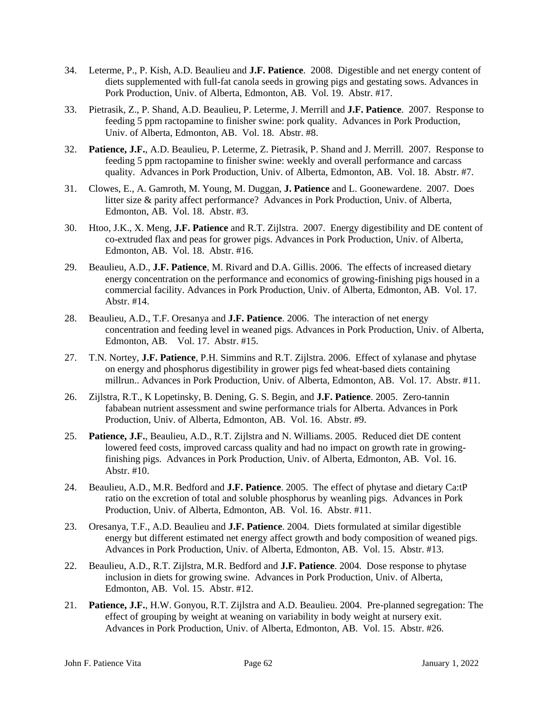- 34. Leterme, P., P. Kish, A.D. Beaulieu and **J.F. Patience**. 2008. Digestible and net energy content of diets supplemented with full-fat canola seeds in growing pigs and gestating sows. Advances in Pork Production, Univ. of Alberta, Edmonton, AB. Vol. 19. Abstr. #17.
- 33. Pietrasik, Z., P. Shand, A.D. Beaulieu, P. Leterme, J. Merrill and **J.F. Patience**. 2007. Response to feeding 5 ppm ractopamine to finisher swine: pork quality. Advances in Pork Production, Univ. of Alberta, Edmonton, AB. Vol. 18. Abstr. #8.
- 32. **Patience, J.F.**, A.D. Beaulieu, P. Leterme, Z. Pietrasik, P. Shand and J. Merrill. 2007. Response to feeding 5 ppm ractopamine to finisher swine: weekly and overall performance and carcass quality. Advances in Pork Production, Univ. of Alberta, Edmonton, AB. Vol. 18. Abstr. #7.
- 31. Clowes, E., A. Gamroth, M. Young, M. Duggan, **J. Patience** and L. Goonewardene. 2007. Does litter size & parity affect performance? Advances in Pork Production, Univ. of Alberta, Edmonton, AB. Vol. 18. Abstr. #3.
- 30. Htoo, J.K., X. Meng, **J.F. Patience** and R.T. Zijlstra. 2007. Energy digestibility and DE content of co-extruded flax and peas for grower pigs. Advances in Pork Production, Univ. of Alberta, Edmonton, AB. Vol. 18. Abstr. #16.
- 29. Beaulieu, A.D., **J.F. Patience**, M. Rivard and D.A. Gillis. 2006. The effects of increased dietary energy concentration on the performance and economics of growing-finishing pigs housed in a commercial facility. Advances in Pork Production, Univ. of Alberta, Edmonton, AB. Vol. 17. Abstr. #14.
- 28. Beaulieu, A.D., T.F. Oresanya and **J.F. Patience**. 2006. The interaction of net energy concentration and feeding level in weaned pigs. Advances in Pork Production, Univ. of Alberta, Edmonton, AB. Vol. 17. Abstr. #15.
- 27. T.N. Nortey, **J.F. Patience**, P.H. Simmins and R.T. Zijlstra. 2006. Effect of xylanase and phytase on energy and phosphorus digestibility in grower pigs fed wheat-based diets containing millrun.. Advances in Pork Production, Univ. of Alberta, Edmonton, AB. Vol. 17. Abstr. #11.
- 26. Zijlstra, R.T., K Lopetinsky, B. Dening, G. S. Begin, and **J.F. Patience**. 2005. Zero-tannin fababean nutrient assessment and swine performance trials for Alberta. Advances in Pork Production, Univ. of Alberta, Edmonton, AB. Vol. 16. Abstr. #9.
- 25. **Patience, J.F.**, Beaulieu, A.D., R.T. Zijlstra and N. Williams. 2005. Reduced diet DE content lowered feed costs, improved carcass quality and had no impact on growth rate in growingfinishing pigs. Advances in Pork Production, Univ. of Alberta, Edmonton, AB. Vol. 16. Abstr. #10.
- 24. Beaulieu, A.D., M.R. Bedford and **J.F. Patience**. 2005. The effect of phytase and dietary Ca:tP ratio on the excretion of total and soluble phosphorus by weanling pigs. Advances in Pork Production, Univ. of Alberta, Edmonton, AB. Vol. 16. Abstr. #11.
- 23. Oresanya, T.F., A.D. Beaulieu and **J.F. Patience**. 2004. Diets formulated at similar digestible energy but different estimated net energy affect growth and body composition of weaned pigs. Advances in Pork Production, Univ. of Alberta, Edmonton, AB. Vol. 15. Abstr. #13.
- 22. Beaulieu, A.D., R.T. Zijlstra, M.R. Bedford and **J.F. Patience**. 2004. Dose response to phytase inclusion in diets for growing swine. Advances in Pork Production, Univ. of Alberta, Edmonton, AB. Vol. 15. Abstr. #12.
- 21. **Patience, J.F.**, H.W. Gonyou, R.T. Zijlstra and A.D. Beaulieu. 2004. Pre-planned segregation: The effect of grouping by weight at weaning on variability in body weight at nursery exit. Advances in Pork Production, Univ. of Alberta, Edmonton, AB. Vol. 15. Abstr. #26.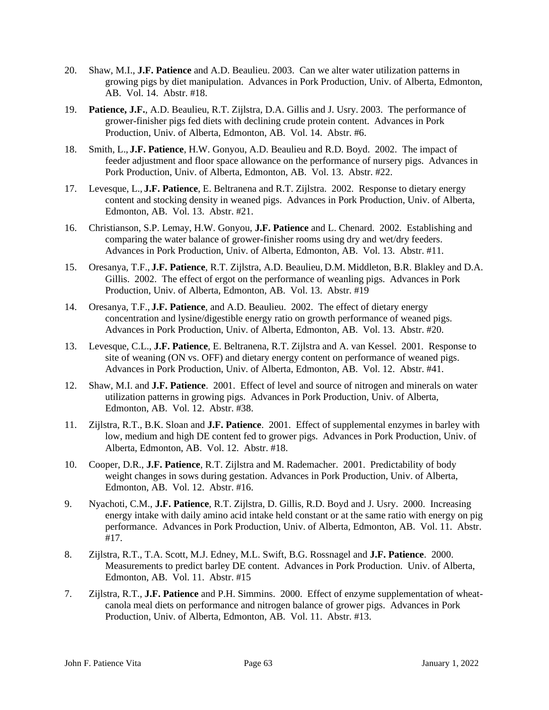- 20. Shaw, M.I., **J.F. Patience** and A.D. Beaulieu. 2003. Can we alter water utilization patterns in growing pigs by diet manipulation. Advances in Pork Production, Univ. of Alberta, Edmonton, AB. Vol. 14. Abstr. #18.
- 19. **Patience, J.F.**, A.D. Beaulieu, R.T. Zijlstra, D.A. Gillis and J. Usry. 2003. The performance of grower-finisher pigs fed diets with declining crude protein content. Advances in Pork Production, Univ. of Alberta, Edmonton, AB. Vol. 14. Abstr. #6.
- 18. Smith, L., **J.F. Patience**, H.W. Gonyou, A.D. Beaulieu and R.D. Boyd. 2002. The impact of feeder adjustment and floor space allowance on the performance of nursery pigs. Advances in Pork Production, Univ. of Alberta, Edmonton, AB. Vol. 13. Abstr. #22.
- 17. Levesque, L., **J.F. Patience**, E. Beltranena and R.T. Zijlstra. 2002. Response to dietary energy content and stocking density in weaned pigs. Advances in Pork Production, Univ. of Alberta, Edmonton, AB. Vol. 13. Abstr. #21.
- 16. Christianson, S.P. Lemay, H.W. Gonyou, **J.F. Patience** and L. Chenard. 2002. Establishing and comparing the water balance of grower-finisher rooms using dry and wet/dry feeders. Advances in Pork Production, Univ. of Alberta, Edmonton, AB. Vol. 13. Abstr. #11.
- 15. Oresanya, T.F., **J.F. Patience**, R.T. Zijlstra, A.D. Beaulieu, D.M. Middleton, B.R. Blakley and D.A. Gillis. 2002. The effect of ergot on the performance of weanling pigs. Advances in Pork Production, Univ. of Alberta, Edmonton, AB. Vol. 13. Abstr. #19
- 14. Oresanya, T.F., **J.F. Patience**, and A.D. Beaulieu. 2002. The effect of dietary energy concentration and lysine/digestible energy ratio on growth performance of weaned pigs. Advances in Pork Production, Univ. of Alberta, Edmonton, AB. Vol. 13. Abstr. #20.
- 13. Levesque, C.L., **J.F. Patience**, E. Beltranena, R.T. Zijlstra and A. van Kessel. 2001. Response to site of weaning (ON vs. OFF) and dietary energy content on performance of weaned pigs. Advances in Pork Production, Univ. of Alberta, Edmonton, AB. Vol. 12. Abstr. #41.
- 12. Shaw, M.I. and **J.F. Patience**. 2001. Effect of level and source of nitrogen and minerals on water utilization patterns in growing pigs. Advances in Pork Production, Univ. of Alberta, Edmonton, AB. Vol. 12. Abstr. #38.
- 11. Zijlstra, R.T., B.K. Sloan and **J.F. Patience**. 2001. Effect of supplemental enzymes in barley with low, medium and high DE content fed to grower pigs. Advances in Pork Production, Univ. of Alberta, Edmonton, AB. Vol. 12. Abstr. #18.
- 10. Cooper, D.R., **J.F. Patience**, R.T. Zijlstra and M. Rademacher. 2001. Predictability of body weight changes in sows during gestation. Advances in Pork Production, Univ. of Alberta, Edmonton, AB. Vol. 12. Abstr. #16.
- 9. Nyachoti, C.M., **J.F. Patience**, R.T. Zijlstra, D. Gillis, R.D. Boyd and J. Usry. 2000. Increasing energy intake with daily amino acid intake held constant or at the same ratio with energy on pig performance. Advances in Pork Production, Univ. of Alberta, Edmonton, AB. Vol. 11. Abstr. #17.
- 8. Zijlstra, R.T., T.A. Scott, M.J. Edney, M.L. Swift, B.G. Rossnagel and **J.F. Patience**. 2000. Measurements to predict barley DE content. Advances in Pork Production. Univ. of Alberta, Edmonton, AB. Vol. 11. Abstr. #15
- 7. Zijlstra, R.T., **J.F. Patience** and P.H. Simmins. 2000. Effect of enzyme supplementation of wheatcanola meal diets on performance and nitrogen balance of grower pigs. Advances in Pork Production, Univ. of Alberta, Edmonton, AB. Vol. 11. Abstr. #13.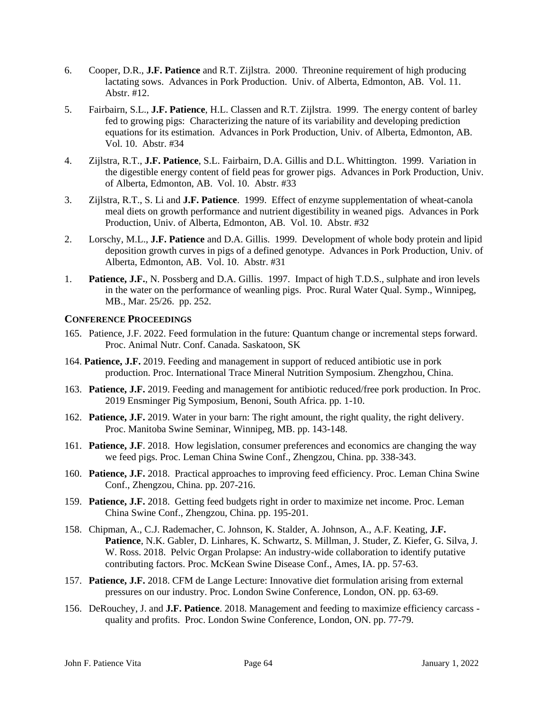- 6. Cooper, D.R., **J.F. Patience** and R.T. Zijlstra. 2000. Threonine requirement of high producing lactating sows. Advances in Pork Production. Univ. of Alberta, Edmonton, AB. Vol. 11. Abstr. #12.
- 5. Fairbairn, S.L., **J.F. Patience**, H.L. Classen and R.T. Zijlstra. 1999. The energy content of barley fed to growing pigs: Characterizing the nature of its variability and developing prediction equations for its estimation. Advances in Pork Production, Univ. of Alberta, Edmonton, AB. Vol. 10. Abstr. #34
- 4. Zijlstra, R.T., **J.F. Patience**, S.L. Fairbairn, D.A. Gillis and D.L. Whittington. 1999. Variation in the digestible energy content of field peas for grower pigs. Advances in Pork Production, Univ. of Alberta, Edmonton, AB. Vol. 10. Abstr. #33
- 3. Zijlstra, R.T., S. Li and **J.F. Patience**. 1999. Effect of enzyme supplementation of wheat-canola meal diets on growth performance and nutrient digestibility in weaned pigs. Advances in Pork Production, Univ. of Alberta, Edmonton, AB. Vol. 10. Abstr. #32
- 2. Lorschy, M.L., **J.F. Patience** and D.A. Gillis. 1999. Development of whole body protein and lipid deposition growth curves in pigs of a defined genotype. Advances in Pork Production, Univ. of Alberta, Edmonton, AB. Vol. 10. Abstr. #31
- 1. **Patience, J.F.**, N. Possberg and D.A. Gillis. 1997. Impact of high T.D.S., sulphate and iron levels in the water on the performance of weanling pigs. Proc. Rural Water Qual. Symp., Winnipeg, MB., Mar. 25/26. pp. 252.

## **CONFERENCE PROCEEDINGS**

- 165. Patience, J.F. 2022. Feed formulation in the future: Quantum change or incremental steps forward. Proc. Animal Nutr. Conf. Canada. Saskatoon, SK
- 164. **Patience, J.F.** 2019. Feeding and management in support of reduced antibiotic use in pork production. Proc. International Trace Mineral Nutrition Symposium. Zhengzhou, China.
- 163. **Patience, J.F.** 2019. Feeding and management for antibiotic reduced/free pork production. In Proc. 2019 Ensminger Pig Symposium, Benoni, South Africa. pp. 1-10.
- 162. **Patience, J.F.** 2019. Water in your barn: The right amount, the right quality, the right delivery. Proc. Manitoba Swine Seminar, Winnipeg, MB. pp. 143-148.
- 161. **Patience, J.F**. 2018. How legislation, consumer preferences and economics are changing the way we feed pigs. Proc. Leman China Swine Conf., Zhengzou, China. pp. 338-343.
- 160. **Patience, J.F.** 2018. Practical approaches to improving feed efficiency. Proc. Leman China Swine Conf., Zhengzou, China. pp. 207-216.
- 159. **Patience, J.F.** 2018. Getting feed budgets right in order to maximize net income. Proc. Leman China Swine Conf., Zhengzou, China. pp. 195-201.
- 158. Chipman, A., C.J. Rademacher, C. Johnson, K. Stalder, A. Johnson, A., A.F. Keating, **J.F. Patience**, N.K. Gabler, D. Linhares, K. Schwartz, S. Millman, J. Studer, Z. Kiefer, G. Silva, J. W. Ross. 2018. Pelvic Organ Prolapse: An industry-wide collaboration to identify putative contributing factors. Proc. McKean Swine Disease Conf., Ames, IA. pp. 57-63.
- 157. **Patience, J.F.** 2018. CFM de Lange Lecture: Innovative diet formulation arising from external pressures on our industry. Proc. London Swine Conference, London, ON. pp. 63-69.
- 156. DeRouchey, J. and **J.F. Patience**. 2018. Management and feeding to maximize efficiency carcass quality and profits. Proc. London Swine Conference, London, ON. pp. 77-79.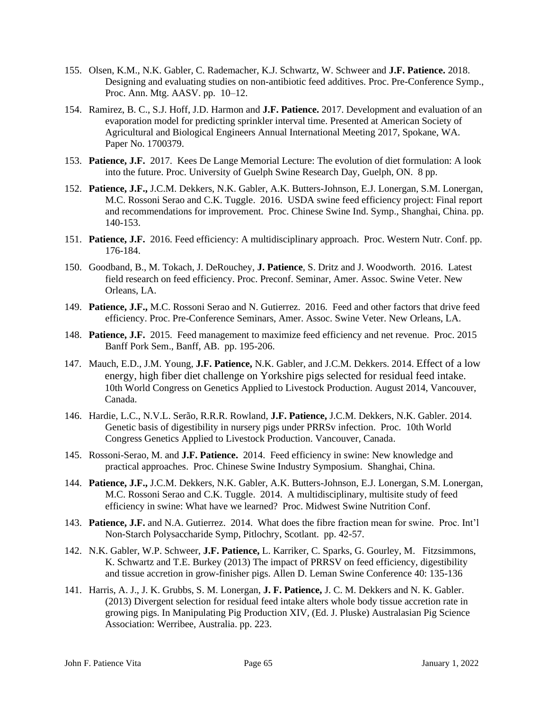- 155. Olsen, K.M., N.K. Gabler, C. Rademacher, K.J. Schwartz, W. Schweer and **J.F. Patience.** 2018. Designing and evaluating studies on non-antibiotic feed additives. Proc. Pre-Conference Symp., Proc. Ann. Mtg. AASV. pp. 10–12.
- 154. Ramirez, B. C., S.J. Hoff, J.D. Harmon and **J.F. Patience.** 2017. Development and evaluation of an evaporation model for predicting sprinkler interval time. Presented at American Society of Agricultural and Biological Engineers Annual International Meeting 2017, Spokane, WA. Paper No. 1700379.
- 153. **Patience, J.F.** 2017. Kees De Lange Memorial Lecture: The evolution of diet formulation: A look into the future. Proc. University of Guelph Swine Research Day, Guelph, ON. 8 pp.
- 152. **Patience, J.F.,** J.C.M. Dekkers, N.K. Gabler, A.K. Butters-Johnson, E.J. Lonergan, S.M. Lonergan, M.C. Rossoni Serao and C.K. Tuggle. 2016. USDA swine feed efficiency project: Final report and recommendations for improvement. Proc. Chinese Swine Ind. Symp., Shanghai, China. pp. 140-153.
- 151. **Patience, J.F.** 2016. Feed efficiency: A multidisciplinary approach. Proc. Western Nutr. Conf. pp. 176-184.
- 150. Goodband, B., M. Tokach, J. DeRouchey, **J. Patience**, S. Dritz and J. Woodworth. 2016. Latest field research on feed efficiency. Proc. Preconf. Seminar, Amer. Assoc. Swine Veter. New Orleans, LA.
- 149. **Patience, J.F.,** M.C. Rossoni Serao and N. Gutierrez. 2016. Feed and other factors that drive feed efficiency. Proc. Pre-Conference Seminars, Amer. Assoc. Swine Veter. New Orleans, LA.
- 148. **Patience, J.F.** 2015. Feed management to maximize feed efficiency and net revenue. Proc. 2015 Banff Pork Sem., Banff, AB. pp. 195-206.
- 147. Mauch, E.D., J.M. Young, **J.F. Patience,** N.K. Gabler, and J.C.M. Dekkers. 2014. Effect of a low energy, high fiber diet challenge on Yorkshire pigs selected for residual feed intake. 10th World Congress on Genetics Applied to Livestock Production. August 2014, Vancouver, Canada.
- 146. Hardie, L.C., N.V.L. Serão, R.R.R. Rowland, **J.F. Patience,** J.C.M. Dekkers, N.K. Gabler. 2014. Genetic basis of digestibility in nursery pigs under PRRSv infection. Proc. 10th World Congress Genetics Applied to Livestock Production. Vancouver, Canada.
- 145. Rossoni-Serao, M. and **J.F. Patience.** 2014. Feed efficiency in swine: New knowledge and practical approaches. Proc. Chinese Swine Industry Symposium. Shanghai, China.
- 144. **Patience, J.F.,** J.C.M. Dekkers, N.K. Gabler, A.K. Butters-Johnson, E.J. Lonergan, S.M. Lonergan, M.C. Rossoni Serao and C.K. Tuggle. 2014. A multidisciplinary, multisite study of feed efficiency in swine: What have we learned? Proc. Midwest Swine Nutrition Conf.
- 143. **Patience, J.F.** and N.A. Gutierrez. 2014. What does the fibre fraction mean for swine. Proc. Int'l Non-Starch Polysaccharide Symp, Pitlochry, Scotlant. pp. 42-57.
- 142. N.K. Gabler, W.P. Schweer, **J.F. Patience,** L. Karriker, C. Sparks, G. Gourley, M. Fitzsimmons, K. Schwartz and T.E. Burkey (2013) The impact of PRRSV on feed efficiency, digestibility and tissue accretion in grow-finisher pigs. Allen D. Leman Swine Conference 40: 135-136
- 141. Harris, A. J., J. K. Grubbs, S. M. Lonergan, **J. F. Patience,** J. C. M. Dekkers and N. K. Gabler. (2013) Divergent selection for residual feed intake alters whole body tissue accretion rate in growing pigs. In Manipulating Pig Production XIV, (Ed. J. Pluske) Australasian Pig Science Association: Werribee, Australia. pp. 223.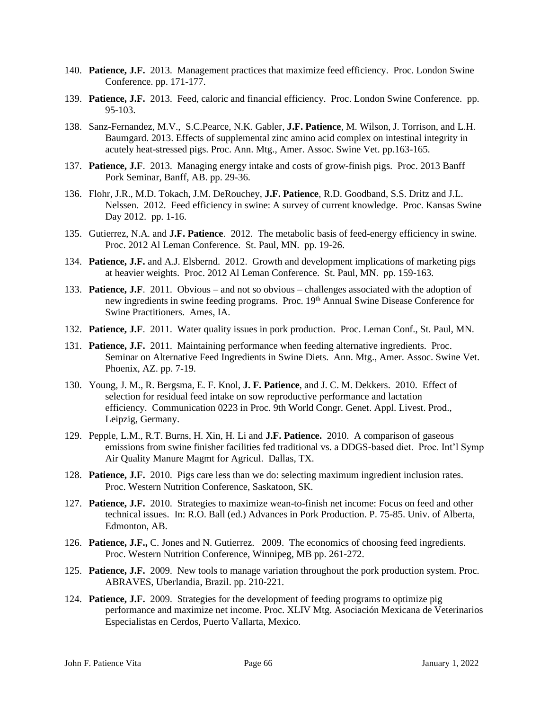- 140. **Patience, J.F.** 2013. Management practices that maximize feed efficiency. Proc. London Swine Conference. pp. 171-177.
- 139. **Patience, J.F.** 2013. Feed, caloric and financial efficiency. Proc. London Swine Conference. pp. 95-103.
- 138. Sanz-Fernandez, M.V., S.C.Pearce, N.K. Gabler, **J.F. Patience**, M. Wilson, J. Torrison, and L.H. Baumgard. 2013. Effects of supplemental zinc amino acid complex on intestinal integrity in acutely heat-stressed pigs. Proc. Ann. Mtg., Amer. Assoc. Swine Vet. pp.163-165.
- 137. **Patience, J.F**. 2013. Managing energy intake and costs of grow-finish pigs. Proc. 2013 Banff Pork Seminar, Banff, AB. pp. 29-36.
- 136. Flohr, J.R., M.D. Tokach, J.M. DeRouchey, **J.F. Patience**, R.D. Goodband, S.S. Dritz and J.L. Nelssen. 2012. Feed efficiency in swine: A survey of current knowledge. Proc. Kansas Swine Day 2012. pp. 1-16.
- 135. Gutierrez, N.A. and **J.F. Patience**. 2012. The metabolic basis of feed-energy efficiency in swine. Proc. 2012 Al Leman Conference. St. Paul, MN. pp. 19-26.
- 134. **Patience, J.F.** and A.J. Elsbernd. 2012. Growth and development implications of marketing pigs at heavier weights. Proc. 2012 Al Leman Conference. St. Paul, MN. pp. 159-163.
- 133. **Patience, J.F**. 2011. Obvious and not so obvious challenges associated with the adoption of new ingredients in swine feeding programs. Proc. 19<sup>th</sup> Annual Swine Disease Conference for Swine Practitioners. Ames, IA.
- 132. **Patience, J.F**. 2011. Water quality issues in pork production. Proc. Leman Conf., St. Paul, MN.
- 131. **Patience, J.F.** 2011. Maintaining performance when feeding alternative ingredients. Proc. Seminar on Alternative Feed Ingredients in Swine Diets. Ann. Mtg., Amer. Assoc. Swine Vet. Phoenix, AZ. pp. 7-19.
- 130. Young, J. M., R. Bergsma, E. F. Knol, **J. F. Patience**, and J. C. M. Dekkers. 2010. Effect of selection for residual feed intake on sow reproductive performance and lactation efficiency. Communication 0223 in Proc. 9th World Congr. Genet. Appl. Livest. Prod., Leipzig, Germany.
- 129. Pepple, L.M., R.T. Burns, H. Xin, H. Li and **J.F. Patience.** 2010. A comparison of gaseous emissions from swine finisher facilities fed traditional vs. a DDGS-based diet. Proc. Int'l Symp Air Quality Manure Magmt for Agricul. Dallas, TX.
- 128. **Patience, J.F.** 2010. Pigs care less than we do: selecting maximum ingredient inclusion rates. Proc. Western Nutrition Conference, Saskatoon, SK.
- 127. **Patience, J.F.** 2010. Strategies to maximize wean-to-finish net income: Focus on feed and other technical issues. In: R.O. Ball (ed.) Advances in Pork Production. P. 75-85. Univ. of Alberta, Edmonton, AB.
- 126. **Patience, J.F.,** C. Jones and N. Gutierrez. 2009. The economics of choosing feed ingredients. Proc. Western Nutrition Conference, Winnipeg, MB pp. 261-272.
- 125. **Patience, J.F.** 2009. New tools to manage variation throughout the pork production system. Proc. ABRAVES, Uberlandia, Brazil. pp. 210-221.
- 124. **Patience, J.F.** 2009. Strategies for the development of feeding programs to optimize pig performance and maximize net income. Proc. XLIV Mtg. Asociación Mexicana de Veterinarios Especialistas en Cerdos, Puerto Vallarta, Mexico.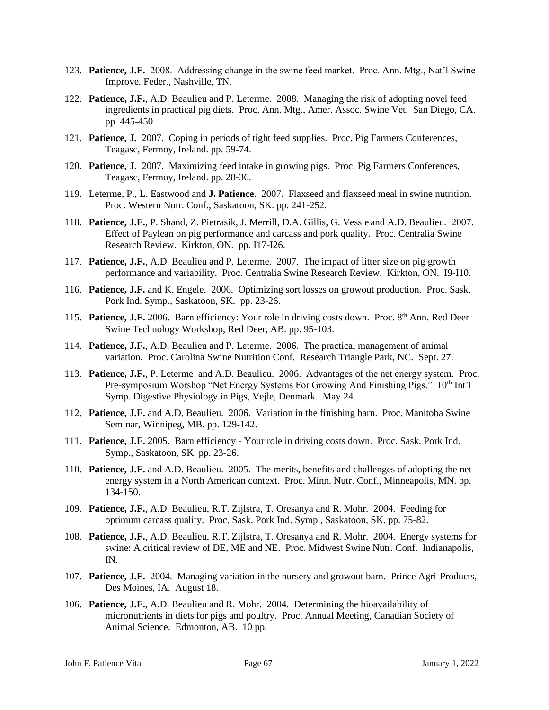- 123. **Patience, J.F.** 2008. Addressing change in the swine feed market. Proc. Ann. Mtg., Nat'l Swine Improve. Feder., Nashville, TN.
- 122. **Patience, J.F.**, A.D. Beaulieu and P. Leterme. 2008. Managing the risk of adopting novel feed ingredients in practical pig diets. Proc. Ann. Mtg., Amer. Assoc. Swine Vet. San Diego, CA. pp. 445-450.
- 121. **Patience, J.** 2007. Coping in periods of tight feed supplies. Proc. Pig Farmers Conferences, Teagasc, Fermoy, Ireland. pp. 59-74.
- 120. **Patience, J**. 2007. Maximizing feed intake in growing pigs. Proc. Pig Farmers Conferences, Teagasc, Fermoy, Ireland. pp. 28-36.
- 119. Leterme, P., L. Eastwood and **J. Patience**. 2007. Flaxseed and flaxseed meal in swine nutrition. Proc. Western Nutr. Conf., Saskatoon, SK. pp. 241-252.
- 118. **Patience, J.F.**, P. Shand, Z. Pietrasik, J. Merrill, D.A. Gillis, G. Vessie and A.D. Beaulieu. 2007. Effect of Paylean on pig performance and carcass and pork quality. Proc. Centralia Swine Research Review. Kirkton, ON. pp. I17-I26.
- 117. **Patience, J.F.**, A.D. Beaulieu and P. Leterme. 2007. The impact of litter size on pig growth performance and variability. Proc. Centralia Swine Research Review. Kirkton, ON. I9-I10.
- 116. **Patience, J.F.** and K. Engele. 2006. Optimizing sort losses on growout production. Proc. Sask. Pork Ind. Symp., Saskatoon, SK. pp. 23-26.
- 115. **Patience, J.F.** 2006. Barn efficiency: Your role in driving costs down. Proc. 8<sup>th</sup> Ann. Red Deer Swine Technology Workshop, Red Deer, AB. pp. 95-103.
- 114. **Patience, J.F.**, A.D. Beaulieu and P. Leterme. 2006. The practical management of animal variation. Proc. Carolina Swine Nutrition Conf. Research Triangle Park, NC. Sept. 27.
- 113. **Patience, J.F.**, P. Leterme and A.D. Beaulieu. 2006. Advantages of the net energy system. Proc. Pre-symposium Worshop "Net Energy Systems For Growing And Finishing Pigs." 10<sup>th</sup> Int'l Symp. Digestive Physiology in Pigs, Vejle, Denmark. May 24.
- 112. **Patience, J.F.** and A.D. Beaulieu. 2006. Variation in the finishing barn. Proc. Manitoba Swine Seminar, Winnipeg, MB. pp. 129-142.
- 111. **Patience, J.F.** 2005. Barn efficiency Your role in driving costs down. Proc. Sask. Pork Ind. Symp., Saskatoon, SK. pp. 23-26.
- 110. **Patience, J.F.** and A.D. Beaulieu. 2005. The merits, benefits and challenges of adopting the net energy system in a North American context. Proc. Minn. Nutr. Conf., Minneapolis, MN. pp. 134-150.
- 109. **Patience, J.F.**, A.D. Beaulieu, R.T. Zijlstra, T. Oresanya and R. Mohr. 2004. Feeding for optimum carcass quality. Proc. Sask. Pork Ind. Symp., Saskatoon, SK. pp. 75-82.
- 108. **Patience, J.F.**, A.D. Beaulieu, R.T. Zijlstra, T. Oresanya and R. Mohr. 2004. Energy systems for swine: A critical review of DE, ME and NE. Proc. Midwest Swine Nutr. Conf. Indianapolis, IN.
- 107. **Patience, J.F.** 2004. Managing variation in the nursery and growout barn. Prince Agri-Products, Des Moines, IA. August 18.
- 106. **Patience, J.F.**, A.D. Beaulieu and R. Mohr. 2004. Determining the bioavailability of micronutrients in diets for pigs and poultry. Proc. Annual Meeting, Canadian Society of Animal Science. Edmonton, AB. 10 pp.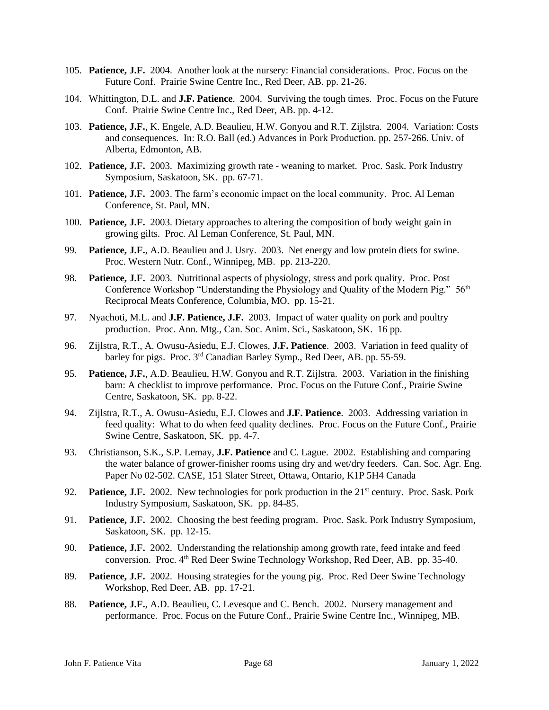- 105. **Patience, J.F.** 2004. Another look at the nursery: Financial considerations. Proc. Focus on the Future Conf. Prairie Swine Centre Inc., Red Deer, AB. pp. 21-26.
- 104. Whittington, D.L. and **J.F. Patience**. 2004. Surviving the tough times. Proc. Focus on the Future Conf. Prairie Swine Centre Inc., Red Deer, AB. pp. 4-12.
- 103. **Patience, J.F.**, K. Engele, A.D. Beaulieu, H.W. Gonyou and R.T. Zijlstra. 2004. Variation: Costs and consequences. In: R.O. Ball (ed.) Advances in Pork Production. pp. 257-266. Univ. of Alberta, Edmonton, AB.
- 102. **Patience, J.F.** 2003. Maximizing growth rate weaning to market. Proc. Sask. Pork Industry Symposium, Saskatoon, SK. pp. 67-71.
- 101. **Patience, J.F.** 2003. The farm's economic impact on the local community. Proc. Al Leman Conference, St. Paul, MN.
- 100. **Patience, J.F.** 2003. Dietary approaches to altering the composition of body weight gain in growing gilts. Proc. Al Leman Conference, St. Paul, MN.
- 99. **Patience, J.F.**, A.D. Beaulieu and J. Usry. 2003. Net energy and low protein diets for swine. Proc. Western Nutr. Conf., Winnipeg, MB. pp. 213-220.
- 98. **Patience, J.F.** 2003. Nutritional aspects of physiology, stress and pork quality. Proc. Post Conference Workshop "Understanding the Physiology and Quality of the Modern Pig." 56<sup>th</sup> Reciprocal Meats Conference, Columbia, MO. pp. 15-21.
- 97. Nyachoti, M.L. and **J.F. Patience, J.F.** 2003. Impact of water quality on pork and poultry production. Proc. Ann. Mtg., Can. Soc. Anim. Sci., Saskatoon, SK. 16 pp.
- 96. Zijlstra, R.T., A. Owusu-Asiedu, E.J. Clowes, **J.F. Patience**. 2003. Variation in feed quality of barley for pigs. Proc. 3rd Canadian Barley Symp., Red Deer, AB. pp. 55-59.
- 95. **Patience, J.F.**, A.D. Beaulieu, H.W. Gonyou and R.T. Zijlstra. 2003. Variation in the finishing barn: A checklist to improve performance. Proc. Focus on the Future Conf., Prairie Swine Centre, Saskatoon, SK. pp. 8-22.
- 94. Zijlstra, R.T., A. Owusu-Asiedu, E.J. Clowes and **J.F. Patience**. 2003. Addressing variation in feed quality: What to do when feed quality declines. Proc. Focus on the Future Conf., Prairie Swine Centre, Saskatoon, SK. pp. 4-7.
- 93. Christianson, S.K., S.P. Lemay, **J.F. Patience** and C. Lague. 2002. Establishing and comparing the water balance of grower-finisher rooms using dry and wet/dry feeders. Can. Soc. Agr. Eng. Paper No 02-502. CASE, 151 Slater Street, Ottawa, Ontario, K1P 5H4 Canada
- 92. **Patience, J.F.** 2002. New technologies for pork production in the 21<sup>st</sup> century. Proc. Sask. Pork Industry Symposium, Saskatoon, SK. pp. 84-85.
- 91. **Patience, J.F.** 2002. Choosing the best feeding program. Proc. Sask. Pork Industry Symposium, Saskatoon, SK. pp. 12-15.
- 90. **Patience, J.F.** 2002. Understanding the relationship among growth rate, feed intake and feed conversion. Proc. 4th Red Deer Swine Technology Workshop, Red Deer, AB. pp. 35-40.
- 89. **Patience, J.F.** 2002. Housing strategies for the young pig. Proc. Red Deer Swine Technology Workshop, Red Deer, AB. pp. 17-21.
- 88. **Patience, J.F.**, A.D. Beaulieu, C. Levesque and C. Bench. 2002. Nursery management and performance. Proc. Focus on the Future Conf., Prairie Swine Centre Inc., Winnipeg, MB.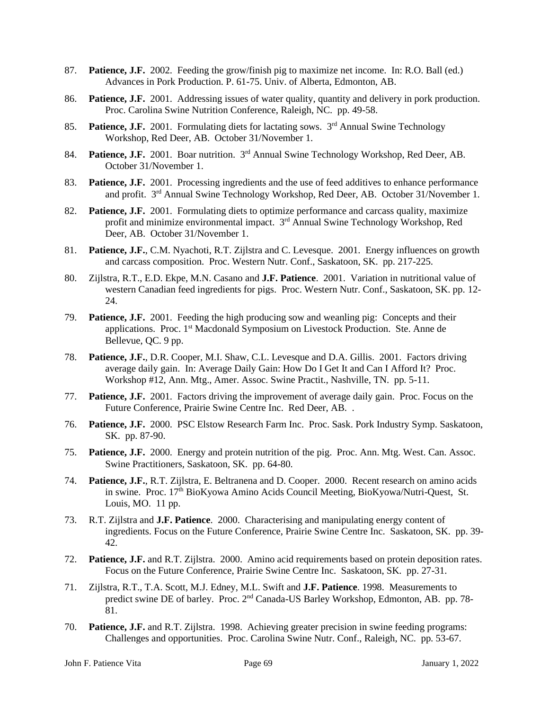- 87. **Patience, J.F.** 2002. Feeding the grow/finish pig to maximize net income. In: R.O. Ball (ed.) Advances in Pork Production. P. 61-75. Univ. of Alberta, Edmonton, AB.
- 86. **Patience, J.F.** 2001. Addressing issues of water quality, quantity and delivery in pork production. Proc. Carolina Swine Nutrition Conference, Raleigh, NC. pp. 49-58.
- 85. **Patience, J.F.** 2001. Formulating diets for lactating sows. 3<sup>rd</sup> Annual Swine Technology Workshop, Red Deer, AB. October 31/November 1.
- 84. **Patience, J.F.** 2001. Boar nutrition. 3<sup>rd</sup> Annual Swine Technology Workshop, Red Deer, AB. October 31/November 1.
- 83. **Patience, J.F.** 2001. Processing ingredients and the use of feed additives to enhance performance and profit. 3rd Annual Swine Technology Workshop, Red Deer, AB. October 31/November 1.
- 82. **Patience, J.F.** 2001. Formulating diets to optimize performance and carcass quality, maximize profit and minimize environmental impact. 3rd Annual Swine Technology Workshop, Red Deer, AB. October 31/November 1.
- 81. **Patience, J.F.**, C.M. Nyachoti, R.T. Zijlstra and C. Levesque. 2001. Energy influences on growth and carcass composition. Proc. Western Nutr. Conf., Saskatoon, SK. pp. 217-225.
- 80. Zijlstra, R.T., E.D. Ekpe, M.N. Casano and **J.F. Patience**. 2001. Variation in nutritional value of western Canadian feed ingredients for pigs. Proc. Western Nutr. Conf., Saskatoon, SK. pp. 12- 24.
- 79. **Patience, J.F.** 2001. Feeding the high producing sow and weanling pig: Concepts and their applications. Proc. 1st Macdonald Symposium on Livestock Production. Ste. Anne de Bellevue, QC. 9 pp.
- 78. **Patience, J.F.**, D.R. Cooper, M.I. Shaw, C.L. Levesque and D.A. Gillis. 2001. Factors driving average daily gain. In: Average Daily Gain: How Do I Get It and Can I Afford It? Proc. Workshop #12, Ann. Mtg., Amer. Assoc. Swine Practit., Nashville, TN. pp. 5-11.
- 77. **Patience, J.F.** 2001. Factors driving the improvement of average daily gain. Proc. Focus on the Future Conference, Prairie Swine Centre Inc. Red Deer, AB. .
- 76. **Patience, J.F.** 2000. PSC Elstow Research Farm Inc. Proc. Sask. Pork Industry Symp. Saskatoon, SK. pp. 87-90.
- 75. **Patience, J.F.** 2000. Energy and protein nutrition of the pig. Proc. Ann. Mtg. West. Can. Assoc. Swine Practitioners, Saskatoon, SK. pp. 64-80.
- 74. **Patience, J.F.**, R.T. Zijlstra, E. Beltranena and D. Cooper. 2000. Recent research on amino acids in swine. Proc. 17th BioKyowa Amino Acids Council Meeting, BioKyowa/Nutri-Quest, St. Louis, MO. 11 pp.
- 73. R.T. Zijlstra and **J.F. Patience**. 2000. Characterising and manipulating energy content of ingredients. Focus on the Future Conference, Prairie Swine Centre Inc. Saskatoon, SK. pp. 39- 42.
- 72. **Patience, J.F.** and R.T. Zijlstra. 2000. Amino acid requirements based on protein deposition rates. Focus on the Future Conference, Prairie Swine Centre Inc. Saskatoon, SK. pp. 27-31.
- 71. Zijlstra, R.T., T.A. Scott, M.J. Edney, M.L. Swift and **J.F. Patience**. 1998. Measurements to predict swine DE of barley. Proc. 2nd Canada-US Barley Workshop, Edmonton, AB. pp. 78- 81.
- 70. **Patience, J.F.** and R.T. Zijlstra. 1998. Achieving greater precision in swine feeding programs: Challenges and opportunities. Proc. Carolina Swine Nutr. Conf., Raleigh, NC. pp. 53-67.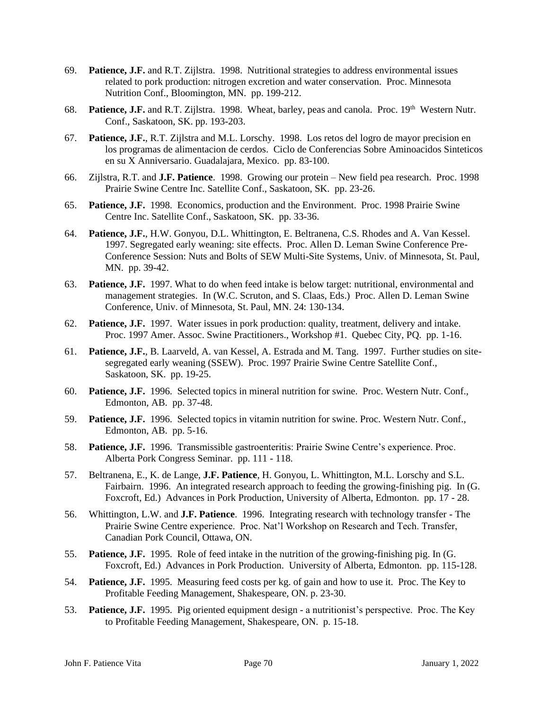- 69. **Patience, J.F.** and R.T. Zijlstra. 1998. Nutritional strategies to address environmental issues related to pork production: nitrogen excretion and water conservation. Proc. Minnesota Nutrition Conf., Bloomington, MN. pp. 199-212.
- 68. Patience, J.F. and R.T. Zijlstra. 1998. Wheat, barley, peas and canola. Proc. 19<sup>th</sup> Western Nutr. Conf., Saskatoon, SK. pp. 193-203.
- 67. **Patience, J.F.**, R.T. Zijlstra and M.L. Lorschy. 1998. Los retos del logro de mayor precision en los programas de alimentacion de cerdos. Ciclo de Conferencias Sobre Aminoacidos Sinteticos en su X Anniversario. Guadalajara, Mexico. pp. 83-100.
- 66. Zijlstra, R.T. and **J.F. Patience**. 1998. Growing our protein New field pea research. Proc. 1998 Prairie Swine Centre Inc. Satellite Conf., Saskatoon, SK. pp. 23-26.
- 65. **Patience, J.F.** 1998. Economics, production and the Environment. Proc. 1998 Prairie Swine Centre Inc. Satellite Conf., Saskatoon, SK. pp. 33-36.
- 64. **Patience, J.F.**, H.W. Gonyou, D.L. Whittington, E. Beltranena, C.S. Rhodes and A. Van Kessel. 1997. Segregated early weaning: site effects. Proc. Allen D. Leman Swine Conference Pre-Conference Session: Nuts and Bolts of SEW Multi-Site Systems, Univ. of Minnesota, St. Paul, MN. pp. 39-42.
- 63. **Patience, J.F.** 1997. What to do when feed intake is below target: nutritional, environmental and management strategies. In (W.C. Scruton, and S. Claas, Eds.) Proc. Allen D. Leman Swine Conference, Univ. of Minnesota, St. Paul, MN. 24: 130-134.
- 62. **Patience, J.F.** 1997. Water issues in pork production: quality, treatment, delivery and intake. Proc. 1997 Amer. Assoc. Swine Practitioners., Workshop #1. Quebec City, PQ. pp. 1-16.
- 61. **Patience, J.F.**, B. Laarveld, A. van Kessel, A. Estrada and M. Tang. 1997. Further studies on sitesegregated early weaning (SSEW). Proc. 1997 Prairie Swine Centre Satellite Conf., Saskatoon, SK. pp. 19-25.
- 60. **Patience, J.F.** 1996. Selected topics in mineral nutrition for swine. Proc. Western Nutr. Conf., Edmonton, AB. pp. 37-48.
- 59. **Patience, J.F.** 1996. Selected topics in vitamin nutrition for swine. Proc. Western Nutr. Conf., Edmonton, AB. pp. 5-16.
- 58. **Patience, J.F.** 1996. Transmissible gastroenteritis: Prairie Swine Centre's experience. Proc. Alberta Pork Congress Seminar. pp. 111 - 118.
- 57. Beltranena, E., K. de Lange, **J.F. Patience**, H. Gonyou, L. Whittington, M.L. Lorschy and S.L. Fairbairn. 1996. An integrated research approach to feeding the growing-finishing pig. In (G. Foxcroft, Ed.) Advances in Pork Production, University of Alberta, Edmonton. pp. 17 - 28.
- 56. Whittington, L.W. and **J.F. Patience**. 1996. Integrating research with technology transfer The Prairie Swine Centre experience. Proc. Nat'l Workshop on Research and Tech. Transfer, Canadian Pork Council, Ottawa, ON.
- 55. **Patience, J.F.** 1995. Role of feed intake in the nutrition of the growing-finishing pig. In (G. Foxcroft, Ed.) Advances in Pork Production. University of Alberta, Edmonton. pp. 115-128.
- 54. **Patience, J.F.** 1995. Measuring feed costs per kg. of gain and how to use it. Proc. The Key to Profitable Feeding Management, Shakespeare, ON. p. 23-30.
- 53. **Patience, J.F.** 1995. Pig oriented equipment design a nutritionist's perspective. Proc. The Key to Profitable Feeding Management, Shakespeare, ON. p. 15-18.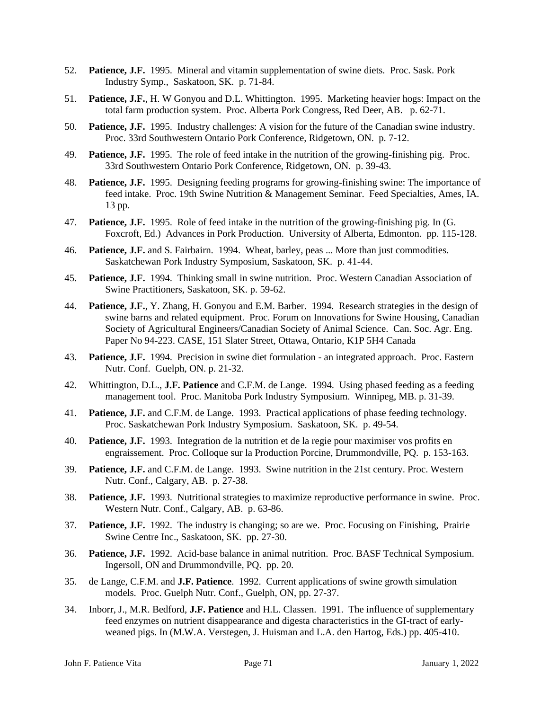- 52. **Patience, J.F.** 1995. Mineral and vitamin supplementation of swine diets. Proc. Sask. Pork Industry Symp., Saskatoon, SK. p. 71-84.
- 51. **Patience, J.F.**, H. W Gonyou and D.L. Whittington. 1995. Marketing heavier hogs: Impact on the total farm production system. Proc. Alberta Pork Congress, Red Deer, AB. p. 62-71.
- 50. **Patience, J.F.** 1995. Industry challenges: A vision for the future of the Canadian swine industry. Proc. 33rd Southwestern Ontario Pork Conference, Ridgetown, ON. p. 7-12.
- 49. **Patience, J.F.** 1995. The role of feed intake in the nutrition of the growing-finishing pig. Proc. 33rd Southwestern Ontario Pork Conference, Ridgetown, ON. p. 39-43.
- 48. **Patience, J.F.** 1995. Designing feeding programs for growing-finishing swine: The importance of feed intake. Proc. 19th Swine Nutrition & Management Seminar. Feed Specialties, Ames, IA. 13 pp.
- 47. **Patience, J.F.** 1995. Role of feed intake in the nutrition of the growing-finishing pig. In (G. Foxcroft, Ed.) Advances in Pork Production. University of Alberta, Edmonton. pp. 115-128.
- 46. **Patience, J.F.** and S. Fairbairn. 1994. Wheat, barley, peas ... More than just commodities. Saskatchewan Pork Industry Symposium, Saskatoon, SK. p. 41-44.
- 45. **Patience, J.F.** 1994. Thinking small in swine nutrition. Proc. Western Canadian Association of Swine Practitioners, Saskatoon, SK. p. 59-62.
- 44. **Patience, J.F.**, Y. Zhang, H. Gonyou and E.M. Barber. 1994. Research strategies in the design of swine barns and related equipment. Proc. Forum on Innovations for Swine Housing, Canadian Society of Agricultural Engineers/Canadian Society of Animal Science. Can. Soc. Agr. Eng. Paper No 94-223. CASE, 151 Slater Street, Ottawa, Ontario, K1P 5H4 Canada
- 43. **Patience, J.F.** 1994. Precision in swine diet formulation an integrated approach. Proc. Eastern Nutr. Conf. Guelph, ON. p. 21-32.
- 42. Whittington, D.L., **J.F. Patience** and C.F.M. de Lange. 1994. Using phased feeding as a feeding management tool. Proc. Manitoba Pork Industry Symposium. Winnipeg, MB. p. 31-39.
- 41. **Patience, J.F.** and C.F.M. de Lange. 1993. Practical applications of phase feeding technology. Proc. Saskatchewan Pork Industry Symposium. Saskatoon, SK. p. 49-54.
- 40. **Patience, J.F.** 1993. Integration de la nutrition et de la regie pour maximiser vos profits en engraissement. Proc. Colloque sur la Production Porcine, Drummondville, PQ. p. 153-163.
- 39. **Patience, J.F.** and C.F.M. de Lange. 1993. Swine nutrition in the 21st century. Proc. Western Nutr. Conf., Calgary, AB. p. 27-38.
- 38. **Patience, J.F.** 1993. Nutritional strategies to maximize reproductive performance in swine. Proc. Western Nutr. Conf., Calgary, AB. p. 63-86.
- 37. **Patience, J.F.** 1992. The industry is changing; so are we. Proc. Focusing on Finishing, Prairie Swine Centre Inc., Saskatoon, SK. pp. 27-30.
- 36. **Patience, J.F.** 1992. Acid-base balance in animal nutrition. Proc. BASF Technical Symposium. Ingersoll, ON and Drummondville, PQ. pp. 20.
- 35. de Lange, C.F.M. and **J.F. Patience**. 1992. Current applications of swine growth simulation models. Proc. Guelph Nutr. Conf., Guelph, ON, pp. 27-37.
- 34. Inborr, J., M.R. Bedford, **J.F. Patience** and H.L. Classen. 1991. The influence of supplementary feed enzymes on nutrient disappearance and digesta characteristics in the GI-tract of earlyweaned pigs. In (M.W.A. Verstegen, J. Huisman and L.A. den Hartog, Eds.) pp. 405-410.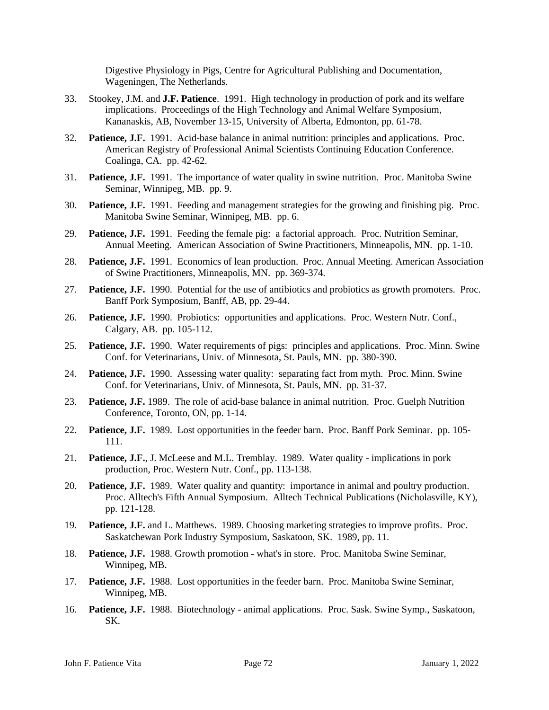Digestive Physiology in Pigs, Centre for Agricultural Publishing and Documentation, Wageningen, The Netherlands.

- 33. Stookey, J.M. and **J.F. Patience**. 1991. High technology in production of pork and its welfare implications. Proceedings of the High Technology and Animal Welfare Symposium, Kananaskis, AB, November 13-15, University of Alberta, Edmonton, pp. 61-78.
- 32. **Patience, J.F.** 1991. Acid-base balance in animal nutrition: principles and applications. Proc. American Registry of Professional Animal Scientists Continuing Education Conference. Coalinga, CA. pp. 42-62.
- 31. **Patience, J.F.** 1991. The importance of water quality in swine nutrition. Proc. Manitoba Swine Seminar, Winnipeg, MB. pp. 9.
- 30. **Patience, J.F.** 1991. Feeding and management strategies for the growing and finishing pig. Proc. Manitoba Swine Seminar, Winnipeg, MB. pp. 6.
- 29. **Patience, J.F.** 1991. Feeding the female pig: a factorial approach. Proc. Nutrition Seminar, Annual Meeting. American Association of Swine Practitioners, Minneapolis, MN. pp. 1-10.
- 28. **Patience, J.F.** 1991. Economics of lean production. Proc. Annual Meeting. American Association of Swine Practitioners, Minneapolis, MN. pp. 369-374.
- 27. **Patience, J.F.** 1990. Potential for the use of antibiotics and probiotics as growth promoters. Proc. Banff Pork Symposium, Banff, AB, pp. 29-44.
- 26. **Patience, J.F.** 1990. Probiotics: opportunities and applications. Proc. Western Nutr. Conf., Calgary, AB. pp. 105-112.
- 25. **Patience, J.F.** 1990. Water requirements of pigs: principles and applications. Proc. Minn. Swine Conf. for Veterinarians, Univ. of Minnesota, St. Pauls, MN. pp. 380-390.
- 24. **Patience, J.F.** 1990. Assessing water quality: separating fact from myth. Proc. Minn. Swine Conf. for Veterinarians, Univ. of Minnesota, St. Pauls, MN. pp. 31-37.
- 23. **Patience, J.F.** 1989. The role of acid-base balance in animal nutrition. Proc. Guelph Nutrition Conference, Toronto, ON, pp. 1-14.
- 22. **Patience, J.F.** 1989. Lost opportunities in the feeder barn. Proc. Banff Pork Seminar. pp. 105- 111.
- 21. **Patience, J.F.**, J. McLeese and M.L. Tremblay. 1989. Water quality implications in pork production, Proc. Western Nutr. Conf., pp. 113-138.
- 20. **Patience, J.F.** 1989. Water quality and quantity: importance in animal and poultry production. Proc. Alltech's Fifth Annual Symposium. Alltech Technical Publications (Nicholasville, KY), pp. 121-128.
- 19. **Patience, J.F.** and L. Matthews. 1989. Choosing marketing strategies to improve profits. Proc. Saskatchewan Pork Industry Symposium, Saskatoon, SK. 1989, pp. 11.
- 18. **Patience, J.F.** 1988. Growth promotion what's in store. Proc. Manitoba Swine Seminar, Winnipeg, MB.
- 17. **Patience, J.F.** 1988. Lost opportunities in the feeder barn. Proc. Manitoba Swine Seminar, Winnipeg, MB.
- 16. **Patience, J.F.** 1988. Biotechnology animal applications. Proc. Sask. Swine Symp., Saskatoon, SK.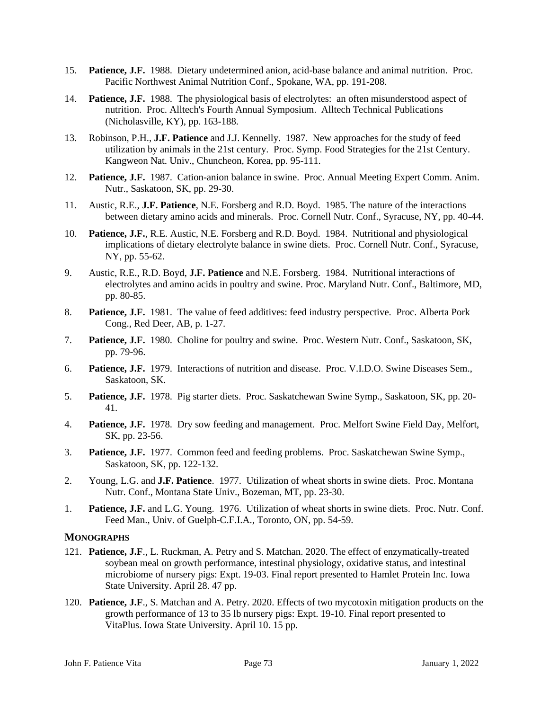- 15. **Patience, J.F.** 1988. Dietary undetermined anion, acid-base balance and animal nutrition. Proc. Pacific Northwest Animal Nutrition Conf., Spokane, WA, pp. 191-208.
- 14. **Patience, J.F.** 1988. The physiological basis of electrolytes: an often misunderstood aspect of nutrition. Proc. Alltech's Fourth Annual Symposium. Alltech Technical Publications (Nicholasville, KY), pp. 163-188.
- 13. Robinson, P.H., **J.F. Patience** and J.J. Kennelly. 1987. New approaches for the study of feed utilization by animals in the 21st century. Proc. Symp. Food Strategies for the 21st Century. Kangweon Nat. Univ., Chuncheon, Korea, pp. 95-111.
- 12. **Patience, J.F.** 1987. Cation-anion balance in swine. Proc. Annual Meeting Expert Comm. Anim. Nutr., Saskatoon, SK, pp. 29-30.
- 11. Austic, R.E., **J.F. Patience**, N.E. Forsberg and R.D. Boyd. 1985. The nature of the interactions between dietary amino acids and minerals. Proc. Cornell Nutr. Conf., Syracuse, NY, pp. 40-44.
- 10. **Patience, J.F.**, R.E. Austic, N.E. Forsberg and R.D. Boyd. 1984. Nutritional and physiological implications of dietary electrolyte balance in swine diets. Proc. Cornell Nutr. Conf., Syracuse, NY, pp. 55-62.
- 9. Austic, R.E., R.D. Boyd, **J.F. Patience** and N.E. Forsberg. 1984. Nutritional interactions of electrolytes and amino acids in poultry and swine. Proc. Maryland Nutr. Conf., Baltimore, MD, pp. 80-85.
- 8. **Patience, J.F.** 1981. The value of feed additives: feed industry perspective. Proc. Alberta Pork Cong., Red Deer, AB, p. 1-27.
- 7. **Patience, J.F.** 1980. Choline for poultry and swine. Proc. Western Nutr. Conf., Saskatoon, SK, pp. 79-96.
- 6. **Patience, J.F.** 1979. Interactions of nutrition and disease. Proc. V.I.D.O. Swine Diseases Sem., Saskatoon, SK.
- 5. **Patience, J.F.** 1978. Pig starter diets. Proc. Saskatchewan Swine Symp., Saskatoon, SK, pp. 20- 41.
- 4. **Patience, J.F.** 1978. Dry sow feeding and management. Proc. Melfort Swine Field Day, Melfort, SK, pp. 23-56.
- 3. **Patience, J.F.** 1977. Common feed and feeding problems. Proc. Saskatchewan Swine Symp., Saskatoon, SK, pp. 122-132.
- 2. Young, L.G. and **J.F. Patience**. 1977. Utilization of wheat shorts in swine diets. Proc. Montana Nutr. Conf., Montana State Univ., Bozeman, MT, pp. 23-30.
- 1. **Patience, J.F.** and L.G. Young. 1976. Utilization of wheat shorts in swine diets. Proc. Nutr. Conf. Feed Man., Univ. of Guelph-C.F.I.A., Toronto, ON, pp. 54-59.

## **MONOGRAPHS**

- 121. **Patience, J.F**., L. Ruckman, A. Petry and S. Matchan. 2020. The effect of enzymatically-treated soybean meal on growth performance, intestinal physiology, oxidative status, and intestinal microbiome of nursery pigs: Expt. 19-03. Final report presented to Hamlet Protein Inc. Iowa State University. April 28. 47 pp.
- 120. **Patience, J.F**., S. Matchan and A. Petry. 2020. Effects of two mycotoxin mitigation products on the growth performance of 13 to 35 lb nursery pigs: Expt. 19-10. Final report presented to VitaPlus. Iowa State University. April 10. 15 pp.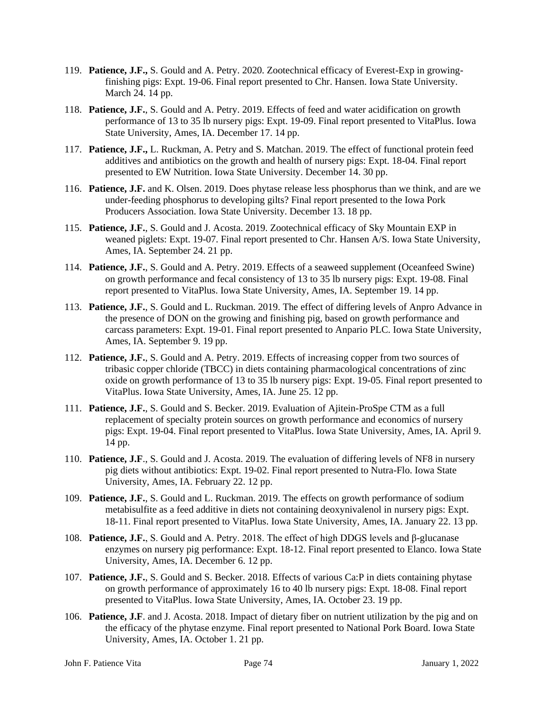- 119. **Patience, J.F.,** S. Gould and A. Petry. 2020. Zootechnical efficacy of Everest-Exp in growingfinishing pigs: Expt. 19-06. Final report presented to Chr. Hansen. Iowa State University. March 24. 14 pp.
- 118. **Patience, J.F.**, S. Gould and A. Petry. 2019. Effects of feed and water acidification on growth performance of 13 to 35 lb nursery pigs: Expt. 19-09. Final report presented to VitaPlus. Iowa State University, Ames, IA. December 17. 14 pp.
- 117. **Patience, J.F.,** L. Ruckman, A. Petry and S. Matchan. 2019. The effect of functional protein feed additives and antibiotics on the growth and health of nursery pigs: Expt. 18-04. Final report presented to EW Nutrition. Iowa State University. December 14. 30 pp.
- 116. **Patience, J.F.** and K. Olsen. 2019. Does phytase release less phosphorus than we think, and are we under-feeding phosphorus to developing gilts? Final report presented to the Iowa Pork Producers Association. Iowa State University. December 13. 18 pp.
- 115. **Patience, J.F.**, S. Gould and J. Acosta. 2019. Zootechnical efficacy of Sky Mountain EXP in weaned piglets: Expt. 19-07. Final report presented to Chr. Hansen A/S. Iowa State University, Ames, IA. September 24. 21 pp.
- 114. **Patience, J.F.**, S. Gould and A. Petry. 2019. Effects of a seaweed supplement (Oceanfeed Swine) on growth performance and fecal consistency of 13 to 35 lb nursery pigs: Expt. 19-08. Final report presented to VitaPlus. Iowa State University, Ames, IA. September 19. 14 pp.
- 113. **Patience, J.F.**, S. Gould and L. Ruckman. 2019. The effect of differing levels of Anpro Advance in the presence of DON on the growing and finishing pig, based on growth performance and carcass parameters: Expt. 19-01. Final report presented to Anpario PLC. Iowa State University, Ames, IA. September 9. 19 pp.
- 112. **Patience, J.F.**, S. Gould and A. Petry. 2019. Effects of increasing copper from two sources of tribasic copper chloride (TBCC) in diets containing pharmacological concentrations of zinc oxide on growth performance of 13 to 35 lb nursery pigs: Expt. 19-05. Final report presented to VitaPlus. Iowa State University, Ames, IA. June 25. 12 pp.
- 111. **Patience, J.F.**, S. Gould and S. Becker. 2019. Evaluation of Ajitein-ProSpe CTM as a full replacement of specialty protein sources on growth performance and economics of nursery pigs: Expt. 19-04. Final report presented to VitaPlus. Iowa State University, Ames, IA. April 9. 14 pp.
- 110. **Patience, J.F**., S. Gould and J. Acosta. 2019. The evaluation of differing levels of NF8 in nursery pig diets without antibiotics: Expt. 19-02. Final report presented to Nutra-Flo. Iowa State University, Ames, IA. February 22. 12 pp.
- 109. **Patience, J.F.**, S. Gould and L. Ruckman. 2019. The effects on growth performance of sodium metabisulfite as a feed additive in diets not containing deoxynivalenol in nursery pigs: Expt. 18-11. Final report presented to VitaPlus. Iowa State University, Ames, IA. January 22. 13 pp.
- 108. **Patience, J.F.**, S. Gould and A. Petry. 2018. The effect of high DDGS levels and β-glucanase enzymes on nursery pig performance: Expt. 18-12. Final report presented to Elanco. Iowa State University, Ames, IA. December 6. 12 pp.
- 107. **Patience, J.F.**, S. Gould and S. Becker. 2018. Effects of various Ca:P in diets containing phytase on growth performance of approximately 16 to 40 lb nursery pigs: Expt. 18-08. Final report presented to VitaPlus. Iowa State University, Ames, IA. October 23. 19 pp.
- 106. **Patience, J.F**. and J. Acosta. 2018. Impact of dietary fiber on nutrient utilization by the pig and on the efficacy of the phytase enzyme. Final report presented to National Pork Board. Iowa State University, Ames, IA. October 1. 21 pp.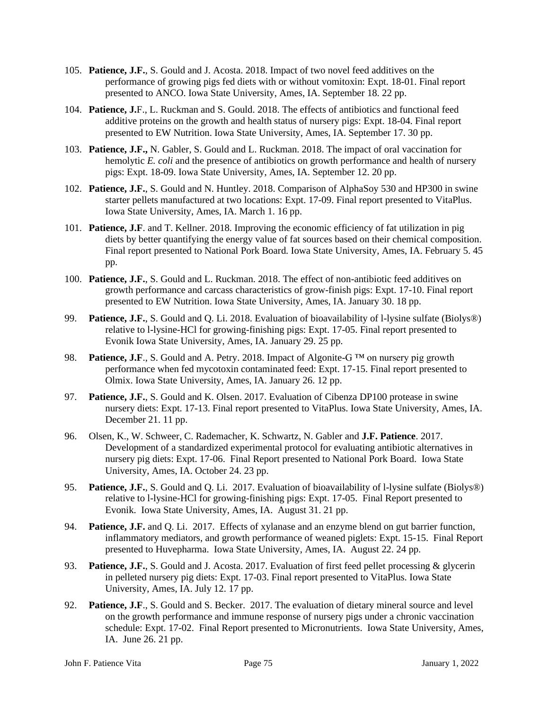- 105. **Patience, J.F.**, S. Gould and J. Acosta. 2018. Impact of two novel feed additives on the performance of growing pigs fed diets with or without vomitoxin: Expt. 18-01. Final report presented to ANCO. Iowa State University, Ames, IA. September 18. 22 pp.
- 104. **Patience, J.**F., L. Ruckman and S. Gould. 2018. The effects of antibiotics and functional feed additive proteins on the growth and health status of nursery pigs: Expt. 18-04. Final report presented to EW Nutrition. Iowa State University, Ames, IA. September 17. 30 pp.
- 103. **Patience, J.F.,** N. Gabler, S. Gould and L. Ruckman. 2018. The impact of oral vaccination for hemolytic *E. coli* and the presence of antibiotics on growth performance and health of nursery pigs: Expt. 18-09. Iowa State University, Ames, IA. September 12. 20 pp.
- 102. **Patience, J.F.**, S. Gould and N. Huntley. 2018. Comparison of AlphaSoy 530 and HP300 in swine starter pellets manufactured at two locations: Expt. 17-09. Final report presented to VitaPlus. Iowa State University, Ames, IA. March 1. 16 pp.
- 101. **Patience, J.F**. and T. Kellner. 2018. Improving the economic efficiency of fat utilization in pig diets by better quantifying the energy value of fat sources based on their chemical composition. Final report presented to National Pork Board. Iowa State University, Ames, IA. February 5. 45 pp.
- 100. **Patience, J.F.**, S. Gould and L. Ruckman. 2018. The effect of non-antibiotic feed additives on growth performance and carcass characteristics of grow-finish pigs: Expt. 17-10. Final report presented to EW Nutrition. Iowa State University, Ames, IA. January 30. 18 pp.
- 99. **Patience, J.F.**, S. Gould and Q. Li. 2018. Evaluation of bioavailability of l-lysine sulfate (Biolys®) relative to l-lysine-HCl for growing-finishing pigs: Expt. 17-05. Final report presented to Evonik Iowa State University, Ames, IA. January 29. 25 pp.
- 98. **Patience, J.F**., S. Gould and A. Petry. 2018. Impact of Algonite-G ™ on nursery pig growth performance when fed mycotoxin contaminated feed: Expt. 17-15. Final report presented to Olmix. Iowa State University, Ames, IA. January 26. 12 pp.
- 97. **Patience, J.F.**, S. Gould and K. Olsen. 2017. Evaluation of Cibenza DP100 protease in swine nursery diets: Expt. 17-13. Final report presented to VitaPlus. Iowa State University, Ames, IA. December 21. 11 pp.
- 96. Olsen, K., W. Schweer, C. Rademacher, K. Schwartz, N. Gabler and **J.F. Patience**. 2017. Development of a standardized experimental protocol for evaluating antibiotic alternatives in nursery pig diets: Expt. 17-06. Final Report presented to National Pork Board. Iowa State University, Ames, IA. October 24. 23 pp.
- 95. **Patience, J.F.**, S. Gould and Q. Li. 2017. Evaluation of bioavailability of l-lysine sulfate (Biolys®) relative to l-lysine-HCl for growing-finishing pigs: Expt. 17-05. Final Report presented to Evonik. Iowa State University, Ames, IA. August 31. 21 pp.
- 94. **Patience, J.F.** and Q. Li. 2017. Effects of xylanase and an enzyme blend on gut barrier function, inflammatory mediators, and growth performance of weaned piglets: Expt. 15-15. Final Report presented to Huvepharma. Iowa State University, Ames, IA. August 22. 24 pp.
- 93. **Patience, J.F.**, S. Gould and J. Acosta. 2017. Evaluation of first feed pellet processing & glycerin in pelleted nursery pig diets: Expt. 17-03. Final report presented to VitaPlus. Iowa State University, Ames, IA. July 12. 17 pp.
- 92. **Patience, J.F**., S. Gould and S. Becker. 2017. The evaluation of dietary mineral source and level on the growth performance and immune response of nursery pigs under a chronic vaccination schedule: Expt. 17-02. Final Report presented to Micronutrients. Iowa State University, Ames, IA. June 26. 21 pp.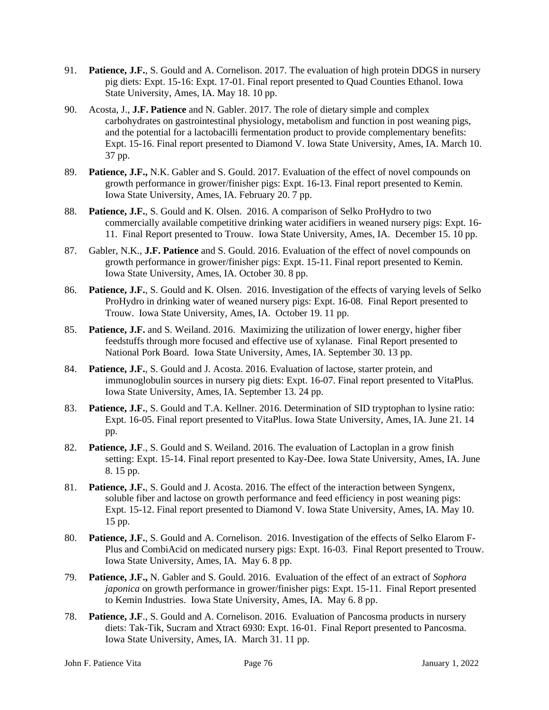- 91. **Patience, J.F.**, S. Gould and A. Cornelison. 2017. The evaluation of high protein DDGS in nursery pig diets: Expt. 15-16: Expt. 17-01. Final report presented to Quad Counties Ethanol. Iowa State University, Ames, IA. May 18. 10 pp.
- 90. Acosta, J., **J.F. Patience** and N. Gabler. 2017. The role of dietary simple and complex carbohydrates on gastrointestinal physiology, metabolism and function in post weaning pigs, and the potential for a lactobacilli fermentation product to provide complementary benefits: Expt. 15-16. Final report presented to Diamond V. Iowa State University, Ames, IA. March 10. 37 pp.
- 89. **Patience, J.F.,** N.K. Gabler and S. Gould. 2017. Evaluation of the effect of novel compounds on growth performance in grower/finisher pigs: Expt. 16-13. Final report presented to Kemin. Iowa State University, Ames, IA. February 20. 7 pp.
- 88. **Patience, J.F.**, S. Gould and K. Olsen. 2016. A comparison of Selko ProHydro to two commercially available competitive drinking water acidifiers in weaned nursery pigs: Expt. 16- 11. Final Report presented to Trouw. Iowa State University, Ames, IA. December 15. 10 pp.
- 87. Gabler, N.K., **J.F. Patience** and S. Gould. 2016. Evaluation of the effect of novel compounds on growth performance in grower/finisher pigs: Expt. 15-11. Final report presented to Kemin. Iowa State University, Ames, IA. October 30. 8 pp.
- 86. **Patience, J.F.**, S. Gould and K. Olsen. 2016. Investigation of the effects of varying levels of Selko ProHydro in drinking water of weaned nursery pigs: Expt. 16-08. Final Report presented to Trouw. Iowa State University, Ames, IA. October 19. 11 pp.
- 85. **Patience, J.F.** and S. Weiland. 2016. Maximizing the utilization of lower energy, higher fiber feedstuffs through more focused and effective use of xylanase. Final Report presented to National Pork Board. Iowa State University, Ames, IA. September 30. 13 pp.
- 84. **Patience, J.F.**, S. Gould and J. Acosta. 2016. Evaluation of lactose, starter protein, and immunoglobulin sources in nursery pig diets: Expt. 16-07. Final report presented to VitaPlus. Iowa State University, Ames, IA. September 13. 24 pp.
- 83. **Patience, J.F.**, S. Gould and T.A. Kellner. 2016. Determination of SID tryptophan to lysine ratio: Expt. 16-05. Final report presented to VitaPlus. Iowa State University, Ames, IA. June 21. 14 pp.
- 82. **Patience, J.F**., S. Gould and S. Weiland. 2016. The evaluation of Lactoplan in a grow finish setting: Expt. 15-14. Final report presented to Kay-Dee. Iowa State University, Ames, IA. June 8. 15 pp.
- 81. **Patience, J.F.**, S. Gould and J. Acosta. 2016. The effect of the interaction between Syngenx, soluble fiber and lactose on growth performance and feed efficiency in post weaning pigs: Expt. 15-12. Final report presented to Diamond V. Iowa State University, Ames, IA. May 10. 15 pp.
- 80. **Patience, J.F.**, S. Gould and A. Cornelison. 2016. Investigation of the effects of Selko Elarom F-Plus and CombiAcid on medicated nursery pigs: Expt. 16-03. Final Report presented to Trouw. Iowa State University, Ames, IA. May 6. 8 pp.
- 79. **Patience, J.F.,** N. Gabler and S. Gould. 2016. Evaluation of the effect of an extract of *Sophora japonica* on growth performance in grower/finisher pigs: Expt. 15-11. Final Report presented to Kemin Industries. Iowa State University, Ames, IA. May 6. 8 pp.
- 78. **Patience, J.F**., S. Gould and A. Cornelison. 2016. Evaluation of Pancosma products in nursery diets: Tak-Tik, Sucram and Xtract 6930: Expt. 16-01. Final Report presented to Pancosma. Iowa State University, Ames, IA. March 31. 11 pp.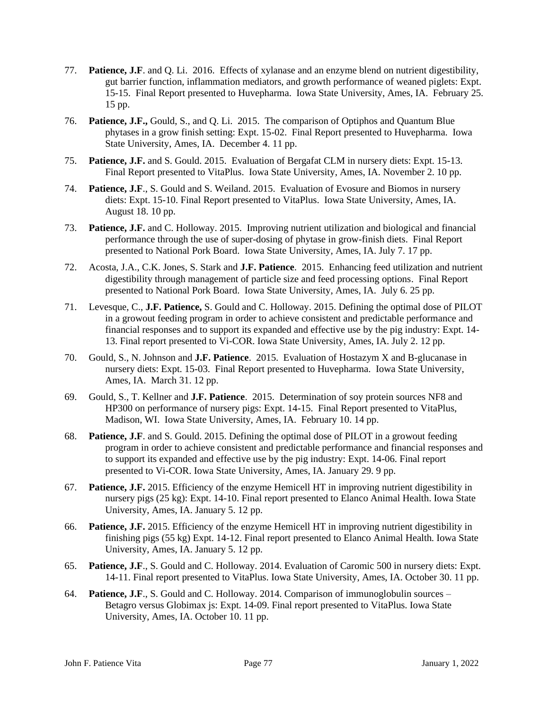- 77. **Patience, J.F**. and Q. Li. 2016. Effects of xylanase and an enzyme blend on nutrient digestibility, gut barrier function, inflammation mediators, and growth performance of weaned piglets: Expt. 15-15. Final Report presented to Huvepharma. Iowa State University, Ames, IA. February 25. 15 pp.
- 76. **Patience, J.F.,** Gould, S., and Q. Li. 2015. The comparison of Optiphos and Quantum Blue phytases in a grow finish setting: Expt. 15-02. Final Report presented to Huvepharma. Iowa State University, Ames, IA. December 4. 11 pp.
- 75. **Patience, J.F.** and S. Gould. 2015. Evaluation of Bergafat CLM in nursery diets: Expt. 15-13. Final Report presented to VitaPlus. Iowa State University, Ames, IA. November 2. 10 pp.
- 74. **Patience, J.F**., S. Gould and S. Weiland. 2015. Evaluation of Evosure and Biomos in nursery diets: Expt. 15-10. Final Report presented to VitaPlus. Iowa State University, Ames, IA. August 18. 10 pp.
- 73. **Patience, J.F.** and C. Holloway. 2015. Improving nutrient utilization and biological and financial performance through the use of super-dosing of phytase in grow-finish diets. Final Report presented to National Pork Board. Iowa State University, Ames, IA. July 7. 17 pp.
- 72. Acosta, J.A., C.K. Jones, S. Stark and **J.F. Patience**. 2015. Enhancing feed utilization and nutrient digestibility through management of particle size and feed processing options. Final Report presented to National Pork Board. Iowa State University, Ames, IA. July 6. 25 pp.
- 71. Levesque, C., **J.F. Patience,** S. Gould and C. Holloway. 2015. Defining the optimal dose of PILOT in a growout feeding program in order to achieve consistent and predictable performance and financial responses and to support its expanded and effective use by the pig industry: Expt. 14- 13. Final report presented to Vi-COR. Iowa State University, Ames, IA. July 2. 12 pp.
- 70. Gould, S., N. Johnson and **J.F. Patience**. 2015. Evaluation of Hostazym X and B-glucanase in nursery diets: Expt. 15-03. Final Report presented to Huvepharma. Iowa State University, Ames, IA. March 31. 12 pp.
- 69. Gould, S., T. Kellner and **J.F. Patience**. 2015. Determination of soy protein sources NF8 and HP300 on performance of nursery pigs: Expt. 14-15. Final Report presented to VitaPlus, Madison, WI. Iowa State University, Ames, IA. February 10. 14 pp.
- 68. **Patience, J.F**. and S. Gould. 2015. Defining the optimal dose of PILOT in a growout feeding program in order to achieve consistent and predictable performance and financial responses and to support its expanded and effective use by the pig industry: Expt. 14-06. Final report presented to Vi-COR. Iowa State University, Ames, IA. January 29. 9 pp.
- 67. **Patience, J.F.** 2015. Efficiency of the enzyme Hemicell HT in improving nutrient digestibility in nursery pigs (25 kg): Expt. 14-10. Final report presented to Elanco Animal Health. Iowa State University, Ames, IA. January 5. 12 pp.
- 66. **Patience, J.F.** 2015. Efficiency of the enzyme Hemicell HT in improving nutrient digestibility in finishing pigs (55 kg) Expt. 14-12. Final report presented to Elanco Animal Health. Iowa State University, Ames, IA. January 5. 12 pp.
- 65. **Patience, J.F**., S. Gould and C. Holloway. 2014. Evaluation of Caromic 500 in nursery diets: Expt. 14-11. Final report presented to VitaPlus. Iowa State University, Ames, IA. October 30. 11 pp.
- 64. **Patience, J.F**., S. Gould and C. Holloway. 2014. Comparison of immunoglobulin sources Betagro versus Globimax js: Expt. 14-09. Final report presented to VitaPlus. Iowa State University, Ames, IA. October 10. 11 pp.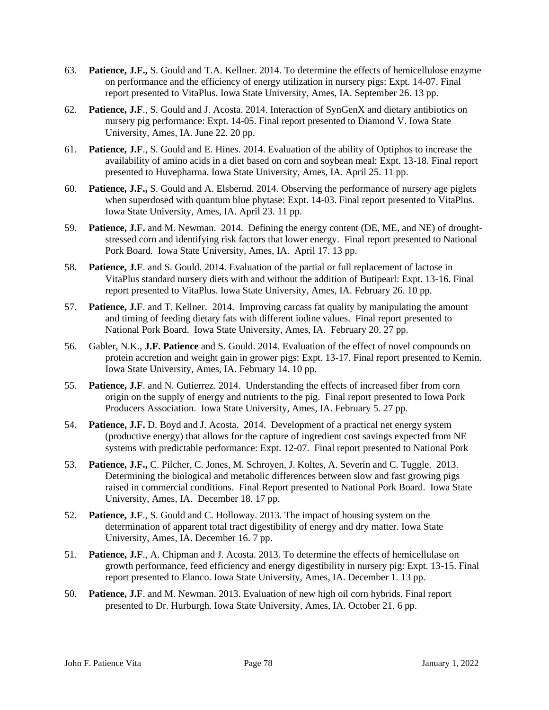- 63. **Patience, J.F.,** S. Gould and T.A. Kellner. 2014. To determine the effects of hemicellulose enzyme on performance and the efficiency of energy utilization in nursery pigs: Expt. 14-07. Final report presented to VitaPlus. Iowa State University, Ames, IA. September 26. 13 pp.
- 62. **Patience, J.F**., S. Gould and J. Acosta. 2014. Interaction of SynGenX and dietary antibiotics on nursery pig performance: Expt. 14-05. Final report presented to Diamond V. Iowa State University, Ames, IA. June 22. 20 pp.
- 61. **Patience, J.F**., S. Gould and E. Hines. 2014. Evaluation of the ability of Optiphos to increase the availability of amino acids in a diet based on corn and soybean meal: Expt. 13-18. Final report presented to Huvepharma. Iowa State University, Ames, IA. April 25. 11 pp.
- 60. **Patience, J.F.,** S. Gould and A. Elsbernd. 2014. Observing the performance of nursery age piglets when superdosed with quantum blue phytase: Expt. 14-03. Final report presented to VitaPlus. Iowa State University, Ames, IA. April 23. 11 pp.
- 59. **Patience, J.F.** and M. Newman. 2014. Defining the energy content (DE, ME, and NE) of droughtstressed corn and identifying risk factors that lower energy. Final report presented to National Pork Board. Iowa State University, Ames, IA. April 17. 13 pp.
- 58. **Patience, J.F**. and S. Gould. 2014. Evaluation of the partial or full replacement of lactose in VitaPlus standard nursery diets with and without the addition of Butipearl: Expt. 13-16. Final report presented to VitaPlus. Iowa State University, Ames, IA. February 26. 10 pp.
- 57. **Patience, J.F**. and T. Kellner. 2014. Improving carcass fat quality by manipulating the amount and timing of feeding dietary fats with different iodine values. Final report presented to National Pork Board. Iowa State University, Ames, IA. February 20. 27 pp.
- 56. Gabler, N.K., **J.F. Patience** and S. Gould. 2014. Evaluation of the effect of novel compounds on protein accretion and weight gain in grower pigs: Expt. 13-17. Final report presented to Kemin. Iowa State University, Ames, IA. February 14. 10 pp.
- 55. **Patience, J.F**. and N. Gutierrez. 2014. Understanding the effects of increased fiber from corn origin on the supply of energy and nutrients to the pig. Final report presented to Iowa Pork Producers Association. Iowa State University, Ames, IA. February 5. 27 pp.
- 54. **Patience, J.F.** D. Boyd and J. Acosta. 2014. Development of a practical net energy system (productive energy) that allows for the capture of ingredient cost savings expected from NE systems with predictable performance: Expt. 12-07. Final report presented to National Pork
- 53. **Patience, J.F.,** C. Pilcher, C. Jones, M. Schroyen, J. Koltes, A. Severin and C. Tuggle. 2013. Determining the biological and metabolic differences between slow and fast growing pigs raised in commercial conditions. Final Report presented to National Pork Board. Iowa State University, Ames, IA. December 18. 17 pp.
- 52. **Patience, J.F**., S. Gould and C. Holloway. 2013. The impact of housing system on the determination of apparent total tract digestibility of energy and dry matter. Iowa State University, Ames, IA. December 16. 7 pp.
- 51. **Patience, J.F**., A. Chipman and J. Acosta. 2013. To determine the effects of hemicellulase on growth performance, feed efficiency and energy digestibility in nursery pig: Expt. 13-15. Final report presented to Elanco. Iowa State University, Ames, IA. December 1. 13 pp.
- 50. **Patience, J.F**. and M. Newman. 2013. Evaluation of new high oil corn hybrids. Final report presented to Dr. Hurburgh. Iowa State University, Ames, IA. October 21. 6 pp.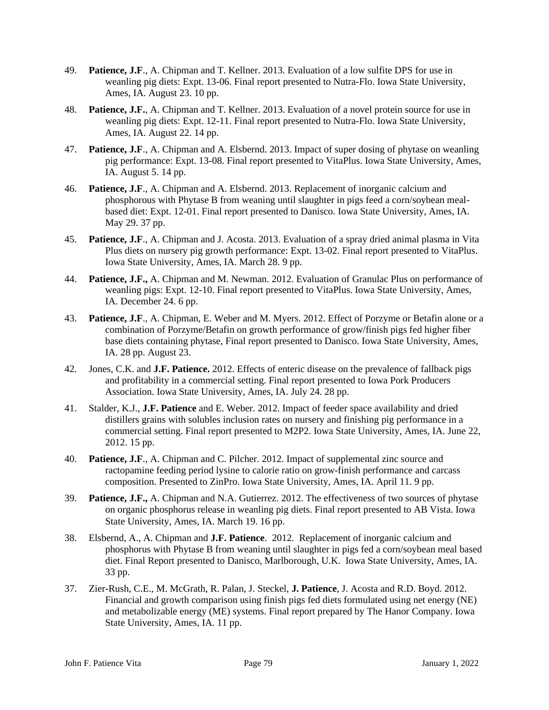- 49. **Patience, J.F**., A. Chipman and T. Kellner. 2013. Evaluation of a low sulfite DPS for use in weanling pig diets: Expt. 13-06. Final report presented to Nutra-Flo. Iowa State University, Ames, IA. August 23. 10 pp.
- 48. **Patience, J.F.**, A. Chipman and T. Kellner. 2013. Evaluation of a novel protein source for use in weanling pig diets: Expt. 12-11. Final report presented to Nutra-Flo. Iowa State University, Ames, IA. August 22. 14 pp.
- 47. **Patience, J.F**., A. Chipman and A. Elsbernd. 2013. Impact of super dosing of phytase on weanling pig performance: Expt. 13-08. Final report presented to VitaPlus. Iowa State University, Ames, IA. August 5. 14 pp.
- 46. **Patience, J.F**., A. Chipman and A. Elsbernd. 2013. Replacement of inorganic calcium and phosphorous with Phytase B from weaning until slaughter in pigs feed a corn/soybean mealbased diet: Expt. 12-01. Final report presented to Danisco. Iowa State University, Ames, IA. May 29. 37 pp.
- 45. **Patience, J.F**., A. Chipman and J. Acosta. 2013. Evaluation of a spray dried animal plasma in Vita Plus diets on nursery pig growth performance: Expt. 13-02. Final report presented to VitaPlus. Iowa State University, Ames, IA. March 28. 9 pp.
- 44. **Patience, J.F.,** A. Chipman and M. Newman. 2012. Evaluation of Granulac Plus on performance of weanling pigs: Expt. 12-10. Final report presented to VitaPlus. Iowa State University, Ames, IA. December 24. 6 pp.
- 43. **Patience, J.F**., A. Chipman, E. Weber and M. Myers. 2012. Effect of Porzyme or Betafin alone or a combination of Porzyme/Betafin on growth performance of grow/finish pigs fed higher fiber base diets containing phytase, Final report presented to Danisco. Iowa State University, Ames, IA. 28 pp. August 23.
- 42. Jones, C.K. and **J.F. Patience.** 2012. Effects of enteric disease on the prevalence of fallback pigs and profitability in a commercial setting. Final report presented to Iowa Pork Producers Association. Iowa State University, Ames, IA. July 24. 28 pp.
- 41. Stalder, K.J., **J.F. Patience** and E. Weber. 2012. Impact of feeder space availability and dried distillers grains with solubles inclusion rates on nursery and finishing pig performance in a commercial setting. Final report presented to M2P2. Iowa State University, Ames, IA. June 22, 2012. 15 pp.
- 40. **Patience, J.F**., A. Chipman and C. Pilcher. 2012. Impact of supplemental zinc source and ractopamine feeding period lysine to calorie ratio on grow-finish performance and carcass composition. Presented to ZinPro. Iowa State University, Ames, IA. April 11. 9 pp.
- 39. **Patience, J.F.,** A. Chipman and N.A. Gutierrez. 2012. The effectiveness of two sources of phytase on organic phosphorus release in weanling pig diets. Final report presented to AB Vista. Iowa State University, Ames, IA. March 19. 16 pp.
- 38. Elsbernd, A., A. Chipman and **J.F. Patience**. 2012. Replacement of inorganic calcium and phosphorus with Phytase B from weaning until slaughter in pigs fed a corn/soybean meal based diet. Final Report presented to Danisco, Marlborough, U.K. Iowa State University, Ames, IA. 33 pp.
- 37. Zier-Rush, C.E., M. McGrath, R. Palan, J. Steckel, **J. Patience**, J. Acosta and R.D. Boyd. 2012. Financial and growth comparison using finish pigs fed diets formulated using net energy (NE) and metabolizable energy (ME) systems. Final report prepared by The Hanor Company. Iowa State University, Ames, IA. 11 pp.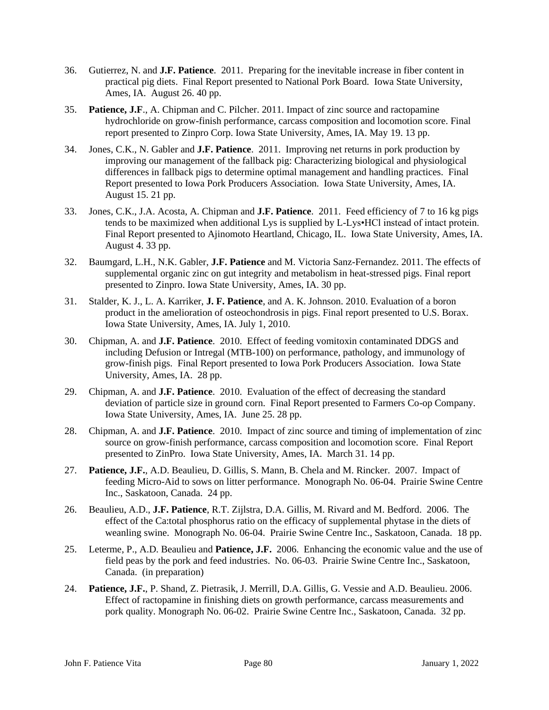- 36. Gutierrez, N. and **J.F. Patience**. 2011. Preparing for the inevitable increase in fiber content in practical pig diets. Final Report presented to National Pork Board. Iowa State University, Ames, IA. August 26. 40 pp.
- 35. **Patience, J.F**., A. Chipman and C. Pilcher. 2011. Impact of zinc source and ractopamine hydrochloride on grow-finish performance, carcass composition and locomotion score. Final report presented to Zinpro Corp. Iowa State University, Ames, IA. May 19. 13 pp.
- 34. Jones, C.K., N. Gabler and **J.F. Patience**. 2011. Improving net returns in pork production by improving our management of the fallback pig: Characterizing biological and physiological differences in fallback pigs to determine optimal management and handling practices. Final Report presented to Iowa Pork Producers Association. Iowa State University, Ames, IA. August 15. 21 pp.
- 33. Jones, C.K., J.A. Acosta, A. Chipman and **J.F. Patience**. 2011. Feed efficiency of 7 to 16 kg pigs tends to be maximized when additional Lys is supplied by L-Lys•HCl instead of intact protein. Final Report presented to Ajinomoto Heartland, Chicago, IL. Iowa State University, Ames, IA. August 4. 33 pp.
- 32. Baumgard, L.H., N.K. Gabler, **J.F. Patience** and M. Victoria Sanz-Fernandez. 2011. The effects of supplemental organic zinc on gut integrity and metabolism in heat-stressed pigs. Final report presented to Zinpro. Iowa State University, Ames, IA. 30 pp.
- 31. Stalder, K. J., L. A. Karriker, **J. F. Patience**, and A. K. Johnson. 2010. Evaluation of a boron product in the amelioration of osteochondrosis in pigs. Final report presented to U.S. Borax. Iowa State University, Ames, IA. July 1, 2010.
- 30. Chipman, A. and **J.F. Patience**. 2010. Effect of feeding vomitoxin contaminated DDGS and including Defusion or Intregal (MTB-100) on performance, pathology, and immunology of grow-finish pigs. Final Report presented to Iowa Pork Producers Association. Iowa State University, Ames, IA. 28 pp.
- 29. Chipman, A. and **J.F. Patience**. 2010. Evaluation of the effect of decreasing the standard deviation of particle size in ground corn. Final Report presented to Farmers Co-op Company. Iowa State University, Ames, IA. June 25. 28 pp.
- 28. Chipman, A. and **J.F. Patience**. 2010. Impact of zinc source and timing of implementation of zinc source on grow-finish performance, carcass composition and locomotion score. Final Report presented to ZinPro. Iowa State University, Ames, IA. March 31. 14 pp.
- 27. **Patience, J.F.**, A.D. Beaulieu, D. Gillis, S. Mann, B. Chela and M. Rincker. 2007. Impact of feeding Micro-Aid to sows on litter performance. Monograph No. 06-04. Prairie Swine Centre Inc., Saskatoon, Canada. 24 pp.
- 26. Beaulieu, A.D., **J.F. Patience**, R.T. Zijlstra, D.A. Gillis, M. Rivard and M. Bedford. 2006. The effect of the Ca:total phosphorus ratio on the efficacy of supplemental phytase in the diets of weanling swine. Monograph No. 06-04. Prairie Swine Centre Inc., Saskatoon, Canada. 18 pp.
- 25. Leterme, P., A.D. Beaulieu and **Patience, J.F.** 2006. Enhancing the economic value and the use of field peas by the pork and feed industries. No. 06-03. Prairie Swine Centre Inc., Saskatoon, Canada. (in preparation)
- 24. **Patience, J.F.**, P. Shand, Z. Pietrasik, J. Merrill, D.A. Gillis, G. Vessie and A.D. Beaulieu. 2006. Effect of ractopamine in finishing diets on growth performance, carcass measurements and pork quality. Monograph No. 06-02. Prairie Swine Centre Inc., Saskatoon, Canada. 32 pp.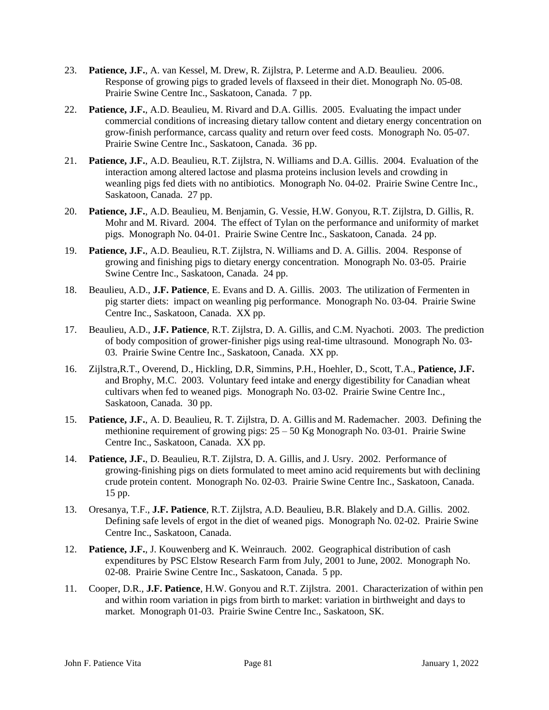- 23. **Patience, J.F.**, A. van Kessel, M. Drew, R. Zijlstra, P. Leterme and A.D. Beaulieu. 2006. Response of growing pigs to graded levels of flaxseed in their diet. Monograph No. 05-08. Prairie Swine Centre Inc., Saskatoon, Canada. 7 pp.
- 22. **Patience, J.F.**, A.D. Beaulieu, M. Rivard and D.A. Gillis. 2005. Evaluating the impact under commercial conditions of increasing dietary tallow content and dietary energy concentration on grow-finish performance, carcass quality and return over feed costs. Monograph No. 05-07. Prairie Swine Centre Inc., Saskatoon, Canada. 36 pp.
- 21. **Patience, J.F.**, A.D. Beaulieu, R.T. Zijlstra, N. Williams and D.A. Gillis. 2004. Evaluation of the interaction among altered lactose and plasma proteins inclusion levels and crowding in weanling pigs fed diets with no antibiotics. Monograph No. 04-02. Prairie Swine Centre Inc., Saskatoon, Canada. 27 pp.
- 20. **Patience, J.F.**, A.D. Beaulieu, M. Benjamin, G. Vessie, H.W. Gonyou, R.T. Zijlstra, D. Gillis, R. Mohr and M. Rivard. 2004. The effect of Tylan on the performance and uniformity of market pigs. Monograph No. 04-01. Prairie Swine Centre Inc., Saskatoon, Canada. 24 pp.
- 19. **Patience, J.F.**, A.D. Beaulieu, R.T. Zijlstra, N. Williams and D. A. Gillis. 2004. Response of growing and finishing pigs to dietary energy concentration. Monograph No. 03-05. Prairie Swine Centre Inc., Saskatoon, Canada. 24 pp.
- 18. Beaulieu, A.D., **J.F. Patience**, E. Evans and D. A. Gillis. 2003. The utilization of Fermenten in pig starter diets: impact on weanling pig performance. Monograph No. 03-04. Prairie Swine Centre Inc., Saskatoon, Canada. XX pp.
- 17. Beaulieu, A.D., **J.F. Patience**, R.T. Zijlstra, D. A. Gillis, and C.M. Nyachoti. 2003. The prediction of body composition of grower-finisher pigs using real-time ultrasound. Monograph No. 03- 03. Prairie Swine Centre Inc., Saskatoon, Canada. XX pp.
- 16. Zijlstra,R.T., Overend, D., Hickling, D.R, Simmins, P.H., Hoehler, D., Scott, T.A., **Patience, J.F.** and Brophy, M.C. 2003. Voluntary feed intake and energy digestibility for Canadian wheat cultivars when fed to weaned pigs. Monograph No. 03-02. Prairie Swine Centre Inc., Saskatoon, Canada. 30 pp.
- 15. **Patience, J.F.**, A. D. Beaulieu, R. T. Zijlstra, D. A. Gillis and M. Rademacher. 2003. Defining the methionine requirement of growing pigs: 25 – 50 Kg Monograph No. 03-01. Prairie Swine Centre Inc., Saskatoon, Canada. XX pp.
- 14. **Patience, J.F.**, D. Beaulieu, R.T. Zijlstra, D. A. Gillis, and J. Usry. 2002. Performance of growing-finishing pigs on diets formulated to meet amino acid requirements but with declining crude protein content. Monograph No. 02-03. Prairie Swine Centre Inc., Saskatoon, Canada. 15 pp.
- 13. Oresanya, T.F., **J.F. Patience**, R.T. Zijlstra, A.D. Beaulieu, B.R. Blakely and D.A. Gillis. 2002. Defining safe levels of ergot in the diet of weaned pigs. Monograph No. 02-02. Prairie Swine Centre Inc., Saskatoon, Canada.
- 12. **Patience, J.F.**, J. Kouwenberg and K. Weinrauch. 2002. Geographical distribution of cash expenditures by PSC Elstow Research Farm from July, 2001 to June, 2002. Monograph No. 02-08. Prairie Swine Centre Inc., Saskatoon, Canada. 5 pp.
- 11. Cooper, D.R., **J.F. Patience**, H.W. Gonyou and R.T. Zijlstra. 2001. Characterization of within pen and within room variation in pigs from birth to market: variation in birthweight and days to market. Monograph 01-03. Prairie Swine Centre Inc., Saskatoon, SK.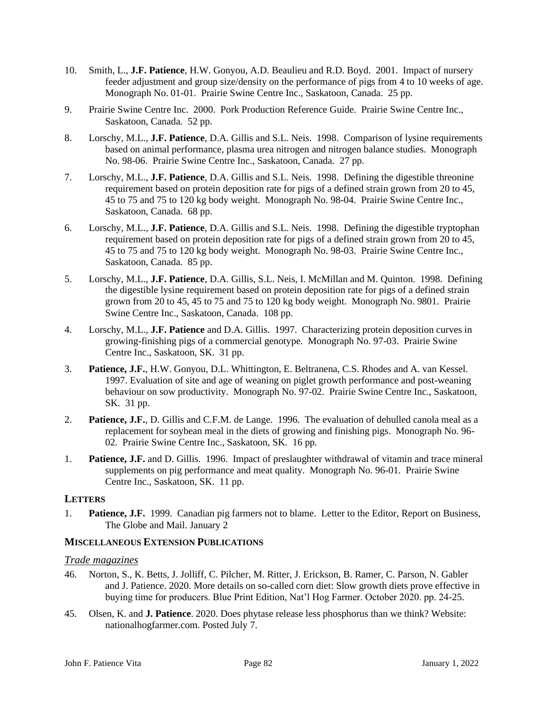- 10. Smith, L., **J.F. Patience**, H.W. Gonyou, A.D. Beaulieu and R.D. Boyd. 2001. Impact of nursery feeder adjustment and group size/density on the performance of pigs from 4 to 10 weeks of age. Monograph No. 01-01. Prairie Swine Centre Inc., Saskatoon, Canada. 25 pp.
- 9. Prairie Swine Centre Inc. 2000. Pork Production Reference Guide. Prairie Swine Centre Inc., Saskatoon, Canada. 52 pp.
- 8. Lorschy, M.L., **J.F. Patience**, D.A. Gillis and S.L. Neis. 1998. Comparison of lysine requirements based on animal performance, plasma urea nitrogen and nitrogen balance studies. Monograph No. 98-06. Prairie Swine Centre Inc., Saskatoon, Canada. 27 pp.
- 7. Lorschy, M.L., **J.F. Patience**, D.A. Gillis and S.L. Neis. 1998. Defining the digestible threonine requirement based on protein deposition rate for pigs of a defined strain grown from 20 to 45, 45 to 75 and 75 to 120 kg body weight. Monograph No. 98-04. Prairie Swine Centre Inc., Saskatoon, Canada. 68 pp.
- 6. Lorschy, M.L., **J.F. Patience**, D.A. Gillis and S.L. Neis. 1998. Defining the digestible tryptophan requirement based on protein deposition rate for pigs of a defined strain grown from 20 to 45, 45 to 75 and 75 to 120 kg body weight. Monograph No. 98-03. Prairie Swine Centre Inc., Saskatoon, Canada. 85 pp.
- 5. Lorschy, M.L., **J.F. Patience**, D.A. Gillis, S.L. Neis, I. McMillan and M. Quinton. 1998. Defining the digestible lysine requirement based on protein deposition rate for pigs of a defined strain grown from 20 to 45, 45 to 75 and 75 to 120 kg body weight. Monograph No. 9801. Prairie Swine Centre Inc., Saskatoon, Canada. 108 pp.
- 4. Lorschy, M.L., **J.F. Patience** and D.A. Gillis. 1997. Characterizing protein deposition curves in growing-finishing pigs of a commercial genotype. Monograph No. 97-03. Prairie Swine Centre Inc., Saskatoon, SK. 31 pp.
- 3. **Patience, J.F.**, H.W. Gonyou, D.L. Whittington, E. Beltranena, C.S. Rhodes and A. van Kessel. 1997. Evaluation of site and age of weaning on piglet growth performance and post-weaning behaviour on sow productivity. Monograph No. 97-02. Prairie Swine Centre Inc., Saskatoon, SK. 31 pp.
- 2. **Patience, J.F.**, D. Gillis and C.F.M. de Lange. 1996. The evaluation of dehulled canola meal as a replacement for soybean meal in the diets of growing and finishing pigs. Monograph No. 96- 02. Prairie Swine Centre Inc., Saskatoon, SK. 16 pp.
- 1. **Patience, J.F.** and D. Gillis. 1996. Impact of preslaughter withdrawal of vitamin and trace mineral supplements on pig performance and meat quality. Monograph No. 96-01. Prairie Swine Centre Inc., Saskatoon, SK. 11 pp.

## **LETTERS**

1. **Patience, J.F.** 1999. Canadian pig farmers not to blame. Letter to the Editor, Report on Business, The Globe and Mail. January 2

## **MISCELLANEOUS EXTENSION PUBLICATIONS**

## *Trade magazines*

- 46. Norton, S., K. Betts, J. Jolliff, C. Pilcher, M. Ritter, J. Erickson, B. Ramer, C. Parson, N. Gabler and J. Patience. 2020. More details on so-called corn diet: Slow growth diets prove effective in buying time for producers. Blue Print Edition, Nat'l Hog Farmer. October 2020. pp. 24-25.
- 45. Olsen, K. and **J. Patience**. 2020. Does phytase release less phosphorus than we think? Website: nationalhogfarmer.com. Posted July 7.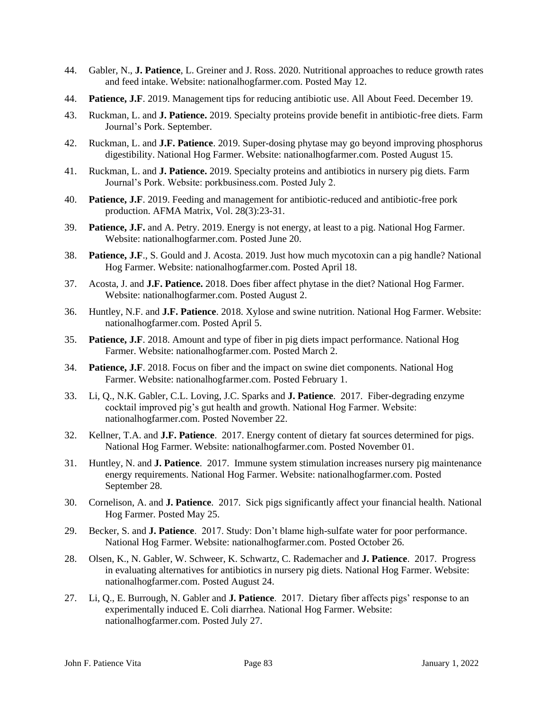- 44. Gabler, N., **J. Patience**, L. Greiner and J. Ross. 2020. Nutritional approaches to reduce growth rates and feed intake. Website: nationalhogfarmer.com. Posted May 12.
- 44. **Patience, J.F**. 2019. Management tips for reducing antibiotic use. All About Feed. December 19.
- 43. Ruckman, L. and **J. Patience.** 2019. Specialty proteins provide benefit in antibiotic-free diets. Farm Journal's Pork. September.
- 42. Ruckman, L. and **J.F. Patience**. 2019. Super-dosing phytase may go beyond improving phosphorus digestibility. National Hog Farmer. Website: nationalhogfarmer.com. Posted August 15.
- 41. Ruckman, L. and **J. Patience.** 2019. Specialty proteins and antibiotics in nursery pig diets. Farm Journal's Pork. Website: porkbusiness.com. Posted July 2.
- 40. **Patience, J.F**. 2019. Feeding and management for antibiotic-reduced and antibiotic-free pork production. AFMA Matrix, Vol. 28(3):23-31.
- 39. **Patience, J.F.** and A. Petry. 2019. Energy is not energy, at least to a pig. National Hog Farmer. Website: nationalhogfarmer.com. Posted June 20.
- 38. **Patience, J.F**., S. Gould and J. Acosta. 2019. Just how much mycotoxin can a pig handle? National Hog Farmer. Website: nationalhogfarmer.com. Posted April 18.
- 37. Acosta, J. and **J.F. Patience.** 2018. Does fiber affect phytase in the diet? National Hog Farmer. Website: nationalhogfarmer.com. Posted August 2.
- 36. Huntley, N.F. and **J.F. Patience**. 2018. Xylose and swine nutrition. National Hog Farmer. Website: nationalhogfarmer.com. Posted April 5.
- 35. **Patience, J.F**. 2018. Amount and type of fiber in pig diets impact performance. National Hog Farmer. Website: nationalhogfarmer.com. Posted March 2.
- 34. **Patience, J.F**. 2018. Focus on fiber and the impact on swine diet components. National Hog Farmer. Website: nationalhogfarmer.com. Posted February 1.
- 33. Li, Q., N.K. Gabler, C.L. Loving, J.C. Sparks and **J. Patience**. 2017. Fiber-degrading enzyme cocktail improved pig's gut health and growth. National Hog Farmer. Website: nationalhogfarmer.com. Posted November 22.
- 32. Kellner, T.A. and **J.F. Patience**. 2017. Energy content of dietary fat sources determined for pigs. National Hog Farmer. Website: nationalhogfarmer.com. Posted November 01.
- 31. Huntley, N. and **J. Patience**. 2017. Immune system stimulation increases nursery pig maintenance energy requirements. National Hog Farmer. Website: nationalhogfarmer.com. Posted September 28.
- 30. Cornelison, A. and **J. Patience**. 2017. Sick pigs significantly affect your financial health. National Hog Farmer. Posted May 25.
- 29. Becker, S. and **J. Patience**. 2017. Study: Don't blame high-sulfate water for poor performance. National Hog Farmer. Website: nationalhogfarmer.com. Posted October 26.
- 28. Olsen, K., N. Gabler, W. Schweer, K. Schwartz, C. Rademacher and **J. Patience**. 2017. Progress in evaluating alternatives for antibiotics in nursery pig diets. National Hog Farmer. Website: nationalhogfarmer.com. Posted August 24.
- 27. Li, Q., E. Burrough, N. Gabler and **J. Patience**. 2017. Dietary fiber affects pigs' response to an experimentally induced E. Coli diarrhea. National Hog Farmer. Website: nationalhogfarmer.com. Posted July 27.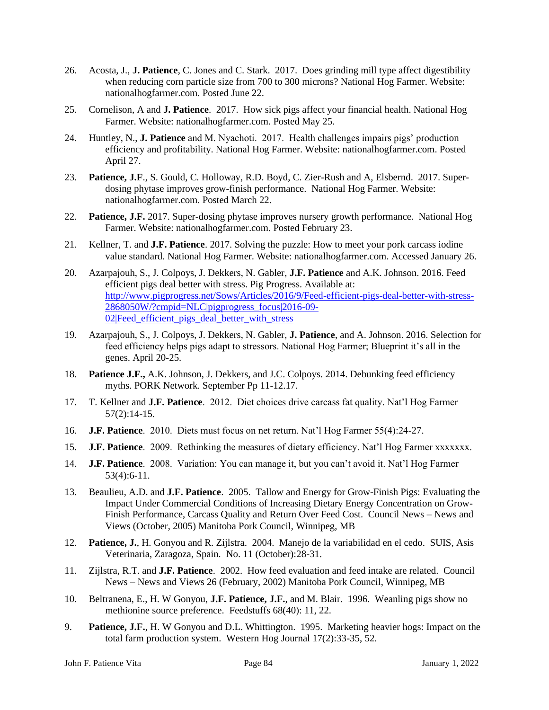- 26. Acosta, J., **J. Patience**, C. Jones and C. Stark. 2017. Does grinding mill type affect digestibility when reducing corn particle size from 700 to 300 microns? National Hog Farmer. Website: nationalhogfarmer.com. Posted June 22.
- 25. Cornelison, A and **J. Patience**. 2017. How sick pigs affect your financial health. National Hog Farmer. Website: nationalhogfarmer.com. Posted May 25.
- 24. Huntley, N., **J. Patience** and M. Nyachoti. 2017. Health challenges impairs pigs' production efficiency and profitability. National Hog Farmer. Website: nationalhogfarmer.com. Posted April 27.
- 23. **Patience, J.F**., S. Gould, C. Holloway, R.D. Boyd, C. Zier-Rush and A, Elsbernd. 2017. Superdosing phytase improves grow-finish performance. National Hog Farmer. Website: nationalhogfarmer.com. Posted March 22.
- 22. **Patience, J.F.** 2017. Super-dosing phytase improves nursery growth performance. National Hog Farmer. Website: nationalhogfarmer.com. Posted February 23.
- 21. Kellner, T. and **J.F. Patience**. 2017. Solving the puzzle: How to meet your pork carcass iodine value standard. National Hog Farmer. Website: nationalhogfarmer.com. Accessed January 26.
- 20. Azarpajouh, S., J. Colpoys, J. Dekkers, N. Gabler, **J.F. Patience** and A.K. Johnson. 2016. Feed efficient pigs deal better with stress. Pig Progress. Available at: [http://www.pigprogress.net/Sows/Articles/2016/9/Feed-efficient-pigs-deal-better-with-stress-](http://www.pigprogress.net/Sows/Articles/2016/9/Feed-efficient-pigs-deal-better-with-stress-2868050W/?cmpid=NLC|pigprogress_focus|2016-09-02|Feed_efficient_pigs_deal_better_with_stress)[2868050W/?cmpid=NLC|pigprogress\\_focus|2016-09-](http://www.pigprogress.net/Sows/Articles/2016/9/Feed-efficient-pigs-deal-better-with-stress-2868050W/?cmpid=NLC|pigprogress_focus|2016-09-02|Feed_efficient_pigs_deal_better_with_stress) 02|Feed efficient pigs deal better with stress
- 19. Azarpajouh, S., J. Colpoys, J. Dekkers, N. Gabler, **J. Patience**, and A. Johnson. 2016. Selection for feed efficiency helps pigs adapt to stressors. National Hog Farmer; Blueprint it's all in the genes. April 20-25.
- 18. **Patience J.F.,** A.K. Johnson, J. Dekkers, and J.C. Colpoys. 2014. Debunking feed efficiency myths. PORK Network. September Pp 11-12.17.
- 17. T. Kellner and **J.F. Patience**. 2012. Diet choices drive carcass fat quality. Nat'l Hog Farmer 57(2):14-15.
- 16. **J.F. Patience**. 2010. Diets must focus on net return. Nat'l Hog Farmer 55(4):24-27.
- 15. **J.F. Patience**. 2009. Rethinking the measures of dietary efficiency. Nat'l Hog Farmer xxxxxxx.
- 14. **J.F. Patience**. 2008. Variation: You can manage it, but you can't avoid it. Nat'l Hog Farmer 53(4):6-11.
- 13. Beaulieu, A.D. and **J.F. Patience**. 2005. Tallow and Energy for Grow-Finish Pigs: Evaluating the Impact Under Commercial Conditions of Increasing Dietary Energy Concentration on Grow-Finish Performance, Carcass Quality and Return Over Feed Cost. Council News – News and Views (October, 2005) Manitoba Pork Council, Winnipeg, MB
- 12. **Patience, J.**, H. Gonyou and R. Zijlstra. 2004. Manejo de la variabilidad en el cedo. SUIS, Asis Veterinaria, Zaragoza, Spain. No. 11 (October):28-31.
- 11. Zijlstra, R.T. and **J.F. Patience**. 2002. How feed evaluation and feed intake are related. Council News – News and Views 26 (February, 2002) Manitoba Pork Council, Winnipeg, MB
- 10. Beltranena, E., H. W Gonyou, **J.F. Patience, J.F.**, and M. Blair. 1996. Weanling pigs show no methionine source preference. Feedstuffs 68(40): 11, 22.
- 9. **Patience, J.F.**, H. W Gonyou and D.L. Whittington. 1995. Marketing heavier hogs: Impact on the total farm production system. Western Hog Journal 17(2):33-35, 52.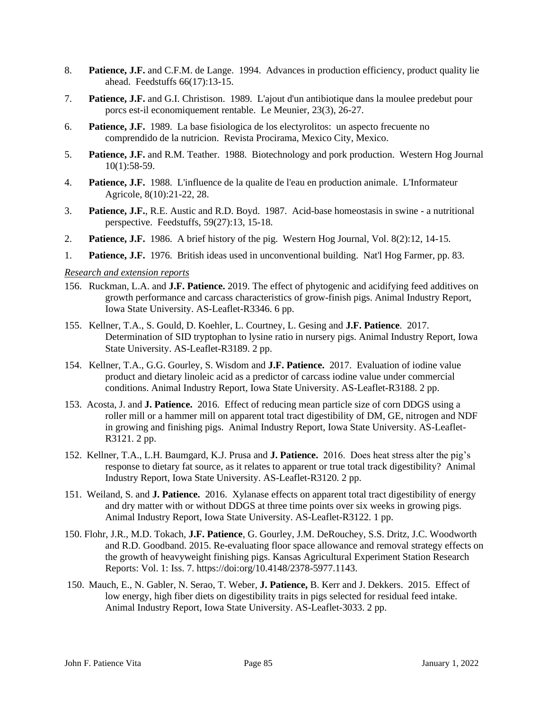- 8. **Patience, J.F.** and C.F.M. de Lange. 1994. Advances in production efficiency, product quality lie ahead. Feedstuffs 66(17):13-15.
- 7. **Patience, J.F.** and G.I. Christison. 1989. L'ajout d'un antibiotique dans la moulee predebut pour porcs est-il economiquement rentable. Le Meunier, 23(3), 26-27.
- 6. **Patience, J.F.** 1989. La base fisiologica de los electyrolitos: un aspecto frecuente no comprendido de la nutricion. Revista Procirama, Mexico City, Mexico.
- 5. **Patience, J.F.** and R.M. Teather. 1988. Biotechnology and pork production. Western Hog Journal 10(1):58-59.
- 4. **Patience, J.F.** 1988. L'influence de la qualite de l'eau en production animale. L'Informateur Agricole, 8(10):21-22, 28.
- 3. **Patience, J.F.**, R.E. Austic and R.D. Boyd. 1987. Acid-base homeostasis in swine a nutritional perspective. Feedstuffs, 59(27):13, 15-18.
- 2. **Patience, J.F.** 1986. A brief history of the pig. Western Hog Journal, Vol. 8(2):12, 14-15.
- 1. **Patience, J.F.** 1976. British ideas used in unconventional building. Nat'l Hog Farmer, pp. 83.

#### *Research and extension reports*

- 156. Ruckman, L.A. and **J.F. Patience.** 2019. The effect of phytogenic and acidifying feed additives on growth performance and carcass characteristics of grow-finish pigs. Animal Industry Report, Iowa State University. AS-Leaflet-R3346. 6 pp.
- 155. Kellner, T.A., S. Gould, D. Koehler, L. Courtney, L. Gesing and **J.F. Patience**. 2017. Determination of SID tryptophan to lysine ratio in nursery pigs. Animal Industry Report, Iowa State University. AS-Leaflet-R3189. 2 pp.
- 154. Kellner, T.A., G.G. Gourley, S. Wisdom and **J.F. Patience.** 2017. Evaluation of iodine value product and dietary linoleic acid as a predictor of carcass iodine value under commercial conditions. Animal Industry Report, Iowa State University. AS-Leaflet-R3188. 2 pp.
- 153. Acosta, J. and **J. Patience.** 2016. Effect of reducing mean particle size of corn DDGS using a roller mill or a hammer mill on apparent total tract digestibility of DM, GE, nitrogen and NDF in growing and finishing pigs. Animal Industry Report, Iowa State University. AS-Leaflet-R3121. 2 pp.
- 152. Kellner, T.A., L.H. Baumgard, K.J. Prusa and **J. Patience.** 2016. Does heat stress alter the pig's response to dietary fat source, as it relates to apparent or true total track digestibility? Animal Industry Report, Iowa State University. AS-Leaflet-R3120. 2 pp.
- 151. Weiland, S. and **J. Patience.** 2016. Xylanase effects on apparent total tract digestibility of energy and dry matter with or without DDGS at three time points over six weeks in growing pigs. Animal Industry Report, Iowa State University. AS-Leaflet-R3122. 1 pp.
- 150. Flohr, J.R., M.D. Tokach, **J.F. Patience**, G. Gourley, J.M. DeRouchey, S.S. Dritz, J.C. Woodworth and R.D. Goodband. 2015. Re-evaluating floor space allowance and removal strategy effects on the growth of heavyweight finishing pigs. Kansas Agricultural Experiment Station Research Reports: Vol. 1: Iss. 7. https://doi:org/10.4148/2378-5977.1143.
- 150. Mauch, E., N. Gabler, N. Serao, T. Weber, **J. Patience,** B. Kerr and J. Dekkers. 2015. Effect of low energy, high fiber diets on digestibility traits in pigs selected for residual feed intake. Animal Industry Report, Iowa State University. AS-Leaflet-3033. 2 pp.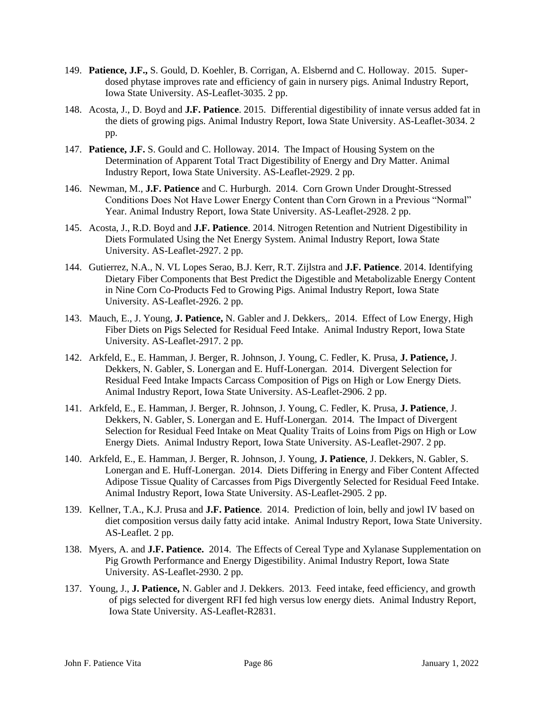- 149. **Patience, J.F.,** S. Gould, D. Koehler, B. Corrigan, A. Elsbernd and C. Holloway. 2015. Superdosed phytase improves rate and efficiency of gain in nursery pigs. Animal Industry Report, Iowa State University. AS-Leaflet-3035. 2 pp.
- 148. Acosta, J., D. Boyd and **J.F. Patience**. 2015. Differential digestibility of innate versus added fat in the diets of growing pigs. Animal Industry Report, Iowa State University. AS-Leaflet-3034. 2 pp.
- 147. **Patience, J.F.** S. Gould and C. Holloway. 2014. The Impact of Housing System on the Determination of Apparent Total Tract Digestibility of Energy and Dry Matter. Animal Industry Report, Iowa State University. AS-Leaflet-2929. 2 pp.
- 146. Newman, M., **J.F. Patience** and C. Hurburgh. 2014. Corn Grown Under Drought-Stressed Conditions Does Not Have Lower Energy Content than Corn Grown in a Previous "Normal" Year. Animal Industry Report, Iowa State University. AS-Leaflet-2928. 2 pp.
- 145. Acosta, J., R.D. Boyd and **J.F. Patience**. 2014. Nitrogen Retention and Nutrient Digestibility in Diets Formulated Using the Net Energy System. Animal Industry Report, Iowa State University. AS-Leaflet-2927. 2 pp.
- 144. Gutierrez, N.A., N. VL Lopes Serao, B.J. Kerr, R.T. Zijlstra and **J.F. Patience**. 2014. Identifying Dietary Fiber Components that Best Predict the Digestible and Metabolizable Energy Content in Nine Corn Co-Products Fed to Growing Pigs. Animal Industry Report, Iowa State University. AS-Leaflet-2926. 2 pp.
- 143. Mauch, E., J. Young, **J. Patience,** N. Gabler and J. Dekkers,. 2014. Effect of Low Energy, High Fiber Diets on Pigs Selected for Residual Feed Intake. Animal Industry Report, Iowa State University. AS-Leaflet-2917. 2 pp.
- 142. Arkfeld, E., E. Hamman, J. Berger, R. Johnson, J. Young, C. Fedler, K. Prusa, **J. Patience,** J. Dekkers, N. Gabler, S. Lonergan and E. Huff-Lonergan. 2014. Divergent Selection for Residual Feed Intake Impacts Carcass Composition of Pigs on High or Low Energy Diets. Animal Industry Report, Iowa State University. AS-Leaflet-2906. 2 pp.
- 141. Arkfeld, E., E. Hamman, J. Berger, R. Johnson, J. Young, C. Fedler, K. Prusa, **J. Patience**, J. Dekkers, N. Gabler, S. Lonergan and E. Huff-Lonergan. 2014. The Impact of Divergent Selection for Residual Feed Intake on Meat Quality Traits of Loins from Pigs on High or Low Energy Diets. Animal Industry Report, Iowa State University. AS-Leaflet-2907. 2 pp.
- 140. Arkfeld, E., E. Hamman, J. Berger, R. Johnson, J. Young, **J. Patience**, J. Dekkers, N. Gabler, S. Lonergan and E. Huff-Lonergan. 2014. Diets Differing in Energy and Fiber Content Affected Adipose Tissue Quality of Carcasses from Pigs Divergently Selected for Residual Feed Intake. Animal Industry Report, Iowa State University. AS-Leaflet-2905. 2 pp.
- 139. Kellner, T.A., K.J. Prusa and **J.F. Patience**. 2014. Prediction of loin, belly and jowl IV based on diet composition versus daily fatty acid intake. Animal Industry Report, Iowa State University. AS-Leaflet. 2 pp.
- 138. Myers, A. and **J.F. Patience.** 2014. The Effects of Cereal Type and Xylanase Supplementation on Pig Growth Performance and Energy Digestibility. Animal Industry Report, Iowa State University. AS-Leaflet-2930. 2 pp.
- 137. Young, J., **J. Patience,** N. Gabler and J. Dekkers. 2013. Feed intake, feed efficiency, and growth of pigs selected for divergent RFI fed high versus low energy diets. Animal Industry Report, Iowa State University. AS-Leaflet-R2831.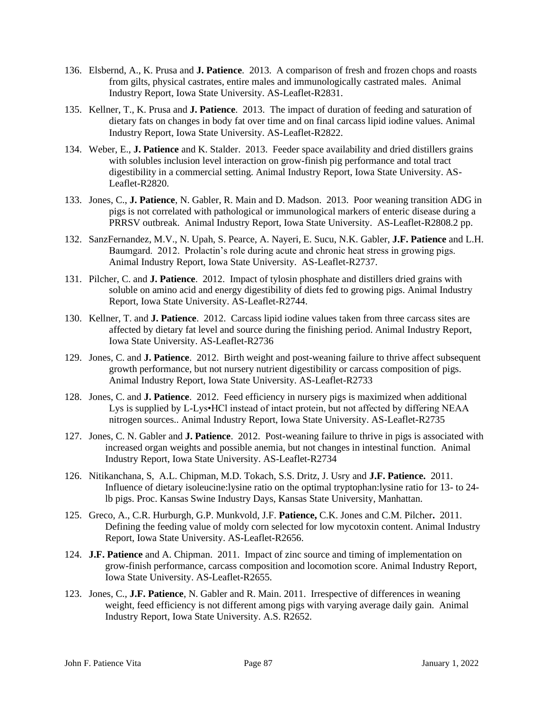- 136. Elsbernd, A., K. Prusa and **J. Patience**. 2013. A comparison of fresh and frozen chops and roasts from gilts, physical castrates, entire males and immunologically castrated males. Animal Industry Report, Iowa State University. AS-Leaflet-R2831.
- 135. Kellner, T., K. Prusa and **J. Patience**. 2013. The impact of duration of feeding and saturation of dietary fats on changes in body fat over time and on final carcass lipid iodine values. Animal Industry Report, Iowa State University. AS-Leaflet-R2822.
- 134. Weber, E., **J. Patience** and K. Stalder. 2013. Feeder space availability and dried distillers grains with solubles inclusion level interaction on grow-finish pig performance and total tract digestibility in a commercial setting. Animal Industry Report, Iowa State University. AS-Leaflet-R2820.
- 133. Jones, C., **J. Patience**, N. Gabler, R. Main and D. Madson. 2013. Poor weaning transition ADG in pigs is not correlated with pathological or immunological markers of enteric disease during a PRRSV outbreak. Animal Industry Report, Iowa State University. AS-Leaflet-R2808.2 pp.
- 132. SanzFernandez, M.V., N. Upah, S. Pearce, A. Nayeri, E. Sucu, N.K. Gabler, **J.F. Patience** and L.H. Baumgard. 2012. Prolactin's role during acute and chronic heat stress in growing pigs. Animal Industry Report, Iowa State University. AS-Leaflet-R2737.
- 131. Pilcher, C. and **J. Patience**. 2012. Impact of tylosin phosphate and distillers dried grains with soluble on amino acid and energy digestibility of diets fed to growing pigs. Animal Industry Report, Iowa State University. AS-Leaflet-R2744.
- 130. Kellner, T. and **J. Patience**. 2012. Carcass lipid iodine values taken from three carcass sites are affected by dietary fat level and source during the finishing period. Animal Industry Report, Iowa State University. AS-Leaflet-R2736
- 129. Jones, C. and **J. Patience**. 2012. Birth weight and post-weaning failure to thrive affect subsequent growth performance, but not nursery nutrient digestibility or carcass composition of pigs. Animal Industry Report, Iowa State University. AS-Leaflet-R2733
- 128. Jones, C. and **J. Patience**. 2012. Feed efficiency in nursery pigs is maximized when additional Lys is supplied by L-Lys•HCl instead of intact protein, but not affected by differing NEAA nitrogen sources.. Animal Industry Report, Iowa State University. AS-Leaflet-R2735
- 127. Jones, C. N. Gabler and **J. Patience**. 2012. Post-weaning failure to thrive in pigs is associated with increased organ weights and possible anemia, but not changes in intestinal function. Animal Industry Report, Iowa State University. AS-Leaflet-R2734
- 126. Nitikanchana, S, A.L. Chipman, M.D. Tokach, S.S. Dritz, J. Usry and **J.F. Patience.** 2011. Influence of dietary isoleucine:lysine ratio on the optimal tryptophan:lysine ratio for 13- to 24 lb pigs. Proc. Kansas Swine Industry Days, Kansas State University, Manhattan.
- 125. Greco, A., C.R. Hurburgh, G.P. Munkvold, J.F. **Patience,** C.K. Jones and C.M. Pilcher**.** 2011. Defining the feeding value of moldy corn selected for low mycotoxin content. Animal Industry Report, Iowa State University. AS-Leaflet-R2656.
- 124. **J.F. Patience** and A. Chipman. 2011. Impact of zinc source and timing of implementation on grow-finish performance, carcass composition and locomotion score. Animal Industry Report, Iowa State University. AS-Leaflet-R2655.
- 123. Jones, C., **J.F. Patience**, N. Gabler and R. Main. 2011. Irrespective of differences in weaning weight, feed efficiency is not different among pigs with varying average daily gain. Animal Industry Report, Iowa State University. A.S. R2652.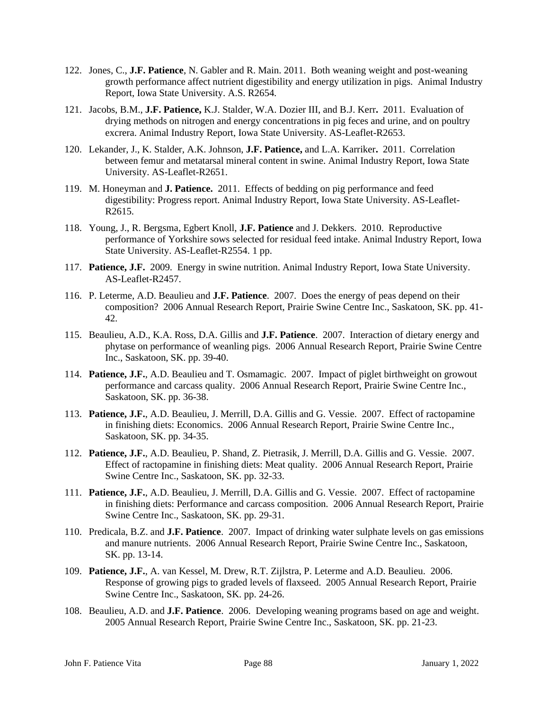- 122. Jones, C., **J.F. Patience**, N. Gabler and R. Main. 2011. Both weaning weight and post-weaning growth performance affect nutrient digestibility and energy utilization in pigs. Animal Industry Report, Iowa State University. A.S. R2654.
- 121. Jacobs, B.M., **J.F. Patience,** K.J. Stalder, W.A. Dozier III, and B.J. Kerr**.** 2011. Evaluation of drying methods on nitrogen and energy concentrations in pig feces and urine, and on poultry excrera. Animal Industry Report, Iowa State University. AS-Leaflet-R2653.
- 120. Lekander, J., K. Stalder, A.K. Johnson, **J.F. Patience,** and L.A. Karriker**.** 2011. Correlation between femur and metatarsal mineral content in swine. Animal Industry Report, Iowa State University. AS-Leaflet-R2651.
- 119. M. Honeyman and **J. Patience.** 2011. Effects of bedding on pig performance and feed digestibility: Progress report. Animal Industry Report, Iowa State University. AS-Leaflet-R2615.
- 118. Young, J., R. Bergsma, Egbert Knoll, **J.F. Patience** and J. Dekkers. 2010. Reproductive performance of Yorkshire sows selected for residual feed intake. Animal Industry Report, Iowa State University. AS-Leaflet-R2554. 1 pp.
- 117. **Patience, J.F.** 2009. Energy in swine nutrition. Animal Industry Report, Iowa State University. AS-Leaflet-R2457.
- 116. P. Leterme, A.D. Beaulieu and **J.F. Patience**. 2007. Does the energy of peas depend on their composition? 2006 Annual Research Report, Prairie Swine Centre Inc., Saskatoon, SK. pp. 41- 42.
- 115. Beaulieu, A.D., K.A. Ross, D.A. Gillis and **J.F. Patience**. 2007. Interaction of dietary energy and phytase on performance of weanling pigs. 2006 Annual Research Report, Prairie Swine Centre Inc., Saskatoon, SK. pp. 39-40.
- 114. **Patience, J.F.**, A.D. Beaulieu and T. Osmamagic. 2007. Impact of piglet birthweight on growout performance and carcass quality. 2006 Annual Research Report, Prairie Swine Centre Inc., Saskatoon, SK. pp. 36-38.
- 113. **Patience, J.F.**, A.D. Beaulieu, J. Merrill, D.A. Gillis and G. Vessie. 2007. Effect of ractopamine in finishing diets: Economics. 2006 Annual Research Report, Prairie Swine Centre Inc., Saskatoon, SK. pp. 34-35.
- 112. **Patience, J.F.**, A.D. Beaulieu, P. Shand, Z. Pietrasik, J. Merrill, D.A. Gillis and G. Vessie. 2007. Effect of ractopamine in finishing diets: Meat quality. 2006 Annual Research Report, Prairie Swine Centre Inc., Saskatoon, SK. pp. 32-33.
- 111. **Patience, J.F.**, A.D. Beaulieu, J. Merrill, D.A. Gillis and G. Vessie. 2007. Effect of ractopamine in finishing diets: Performance and carcass composition. 2006 Annual Research Report, Prairie Swine Centre Inc., Saskatoon, SK. pp. 29-31.
- 110. Predicala, B.Z. and **J.F. Patience**. 2007. Impact of drinking water sulphate levels on gas emissions and manure nutrients. 2006 Annual Research Report, Prairie Swine Centre Inc., Saskatoon, SK. pp. 13-14.
- 109. **Patience, J.F.**, A. van Kessel, M. Drew, R.T. Zijlstra, P. Leterme and A.D. Beaulieu. 2006. Response of growing pigs to graded levels of flaxseed. 2005 Annual Research Report, Prairie Swine Centre Inc., Saskatoon, SK. pp. 24-26.
- 108. Beaulieu, A.D. and **J.F. Patience**. 2006. Developing weaning programs based on age and weight. 2005 Annual Research Report, Prairie Swine Centre Inc., Saskatoon, SK. pp. 21-23.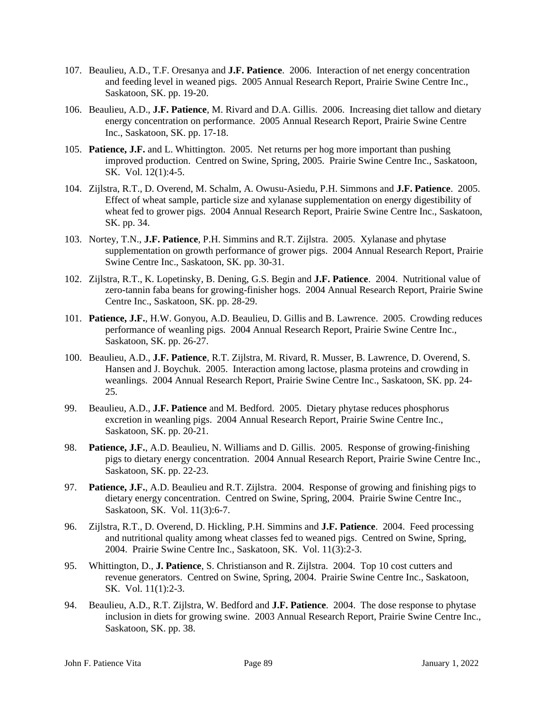- 107. Beaulieu, A.D., T.F. Oresanya and **J.F. Patience**. 2006. Interaction of net energy concentration and feeding level in weaned pigs. 2005 Annual Research Report, Prairie Swine Centre Inc., Saskatoon, SK. pp. 19-20.
- 106. Beaulieu, A.D., **J.F. Patience**, M. Rivard and D.A. Gillis. 2006. Increasing diet tallow and dietary energy concentration on performance. 2005 Annual Research Report, Prairie Swine Centre Inc., Saskatoon, SK. pp. 17-18.
- 105. **Patience, J.F.** and L. Whittington. 2005. Net returns per hog more important than pushing improved production. Centred on Swine, Spring, 2005. Prairie Swine Centre Inc., Saskatoon, SK. Vol. 12(1):4-5.
- 104. Zijlstra, R.T., D. Overend, M. Schalm, A. Owusu-Asiedu, P.H. Simmons and **J.F. Patience**. 2005. Effect of wheat sample, particle size and xylanase supplementation on energy digestibility of wheat fed to grower pigs. 2004 Annual Research Report, Prairie Swine Centre Inc., Saskatoon, SK. pp. 34.
- 103. Nortey, T.N., **J.F. Patience**, P.H. Simmins and R.T. Zijlstra. 2005. Xylanase and phytase supplementation on growth performance of grower pigs. 2004 Annual Research Report, Prairie Swine Centre Inc., Saskatoon, SK. pp. 30-31.
- 102. Zijlstra, R.T., K. Lopetinsky, B. Dening, G.S. Begin and **J.F. Patience**. 2004. Nutritional value of zero-tannin faba beans for growing-finisher hogs. 2004 Annual Research Report, Prairie Swine Centre Inc., Saskatoon, SK. pp. 28-29.
- 101. **Patience, J.F.**, H.W. Gonyou, A.D. Beaulieu, D. Gillis and B. Lawrence. 2005. Crowding reduces performance of weanling pigs. 2004 Annual Research Report, Prairie Swine Centre Inc., Saskatoon, SK. pp. 26-27.
- 100. Beaulieu, A.D., **J.F. Patience**, R.T. Zijlstra, M. Rivard, R. Musser, B. Lawrence, D. Overend, S. Hansen and J. Boychuk. 2005. Interaction among lactose, plasma proteins and crowding in weanlings. 2004 Annual Research Report, Prairie Swine Centre Inc., Saskatoon, SK. pp. 24- 25.
- 99. Beaulieu, A.D., **J.F. Patience** and M. Bedford. 2005. Dietary phytase reduces phosphorus excretion in weanling pigs. 2004 Annual Research Report, Prairie Swine Centre Inc., Saskatoon, SK. pp. 20-21.
- 98. **Patience, J.F.**, A.D. Beaulieu, N. Williams and D. Gillis. 2005. Response of growing-finishing pigs to dietary energy concentration. 2004 Annual Research Report, Prairie Swine Centre Inc., Saskatoon, SK. pp. 22-23.
- 97. **Patience, J.F.**, A.D. Beaulieu and R.T. Zijlstra. 2004. Response of growing and finishing pigs to dietary energy concentration. Centred on Swine, Spring, 2004. Prairie Swine Centre Inc., Saskatoon, SK. Vol. 11(3):6-7.
- 96. Zijlstra, R.T., D. Overend, D. Hickling, P.H. Simmins and **J.F. Patience**. 2004. Feed processing and nutritional quality among wheat classes fed to weaned pigs. Centred on Swine, Spring, 2004. Prairie Swine Centre Inc., Saskatoon, SK. Vol. 11(3):2-3.
- 95. Whittington, D., **J. Patience**, S. Christianson and R. Zijlstra. 2004. Top 10 cost cutters and revenue generators. Centred on Swine, Spring, 2004. Prairie Swine Centre Inc., Saskatoon, SK. Vol. 11(1):2-3.
- 94. Beaulieu, A.D., R.T. Zijlstra, W. Bedford and **J.F. Patience**. 2004. The dose response to phytase inclusion in diets for growing swine. 2003 Annual Research Report, Prairie Swine Centre Inc., Saskatoon, SK. pp. 38.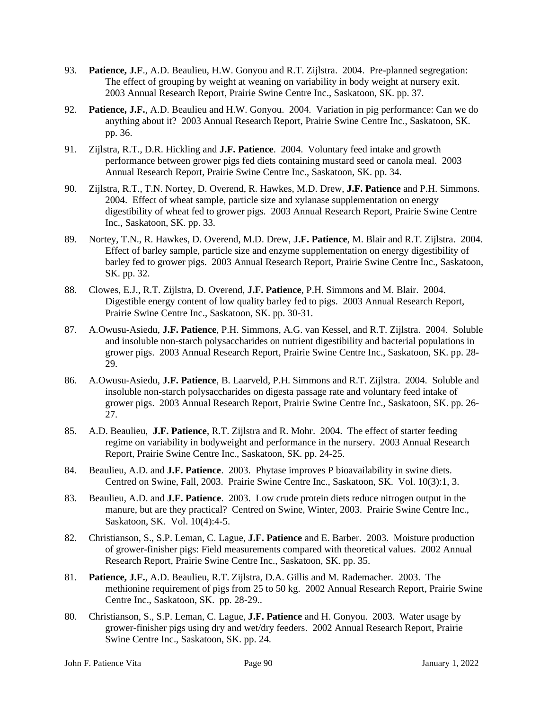- 93. **Patience, J.F**., A.D. Beaulieu, H.W. Gonyou and R.T. Zijlstra. 2004. Pre-planned segregation: The effect of grouping by weight at weaning on variability in body weight at nursery exit. 2003 Annual Research Report, Prairie Swine Centre Inc., Saskatoon, SK. pp. 37.
- 92. **Patience, J.F.**, A.D. Beaulieu and H.W. Gonyou. 2004. Variation in pig performance: Can we do anything about it? 2003 Annual Research Report, Prairie Swine Centre Inc., Saskatoon, SK. pp. 36.
- 91. Zijlstra, R.T., D.R. Hickling and **J.F. Patience**. 2004. Voluntary feed intake and growth performance between grower pigs fed diets containing mustard seed or canola meal. 2003 Annual Research Report, Prairie Swine Centre Inc., Saskatoon, SK. pp. 34.
- 90. Zijlstra, R.T., T.N. Nortey, D. Overend, R. Hawkes, M.D. Drew, **J.F. Patience** and P.H. Simmons. 2004. Effect of wheat sample, particle size and xylanase supplementation on energy digestibility of wheat fed to grower pigs. 2003 Annual Research Report, Prairie Swine Centre Inc., Saskatoon, SK. pp. 33.
- 89. Nortey, T.N., R. Hawkes, D. Overend, M.D. Drew, **J.F. Patience**, M. Blair and R.T. Zijlstra. 2004. Effect of barley sample, particle size and enzyme supplementation on energy digestibility of barley fed to grower pigs. 2003 Annual Research Report, Prairie Swine Centre Inc., Saskatoon, SK. pp. 32.
- 88. Clowes, E.J., R.T. Zijlstra, D. Overend, **J.F. Patience**, P.H. Simmons and M. Blair. 2004. Digestible energy content of low quality barley fed to pigs. 2003 Annual Research Report, Prairie Swine Centre Inc., Saskatoon, SK. pp. 30-31.
- 87. A.Owusu-Asiedu, **J.F. Patience**, P.H. Simmons, A.G. van Kessel, and R.T. Zijlstra. 2004. Soluble and insoluble non-starch polysaccharides on nutrient digestibility and bacterial populations in grower pigs. 2003 Annual Research Report, Prairie Swine Centre Inc., Saskatoon, SK. pp. 28- 29.
- 86. A.Owusu-Asiedu, **J.F. Patience**, B. Laarveld, P.H. Simmons and R.T. Zijlstra. 2004. Soluble and insoluble non-starch polysaccharides on digesta passage rate and voluntary feed intake of grower pigs. 2003 Annual Research Report, Prairie Swine Centre Inc., Saskatoon, SK. pp. 26- 27.
- 85. A.D. Beaulieu, **J.F. Patience**, R.T. Zijlstra and R. Mohr. 2004. The effect of starter feeding regime on variability in bodyweight and performance in the nursery. 2003 Annual Research Report, Prairie Swine Centre Inc., Saskatoon, SK. pp. 24-25.
- 84. Beaulieu, A.D. and **J.F. Patience**. 2003. Phytase improves P bioavailability in swine diets. Centred on Swine, Fall, 2003. Prairie Swine Centre Inc., Saskatoon, SK. Vol. 10(3):1, 3.
- 83. Beaulieu, A.D. and **J.F. Patience**. 2003. Low crude protein diets reduce nitrogen output in the manure, but are they practical? Centred on Swine, Winter, 2003. Prairie Swine Centre Inc., Saskatoon, SK. Vol. 10(4):4-5.
- 82. Christianson, S., S.P. Leman, C. Lague, **J.F. Patience** and E. Barber. 2003. Moisture production of grower-finisher pigs: Field measurements compared with theoretical values. 2002 Annual Research Report, Prairie Swine Centre Inc., Saskatoon, SK. pp. 35.
- 81. **Patience, J.F.**, A.D. Beaulieu, R.T. Zijlstra, D.A. Gillis and M. Rademacher. 2003. The methionine requirement of pigs from 25 to 50 kg. 2002 Annual Research Report, Prairie Swine Centre Inc., Saskatoon, SK. pp. 28-29..
- 80. Christianson, S., S.P. Leman, C. Lague, **J.F. Patience** and H. Gonyou. 2003. Water usage by grower-finisher pigs using dry and wet/dry feeders. 2002 Annual Research Report, Prairie Swine Centre Inc., Saskatoon, SK. pp. 24.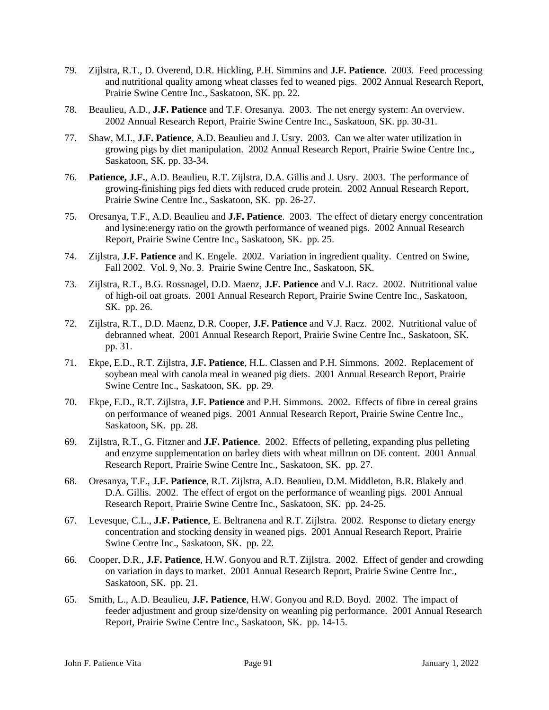- 79. Zijlstra, R.T., D. Overend, D.R. Hickling, P.H. Simmins and **J.F. Patience**. 2003. Feed processing and nutritional quality among wheat classes fed to weaned pigs. 2002 Annual Research Report, Prairie Swine Centre Inc., Saskatoon, SK. pp. 22.
- 78. Beaulieu, A.D., **J.F. Patience** and T.F. Oresanya. 2003. The net energy system: An overview. 2002 Annual Research Report, Prairie Swine Centre Inc., Saskatoon, SK. pp. 30-31.
- 77. Shaw, M.I., **J.F. Patience**, A.D. Beaulieu and J. Usry. 2003. Can we alter water utilization in growing pigs by diet manipulation. 2002 Annual Research Report, Prairie Swine Centre Inc., Saskatoon, SK. pp. 33-34.
- 76. **Patience, J.F.**, A.D. Beaulieu, R.T. Zijlstra, D.A. Gillis and J. Usry. 2003. The performance of growing-finishing pigs fed diets with reduced crude protein. 2002 Annual Research Report, Prairie Swine Centre Inc., Saskatoon, SK. pp. 26-27.
- 75. Oresanya, T.F., A.D. Beaulieu and **J.F. Patience**. 2003. The effect of dietary energy concentration and lysine:energy ratio on the growth performance of weaned pigs. 2002 Annual Research Report, Prairie Swine Centre Inc., Saskatoon, SK. pp. 25.
- 74. Zijlstra, **J.F. Patience** and K. Engele. 2002. Variation in ingredient quality. Centred on Swine, Fall 2002. Vol. 9, No. 3. Prairie Swine Centre Inc., Saskatoon, SK.
- 73. Zijlstra, R.T., B.G. Rossnagel, D.D. Maenz, **J.F. Patience** and V.J. Racz. 2002. Nutritional value of high-oil oat groats. 2001 Annual Research Report, Prairie Swine Centre Inc., Saskatoon, SK. pp. 26.
- 72. Zijlstra, R.T., D.D. Maenz, D.R. Cooper, **J.F. Patience** and V.J. Racz. 2002. Nutritional value of debranned wheat. 2001 Annual Research Report, Prairie Swine Centre Inc., Saskatoon, SK. pp. 31.
- 71. Ekpe, E.D., R.T. Zijlstra, **J.F. Patience**, H.L. Classen and P.H. Simmons. 2002. Replacement of soybean meal with canola meal in weaned pig diets. 2001 Annual Research Report, Prairie Swine Centre Inc., Saskatoon, SK. pp. 29.
- 70. Ekpe, E.D., R.T. Zijlstra, **J.F. Patience** and P.H. Simmons. 2002. Effects of fibre in cereal grains on performance of weaned pigs. 2001 Annual Research Report, Prairie Swine Centre Inc., Saskatoon, SK. pp. 28.
- 69. Zijlstra, R.T., G. Fitzner and **J.F. Patience**. 2002. Effects of pelleting, expanding plus pelleting and enzyme supplementation on barley diets with wheat millrun on DE content. 2001 Annual Research Report, Prairie Swine Centre Inc., Saskatoon, SK. pp. 27.
- 68. Oresanya, T.F., **J.F. Patience**, R.T. Zijlstra, A.D. Beaulieu, D.M. Middleton, B.R. Blakely and D.A. Gillis. 2002. The effect of ergot on the performance of weanling pigs. 2001 Annual Research Report, Prairie Swine Centre Inc., Saskatoon, SK. pp. 24-25.
- 67. Levesque, C.L., **J.F. Patience**, E. Beltranena and R.T. Zijlstra. 2002. Response to dietary energy concentration and stocking density in weaned pigs. 2001 Annual Research Report, Prairie Swine Centre Inc., Saskatoon, SK. pp. 22.
- 66. Cooper, D.R., **J.F. Patience**, H.W. Gonyou and R.T. Zijlstra. 2002. Effect of gender and crowding on variation in days to market. 2001 Annual Research Report, Prairie Swine Centre Inc., Saskatoon, SK. pp. 21.
- 65. Smith, L., A.D. Beaulieu, **J.F. Patience**, H.W. Gonyou and R.D. Boyd. 2002. The impact of feeder adjustment and group size/density on weanling pig performance. 2001 Annual Research Report, Prairie Swine Centre Inc., Saskatoon, SK. pp. 14-15.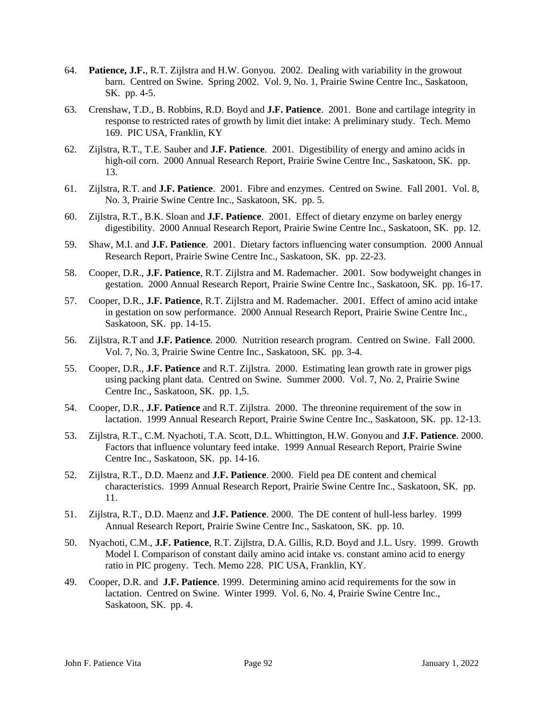- 64. **Patience, J.F.**, R.T. Zijlstra and H.W. Gonyou. 2002. Dealing with variability in the growout barn. Centred on Swine. Spring 2002. Vol. 9, No. 1, Prairie Swine Centre Inc., Saskatoon, SK. pp. 4-5.
- 63. Crenshaw, T.D., B. Robbins, R.D. Boyd and **J.F. Patience**. 2001. Bone and cartilage integrity in response to restricted rates of growth by limit diet intake: A preliminary study. Tech. Memo 169. PIC USA, Franklin, KY
- 62. Zijlstra, R.T., T.E. Sauber and **J.F. Patience**. 2001. Digestibility of energy and amino acids in high-oil corn. 2000 Annual Research Report, Prairie Swine Centre Inc., Saskatoon, SK. pp. 13.
- 61. Zijlstra, R.T. and **J.F. Patience**. 2001. Fibre and enzymes. Centred on Swine. Fall 2001. Vol. 8, No. 3, Prairie Swine Centre Inc., Saskatoon, SK. pp. 5.
- 60. Zijlstra, R.T., B.K. Sloan and **J.F. Patience**. 2001. Effect of dietary enzyme on barley energy digestibility. 2000 Annual Research Report, Prairie Swine Centre Inc., Saskatoon, SK. pp. 12.
- 59. Shaw, M.I. and **J.F. Patience**. 2001. Dietary factors influencing water consumption. 2000 Annual Research Report, Prairie Swine Centre Inc., Saskatoon, SK. pp. 22-23.
- 58. Cooper, D.R., **J.F. Patience**, R.T. Zijlstra and M. Rademacher. 2001. Sow bodyweight changes in gestation. 2000 Annual Research Report, Prairie Swine Centre Inc., Saskatoon, SK. pp. 16-17.
- 57. Cooper, D.R., **J.F. Patience**, R.T. Zijlstra and M. Rademacher. 2001. Effect of amino acid intake in gestation on sow performance. 2000 Annual Research Report, Prairie Swine Centre Inc., Saskatoon, SK. pp. 14-15.
- 56. Zijlstra, R.T and **J.F. Patience**. 2000. Nutrition research program. Centred on Swine. Fall 2000. Vol. 7, No. 3, Prairie Swine Centre Inc., Saskatoon, SK. pp. 3-4.
- 55. Cooper, D.R., **J.F. Patience** and R.T. Zijlstra. 2000. Estimating lean growth rate in grower pigs using packing plant data. Centred on Swine. Summer 2000. Vol. 7, No. 2, Prairie Swine Centre Inc., Saskatoon, SK. pp. 1,5.
- 54. Cooper, D.R., **J.F. Patience** and R.T. Zijlstra. 2000. The threonine requirement of the sow in lactation. 1999 Annual Research Report, Prairie Swine Centre Inc., Saskatoon, SK. pp. 12-13.
- 53. Zijlstra, R.T., C.M. Nyachoti, T.A. Scott, D.L. Whittington, H.W. Gonyou and **J.F. Patience**. 2000. Factors that influence voluntary feed intake. 1999 Annual Research Report, Prairie Swine Centre Inc., Saskatoon, SK. pp. 14-16.
- 52. Zijlstra, R.T., D.D. Maenz and **J.F. Patience**. 2000. Field pea DE content and chemical characteristics. 1999 Annual Research Report, Prairie Swine Centre Inc., Saskatoon, SK. pp. 11.
- 51. Zijlstra, R.T., D.D. Maenz and **J.F. Patience**. 2000. The DE content of hull-less barley. 1999 Annual Research Report, Prairie Swine Centre Inc., Saskatoon, SK. pp. 10.
- 50. Nyachoti, C.M., **J.F. Patience**, R.T. Zijlstra, D.A. Gillis, R.D. Boyd and J.L. Usry. 1999. Growth Model I. Comparison of constant daily amino acid intake vs. constant amino acid to energy ratio in PIC progeny. Tech. Memo 228. PIC USA, Franklin, KY.
- 49. Cooper, D.R. and **J.F. Patience**. 1999. Determining amino acid requirements for the sow in lactation. Centred on Swine. Winter 1999. Vol. 6, No. 4, Prairie Swine Centre Inc., Saskatoon, SK. pp. 4.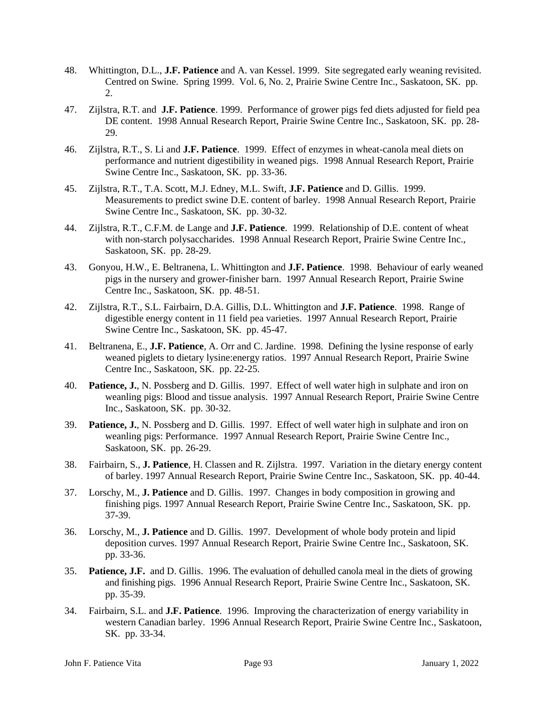- 48. Whittington, D.L., **J.F. Patience** and A. van Kessel. 1999. Site segregated early weaning revisited. Centred on Swine. Spring 1999. Vol. 6, No. 2, Prairie Swine Centre Inc., Saskatoon, SK. pp. 2.
- 47. Zijlstra, R.T. and **J.F. Patience**. 1999. Performance of grower pigs fed diets adjusted for field pea DE content. 1998 Annual Research Report, Prairie Swine Centre Inc., Saskatoon, SK. pp. 28- 29.
- 46. Zijlstra, R.T., S. Li and **J.F. Patience**. 1999. Effect of enzymes in wheat-canola meal diets on performance and nutrient digestibility in weaned pigs. 1998 Annual Research Report, Prairie Swine Centre Inc., Saskatoon, SK. pp. 33-36.
- 45. Zijlstra, R.T., T.A. Scott, M.J. Edney, M.L. Swift, **J.F. Patience** and D. Gillis. 1999. Measurements to predict swine D.E. content of barley. 1998 Annual Research Report, Prairie Swine Centre Inc., Saskatoon, SK. pp. 30-32.
- 44. Zijlstra, R.T., C.F.M. de Lange and **J.F. Patience**. 1999. Relationship of D.E. content of wheat with non-starch polysaccharides. 1998 Annual Research Report, Prairie Swine Centre Inc., Saskatoon, SK. pp. 28-29.
- 43. Gonyou, H.W., E. Beltranena, L. Whittington and **J.F. Patience**. 1998. Behaviour of early weaned pigs in the nursery and grower-finisher barn. 1997 Annual Research Report, Prairie Swine Centre Inc., Saskatoon, SK. pp. 48-51.
- 42. Zijlstra, R.T., S.L. Fairbairn, D.A. Gillis, D.L. Whittington and **J.F. Patience**. 1998. Range of digestible energy content in 11 field pea varieties. 1997 Annual Research Report, Prairie Swine Centre Inc., Saskatoon, SK. pp. 45-47.
- 41. Beltranena, E., **J.F. Patience**, A. Orr and C. Jardine. 1998. Defining the lysine response of early weaned piglets to dietary lysine:energy ratios. 1997 Annual Research Report, Prairie Swine Centre Inc., Saskatoon, SK. pp. 22-25.
- 40. **Patience, J.**, N. Possberg and D. Gillis. 1997. Effect of well water high in sulphate and iron on weanling pigs: Blood and tissue analysis. 1997 Annual Research Report, Prairie Swine Centre Inc., Saskatoon, SK. pp. 30-32.
- 39. **Patience, J.**, N. Possberg and D. Gillis. 1997. Effect of well water high in sulphate and iron on weanling pigs: Performance. 1997 Annual Research Report, Prairie Swine Centre Inc., Saskatoon, SK. pp. 26-29.
- 38. Fairbairn, S., **J. Patience**, H. Classen and R. Zijlstra. 1997. Variation in the dietary energy content of barley. 1997 Annual Research Report, Prairie Swine Centre Inc., Saskatoon, SK. pp. 40-44.
- 37. Lorschy, M., **J. Patience** and D. Gillis. 1997. Changes in body composition in growing and finishing pigs. 1997 Annual Research Report, Prairie Swine Centre Inc., Saskatoon, SK. pp. 37-39.
- 36. Lorschy, M., **J. Patience** and D. Gillis. 1997. Development of whole body protein and lipid deposition curves. 1997 Annual Research Report, Prairie Swine Centre Inc., Saskatoon, SK. pp. 33-36.
- 35. **Patience, J.F.** and D. Gillis. 1996. The evaluation of dehulled canola meal in the diets of growing and finishing pigs. 1996 Annual Research Report, Prairie Swine Centre Inc., Saskatoon, SK. pp. 35-39.
- 34. Fairbairn, S.L. and **J.F. Patience**. 1996. Improving the characterization of energy variability in western Canadian barley. 1996 Annual Research Report, Prairie Swine Centre Inc., Saskatoon, SK. pp. 33-34.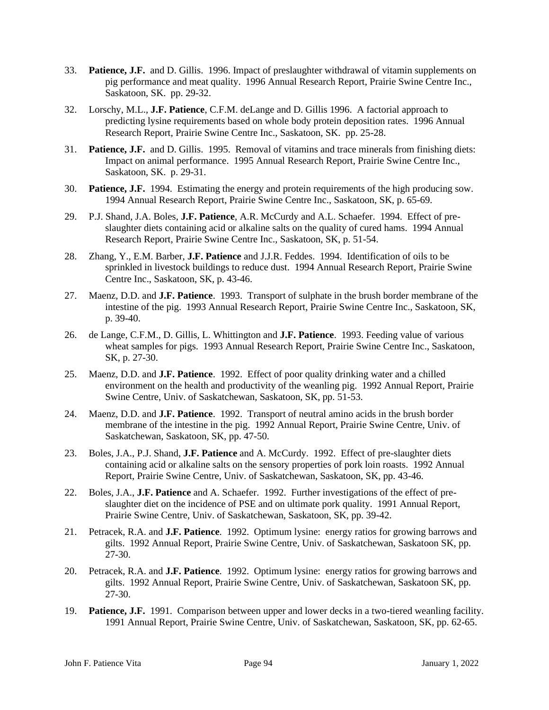- 33. **Patience, J.F.** and D. Gillis. 1996. Impact of preslaughter withdrawal of vitamin supplements on pig performance and meat quality. 1996 Annual Research Report, Prairie Swine Centre Inc., Saskatoon, SK. pp. 29-32.
- 32. Lorschy, M.L., **J.F. Patience**, C.F.M. deLange and D. Gillis 1996. A factorial approach to predicting lysine requirements based on whole body protein deposition rates. 1996 Annual Research Report, Prairie Swine Centre Inc., Saskatoon, SK. pp. 25-28.
- 31. **Patience, J.F.** and D. Gillis. 1995. Removal of vitamins and trace minerals from finishing diets: Impact on animal performance. 1995 Annual Research Report, Prairie Swine Centre Inc., Saskatoon, SK. p. 29-31.
- 30. **Patience, J.F.** 1994. Estimating the energy and protein requirements of the high producing sow. 1994 Annual Research Report, Prairie Swine Centre Inc., Saskatoon, SK, p. 65-69.
- 29. P.J. Shand, J.A. Boles, **J.F. Patience**, A.R. McCurdy and A.L. Schaefer. 1994. Effect of preslaughter diets containing acid or alkaline salts on the quality of cured hams. 1994 Annual Research Report, Prairie Swine Centre Inc., Saskatoon, SK, p. 51-54.
- 28. Zhang, Y., E.M. Barber, **J.F. Patience** and J.J.R. Feddes. 1994. Identification of oils to be sprinkled in livestock buildings to reduce dust. 1994 Annual Research Report, Prairie Swine Centre Inc., Saskatoon, SK, p. 43-46.
- 27. Maenz, D.D. and **J.F. Patience**. 1993. Transport of sulphate in the brush border membrane of the intestine of the pig. 1993 Annual Research Report, Prairie Swine Centre Inc., Saskatoon, SK, p. 39-40.
- 26. de Lange, C.F.M., D. Gillis, L. Whittington and **J.F. Patience**. 1993. Feeding value of various wheat samples for pigs. 1993 Annual Research Report, Prairie Swine Centre Inc., Saskatoon, SK, p. 27-30.
- 25. Maenz, D.D. and **J.F. Patience**. 1992. Effect of poor quality drinking water and a chilled environment on the health and productivity of the weanling pig. 1992 Annual Report, Prairie Swine Centre, Univ. of Saskatchewan, Saskatoon, SK, pp. 51-53.
- 24. Maenz, D.D. and **J.F. Patience**. 1992. Transport of neutral amino acids in the brush border membrane of the intestine in the pig. 1992 Annual Report, Prairie Swine Centre, Univ. of Saskatchewan, Saskatoon, SK, pp. 47-50.
- 23. Boles, J.A., P.J. Shand, **J.F. Patience** and A. McCurdy. 1992. Effect of pre-slaughter diets containing acid or alkaline salts on the sensory properties of pork loin roasts. 1992 Annual Report, Prairie Swine Centre, Univ. of Saskatchewan, Saskatoon, SK, pp. 43-46.
- 22. Boles, J.A., **J.F. Patience** and A. Schaefer. 1992. Further investigations of the effect of preslaughter diet on the incidence of PSE and on ultimate pork quality. 1991 Annual Report, Prairie Swine Centre, Univ. of Saskatchewan, Saskatoon, SK, pp. 39-42.
- 21. Petracek, R.A. and **J.F. Patience**. 1992. Optimum lysine: energy ratios for growing barrows and gilts. 1992 Annual Report, Prairie Swine Centre, Univ. of Saskatchewan, Saskatoon SK, pp. 27-30.
- 20. Petracek, R.A. and **J.F. Patience**. 1992. Optimum lysine: energy ratios for growing barrows and gilts. 1992 Annual Report, Prairie Swine Centre, Univ. of Saskatchewan, Saskatoon SK, pp. 27-30.
- 19. **Patience, J.F.** 1991. Comparison between upper and lower decks in a two-tiered weanling facility. 1991 Annual Report, Prairie Swine Centre, Univ. of Saskatchewan, Saskatoon, SK, pp. 62-65.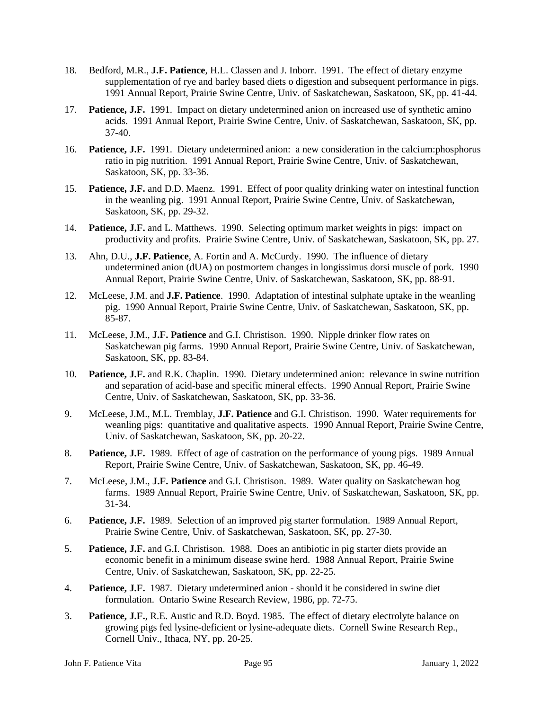- 18. Bedford, M.R., **J.F. Patience**, H.L. Classen and J. Inborr. 1991. The effect of dietary enzyme supplementation of rye and barley based diets o digestion and subsequent performance in pigs. 1991 Annual Report, Prairie Swine Centre, Univ. of Saskatchewan, Saskatoon, SK, pp. 41-44.
- 17. **Patience, J.F.** 1991. Impact on dietary undetermined anion on increased use of synthetic amino acids. 1991 Annual Report, Prairie Swine Centre, Univ. of Saskatchewan, Saskatoon, SK, pp. 37-40.
- 16. **Patience, J.F.** 1991. Dietary undetermined anion: a new consideration in the calcium:phosphorus ratio in pig nutrition. 1991 Annual Report, Prairie Swine Centre, Univ. of Saskatchewan, Saskatoon, SK, pp. 33-36.
- 15. **Patience, J.F.** and D.D. Maenz. 1991. Effect of poor quality drinking water on intestinal function in the weanling pig. 1991 Annual Report, Prairie Swine Centre, Univ. of Saskatchewan, Saskatoon, SK, pp. 29-32.
- 14. **Patience, J.F.** and L. Matthews. 1990. Selecting optimum market weights in pigs: impact on productivity and profits. Prairie Swine Centre, Univ. of Saskatchewan, Saskatoon, SK, pp. 27.
- 13. Ahn, D.U., **J.F. Patience**, A. Fortin and A. McCurdy. 1990. The influence of dietary undetermined anion (dUA) on postmortem changes in longissimus dorsi muscle of pork. 1990 Annual Report, Prairie Swine Centre, Univ. of Saskatchewan, Saskatoon, SK, pp. 88-91.
- 12. McLeese, J.M. and **J.F. Patience**. 1990. Adaptation of intestinal sulphate uptake in the weanling pig. 1990 Annual Report, Prairie Swine Centre, Univ. of Saskatchewan, Saskatoon, SK, pp. 85-87.
- 11. McLeese, J.M., **J.F. Patience** and G.I. Christison. 1990. Nipple drinker flow rates on Saskatchewan pig farms. 1990 Annual Report, Prairie Swine Centre, Univ. of Saskatchewan, Saskatoon, SK, pp. 83-84.
- 10. **Patience, J.F.** and R.K. Chaplin. 1990. Dietary undetermined anion: relevance in swine nutrition and separation of acid-base and specific mineral effects. 1990 Annual Report, Prairie Swine Centre, Univ. of Saskatchewan, Saskatoon, SK, pp. 33-36.
- 9. McLeese, J.M., M.L. Tremblay, **J.F. Patience** and G.I. Christison. 1990. Water requirements for weanling pigs: quantitative and qualitative aspects. 1990 Annual Report, Prairie Swine Centre, Univ. of Saskatchewan, Saskatoon, SK, pp. 20-22.
- 8. **Patience, J.F.** 1989. Effect of age of castration on the performance of young pigs. 1989 Annual Report, Prairie Swine Centre, Univ. of Saskatchewan, Saskatoon, SK, pp. 46-49.
- 7. McLeese, J.M., **J.F. Patience** and G.I. Christison. 1989. Water quality on Saskatchewan hog farms. 1989 Annual Report, Prairie Swine Centre, Univ. of Saskatchewan, Saskatoon, SK, pp. 31-34.
- 6. **Patience, J.F.** 1989. Selection of an improved pig starter formulation. 1989 Annual Report, Prairie Swine Centre, Univ. of Saskatchewan, Saskatoon, SK, pp. 27-30.
- 5. **Patience, J.F.** and G.I. Christison. 1988. Does an antibiotic in pig starter diets provide an economic benefit in a minimum disease swine herd. 1988 Annual Report, Prairie Swine Centre, Univ. of Saskatchewan, Saskatoon, SK, pp. 22-25.
- 4. **Patience, J.F.** 1987. Dietary undetermined anion should it be considered in swine diet formulation. Ontario Swine Research Review, 1986, pp. 72-75.
- 3. **Patience, J.F.**, R.E. Austic and R.D. Boyd. 1985. The effect of dietary electrolyte balance on growing pigs fed lysine-deficient or lysine-adequate diets. Cornell Swine Research Rep., Cornell Univ., Ithaca, NY, pp. 20-25.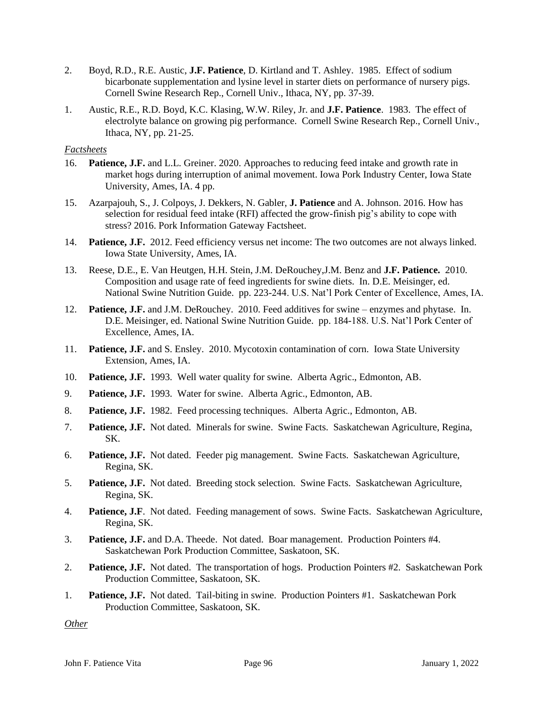- 2. Boyd, R.D., R.E. Austic, **J.F. Patience**, D. Kirtland and T. Ashley. 1985. Effect of sodium bicarbonate supplementation and lysine level in starter diets on performance of nursery pigs. Cornell Swine Research Rep., Cornell Univ., Ithaca, NY, pp. 37-39.
- 1. Austic, R.E., R.D. Boyd, K.C. Klasing, W.W. Riley, Jr. and **J.F. Patience**. 1983. The effect of electrolyte balance on growing pig performance. Cornell Swine Research Rep., Cornell Univ., Ithaca, NY, pp. 21-25.

#### *Factsheets*

- 16. **Patience, J.F.** and L.L. Greiner. 2020. Approaches to reducing feed intake and growth rate in market hogs during interruption of animal movement. Iowa Pork Industry Center, Iowa State University, Ames, IA. 4 pp.
- 15. Azarpajouh, S., J. Colpoys, J. Dekkers, N. Gabler, **J. Patience** and A. Johnson. 2016. How has selection for residual feed intake (RFI) affected the grow-finish pig's ability to cope with stress? 2016. Pork Information Gateway Factsheet.
- 14. **Patience, J.F.** 2012. Feed efficiency versus net income: The two outcomes are not always linked. Iowa State University, Ames, IA.
- 13. Reese, D.E., E. Van Heutgen, H.H. Stein, J.M. DeRouchey,J.M. Benz and **J.F. Patience.** 2010. Composition and usage rate of feed ingredients for swine diets. In. D.E. Meisinger, ed. National Swine Nutrition Guide. pp. 223-244. U.S. Nat'l Pork Center of Excellence, Ames, IA.
- 12. **Patience, J.F.** and J.M. DeRouchey. 2010. Feed additives for swine enzymes and phytase. In. D.E. Meisinger, ed. National Swine Nutrition Guide. pp. 184-188. U.S. Nat'l Pork Center of Excellence, Ames, IA.
- 11. **Patience, J.F.** and S. Ensley. 2010. Mycotoxin contamination of corn. Iowa State University Extension, Ames, IA.
- 10. **Patience, J.F.** 1993. Well water quality for swine. Alberta Agric., Edmonton, AB.
- 9. **Patience, J.F.** 1993. Water for swine. Alberta Agric., Edmonton, AB.
- 8. **Patience, J.F.** 1982. Feed processing techniques. Alberta Agric., Edmonton, AB.
- 7. **Patience, J.F.** Not dated. Minerals for swine. Swine Facts. Saskatchewan Agriculture, Regina, SK.
- 6. **Patience, J.F.** Not dated. Feeder pig management. Swine Facts. Saskatchewan Agriculture, Regina, SK.
- 5. **Patience, J.F.** Not dated. Breeding stock selection. Swine Facts. Saskatchewan Agriculture, Regina, SK.
- 4. **Patience, J.F**. Not dated. Feeding management of sows. Swine Facts. Saskatchewan Agriculture, Regina, SK.
- 3. **Patience, J.F.** and D.A. Theede. Not dated. Boar management. Production Pointers #4. Saskatchewan Pork Production Committee, Saskatoon, SK.
- 2. **Patience, J.F.** Not dated. The transportation of hogs. Production Pointers #2. Saskatchewan Pork Production Committee, Saskatoon, SK.
- 1. **Patience, J.F.** Not dated. Tail-biting in swine. Production Pointers #1. Saskatchewan Pork Production Committee, Saskatoon, SK.

*Other*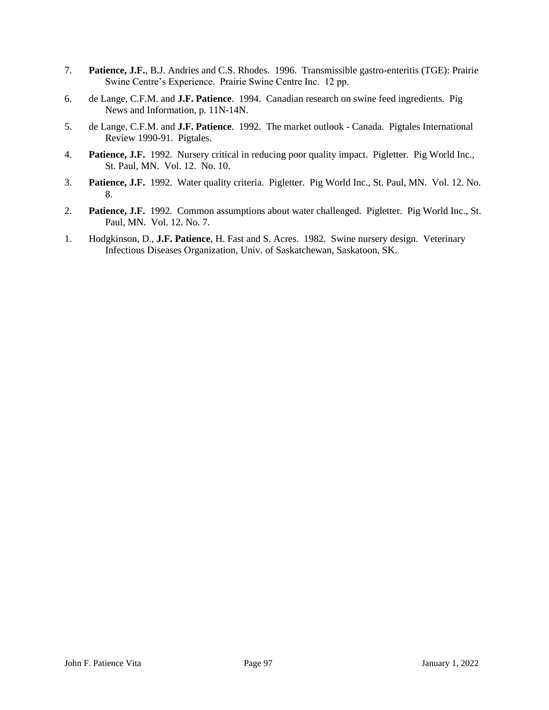- 7. **Patience, J.F.**, B.J. Andries and C.S. Rhodes. 1996. Transmissible gastro-enteritis (TGE): Prairie Swine Centre's Experience. Prairie Swine Centre Inc. 12 pp.
- 6. de Lange, C.F.M. and **J.F. Patience**. 1994. Canadian research on swine feed ingredients. Pig News and Information, p. 11N-14N.
- 5. de Lange, C.F.M. and **J.F. Patience**. 1992. The market outlook Canada. Pigtales International Review 1990-91. Pigtales.
- 4. **Patience, J.F.** 1992. Nursery critical in reducing poor quality impact. Pigletter. Pig World Inc., St. Paul, MN. Vol. 12. No. 10.
- 3. **Patience, J.F.** 1992. Water quality criteria. Pigletter. Pig World Inc., St. Paul, MN. Vol. 12. No. 8.
- 2. **Patience, J.F.** 1992. Common assumptions about water challenged. Pigletter. Pig World Inc., St. Paul, MN. Vol. 12. No. 7.
- 1. Hodgkinson, D., **J.F. Patience**, H. Fast and S. Acres. 1982. Swine nursery design. Veterinary Infectious Diseases Organization, Univ. of Saskatchewan, Saskatoon, SK.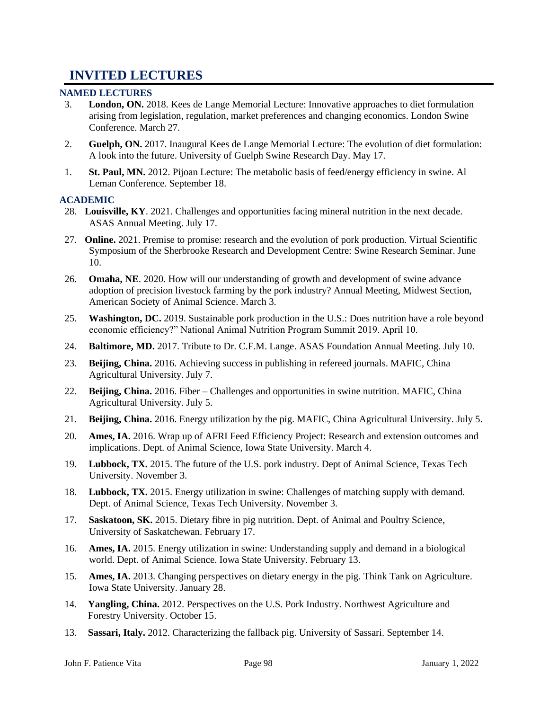# **INVITED LECTURES**

## **NAMED LECTURES**

- 3. **London, ON.** 2018. Kees de Lange Memorial Lecture: Innovative approaches to diet formulation arising from legislation, regulation, market preferences and changing economics. London Swine Conference. March 27.
- 2. **Guelph, ON.** 2017. Inaugural Kees de Lange Memorial Lecture: The evolution of diet formulation: A look into the future. University of Guelph Swine Research Day. May 17.
- 1. **St. Paul, MN.** 2012. Pijoan Lecture: The metabolic basis of feed/energy efficiency in swine. Al Leman Conference. September 18.

## **ACADEMIC**

- 28. **Louisville, KY**. 2021. Challenges and opportunities facing mineral nutrition in the next decade. ASAS Annual Meeting. July 17.
- 27. **Online.** 2021. Premise to promise: research and the evolution of pork production. Virtual Scientific Symposium of the Sherbrooke Research and Development Centre: Swine Research Seminar. June 10.
- 26. **Omaha, NE**. 2020. How will our understanding of growth and development of swine advance adoption of precision livestock farming by the pork industry? Annual Meeting, Midwest Section, American Society of Animal Science. March 3.
- 25. **Washington, DC.** 2019. Sustainable pork production in the U.S.: Does nutrition have a role beyond economic efficiency?" National Animal Nutrition Program Summit 2019. April 10.
- 24. **Baltimore, MD.** 2017. Tribute to Dr. C.F.M. Lange. ASAS Foundation Annual Meeting. July 10.
- 23. **Beijing, China.** 2016. Achieving success in publishing in refereed journals. MAFIC, China Agricultural University. July 7.
- 22. **Beijing, China.** 2016. Fiber Challenges and opportunities in swine nutrition. MAFIC, China Agricultural University. July 5.
- 21. **Beijing, China.** 2016. Energy utilization by the pig. MAFIC, China Agricultural University. July 5.
- 20. **Ames, IA.** 2016. Wrap up of AFRI Feed Efficiency Project: Research and extension outcomes and implications. Dept. of Animal Science, Iowa State University. March 4.
- 19. **Lubbock, TX.** 2015. The future of the U.S. pork industry. Dept of Animal Science, Texas Tech University. November 3.
- 18. **Lubbock, TX.** 2015. Energy utilization in swine: Challenges of matching supply with demand. Dept. of Animal Science, Texas Tech University. November 3.
- 17. **Saskatoon, SK.** 2015. Dietary fibre in pig nutrition. Dept. of Animal and Poultry Science, University of Saskatchewan. February 17.
- 16. **Ames, IA.** 2015. Energy utilization in swine: Understanding supply and demand in a biological world. Dept. of Animal Science. Iowa State University. February 13.
- 15. **Ames, IA.** 2013. Changing perspectives on dietary energy in the pig. Think Tank on Agriculture. Iowa State University. January 28.
- 14. **Yangling, China.** 2012. Perspectives on the U.S. Pork Industry. Northwest Agriculture and Forestry University. October 15.
- 13. **Sassari, Italy.** 2012. Characterizing the fallback pig. University of Sassari. September 14.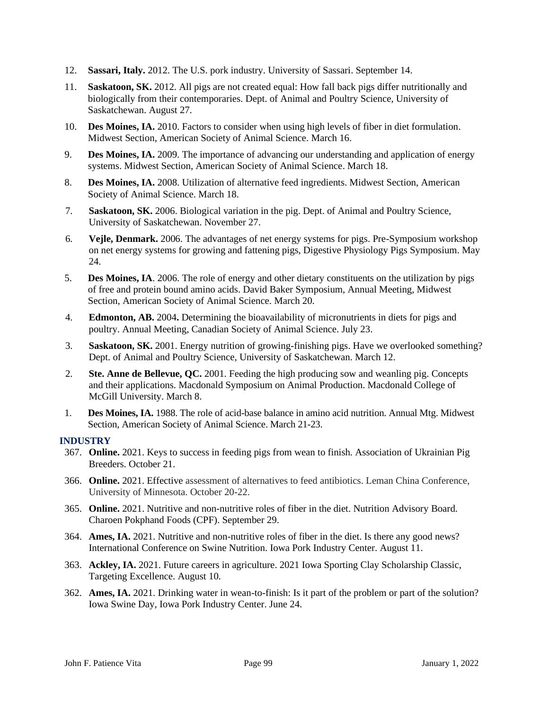- 12. **Sassari, Italy.** 2012. The U.S. pork industry. University of Sassari. September 14.
- 11. **Saskatoon, SK.** 2012. All pigs are not created equal: How fall back pigs differ nutritionally and biologically from their contemporaries. Dept. of Animal and Poultry Science, University of Saskatchewan. August 27.
- 10. **Des Moines, IA.** 2010. Factors to consider when using high levels of fiber in diet formulation. Midwest Section, American Society of Animal Science. March 16.
- 9. **Des Moines, IA.** 2009. The importance of advancing our understanding and application of energy systems. Midwest Section, American Society of Animal Science. March 18.
- 8. **Des Moines, IA.** 2008. Utilization of alternative feed ingredients. Midwest Section, American Society of Animal Science. March 18.
- 7. **Saskatoon, SK.** 2006. Biological variation in the pig. Dept. of Animal and Poultry Science, University of Saskatchewan. November 27.
- 6. **Vejle, Denmark.** 2006. The advantages of net energy systems for pigs. Pre-Symposium workshop on net energy systems for growing and fattening pigs, Digestive Physiology Pigs Symposium. May 24.
- 5. **Des Moines, IA**. 2006. The role of energy and other dietary constituents on the utilization by pigs of free and protein bound amino acids. David Baker Symposium, Annual Meeting, Midwest Section, American Society of Animal Science. March 20.
- 4. **Edmonton, AB.** 2004**.** Determining the bioavailability of micronutrients in diets for pigs and poultry. Annual Meeting, Canadian Society of Animal Science. July 23.
- 3. **Saskatoon, SK.** 2001. Energy nutrition of growing-finishing pigs. Have we overlooked something? Dept. of Animal and Poultry Science, University of Saskatchewan. March 12.
- 2. **Ste. Anne de Bellevue, QC.** 2001. Feeding the high producing sow and weanling pig. Concepts and their applications. Macdonald Symposium on Animal Production. Macdonald College of McGill University. March 8.
- 1. **Des Moines, IA.** 1988. The role of acid-base balance in amino acid nutrition. Annual Mtg. Midwest Section, American Society of Animal Science. March 21-23.

## **INDUSTRY**

- 367. **Online.** 2021. Keys to success in feeding pigs from wean to finish. Association of Ukrainian Pig Breeders. October 21.
- 366. **Online.** 2021. Effective assessment of alternatives to feed antibiotics. Leman China Conference, University of Minnesota. October 20-22.
- 365. **Online.** 2021. Nutritive and non-nutritive roles of fiber in the diet. Nutrition Advisory Board. Charoen Pokphand Foods (CPF). September 29.
- 364. **Ames, IA.** 2021. Nutritive and non-nutritive roles of fiber in the diet. Is there any good news? International Conference on Swine Nutrition. Iowa Pork Industry Center. August 11.
- 363. **Ackley, IA.** 2021. Future careers in agriculture. 2021 Iowa Sporting Clay Scholarship Classic, Targeting Excellence. August 10.
- 362. **Ames, IA.** 2021. Drinking water in wean-to-finish: Is it part of the problem or part of the solution? Iowa Swine Day, Iowa Pork Industry Center. June 24.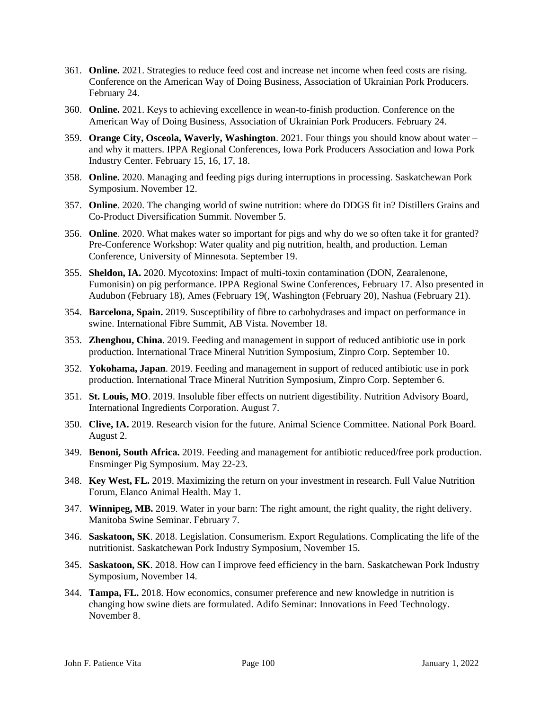- 361. **Online.** 2021. Strategies to reduce feed cost and increase net income when feed costs are rising. Conference on the American Way of Doing Business, Association of Ukrainian Pork Producers. February 24.
- 360. **Online.** 2021. Keys to achieving excellence in wean-to-finish production. Conference on the American Way of Doing Business, Association of Ukrainian Pork Producers. February 24.
- 359. **Orange City, Osceola, Waverly, Washington**. 2021. Four things you should know about water and why it matters. IPPA Regional Conferences, Iowa Pork Producers Association and Iowa Pork Industry Center. February 15, 16, 17, 18.
- 358. **Online.** 2020. Managing and feeding pigs during interruptions in processing. Saskatchewan Pork Symposium. November 12.
- 357. **Online**. 2020. The changing world of swine nutrition: where do DDGS fit in? Distillers Grains and Co-Product Diversification Summit. November 5.
- 356. **Online**. 2020. What makes water so important for pigs and why do we so often take it for granted? Pre-Conference Workshop: Water quality and pig nutrition, health, and production. Leman Conference, University of Minnesota. September 19.
- 355. **Sheldon, IA.** 2020. Mycotoxins: Impact of multi-toxin contamination (DON, Zearalenone, Fumonisin) on pig performance. IPPA Regional Swine Conferences, February 17. Also presented in Audubon (February 18), Ames (February 19(, Washington (February 20), Nashua (February 21).
- 354. **Barcelona, Spain.** 2019. Susceptibility of fibre to carbohydrases and impact on performance in swine. International Fibre Summit, AB Vista. November 18.
- 353. **Zhenghou, China**. 2019. Feeding and management in support of reduced antibiotic use in pork production. International Trace Mineral Nutrition Symposium, Zinpro Corp. September 10.
- 352. **Yokohama, Japan**. 2019. Feeding and management in support of reduced antibiotic use in pork production. International Trace Mineral Nutrition Symposium, Zinpro Corp. September 6.
- 351. **St. Louis, MO**. 2019. Insoluble fiber effects on nutrient digestibility. Nutrition Advisory Board, International Ingredients Corporation. August 7.
- 350. **Clive, IA.** 2019. Research vision for the future. Animal Science Committee. National Pork Board. August 2.
- 349. **Benoni, South Africa.** 2019. Feeding and management for antibiotic reduced/free pork production. Ensminger Pig Symposium. May 22-23.
- 348. **Key West, FL.** 2019. Maximizing the return on your investment in research. Full Value Nutrition Forum, Elanco Animal Health. May 1.
- 347. **Winnipeg, MB.** 2019. Water in your barn: The right amount, the right quality, the right delivery. Manitoba Swine Seminar. February 7.
- 346. **Saskatoon, SK**. 2018. Legislation. Consumerism. Export Regulations. Complicating the life of the nutritionist. Saskatchewan Pork Industry Symposium, November 15.
- 345. **Saskatoon, SK**. 2018. How can I improve feed efficiency in the barn. Saskatchewan Pork Industry Symposium, November 14.
- 344. **Tampa, FL.** 2018. How economics, consumer preference and new knowledge in nutrition is changing how swine diets are formulated. Adifo Seminar: Innovations in Feed Technology. November 8.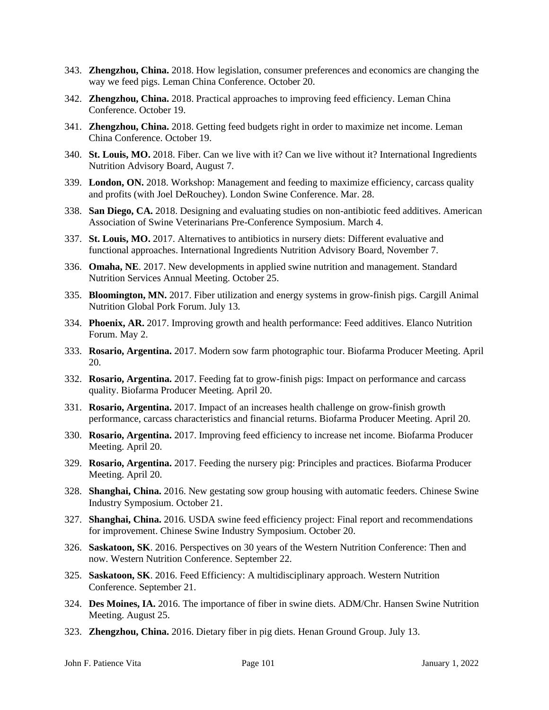- 343. **Zhengzhou, China.** 2018. How legislation, consumer preferences and economics are changing the way we feed pigs. Leman China Conference. October 20.
- 342. **Zhengzhou, China.** 2018. Practical approaches to improving feed efficiency. Leman China Conference. October 19.
- 341. **Zhengzhou, China.** 2018. Getting feed budgets right in order to maximize net income. Leman China Conference. October 19.
- 340. **St. Louis, MO.** 2018. Fiber. Can we live with it? Can we live without it? International Ingredients Nutrition Advisory Board, August 7.
- 339. **London, ON.** 2018. Workshop: Management and feeding to maximize efficiency, carcass quality and profits (with Joel DeRouchey). London Swine Conference. Mar. 28.
- 338. **San Diego, CA.** 2018. Designing and evaluating studies on non-antibiotic feed additives. American Association of Swine Veterinarians Pre-Conference Symposium. March 4.
- 337. **St. Louis, MO.** 2017. Alternatives to antibiotics in nursery diets: Different evaluative and functional approaches. International Ingredients Nutrition Advisory Board, November 7.
- 336. **Omaha, NE**. 2017. New developments in applied swine nutrition and management. Standard Nutrition Services Annual Meeting. October 25.
- 335. **Bloomington, MN.** 2017. Fiber utilization and energy systems in grow-finish pigs. Cargill Animal Nutrition Global Pork Forum. July 13.
- 334. **Phoenix, AR.** 2017. Improving growth and health performance: Feed additives. Elanco Nutrition Forum. May 2.
- 333. **Rosario, Argentina.** 2017. Modern sow farm photographic tour. Biofarma Producer Meeting. April 20.
- 332. **Rosario, Argentina.** 2017. Feeding fat to grow-finish pigs: Impact on performance and carcass quality. Biofarma Producer Meeting. April 20.
- 331. **Rosario, Argentina.** 2017. Impact of an increases health challenge on grow-finish growth performance, carcass characteristics and financial returns. Biofarma Producer Meeting. April 20.
- 330. **Rosario, Argentina.** 2017. Improving feed efficiency to increase net income. Biofarma Producer Meeting. April 20.
- 329. **Rosario, Argentina.** 2017. Feeding the nursery pig: Principles and practices. Biofarma Producer Meeting. April 20.
- 328. **Shanghai, China.** 2016. New gestating sow group housing with automatic feeders. Chinese Swine Industry Symposium. October 21.
- 327. **Shanghai, China.** 2016. USDA swine feed efficiency project: Final report and recommendations for improvement. Chinese Swine Industry Symposium. October 20.
- 326. **Saskatoon, SK**. 2016. Perspectives on 30 years of the Western Nutrition Conference: Then and now. Western Nutrition Conference. September 22.
- 325. **Saskatoon, SK**. 2016. Feed Efficiency: A multidisciplinary approach. Western Nutrition Conference. September 21.
- 324. **Des Moines, IA.** 2016. The importance of fiber in swine diets. ADM/Chr. Hansen Swine Nutrition Meeting. August 25.
- 323. **Zhengzhou, China.** 2016. Dietary fiber in pig diets. Henan Ground Group. July 13.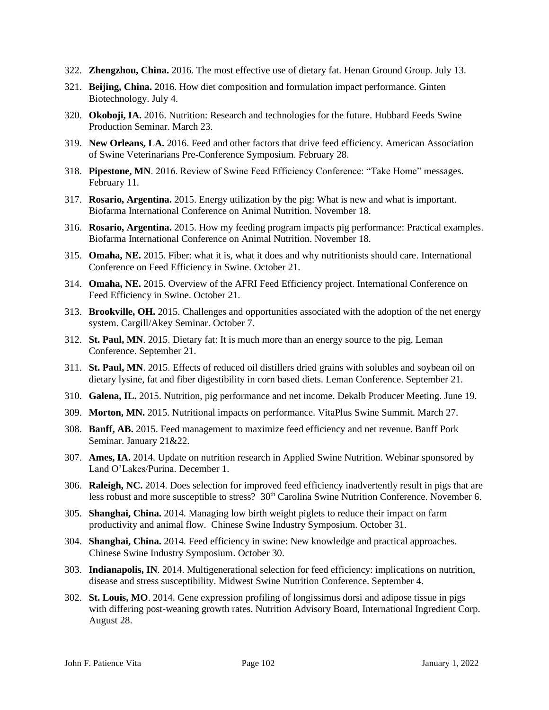- 322. **Zhengzhou, China.** 2016. The most effective use of dietary fat. Henan Ground Group. July 13.
- 321. **Beijing, China.** 2016. How diet composition and formulation impact performance. Ginten Biotechnology. July 4.
- 320. **Okoboji, IA.** 2016. Nutrition: Research and technologies for the future. Hubbard Feeds Swine Production Seminar. March 23.
- 319. **New Orleans, LA.** 2016. Feed and other factors that drive feed efficiency. American Association of Swine Veterinarians Pre-Conference Symposium. February 28.
- 318. **Pipestone, MN**. 2016. Review of Swine Feed Efficiency Conference: "Take Home" messages. February 11.
- 317. **Rosario, Argentina.** 2015. Energy utilization by the pig: What is new and what is important. Biofarma International Conference on Animal Nutrition. November 18.
- 316. **Rosario, Argentina.** 2015. How my feeding program impacts pig performance: Practical examples. Biofarma International Conference on Animal Nutrition. November 18.
- 315. **Omaha, NE.** 2015. Fiber: what it is, what it does and why nutritionists should care. International Conference on Feed Efficiency in Swine. October 21.
- 314. **Omaha, NE.** 2015. Overview of the AFRI Feed Efficiency project. International Conference on Feed Efficiency in Swine. October 21.
- 313. **Brookville, OH.** 2015. Challenges and opportunities associated with the adoption of the net energy system. Cargill/Akey Seminar. October 7.
- 312. **St. Paul, MN**. 2015. Dietary fat: It is much more than an energy source to the pig. Leman Conference. September 21.
- 311. **St. Paul, MN**. 2015. Effects of reduced oil distillers dried grains with solubles and soybean oil on dietary lysine, fat and fiber digestibility in corn based diets. Leman Conference. September 21.
- 310. **Galena, IL.** 2015. Nutrition, pig performance and net income. Dekalb Producer Meeting. June 19.
- 309. **Morton, MN.** 2015. Nutritional impacts on performance. VitaPlus Swine Summit. March 27.
- 308. **Banff, AB.** 2015. Feed management to maximize feed efficiency and net revenue. Banff Pork Seminar. January 21&22.
- 307. **Ames, IA.** 2014. Update on nutrition research in Applied Swine Nutrition. Webinar sponsored by Land O'Lakes/Purina. December 1.
- 306. **Raleigh, NC.** 2014. Does selection for improved feed efficiency inadvertently result in pigs that are less robust and more susceptible to stress?  $30<sup>th</sup>$  Carolina Swine Nutrition Conference. November 6.
- 305. **Shanghai, China.** 2014. Managing low birth weight piglets to reduce their impact on farm productivity and animal flow. Chinese Swine Industry Symposium. October 31.
- 304. **Shanghai, China.** 2014. Feed efficiency in swine: New knowledge and practical approaches. Chinese Swine Industry Symposium. October 30.
- 303. **Indianapolis, IN**. 2014. Multigenerational selection for feed efficiency: implications on nutrition, disease and stress susceptibility. Midwest Swine Nutrition Conference. September 4.
- 302. **St. Louis, MO**. 2014. Gene expression profiling of longissimus dorsi and adipose tissue in pigs with differing post-weaning growth rates. Nutrition Advisory Board, International Ingredient Corp. August 28.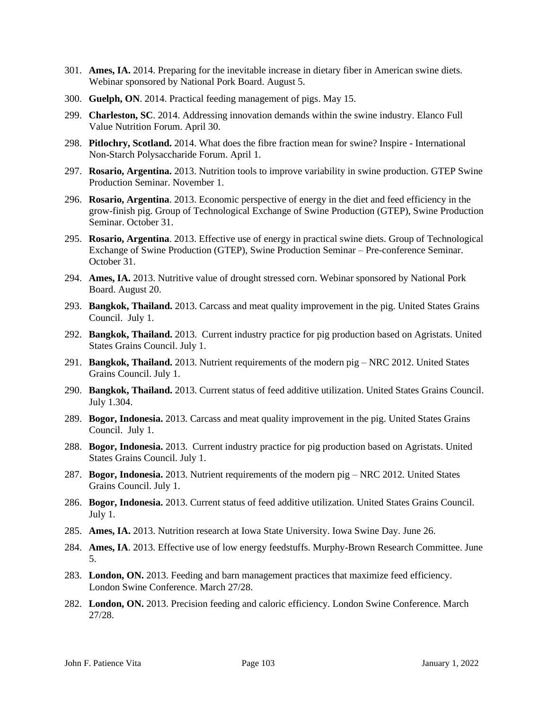- 301. **Ames, IA.** 2014. Preparing for the inevitable increase in dietary fiber in American swine diets. Webinar sponsored by National Pork Board. August 5.
- 300. **Guelph, ON**. 2014. Practical feeding management of pigs. May 15.
- 299. **Charleston, SC**. 2014. Addressing innovation demands within the swine industry. Elanco Full Value Nutrition Forum. April 30.
- 298. **Pitlochry, Scotland.** 2014. What does the fibre fraction mean for swine? Inspire International Non-Starch Polysaccharide Forum. April 1.
- 297. **Rosario, Argentina.** 2013. Nutrition tools to improve variability in swine production. GTEP Swine Production Seminar. November 1.
- 296. **Rosario, Argentina**. 2013. Economic perspective of energy in the diet and feed efficiency in the grow-finish pig. Group of Technological Exchange of Swine Production (GTEP), Swine Production Seminar. October 31.
- 295. **Rosario, Argentina**. 2013. Effective use of energy in practical swine diets. Group of Technological Exchange of Swine Production (GTEP), Swine Production Seminar – Pre-conference Seminar. October 31.
- 294. **Ames, IA.** 2013. Nutritive value of drought stressed corn. Webinar sponsored by National Pork Board. August 20.
- 293. **Bangkok, Thailand.** 2013. Carcass and meat quality improvement in the pig. United States Grains Council. July 1.
- 292. **Bangkok, Thailand.** 2013. Current industry practice for pig production based on Agristats. United States Grains Council. July 1.
- 291. **Bangkok, Thailand.** 2013. Nutrient requirements of the modern pig NRC 2012. United States Grains Council. July 1.
- 290. **Bangkok, Thailand.** 2013. Current status of feed additive utilization. United States Grains Council. July 1.304.
- 289. **Bogor, Indonesia.** 2013. Carcass and meat quality improvement in the pig. United States Grains Council. July 1.
- 288. **Bogor, Indonesia.** 2013. Current industry practice for pig production based on Agristats. United States Grains Council. July 1.
- 287. **Bogor, Indonesia.** 2013. Nutrient requirements of the modern pig NRC 2012. United States Grains Council. July 1.
- 286. **Bogor, Indonesia.** 2013. Current status of feed additive utilization. United States Grains Council. July 1.
- 285. **Ames, IA.** 2013. Nutrition research at Iowa State University. Iowa Swine Day. June 26.
- 284. **Ames, IA**. 2013. Effective use of low energy feedstuffs. Murphy-Brown Research Committee. June 5.
- 283. **London, ON.** 2013. Feeding and barn management practices that maximize feed efficiency. London Swine Conference. March 27/28.
- 282. **London, ON.** 2013. Precision feeding and caloric efficiency. London Swine Conference. March 27/28.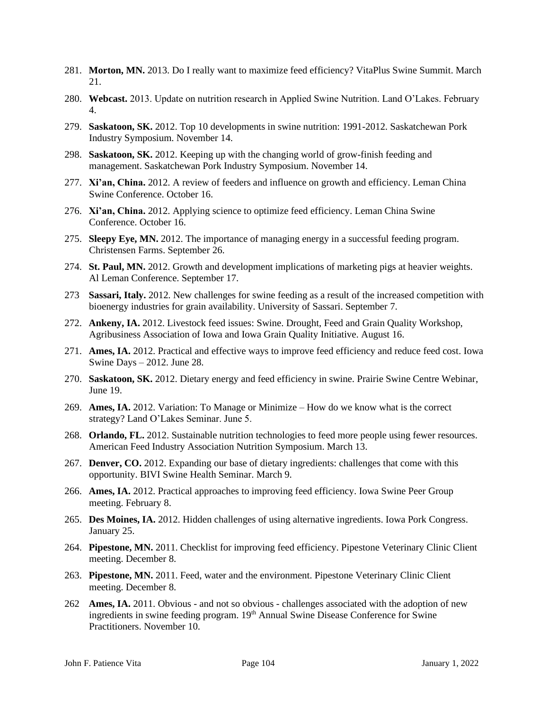- 281. **Morton, MN.** 2013. Do I really want to maximize feed efficiency? VitaPlus Swine Summit. March 21.
- 280. **Webcast.** 2013. Update on nutrition research in Applied Swine Nutrition. Land O'Lakes. February 4.
- 279. **Saskatoon, SK.** 2012. Top 10 developments in swine nutrition: 1991-2012. Saskatchewan Pork Industry Symposium. November 14.
- 298. **Saskatoon, SK.** 2012. Keeping up with the changing world of grow-finish feeding and management. Saskatchewan Pork Industry Symposium. November 14.
- 277. **Xi'an, China.** 2012. A review of feeders and influence on growth and efficiency. Leman China Swine Conference. October 16.
- 276. **Xi'an, China.** 2012. Applying science to optimize feed efficiency. Leman China Swine Conference. October 16.
- 275. **Sleepy Eye, MN.** 2012. The importance of managing energy in a successful feeding program. Christensen Farms. September 26.
- 274. **St. Paul, MN.** 2012. Growth and development implications of marketing pigs at heavier weights. Al Leman Conference. September 17.
- 273 **Sassari, Italy.** 2012. New challenges for swine feeding as a result of the increased competition with bioenergy industries for grain availability. University of Sassari. September 7.
- 272. **Ankeny, IA.** 2012. Livestock feed issues: Swine. Drought, Feed and Grain Quality Workshop, Agribusiness Association of Iowa and Iowa Grain Quality Initiative. August 16.
- 271. **Ames, IA.** 2012. Practical and effective ways to improve feed efficiency and reduce feed cost. Iowa Swine Days – 2012. June 28.
- 270. **Saskatoon, SK.** 2012. Dietary energy and feed efficiency in swine. Prairie Swine Centre Webinar, June 19.
- 269. **Ames, IA.** 2012. Variation: To Manage or Minimize How do we know what is the correct strategy? Land O'Lakes Seminar. June 5.
- 268. **Orlando, FL.** 2012. Sustainable nutrition technologies to feed more people using fewer resources. American Feed Industry Association Nutrition Symposium. March 13.
- 267. **Denver, CO.** 2012. Expanding our base of dietary ingredients: challenges that come with this opportunity. BIVI Swine Health Seminar. March 9.
- 266. **Ames, IA.** 2012. Practical approaches to improving feed efficiency. Iowa Swine Peer Group meeting. February 8.
- 265. **Des Moines, IA.** 2012. Hidden challenges of using alternative ingredients. Iowa Pork Congress. January 25.
- 264. **Pipestone, MN.** 2011. Checklist for improving feed efficiency. Pipestone Veterinary Clinic Client meeting. December 8.
- 263. **Pipestone, MN.** 2011. Feed, water and the environment. Pipestone Veterinary Clinic Client meeting. December 8.
- 262 **Ames, IA.** 2011. Obvious and not so obvious challenges associated with the adoption of new ingredients in swine feeding program. 19<sup>th</sup> Annual Swine Disease Conference for Swine Practitioners. November 10.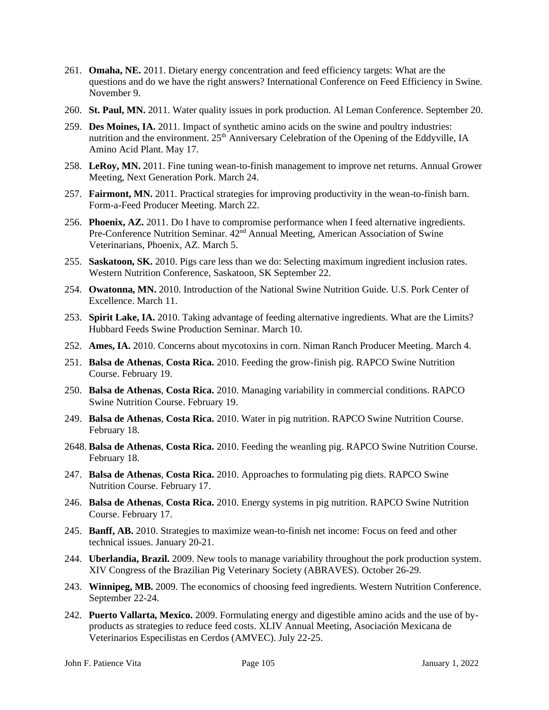- 261. **Omaha, NE.** 2011. Dietary energy concentration and feed efficiency targets: What are the questions and do we have the right answers? International Conference on Feed Efficiency in Swine. November 9.
- 260. **St. Paul, MN.** 2011. Water quality issues in pork production. Al Leman Conference. September 20.
- 259. **Des Moines, IA.** 2011. Impact of synthetic amino acids on the swine and poultry industries: nutrition and the environment. 25<sup>th</sup> Anniversary Celebration of the Opening of the Eddyville, IA Amino Acid Plant. May 17.
- 258. **LeRoy, MN.** 2011. Fine tuning wean-to-finish management to improve net returns. Annual Grower Meeting, Next Generation Pork. March 24.
- 257. **Fairmont, MN.** 2011. Practical strategies for improving productivity in the wean-to-finish barn. Form-a-Feed Producer Meeting. March 22.
- 256. **Phoenix, AZ.** 2011. Do I have to compromise performance when I feed alternative ingredients. Pre-Conference Nutrition Seminar.  $42<sup>nd</sup>$  Annual Meeting, American Association of Swine Veterinarians, Phoenix, AZ. March 5.
- 255. **Saskatoon, SK.** 2010. Pigs care less than we do: Selecting maximum ingredient inclusion rates. Western Nutrition Conference, Saskatoon, SK September 22.
- 254. **Owatonna, MN.** 2010. Introduction of the National Swine Nutrition Guide. U.S. Pork Center of Excellence. March 11.
- 253. **Spirit Lake, IA.** 2010. Taking advantage of feeding alternative ingredients. What are the Limits? Hubbard Feeds Swine Production Seminar. March 10.
- 252. **Ames, IA.** 2010. Concerns about mycotoxins in corn. Niman Ranch Producer Meeting. March 4.
- 251. **Balsa de Athenas**, **Costa Rica.** 2010. Feeding the grow-finish pig. RAPCO Swine Nutrition Course. February 19.
- 250. **Balsa de Athenas**, **Costa Rica.** 2010. Managing variability in commercial conditions. RAPCO Swine Nutrition Course. February 19.
- 249. **Balsa de Athenas**, **Costa Rica.** 2010. Water in pig nutrition. RAPCO Swine Nutrition Course. February 18.
- 2648. **Balsa de Athenas**, **Costa Rica.** 2010. Feeding the weanling pig. RAPCO Swine Nutrition Course. February 18.
- 247. **Balsa de Athenas**, **Costa Rica.** 2010. Approaches to formulating pig diets. RAPCO Swine Nutrition Course. February 17.
- 246. **Balsa de Athenas**, **Costa Rica.** 2010. Energy systems in pig nutrition. RAPCO Swine Nutrition Course. February 17.
- 245. **Banff, AB.** 2010. Strategies to maximize wean-to-finish net income: Focus on feed and other technical issues. January 20-21.
- 244. **Uberlandia, Brazil.** 2009. New tools to manage variability throughout the pork production system. XIV Congress of the Brazilian Pig Veterinary Society (ABRAVES). October 26-29.
- 243. **Winnipeg, MB.** 2009. The economics of choosing feed ingredients. Western Nutrition Conference. September 22-24.
- 242. **Puerto Vallarta, Mexico.** 2009. Formulating energy and digestible amino acids and the use of byproducts as strategies to reduce feed costs. XLIV Annual Meeting, Asociación Mexicana de Veterinarios Especilistas en Cerdos (AMVEC). July 22-25.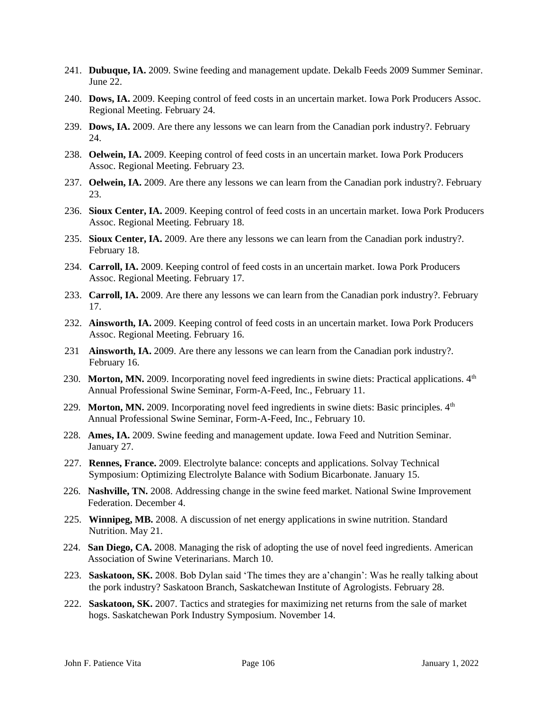- 241. **Dubuque, IA.** 2009. Swine feeding and management update. Dekalb Feeds 2009 Summer Seminar. June 22.
- 240. **Dows, IA.** 2009. Keeping control of feed costs in an uncertain market. Iowa Pork Producers Assoc. Regional Meeting. February 24.
- 239. **Dows, IA.** 2009. Are there any lessons we can learn from the Canadian pork industry?. February 24.
- 238. **Oelwein, IA.** 2009. Keeping control of feed costs in an uncertain market. Iowa Pork Producers Assoc. Regional Meeting. February 23.
- 237. **Oelwein, IA.** 2009. Are there any lessons we can learn from the Canadian pork industry?. February 23.
- 236. **Sioux Center, IA.** 2009. Keeping control of feed costs in an uncertain market. Iowa Pork Producers Assoc. Regional Meeting. February 18.
- 235. **Sioux Center, IA.** 2009. Are there any lessons we can learn from the Canadian pork industry?. February 18.
- 234. **Carroll, IA.** 2009. Keeping control of feed costs in an uncertain market. Iowa Pork Producers Assoc. Regional Meeting. February 17.
- 233. **Carroll, IA.** 2009. Are there any lessons we can learn from the Canadian pork industry?. February 17.
- 232. **Ainsworth, IA.** 2009. Keeping control of feed costs in an uncertain market. Iowa Pork Producers Assoc. Regional Meeting. February 16.
- 231 **Ainsworth, IA.** 2009. Are there any lessons we can learn from the Canadian pork industry?. February 16.
- 230. Morton, MN. 2009. Incorporating novel feed ingredients in swine diets: Practical applications. 4<sup>th</sup> Annual Professional Swine Seminar, Form-A-Feed, Inc., February 11.
- 229. **Morton, MN.** 2009. Incorporating novel feed ingredients in swine diets: Basic principles.  $4<sup>th</sup>$ Annual Professional Swine Seminar, Form-A-Feed, Inc., February 10.
- 228. **Ames, IA.** 2009. Swine feeding and management update. Iowa Feed and Nutrition Seminar. January 27.
- 227. **Rennes, France.** 2009. Electrolyte balance: concepts and applications. Solvay Technical Symposium: Optimizing Electrolyte Balance with Sodium Bicarbonate. January 15.
- 226. **Nashville, TN.** 2008. Addressing change in the swine feed market. National Swine Improvement Federation. December 4.
- 225. **Winnipeg, MB.** 2008. A discussion of net energy applications in swine nutrition. Standard Nutrition. May 21.
- 224. **San Diego, CA.** 2008. Managing the risk of adopting the use of novel feed ingredients. American Association of Swine Veterinarians. March 10.
- 223. **Saskatoon, SK.** 2008. Bob Dylan said 'The times they are a'changin': Was he really talking about the pork industry? Saskatoon Branch, Saskatchewan Institute of Agrologists. February 28.
- 222. **Saskatoon, SK.** 2007. Tactics and strategies for maximizing net returns from the sale of market hogs. Saskatchewan Pork Industry Symposium. November 14.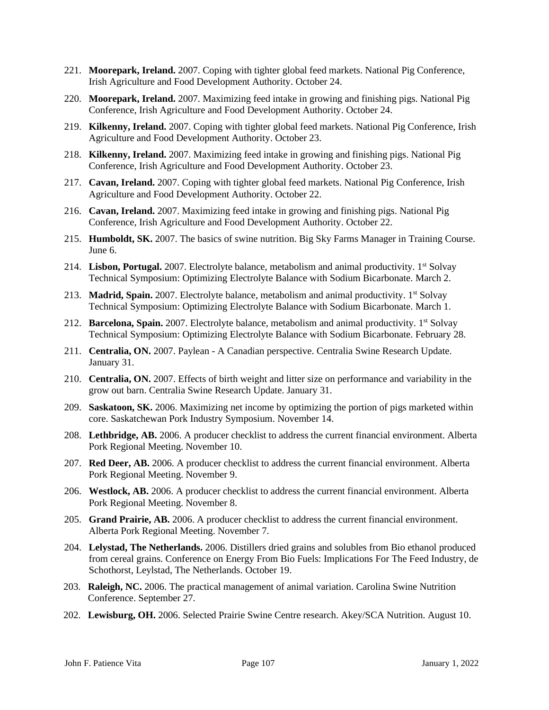- 221. **Moorepark, Ireland.** 2007. Coping with tighter global feed markets. National Pig Conference, Irish Agriculture and Food Development Authority. October 24.
- 220. **Moorepark, Ireland.** 2007. Maximizing feed intake in growing and finishing pigs. National Pig Conference, Irish Agriculture and Food Development Authority. October 24.
- 219. **Kilkenny, Ireland.** 2007. Coping with tighter global feed markets. National Pig Conference, Irish Agriculture and Food Development Authority. October 23.
- 218. **Kilkenny, Ireland.** 2007. Maximizing feed intake in growing and finishing pigs. National Pig Conference, Irish Agriculture and Food Development Authority. October 23.
- 217. **Cavan, Ireland.** 2007. Coping with tighter global feed markets. National Pig Conference, Irish Agriculture and Food Development Authority. October 22.
- 216. **Cavan, Ireland.** 2007. Maximizing feed intake in growing and finishing pigs. National Pig Conference, Irish Agriculture and Food Development Authority. October 22.
- 215. **Humboldt, SK.** 2007. The basics of swine nutrition. Big Sky Farms Manager in Training Course. June 6.
- 214. Lisbon, Portugal. 2007. Electrolyte balance, metabolism and animal productivity. 1<sup>st</sup> Solvay Technical Symposium: Optimizing Electrolyte Balance with Sodium Bicarbonate. March 2.
- 213. Madrid, Spain. 2007. Electrolyte balance, metabolism and animal productivity. 1<sup>st</sup> Solvay Technical Symposium: Optimizing Electrolyte Balance with Sodium Bicarbonate. March 1.
- 212. **Barcelona, Spain.** 2007. Electrolyte balance, metabolism and animal productivity. 1<sup>st</sup> Solvay Technical Symposium: Optimizing Electrolyte Balance with Sodium Bicarbonate. February 28.
- 211. **Centralia, ON.** 2007. Paylean A Canadian perspective. Centralia Swine Research Update. January 31.
- 210. **Centralia, ON.** 2007. Effects of birth weight and litter size on performance and variability in the grow out barn. Centralia Swine Research Update. January 31.
- 209. **Saskatoon, SK.** 2006. Maximizing net income by optimizing the portion of pigs marketed within core. Saskatchewan Pork Industry Symposium. November 14.
- 208. **Lethbridge, AB.** 2006. A producer checklist to address the current financial environment. Alberta Pork Regional Meeting. November 10.
- 207. **Red Deer, AB.** 2006. A producer checklist to address the current financial environment. Alberta Pork Regional Meeting. November 9.
- 206. **Westlock, AB.** 2006. A producer checklist to address the current financial environment. Alberta Pork Regional Meeting. November 8.
- 205. **Grand Prairie, AB.** 2006. A producer checklist to address the current financial environment. Alberta Pork Regional Meeting. November 7.
- 204. **Lelystad, The Netherlands.** 2006. Distillers dried grains and solubles from Bio ethanol produced from cereal grains. Conference on Energy From Bio Fuels: Implications For The Feed Industry, de Schothorst, Leylstad, The Netherlands. October 19.
- 203. **Raleigh, NC.** 2006. The practical management of animal variation. Carolina Swine Nutrition Conference. September 27.
- 202. **Lewisburg, OH.** 2006. Selected Prairie Swine Centre research. Akey/SCA Nutrition. August 10.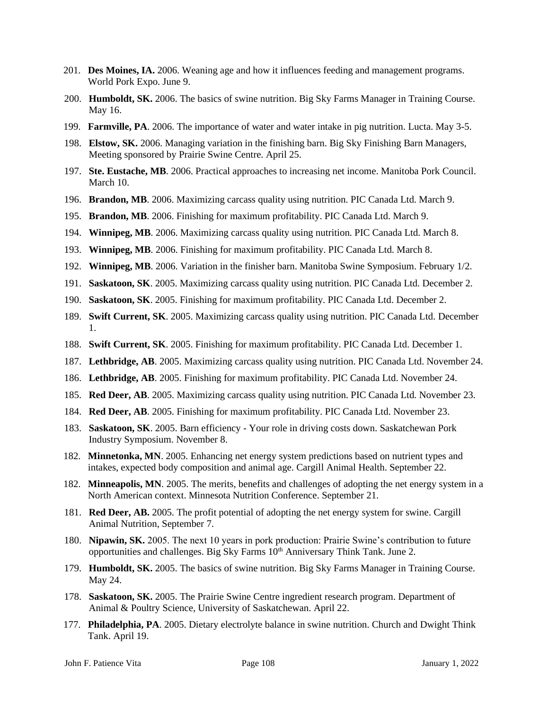- 201. **Des Moines, IA.** 2006. Weaning age and how it influences feeding and management programs. World Pork Expo. June 9.
- 200. **Humboldt, SK.** 2006. The basics of swine nutrition. Big Sky Farms Manager in Training Course. May 16.
- 199. **Farmville, PA**. 2006. The importance of water and water intake in pig nutrition. Lucta. May 3-5.
- 198. **Elstow, SK.** 2006. Managing variation in the finishing barn. Big Sky Finishing Barn Managers, Meeting sponsored by Prairie Swine Centre. April 25.
- 197. **Ste. Eustache, MB**. 2006. Practical approaches to increasing net income. Manitoba Pork Council. March 10.
- 196. **Brandon, MB**. 2006. Maximizing carcass quality using nutrition. PIC Canada Ltd. March 9.
- 195. **Brandon, MB**. 2006. Finishing for maximum profitability. PIC Canada Ltd. March 9.
- 194. **Winnipeg, MB**. 2006. Maximizing carcass quality using nutrition. PIC Canada Ltd. March 8.
- 193. **Winnipeg, MB**. 2006. Finishing for maximum profitability. PIC Canada Ltd. March 8.
- 192. **Winnipeg, MB**. 2006. Variation in the finisher barn. Manitoba Swine Symposium. February 1/2.
- 191. **Saskatoon, SK**. 2005. Maximizing carcass quality using nutrition. PIC Canada Ltd. December 2.
- 190. **Saskatoon, SK**. 2005. Finishing for maximum profitability. PIC Canada Ltd. December 2.
- 189. **Swift Current, SK**. 2005. Maximizing carcass quality using nutrition. PIC Canada Ltd. December 1.
- 188. **Swift Current, SK**. 2005. Finishing for maximum profitability. PIC Canada Ltd. December 1.
- 187. **Lethbridge, AB**. 2005. Maximizing carcass quality using nutrition. PIC Canada Ltd. November 24.
- 186. **Lethbridge, AB**. 2005. Finishing for maximum profitability. PIC Canada Ltd. November 24.
- 185. **Red Deer, AB**. 2005. Maximizing carcass quality using nutrition. PIC Canada Ltd. November 23.
- 184. **Red Deer, AB**. 2005. Finishing for maximum profitability. PIC Canada Ltd. November 23.
- 183. **Saskatoon, SK**. 2005. Barn efficiency Your role in driving costs down. Saskatchewan Pork Industry Symposium. November 8.
- 182. **Minnetonka, MN**. 2005. Enhancing net energy system predictions based on nutrient types and intakes, expected body composition and animal age. Cargill Animal Health. September 22.
- 182. **Minneapolis, MN**. 2005. The merits, benefits and challenges of adopting the net energy system in a North American context. Minnesota Nutrition Conference. September 21.
- 181. **Red Deer, AB.** 2005. The profit potential of adopting the net energy system for swine. Cargill Animal Nutrition, September 7.
- 180. **Nipawin, SK.** 2005. The next 10 years in pork production: Prairie Swine's contribution to future opportunities and challenges. Big Sky Farms 10<sup>th</sup> Anniversary Think Tank. June 2.
- 179. **Humboldt, SK.** 2005. The basics of swine nutrition. Big Sky Farms Manager in Training Course. May 24.
- 178. **Saskatoon, SK.** 2005. The Prairie Swine Centre ingredient research program. Department of Animal & Poultry Science, University of Saskatchewan. April 22.
- 177. **Philadelphia, PA**. 2005. Dietary electrolyte balance in swine nutrition. Church and Dwight Think Tank. April 19.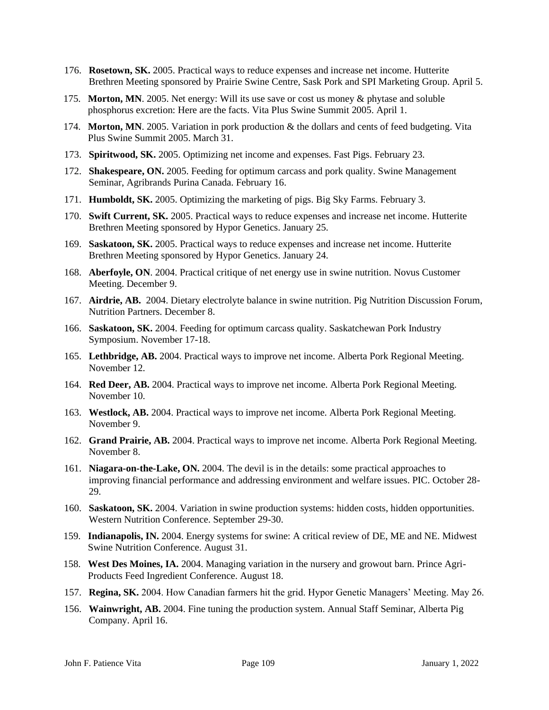- 176. **Rosetown, SK.** 2005. Practical ways to reduce expenses and increase net income. Hutterite Brethren Meeting sponsored by Prairie Swine Centre, Sask Pork and SPI Marketing Group. April 5.
- 175. **Morton, MN**. 2005. Net energy: Will its use save or cost us money & phytase and soluble phosphorus excretion: Here are the facts. Vita Plus Swine Summit 2005. April 1.
- 174. **Morton, MN**. 2005. Variation in pork production & the dollars and cents of feed budgeting. Vita Plus Swine Summit 2005. March 31.
- 173. **Spiritwood, SK.** 2005. Optimizing net income and expenses. Fast Pigs. February 23.
- 172. **Shakespeare, ON.** 2005. Feeding for optimum carcass and pork quality. Swine Management Seminar, Agribrands Purina Canada. February 16.
- 171. **Humboldt, SK.** 2005. Optimizing the marketing of pigs. Big Sky Farms. February 3.
- 170. **Swift Current, SK.** 2005. Practical ways to reduce expenses and increase net income. Hutterite Brethren Meeting sponsored by Hypor Genetics. January 25.
- 169. **Saskatoon, SK.** 2005. Practical ways to reduce expenses and increase net income. Hutterite Brethren Meeting sponsored by Hypor Genetics. January 24.
- 168. **Aberfoyle, ON**. 2004. Practical critique of net energy use in swine nutrition. Novus Customer Meeting. December 9.
- 167. **Airdrie, AB.** 2004. Dietary electrolyte balance in swine nutrition. Pig Nutrition Discussion Forum, Nutrition Partners. December 8.
- 166. **Saskatoon, SK.** 2004. Feeding for optimum carcass quality. Saskatchewan Pork Industry Symposium. November 17-18.
- 165. **Lethbridge, AB.** 2004. Practical ways to improve net income. Alberta Pork Regional Meeting. November 12.
- 164. **Red Deer, AB.** 2004. Practical ways to improve net income. Alberta Pork Regional Meeting. November 10.
- 163. **Westlock, AB.** 2004. Practical ways to improve net income. Alberta Pork Regional Meeting. November 9.
- 162. **Grand Prairie, AB.** 2004. Practical ways to improve net income. Alberta Pork Regional Meeting. November 8.
- 161. **Niagara-on-the-Lake, ON.** 2004. The devil is in the details: some practical approaches to improving financial performance and addressing environment and welfare issues. PIC. October 28- 29.
- 160. **Saskatoon, SK.** 2004. Variation in swine production systems: hidden costs, hidden opportunities. Western Nutrition Conference. September 29-30.
- 159. **Indianapolis, IN.** 2004. Energy systems for swine: A critical review of DE, ME and NE. Midwest Swine Nutrition Conference. August 31.
- 158. **West Des Moines, IA.** 2004. Managing variation in the nursery and growout barn. Prince Agri-Products Feed Ingredient Conference. August 18.
- 157. **Regina, SK.** 2004. How Canadian farmers hit the grid. Hypor Genetic Managers' Meeting. May 26.
- 156. **Wainwright, AB.** 2004. Fine tuning the production system. Annual Staff Seminar, Alberta Pig Company. April 16.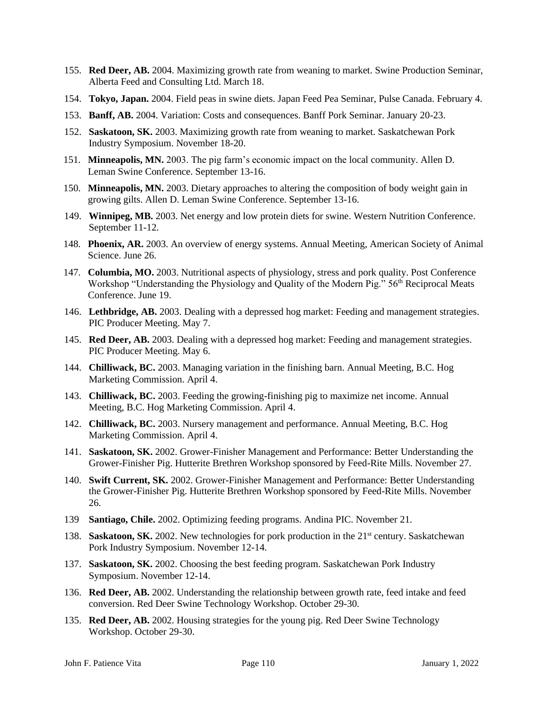- 155. **Red Deer, AB.** 2004. Maximizing growth rate from weaning to market. Swine Production Seminar, Alberta Feed and Consulting Ltd. March 18.
- 154. **Tokyo, Japan.** 2004. Field peas in swine diets. Japan Feed Pea Seminar, Pulse Canada. February 4.
- 153. **Banff, AB.** 2004. Variation: Costs and consequences. Banff Pork Seminar. January 20-23.
- 152. **Saskatoon, SK.** 2003. Maximizing growth rate from weaning to market. Saskatchewan Pork Industry Symposium. November 18-20.
- 151. **Minneapolis, MN.** 2003. The pig farm's economic impact on the local community. Allen D. Leman Swine Conference. September 13-16.
- 150. **Minneapolis, MN.** 2003. Dietary approaches to altering the composition of body weight gain in growing gilts. Allen D. Leman Swine Conference. September 13-16.
- 149. **Winnipeg, MB.** 2003. Net energy and low protein diets for swine. Western Nutrition Conference. September 11-12.
- 148. **Phoenix, AR.** 2003. An overview of energy systems. Annual Meeting, American Society of Animal Science. June 26.
- 147. **Columbia, MO.** 2003. Nutritional aspects of physiology, stress and pork quality. Post Conference Workshop "Understanding the Physiology and Quality of the Modern Pig." 56th Reciprocal Meats Conference. June 19.
- 146. **Lethbridge, AB.** 2003. Dealing with a depressed hog market: Feeding and management strategies. PIC Producer Meeting. May 7.
- 145. **Red Deer, AB.** 2003. Dealing with a depressed hog market: Feeding and management strategies. PIC Producer Meeting. May 6.
- 144. **Chilliwack, BC.** 2003. Managing variation in the finishing barn. Annual Meeting, B.C. Hog Marketing Commission. April 4.
- 143. **Chilliwack, BC.** 2003. Feeding the growing-finishing pig to maximize net income. Annual Meeting, B.C. Hog Marketing Commission. April 4.
- 142. **Chilliwack, BC.** 2003. Nursery management and performance. Annual Meeting, B.C. Hog Marketing Commission. April 4.
- 141. **Saskatoon, SK.** 2002. Grower-Finisher Management and Performance: Better Understanding the Grower-Finisher Pig. Hutterite Brethren Workshop sponsored by Feed-Rite Mills. November 27.
- 140. **Swift Current, SK.** 2002. Grower-Finisher Management and Performance: Better Understanding the Grower-Finisher Pig. Hutterite Brethren Workshop sponsored by Feed-Rite Mills. November 26.
- 139 **Santiago, Chile.** 2002. Optimizing feeding programs. Andina PIC. November 21.
- 138. **Saskatoon, SK.** 2002. New technologies for pork production in the 21<sup>st</sup> century. Saskatchewan Pork Industry Symposium. November 12-14.
- 137. **Saskatoon, SK.** 2002. Choosing the best feeding program. Saskatchewan Pork Industry Symposium. November 12-14.
- 136. **Red Deer, AB.** 2002. Understanding the relationship between growth rate, feed intake and feed conversion. Red Deer Swine Technology Workshop. October 29-30.
- 135. **Red Deer, AB.** 2002. Housing strategies for the young pig. Red Deer Swine Technology Workshop. October 29-30.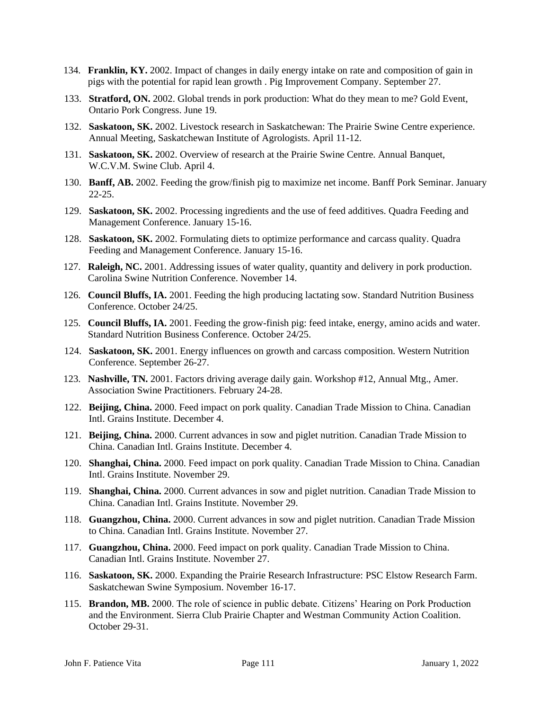- 134. **Franklin, KY.** 2002. Impact of changes in daily energy intake on rate and composition of gain in pigs with the potential for rapid lean growth . Pig Improvement Company. September 27.
- 133. **Stratford, ON.** 2002. Global trends in pork production: What do they mean to me? Gold Event, Ontario Pork Congress. June 19.
- 132. **Saskatoon, SK.** 2002. Livestock research in Saskatchewan: The Prairie Swine Centre experience. Annual Meeting, Saskatchewan Institute of Agrologists. April 11-12.
- 131. **Saskatoon, SK.** 2002. Overview of research at the Prairie Swine Centre. Annual Banquet, W.C.V.M. Swine Club. April 4.
- 130. **Banff, AB.** 2002. Feeding the grow/finish pig to maximize net income. Banff Pork Seminar. January 22-25.
- 129. **Saskatoon, SK.** 2002. Processing ingredients and the use of feed additives. Quadra Feeding and Management Conference. January 15-16.
- 128. **Saskatoon, SK.** 2002. Formulating diets to optimize performance and carcass quality. Quadra Feeding and Management Conference. January 15-16.
- 127. **Raleigh, NC.** 2001. Addressing issues of water quality, quantity and delivery in pork production. Carolina Swine Nutrition Conference. November 14.
- 126. **Council Bluffs, IA.** 2001. Feeding the high producing lactating sow. Standard Nutrition Business Conference. October 24/25.
- 125. **Council Bluffs, IA.** 2001. Feeding the grow-finish pig: feed intake, energy, amino acids and water. Standard Nutrition Business Conference. October 24/25.
- 124. **Saskatoon, SK.** 2001. Energy influences on growth and carcass composition. Western Nutrition Conference. September 26-27.
- 123. **Nashville, TN.** 2001. Factors driving average daily gain. Workshop #12, Annual Mtg., Amer. Association Swine Practitioners. February 24-28.
- 122. **Beijing, China.** 2000. Feed impact on pork quality. Canadian Trade Mission to China. Canadian Intl. Grains Institute. December 4.
- 121. **Beijing, China.** 2000. Current advances in sow and piglet nutrition. Canadian Trade Mission to China. Canadian Intl. Grains Institute. December 4.
- 120. **Shanghai, China.** 2000. Feed impact on pork quality. Canadian Trade Mission to China. Canadian Intl. Grains Institute. November 29.
- 119. **Shanghai, China.** 2000. Current advances in sow and piglet nutrition. Canadian Trade Mission to China. Canadian Intl. Grains Institute. November 29.
- 118. **Guangzhou, China.** 2000. Current advances in sow and piglet nutrition. Canadian Trade Mission to China. Canadian Intl. Grains Institute. November 27.
- 117. **Guangzhou, China.** 2000. Feed impact on pork quality. Canadian Trade Mission to China. Canadian Intl. Grains Institute. November 27.
- 116. **Saskatoon, SK.** 2000. Expanding the Prairie Research Infrastructure: PSC Elstow Research Farm. Saskatchewan Swine Symposium. November 16-17.
- 115. **Brandon, MB.** 2000. The role of science in public debate. Citizens' Hearing on Pork Production and the Environment. Sierra Club Prairie Chapter and Westman Community Action Coalition. October 29-31.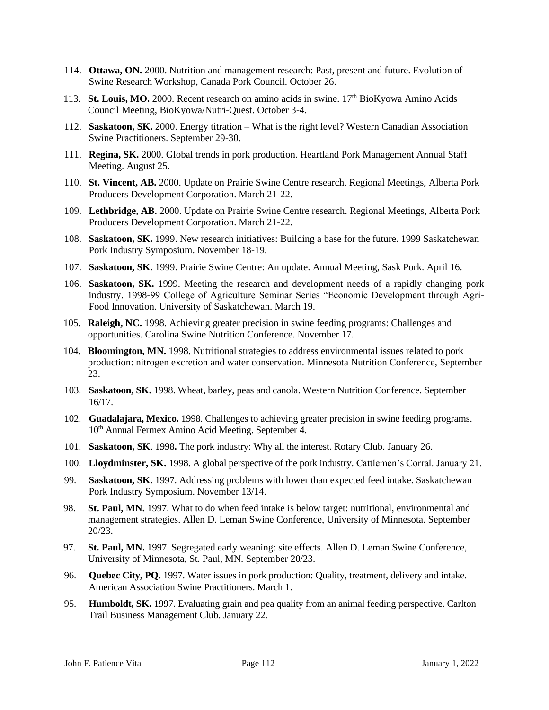- 114. **Ottawa, ON.** 2000. Nutrition and management research: Past, present and future. Evolution of Swine Research Workshop, Canada Pork Council. October 26.
- 113. **St. Louis, MO.** 2000. Recent research on amino acids in swine. 17<sup>th</sup> BioKyowa Amino Acids Council Meeting, BioKyowa/Nutri-Quest. October 3-4.
- 112. **Saskatoon, SK.** 2000. Energy titration What is the right level? Western Canadian Association Swine Practitioners. September 29-30.
- 111. **Regina, SK.** 2000. Global trends in pork production. Heartland Pork Management Annual Staff Meeting. August 25.
- 110. **St. Vincent, AB.** 2000. Update on Prairie Swine Centre research. Regional Meetings, Alberta Pork Producers Development Corporation. March 21-22.
- 109. **Lethbridge, AB.** 2000. Update on Prairie Swine Centre research. Regional Meetings, Alberta Pork Producers Development Corporation. March 21-22.
- 108. **Saskatoon, SK.** 1999. New research initiatives: Building a base for the future. 1999 Saskatchewan Pork Industry Symposium. November 18-19.
- 107. **Saskatoon, SK.** 1999. Prairie Swine Centre: An update. Annual Meeting, Sask Pork. April 16.
- 106. **Saskatoon, SK.** 1999. Meeting the research and development needs of a rapidly changing pork industry. 1998-99 College of Agriculture Seminar Series "Economic Development through Agri-Food Innovation. University of Saskatchewan. March 19.
- 105. **Raleigh, NC.** 1998. Achieving greater precision in swine feeding programs: Challenges and opportunities. Carolina Swine Nutrition Conference. November 17.
- 104. **Bloomington, MN.** 1998. Nutritional strategies to address environmental issues related to pork production: nitrogen excretion and water conservation. Minnesota Nutrition Conference, September 23.
- 103. **Saskatoon, SK.** 1998. Wheat, barley, peas and canola. Western Nutrition Conference. September 16/17.
- 102. **Guadalajara, Mexico.** 1998. Challenges to achieving greater precision in swine feeding programs. 10<sup>th</sup> Annual Fermex Amino Acid Meeting. September 4.
- 101. **Saskatoon, SK**. 1998**.** The pork industry: Why all the interest. Rotary Club. January 26.
- 100. **Lloydminster, SK.** 1998. A global perspective of the pork industry. Cattlemen's Corral. January 21.
- 99. **Saskatoon, SK.** 1997. Addressing problems with lower than expected feed intake. Saskatchewan Pork Industry Symposium. November 13/14.
- 98. **St. Paul, MN.** 1997. What to do when feed intake is below target: nutritional, environmental and management strategies. Allen D. Leman Swine Conference, University of Minnesota. September 20/23.
- 97. **St. Paul, MN.** 1997. Segregated early weaning: site effects. Allen D. Leman Swine Conference, University of Minnesota, St. Paul, MN. September 20/23.
- 96. **Quebec City, PQ.** 1997. Water issues in pork production: Quality, treatment, delivery and intake. American Association Swine Practitioners. March 1.
- 95. **Humboldt, SK.** 1997. Evaluating grain and pea quality from an animal feeding perspective. Carlton Trail Business Management Club. January 22.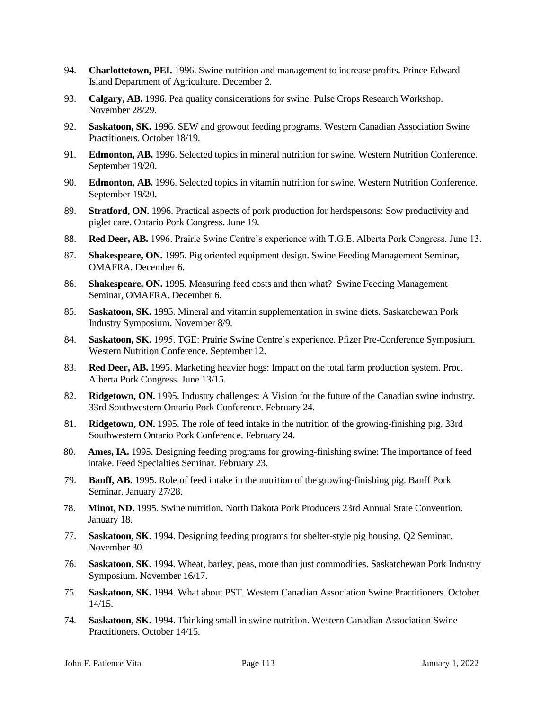- 94. **Charlottetown, PEI.** 1996. Swine nutrition and management to increase profits. Prince Edward Island Department of Agriculture. December 2.
- 93. **Calgary, AB.** 1996. Pea quality considerations for swine. Pulse Crops Research Workshop. November 28/29.
- 92. **Saskatoon, SK.** 1996. SEW and growout feeding programs. Western Canadian Association Swine Practitioners. October 18/19.
- 91. **Edmonton, AB.** 1996. Selected topics in mineral nutrition for swine. Western Nutrition Conference. September 19/20.
- 90. **Edmonton, AB.** 1996. Selected topics in vitamin nutrition for swine. Western Nutrition Conference. September 19/20.
- 89. **Stratford, ON.** 1996. Practical aspects of pork production for herdspersons: Sow productivity and piglet care. Ontario Pork Congress. June 19.
- 88. **Red Deer, AB.** 1996. Prairie Swine Centre's experience with T.G.E. Alberta Pork Congress. June 13.
- 87. **Shakespeare, ON.** 1995. Pig oriented equipment design. Swine Feeding Management Seminar, OMAFRA. December 6.
- 86. **Shakespeare, ON.** 1995. Measuring feed costs and then what? Swine Feeding Management Seminar, OMAFRA. December 6.
- 85. **Saskatoon, SK.** 1995. Mineral and vitamin supplementation in swine diets. Saskatchewan Pork Industry Symposium. November 8/9.
- 84. **Saskatoon, SK.** 1995. TGE: Prairie Swine Centre's experience. Pfizer Pre-Conference Symposium. Western Nutrition Conference. September 12.
- 83. **Red Deer, AB.** 1995. Marketing heavier hogs: Impact on the total farm production system. Proc. Alberta Pork Congress. June 13/15.
- 82. **Ridgetown, ON.** 1995. Industry challenges: A Vision for the future of the Canadian swine industry. 33rd Southwestern Ontario Pork Conference. February 24.
- 81. **Ridgetown, ON.** 1995. The role of feed intake in the nutrition of the growing-finishing pig. 33rd Southwestern Ontario Pork Conference. February 24.
- 80. **Ames, IA.** 1995. Designing feeding programs for growing-finishing swine: The importance of feed intake. Feed Specialties Seminar. February 23.
- 79. **Banff, AB.** 1995. Role of feed intake in the nutrition of the growing-finishing pig. Banff Pork Seminar. January 27/28.
- 78. **Minot, ND.** 1995. Swine nutrition. North Dakota Pork Producers 23rd Annual State Convention. January 18.
- 77. **Saskatoon, SK.** 1994. Designing feeding programs for shelter-style pig housing. Q2 Seminar. November 30.
- 76. **Saskatoon, SK.** 1994. Wheat, barley, peas, more than just commodities. Saskatchewan Pork Industry Symposium. November 16/17.
- 75. **Saskatoon, SK.** 1994. What about PST. Western Canadian Association Swine Practitioners. October 14/15.
- 74. **Saskatoon, SK.** 1994. Thinking small in swine nutrition. Western Canadian Association Swine Practitioners. October 14/15.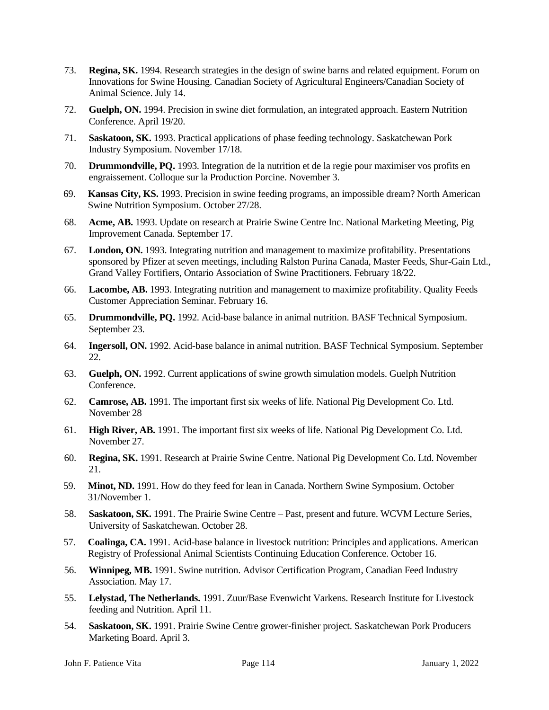- 73. **Regina, SK.** 1994. Research strategies in the design of swine barns and related equipment. Forum on Innovations for Swine Housing. Canadian Society of Agricultural Engineers/Canadian Society of Animal Science. July 14.
- 72. **Guelph, ON.** 1994. Precision in swine diet formulation, an integrated approach. Eastern Nutrition Conference. April 19/20.
- 71. **Saskatoon, SK.** 1993. Practical applications of phase feeding technology. Saskatchewan Pork Industry Symposium. November 17/18.
- 70. **Drummondville, PQ.** 1993. Integration de la nutrition et de la regie pour maximiser vos profits en engraissement. Colloque sur la Production Porcine. November 3.
- 69. **Kansas City, KS.** 1993. Precision in swine feeding programs, an impossible dream? North American Swine Nutrition Symposium. October 27/28.
- 68. **Acme, AB.** 1993. Update on research at Prairie Swine Centre Inc. National Marketing Meeting, Pig Improvement Canada. September 17.
- 67. **London, ON.** 1993. Integrating nutrition and management to maximize profitability. Presentations sponsored by Pfizer at seven meetings, including Ralston Purina Canada, Master Feeds, Shur-Gain Ltd., Grand Valley Fortifiers, Ontario Association of Swine Practitioners. February 18/22.
- 66. **Lacombe, AB.** 1993. Integrating nutrition and management to maximize profitability. Quality Feeds Customer Appreciation Seminar. February 16.
- 65. **Drummondville, PQ.** 1992. Acid-base balance in animal nutrition. BASF Technical Symposium. September 23.
- 64. **Ingersoll, ON.** 1992. Acid-base balance in animal nutrition. BASF Technical Symposium. September 22.
- 63. **Guelph, ON.** 1992. Current applications of swine growth simulation models. Guelph Nutrition Conference.
- 62. **Camrose, AB.** 1991. The important first six weeks of life. National Pig Development Co. Ltd. November 28
- 61. **High River, AB.** 1991. The important first six weeks of life. National Pig Development Co. Ltd. November 27.
- 60. **Regina, SK.** 1991. Research at Prairie Swine Centre. National Pig Development Co. Ltd. November 21.
- 59. **Minot, ND.** 1991. How do they feed for lean in Canada. Northern Swine Symposium. October 31/November 1.
- 58. **Saskatoon, SK.** 1991. The Prairie Swine Centre Past, present and future. WCVM Lecture Series, University of Saskatchewan. October 28.
- 57. **Coalinga, CA.** 1991. Acid-base balance in livestock nutrition: Principles and applications. American Registry of Professional Animal Scientists Continuing Education Conference. October 16.
- 56. **Winnipeg, MB.** 1991. Swine nutrition. Advisor Certification Program, Canadian Feed Industry Association. May 17.
- 55. **Lelystad, The Netherlands.** 1991. Zuur/Base Evenwicht Varkens. Research Institute for Livestock feeding and Nutrition. April 11.
- 54. **Saskatoon, SK.** 1991. Prairie Swine Centre grower-finisher project. Saskatchewan Pork Producers Marketing Board. April 3.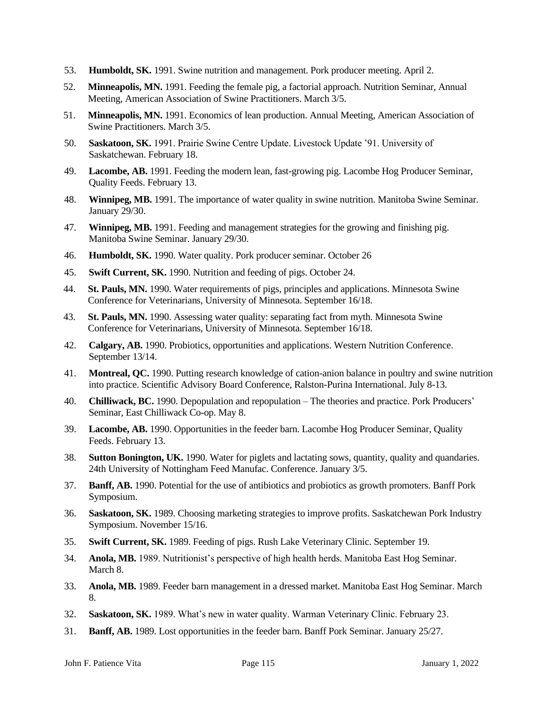- 53. **Humboldt, SK.** 1991. Swine nutrition and management. Pork producer meeting. April 2.
- 52. **Minneapolis, MN.** 1991. Feeding the female pig, a factorial approach. Nutrition Seminar, Annual Meeting, American Association of Swine Practitioners. March 3/5.
- 51. **Minneapolis, MN.** 1991. Economics of lean production. Annual Meeting, American Association of Swine Practitioners. March 3/5.
- 50. **Saskatoon, SK.** 1991. Prairie Swine Centre Update. Livestock Update '91. University of Saskatchewan. February 18.
- 49. **Lacombe, AB.** 1991. Feeding the modern lean, fast-growing pig. Lacombe Hog Producer Seminar, Quality Feeds. February 13.
- 48. **Winnipeg, MB.** 1991. The importance of water quality in swine nutrition. Manitoba Swine Seminar. January 29/30.
- 47. **Winnipeg, MB.** 1991. Feeding and management strategies for the growing and finishing pig. Manitoba Swine Seminar. January 29/30.
- 46. **Humboldt, SK.** 1990. Water quality. Pork producer seminar. October 26
- 45. **Swift Current, SK.** 1990. Nutrition and feeding of pigs. October 24.
- 44. **St. Pauls, MN.** 1990. Water requirements of pigs, principles and applications. Minnesota Swine Conference for Veterinarians, University of Minnesota. September 16/18.
- 43. **St. Pauls, MN.** 1990. Assessing water quality: separating fact from myth. Minnesota Swine Conference for Veterinarians, University of Minnesota. September 16/18.
- 42. **Calgary, AB.** 1990. Probiotics, opportunities and applications. Western Nutrition Conference. September 13/14.
- 41. **Montreal, QC.** 1990. Putting research knowledge of cation-anion balance in poultry and swine nutrition into practice. Scientific Advisory Board Conference, Ralston-Purina International. July 8-13.
- 40. **Chilliwack, BC.** 1990. Depopulation and repopulation The theories and practice. Pork Producers' Seminar, East Chilliwack Co-op. May 8.
- 39. **Lacombe, AB.** 1990. Opportunities in the feeder barn. Lacombe Hog Producer Seminar, Quality Feeds. February 13.
- 38. **Sutton Bonington, UK.** 1990. Water for piglets and lactating sows, quantity, quality and quandaries. 24th University of Nottingham Feed Manufac. Conference. January 3/5.
- 37. **Banff, AB.** 1990. Potential for the use of antibiotics and probiotics as growth promoters. Banff Pork Symposium.
- 36. **Saskatoon, SK.** 1989. Choosing marketing strategies to improve profits. Saskatchewan Pork Industry Symposium. November 15/16.
- 35. **Swift Current, SK.** 1989. Feeding of pigs. Rush Lake Veterinary Clinic. September 19.
- 34. **Anola, MB.** 1989. Nutritionist's perspective of high health herds. Manitoba East Hog Seminar. March 8.
- 33. **Anola, MB.** 1989. Feeder barn management in a dressed market. Manitoba East Hog Seminar. March 8.
- 32. **Saskatoon, SK.** 1989. What's new in water quality. Warman Veterinary Clinic. February 23.
- 31. **Banff, AB.** 1989. Lost opportunities in the feeder barn. Banff Pork Seminar. January 25/27.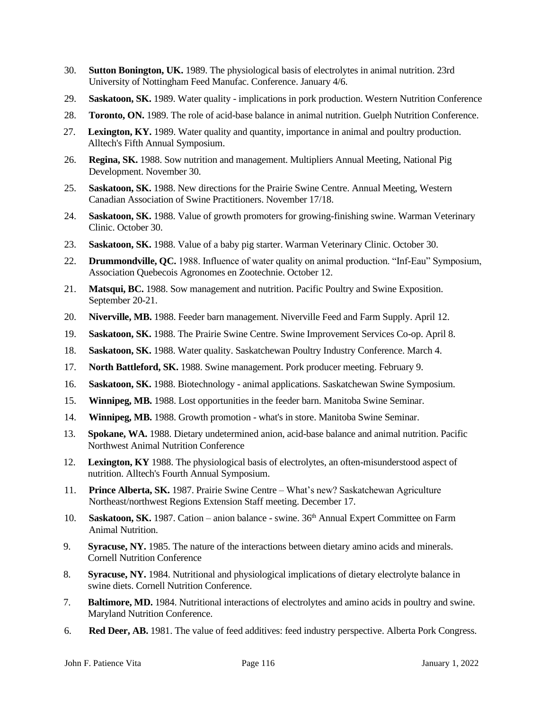- 30. **Sutton Bonington, UK.** 1989. The physiological basis of electrolytes in animal nutrition. 23rd University of Nottingham Feed Manufac. Conference. January 4/6.
- 29. **Saskatoon, SK.** 1989. Water quality implications in pork production. Western Nutrition Conference
- 28. **Toronto, ON.** 1989. The role of acid-base balance in animal nutrition. Guelph Nutrition Conference.
- 27. **Lexington, KY.** 1989. Water quality and quantity, importance in animal and poultry production. Alltech's Fifth Annual Symposium.
- 26. **Regina, SK.** 1988. Sow nutrition and management. Multipliers Annual Meeting, National Pig Development. November 30.
- 25. **Saskatoon, SK.** 1988. New directions for the Prairie Swine Centre. Annual Meeting, Western Canadian Association of Swine Practitioners. November 17/18.
- 24. **Saskatoon, SK.** 1988. Value of growth promoters for growing-finishing swine. Warman Veterinary Clinic. October 30.
- 23. **Saskatoon, SK.** 1988. Value of a baby pig starter. Warman Veterinary Clinic. October 30.
- 22. **Drummondville, QC.** 1988. Influence of water quality on animal production. "Inf-Eau" Symposium, Association Quebecois Agronomes en Zootechnie. October 12.
- 21. **Matsqui, BC.** 1988. Sow management and nutrition. Pacific Poultry and Swine Exposition. September 20-21.
- 20. **Niverville, MB.** 1988. Feeder barn management. Niverville Feed and Farm Supply. April 12.
- 19. **Saskatoon, SK.** 1988. The Prairie Swine Centre. Swine Improvement Services Co-op. April 8.
- 18. **Saskatoon, SK.** 1988. Water quality. Saskatchewan Poultry Industry Conference. March 4.
- 17. **North Battleford, SK.** 1988. Swine management. Pork producer meeting. February 9.
- 16. **Saskatoon, SK.** 1988. Biotechnology animal applications. Saskatchewan Swine Symposium.
- 15. **Winnipeg, MB.** 1988. Lost opportunities in the feeder barn. Manitoba Swine Seminar.
- 14. **Winnipeg, MB.** 1988. Growth promotion what's in store. Manitoba Swine Seminar.
- 13. **Spokane, WA.** 1988. Dietary undetermined anion, acid-base balance and animal nutrition. Pacific Northwest Animal Nutrition Conference
- 12. **Lexington, KY** 1988. The physiological basis of electrolytes, an often-misunderstood aspect of nutrition. Alltech's Fourth Annual Symposium.
- 11. **Prince Alberta, SK.** 1987. Prairie Swine Centre What's new? Saskatchewan Agriculture Northeast/northwest Regions Extension Staff meeting. December 17.
- 10. **Saskatoon, SK.** 1987. Cation anion balance swine. 36<sup>th</sup> Annual Expert Committee on Farm Animal Nutrition.
- 9. **Syracuse, NY.** 1985. The nature of the interactions between dietary amino acids and minerals. Cornell Nutrition Conference
- 8. **Syracuse, NY.** 1984. Nutritional and physiological implications of dietary electrolyte balance in swine diets. Cornell Nutrition Conference.
- 7. **Baltimore, MD.** 1984. Nutritional interactions of electrolytes and amino acids in poultry and swine. Maryland Nutrition Conference.
- 6. **Red Deer, AB.** 1981. The value of feed additives: feed industry perspective. Alberta Pork Congress.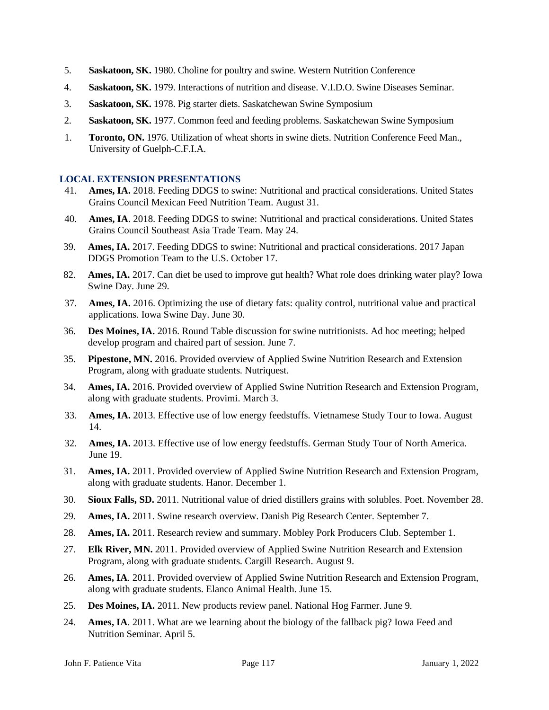- 5. **Saskatoon, SK.** 1980. Choline for poultry and swine. Western Nutrition Conference
- 4. **Saskatoon, SK.** 1979. Interactions of nutrition and disease. V.I.D.O. Swine Diseases Seminar.
- 3. **Saskatoon, SK.** 1978. Pig starter diets. Saskatchewan Swine Symposium
- 2. **Saskatoon, SK.** 1977. Common feed and feeding problems. Saskatchewan Swine Symposium
- 1. **Toronto, ON.** 1976. Utilization of wheat shorts in swine diets. Nutrition Conference Feed Man., University of Guelph-C.F.I.A.

## **LOCAL EXTENSION PRESENTATIONS**

- 41. **Ames, IA.** 2018. Feeding DDGS to swine: Nutritional and practical considerations. United States Grains Council Mexican Feed Nutrition Team. August 31.
- 40. **Ames, IA**. 2018. Feeding DDGS to swine: Nutritional and practical considerations. United States Grains Council Southeast Asia Trade Team. May 24.
- 39. **Ames, IA.** 2017. Feeding DDGS to swine: Nutritional and practical considerations. 2017 Japan DDGS Promotion Team to the U.S. October 17.
- 82. **Ames, IA.** 2017. Can diet be used to improve gut health? What role does drinking water play? Iowa Swine Day. June 29.
- 37. **Ames, IA.** 2016. Optimizing the use of dietary fats: quality control, nutritional value and practical applications. Iowa Swine Day. June 30.
- 36. **Des Moines, IA.** 2016. Round Table discussion for swine nutritionists. Ad hoc meeting; helped develop program and chaired part of session. June 7.
- 35. **Pipestone, MN.** 2016. Provided overview of Applied Swine Nutrition Research and Extension Program, along with graduate students. Nutriquest.
- 34. **Ames, IA.** 2016. Provided overview of Applied Swine Nutrition Research and Extension Program, along with graduate students. Provimi. March 3.
- 33. **Ames, IA.** 2013. Effective use of low energy feedstuffs. Vietnamese Study Tour to Iowa. August 14.
- 32. **Ames, IA.** 2013. Effective use of low energy feedstuffs. German Study Tour of North America. June 19.
- 31. **Ames, IA.** 2011. Provided overview of Applied Swine Nutrition Research and Extension Program, along with graduate students. Hanor. December 1.
- 30. **Sioux Falls, SD.** 2011. Nutritional value of dried distillers grains with solubles. Poet. November 28.
- 29. **Ames, IA.** 2011. Swine research overview. Danish Pig Research Center. September 7.
- 28. **Ames, IA.** 2011. Research review and summary. Mobley Pork Producers Club. September 1.
- 27. **Elk River, MN.** 2011. Provided overview of Applied Swine Nutrition Research and Extension Program, along with graduate students. Cargill Research. August 9.
- 26. **Ames, IA**. 2011. Provided overview of Applied Swine Nutrition Research and Extension Program, along with graduate students. Elanco Animal Health. June 15.
- 25. **Des Moines, IA.** 2011. New products review panel. National Hog Farmer. June 9.
- 24. **Ames, IA**. 2011. What are we learning about the biology of the fallback pig? Iowa Feed and Nutrition Seminar. April 5.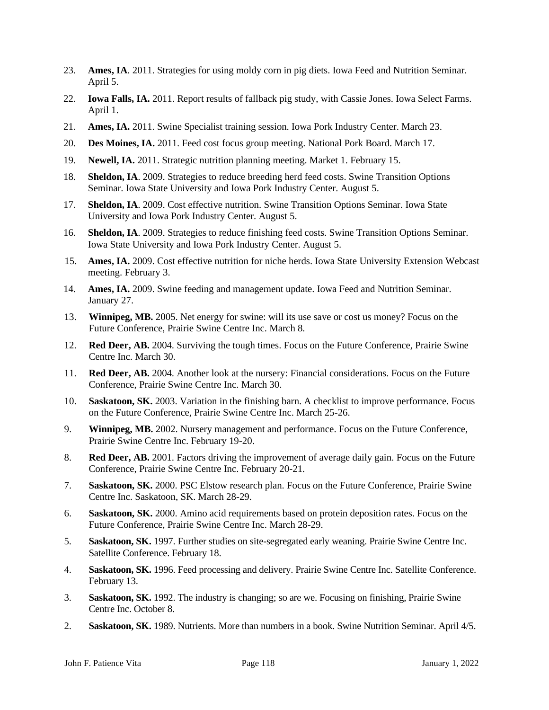- 23. **Ames, IA**. 2011. Strategies for using moldy corn in pig diets. Iowa Feed and Nutrition Seminar. April 5.
- 22. **Iowa Falls, IA.** 2011. Report results of fallback pig study, with Cassie Jones. Iowa Select Farms. April 1.
- 21. **Ames, IA.** 2011. Swine Specialist training session. Iowa Pork Industry Center. March 23.
- 20. **Des Moines, IA.** 2011. Feed cost focus group meeting. National Pork Board. March 17.
- 19. **Newell, IA.** 2011. Strategic nutrition planning meeting. Market 1. February 15.
- 18. **Sheldon, IA**. 2009. Strategies to reduce breeding herd feed costs. Swine Transition Options Seminar. Iowa State University and Iowa Pork Industry Center. August 5.
- 17. **Sheldon, IA**. 2009. Cost effective nutrition. Swine Transition Options Seminar. Iowa State University and Iowa Pork Industry Center. August 5.
- 16. **Sheldon, IA**. 2009. Strategies to reduce finishing feed costs. Swine Transition Options Seminar. Iowa State University and Iowa Pork Industry Center. August 5.
- 15. **Ames, IA.** 2009. Cost effective nutrition for niche herds. Iowa State University Extension Webcast meeting. February 3.
- 14. **Ames, IA.** 2009. Swine feeding and management update. Iowa Feed and Nutrition Seminar. January 27.
- 13. **Winnipeg, MB.** 2005. Net energy for swine: will its use save or cost us money? Focus on the Future Conference, Prairie Swine Centre Inc. March 8.
- 12. **Red Deer, AB.** 2004. Surviving the tough times. Focus on the Future Conference, Prairie Swine Centre Inc. March 30.
- 11. **Red Deer, AB.** 2004. Another look at the nursery: Financial considerations. Focus on the Future Conference, Prairie Swine Centre Inc. March 30.
- 10. **Saskatoon, SK.** 2003. Variation in the finishing barn. A checklist to improve performance. Focus on the Future Conference, Prairie Swine Centre Inc. March 25-26.
- 9. **Winnipeg, MB.** 2002. Nursery management and performance. Focus on the Future Conference, Prairie Swine Centre Inc. February 19-20.
- 8. **Red Deer, AB.** 2001. Factors driving the improvement of average daily gain. Focus on the Future Conference, Prairie Swine Centre Inc. February 20-21.
- 7. **Saskatoon, SK.** 2000. PSC Elstow research plan. Focus on the Future Conference, Prairie Swine Centre Inc. Saskatoon, SK. March 28-29.
- 6. **Saskatoon, SK.** 2000. Amino acid requirements based on protein deposition rates. Focus on the Future Conference, Prairie Swine Centre Inc. March 28-29.
- 5. **Saskatoon, SK.** 1997. Further studies on site-segregated early weaning. Prairie Swine Centre Inc. Satellite Conference. February 18.
- 4. **Saskatoon, SK.** 1996. Feed processing and delivery. Prairie Swine Centre Inc. Satellite Conference. February 13.
- 3. **Saskatoon, SK.** 1992. The industry is changing; so are we. Focusing on finishing, Prairie Swine Centre Inc. October 8.
- 2. **Saskatoon, SK.** 1989. Nutrients. More than numbers in a book. Swine Nutrition Seminar. April 4/5.